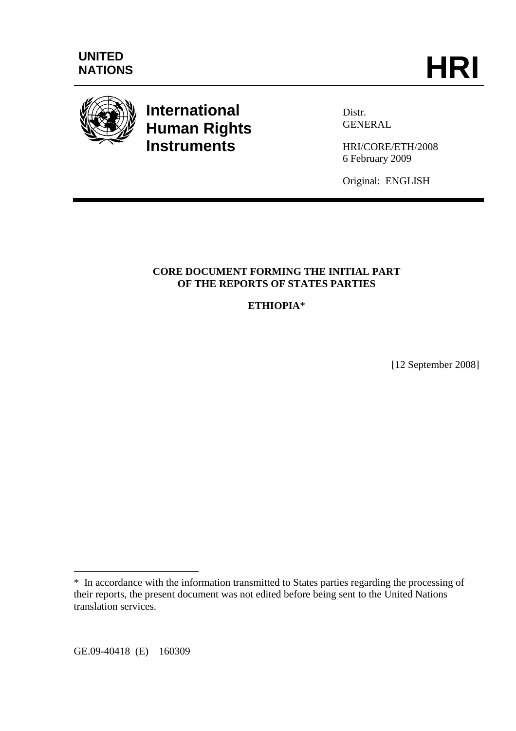

# **International Human Rights Instruments**

Distr. GENERAL

HRI/CORE/ETH/2008 6 February 2009

Original: ENGLISH

# **CORE DOCUMENT FORMING THE INITIAL PART OF THE REPORTS OF STATES PARTIES**

**ETHIOPIA**\*

[12 September 2008]

GE.09-40418 (E) 160309

 $\overline{a}$ 

<sup>\*</sup> In accordance with the information transmitted to States parties regarding the processing of their reports, the present document was not edited before being sent to the United Nations translation services.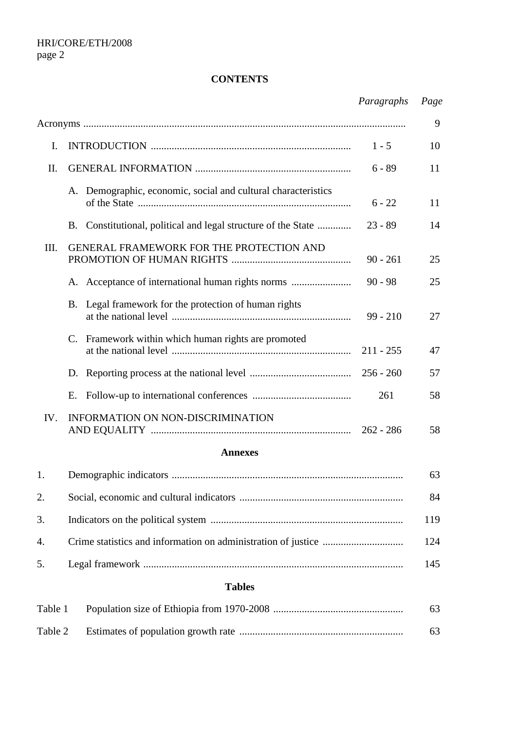#### **CONTENTS**

|         |                                                                         | Paragraphs  | Page |
|---------|-------------------------------------------------------------------------|-------------|------|
|         |                                                                         |             | 9    |
| I.      | $1 - 5$                                                                 |             | 10   |
| II.     | $6 - 89$                                                                |             | 11   |
|         | A. Demographic, economic, social and cultural characteristics           | $6 - 22$    | 11   |
|         | Constitutional, political and legal structure of the State<br><b>B.</b> | $23 - 89$   | 14   |
| III.    | GENERAL FRAMEWORK FOR THE PROTECTION AND                                | $90 - 261$  | 25   |
|         | A. Acceptance of international human rights norms                       | $90 - 98$   | 25   |
|         | B. Legal framework for the protection of human rights                   | $99 - 210$  | 27   |
|         | Framework within which human rights are promoted<br>$\mathbf{C}$ .      | $211 - 255$ | 47   |
|         | D.                                                                      | $256 - 260$ | 57   |
|         | Ε.                                                                      | 261         | 58   |
| IV.     | INFORMATION ON NON-DISCRIMINATION                                       |             | 58   |
|         | <b>Annexes</b>                                                          |             |      |
| 1.      |                                                                         |             | 63   |
| 2.      |                                                                         |             | 84   |
| 3.      |                                                                         |             | 119  |
| 4.      |                                                                         |             | 124  |
| 5.      |                                                                         |             | 145  |
|         | <b>Tables</b>                                                           |             |      |
| Table 1 |                                                                         |             | 63   |
| Table 2 |                                                                         |             | 63   |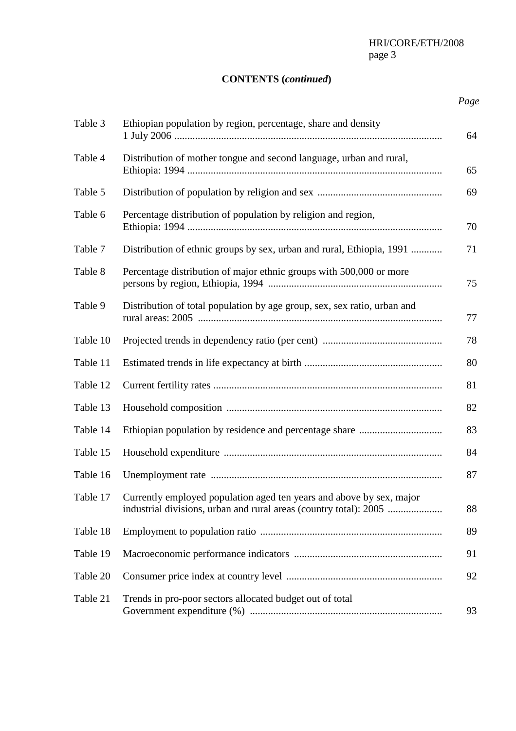| Table 3  | Ethiopian population by region, percentage, share and density            | 64 |
|----------|--------------------------------------------------------------------------|----|
| Table 4  | Distribution of mother tongue and second language, urban and rural,      | 65 |
| Table 5  |                                                                          | 69 |
| Table 6  | Percentage distribution of population by religion and region,            | 70 |
| Table 7  | Distribution of ethnic groups by sex, urban and rural, Ethiopia, 1991    | 71 |
| Table 8  | Percentage distribution of major ethnic groups with 500,000 or more      | 75 |
| Table 9  | Distribution of total population by age group, sex, sex ratio, urban and | 77 |
| Table 10 |                                                                          | 78 |
| Table 11 |                                                                          | 80 |
| Table 12 |                                                                          | 81 |
| Table 13 |                                                                          | 82 |
| Table 14 |                                                                          | 83 |
| Table 15 |                                                                          | 84 |
| Table 16 |                                                                          | 87 |
| Table 17 | Currently employed population aged ten years and above by sex, major     | 88 |
| Table 18 |                                                                          | 89 |
| Table 19 |                                                                          | 91 |
| Table 20 |                                                                          | 92 |
| Table 21 | Trends in pro-poor sectors allocated budget out of total                 | 93 |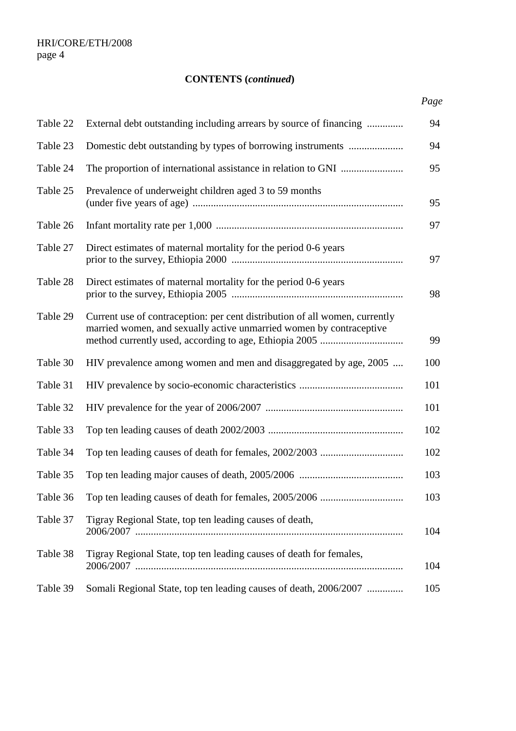|          |                                                                                                                                                    | Page |
|----------|----------------------------------------------------------------------------------------------------------------------------------------------------|------|
| Table 22 | External debt outstanding including arrears by source of financing                                                                                 | 94   |
| Table 23 | Domestic debt outstanding by types of borrowing instruments                                                                                        | 94   |
| Table 24 |                                                                                                                                                    | 95   |
| Table 25 | Prevalence of underweight children aged 3 to 59 months                                                                                             | 95   |
| Table 26 |                                                                                                                                                    | 97   |
| Table 27 | Direct estimates of maternal mortality for the period 0-6 years                                                                                    | 97   |
| Table 28 | Direct estimates of maternal mortality for the period 0-6 years                                                                                    | 98   |
| Table 29 | Current use of contraception: per cent distribution of all women, currently<br>married women, and sexually active unmarried women by contraceptive | 99   |
| Table 30 | HIV prevalence among women and men and disaggregated by age, 2005                                                                                  | 100  |
| Table 31 |                                                                                                                                                    | 101  |
| Table 32 |                                                                                                                                                    | 101  |
| Table 33 |                                                                                                                                                    | 102  |
| Table 34 |                                                                                                                                                    | 102  |
| Table 35 |                                                                                                                                                    | 103  |
| Table 36 |                                                                                                                                                    | 103  |
| Table 37 | Tigray Regional State, top ten leading causes of death,                                                                                            | 104  |
| Table 38 | Tigray Regional State, top ten leading causes of death for females,                                                                                | 104  |
| Table 39 | Somali Regional State, top ten leading causes of death, 2006/2007                                                                                  | 105  |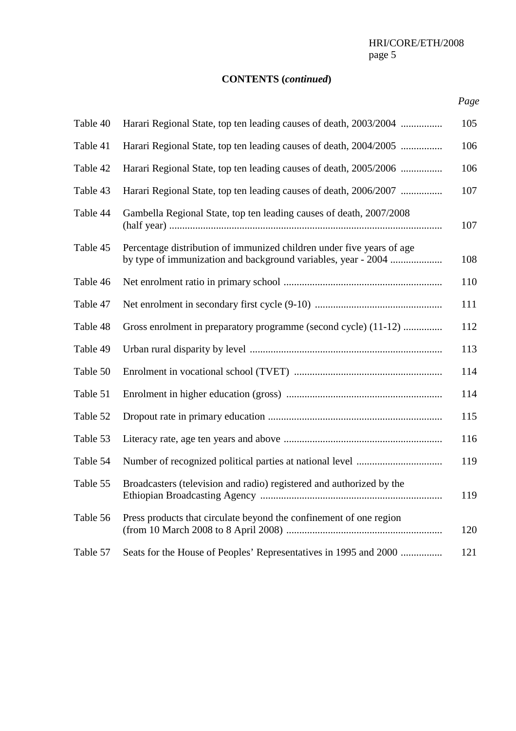|          |                                                                                                                                        | Page |
|----------|----------------------------------------------------------------------------------------------------------------------------------------|------|
| Table 40 | Harari Regional State, top ten leading causes of death, 2003/2004                                                                      | 105  |
| Table 41 | Harari Regional State, top ten leading causes of death, 2004/2005                                                                      | 106  |
| Table 42 | Harari Regional State, top ten leading causes of death, 2005/2006                                                                      | 106  |
| Table 43 | Harari Regional State, top ten leading causes of death, 2006/2007                                                                      | 107  |
| Table 44 | Gambella Regional State, top ten leading causes of death, 2007/2008                                                                    | 107  |
| Table 45 | Percentage distribution of immunized children under five years of age<br>by type of immunization and background variables, year - 2004 | 108  |
| Table 46 |                                                                                                                                        | 110  |
| Table 47 |                                                                                                                                        | 111  |
| Table 48 | Gross enrolment in preparatory programme (second cycle) (11-12)                                                                        | 112  |
| Table 49 |                                                                                                                                        | 113  |
| Table 50 |                                                                                                                                        | 114  |
| Table 51 |                                                                                                                                        | 114  |
| Table 52 |                                                                                                                                        | 115  |
| Table 53 |                                                                                                                                        | 116  |
| Table 54 |                                                                                                                                        | 119  |
| Table 55 | Broadcasters (television and radio) registered and authorized by the                                                                   | 119  |
| Table 56 | Press products that circulate beyond the confinement of one region                                                                     | 120  |
| Table 57 | Seats for the House of Peoples' Representatives in 1995 and 2000                                                                       | 121  |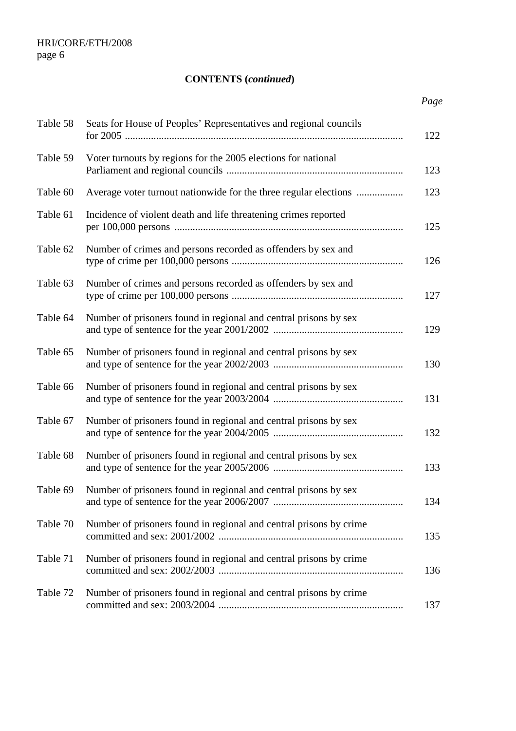|          |                                                                    | Page |
|----------|--------------------------------------------------------------------|------|
| Table 58 | Seats for House of Peoples' Representatives and regional councils  | 122  |
| Table 59 | Voter turnouts by regions for the 2005 elections for national      | 123  |
| Table 60 | Average voter turnout nationwide for the three regular elections   | 123  |
| Table 61 | Incidence of violent death and life threatening crimes reported    | 125  |
| Table 62 | Number of crimes and persons recorded as offenders by sex and      | 126  |
| Table 63 | Number of crimes and persons recorded as offenders by sex and      | 127  |
| Table 64 | Number of prisoners found in regional and central prisons by sex   | 129  |
| Table 65 | Number of prisoners found in regional and central prisons by sex   | 130  |
| Table 66 | Number of prisoners found in regional and central prisons by sex   | 131  |
| Table 67 | Number of prisoners found in regional and central prisons by sex   | 132  |
| Table 68 | Number of prisoners found in regional and central prisons by sex   | 133  |
| Table 69 | Number of prisoners found in regional and central prisons by sex   | 134  |
| Table 70 | Number of prisoners found in regional and central prisons by crime | 135  |
| Table 71 | Number of prisoners found in regional and central prisons by crime | 136  |
| Table 72 | Number of prisoners found in regional and central prisons by crime | 137  |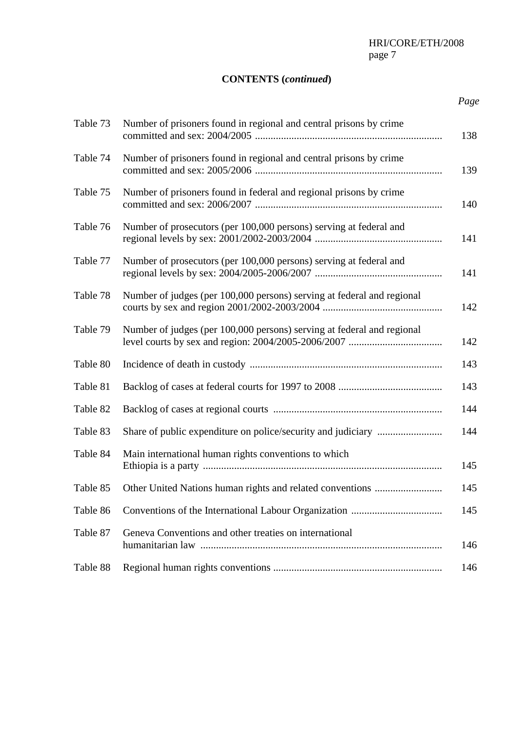|          |                                                                        | Page |
|----------|------------------------------------------------------------------------|------|
| Table 73 | Number of prisoners found in regional and central prisons by crime     | 138  |
| Table 74 | Number of prisoners found in regional and central prisons by crime     | 139  |
| Table 75 | Number of prisoners found in federal and regional prisons by crime     | 140  |
| Table 76 | Number of prosecutors (per 100,000 persons) serving at federal and     | 141  |
| Table 77 | Number of prosecutors (per 100,000 persons) serving at federal and     | 141  |
| Table 78 | Number of judges (per 100,000 persons) serving at federal and regional | 142  |
| Table 79 | Number of judges (per 100,000 persons) serving at federal and regional | 142  |
| Table 80 |                                                                        | 143  |
| Table 81 |                                                                        | 143  |
| Table 82 |                                                                        | 144  |
| Table 83 |                                                                        | 144  |
| Table 84 | Main international human rights conventions to which                   | 145  |
| Table 85 |                                                                        | 145  |
| Table 86 |                                                                        | 145  |
| Table 87 | Geneva Conventions and other treaties on international                 | 146  |
| Table 88 |                                                                        | 146  |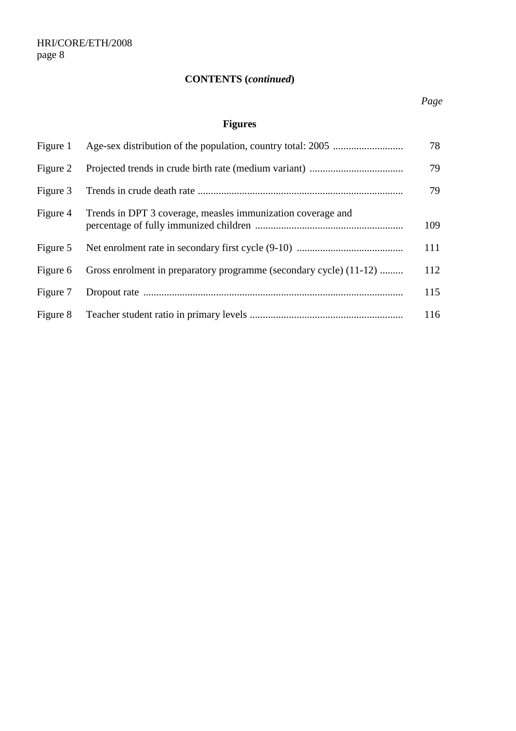# **Figures**

| Figure 1 |                                                                    | 78  |
|----------|--------------------------------------------------------------------|-----|
| Figure 2 |                                                                    | 79  |
| Figure 3 |                                                                    | 79  |
| Figure 4 | Trends in DPT 3 coverage, measles immunization coverage and        | 109 |
| Figure 5 |                                                                    | 111 |
| Figure 6 | Gross enrolment in preparatory programme (secondary cycle) (11-12) | 112 |
| Figure 7 |                                                                    | 115 |
| Figure 8 |                                                                    | 116 |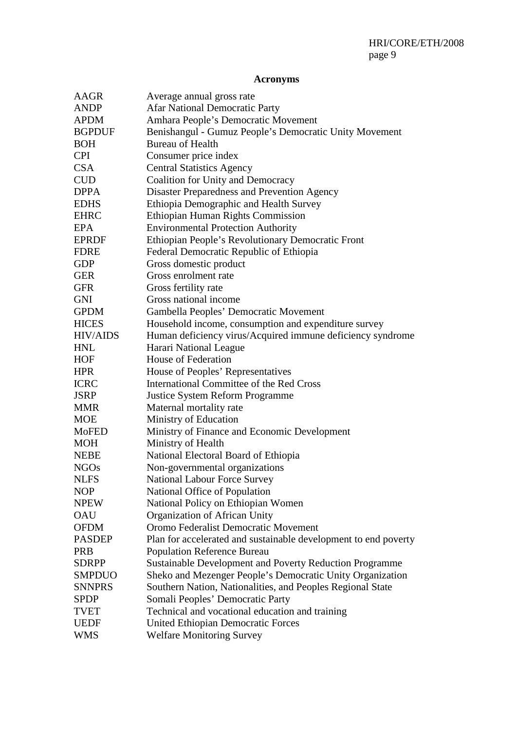# **Acronyms**

| AAGR            | Average annual gross rate                                       |
|-----------------|-----------------------------------------------------------------|
| <b>ANDP</b>     | <b>Afar National Democratic Party</b>                           |
| <b>APDM</b>     | Amhara People's Democratic Movement                             |
| <b>BGPDUF</b>   | Benishangul - Gumuz People's Democratic Unity Movement          |
| <b>BOH</b>      | <b>Bureau of Health</b>                                         |
| <b>CPI</b>      | Consumer price index                                            |
| <b>CSA</b>      | <b>Central Statistics Agency</b>                                |
| <b>CUD</b>      | Coalition for Unity and Democracy                               |
| <b>DPPA</b>     | Disaster Preparedness and Prevention Agency                     |
| <b>EDHS</b>     | Ethiopia Demographic and Health Survey                          |
| <b>EHRC</b>     | Ethiopian Human Rights Commission                               |
| <b>EPA</b>      | <b>Environmental Protection Authority</b>                       |
| <b>EPRDF</b>    | Ethiopian People's Revolutionary Democratic Front               |
| <b>FDRE</b>     | Federal Democratic Republic of Ethiopia                         |
| <b>GDP</b>      | Gross domestic product                                          |
| <b>GER</b>      | Gross enrolment rate                                            |
| <b>GFR</b>      | Gross fertility rate                                            |
| <b>GNI</b>      | Gross national income                                           |
| <b>GPDM</b>     |                                                                 |
| <b>HICES</b>    | Gambella Peoples' Democratic Movement                           |
| <b>HIV/AIDS</b> | Household income, consumption and expenditure survey            |
|                 | Human deficiency virus/Acquired immune deficiency syndrome      |
| <b>HNL</b>      | Harari National League<br><b>House of Federation</b>            |
| <b>HOF</b>      |                                                                 |
| <b>HPR</b>      | House of Peoples' Representatives                               |
| <b>ICRC</b>     | International Committee of the Red Cross                        |
| <b>JSRP</b>     | <b>Justice System Reform Programme</b>                          |
| <b>MMR</b>      | Maternal mortality rate                                         |
| <b>MOE</b>      | Ministry of Education                                           |
| <b>MoFED</b>    | Ministry of Finance and Economic Development                    |
| <b>MOH</b>      | Ministry of Health                                              |
| <b>NEBE</b>     | National Electoral Board of Ethiopia                            |
| <b>NGOs</b>     | Non-governmental organizations                                  |
| <b>NLFS</b>     | <b>National Labour Force Survey</b>                             |
| <b>NOP</b>      | National Office of Population                                   |
| <b>NPEW</b>     | National Policy on Ethiopian Women                              |
| <b>OAU</b>      | Organization of African Unity                                   |
| <b>OFDM</b>     | Oromo Federalist Democratic Movement                            |
| <b>PASDEP</b>   | Plan for accelerated and sustainable development to end poverty |
| <b>PRB</b>      | <b>Population Reference Bureau</b>                              |
| <b>SDRPP</b>    | Sustainable Development and Poverty Reduction Programme         |
| <b>SMPDUO</b>   | Sheko and Mezenger People's Democratic Unity Organization       |
| <b>SNNPRS</b>   | Southern Nation, Nationalities, and Peoples Regional State      |
| <b>SPDP</b>     | Somali Peoples' Democratic Party                                |
| <b>TVET</b>     | Technical and vocational education and training                 |
| <b>UEDF</b>     | <b>United Ethiopian Democratic Forces</b>                       |
| <b>WMS</b>      | <b>Welfare Monitoring Survey</b>                                |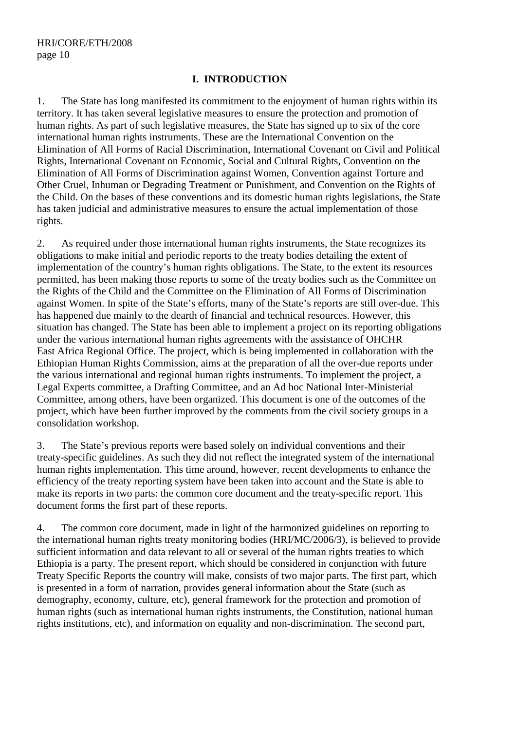#### **I. INTRODUCTION**

1. The State has long manifested its commitment to the enjoyment of human rights within its territory. It has taken several legislative measures to ensure the protection and promotion of human rights. As part of such legislative measures, the State has signed up to six of the core international human rights instruments. These are the International Convention on the Elimination of All Forms of Racial Discrimination, International Covenant on Civil and Political Rights, International Covenant on Economic, Social and Cultural Rights, Convention on the Elimination of All Forms of Discrimination against Women, Convention against Torture and Other Cruel, Inhuman or Degrading Treatment or Punishment, and Convention on the Rights of the Child. On the bases of these conventions and its domestic human rights legislations, the State has taken judicial and administrative measures to ensure the actual implementation of those rights.

2. As required under those international human rights instruments, the State recognizes its obligations to make initial and periodic reports to the treaty bodies detailing the extent of implementation of the country's human rights obligations. The State, to the extent its resources permitted, has been making those reports to some of the treaty bodies such as the Committee on the Rights of the Child and the Committee on the Elimination of All Forms of Discrimination against Women. In spite of the State's efforts, many of the State's reports are still over-due. This has happened due mainly to the dearth of financial and technical resources. However, this situation has changed. The State has been able to implement a project on its reporting obligations under the various international human rights agreements with the assistance of OHCHR East Africa Regional Office. The project, which is being implemented in collaboration with the Ethiopian Human Rights Commission, aims at the preparation of all the over-due reports under the various international and regional human rights instruments. To implement the project, a Legal Experts committee, a Drafting Committee, and an Ad hoc National Inter-Ministerial Committee, among others, have been organized. This document is one of the outcomes of the project, which have been further improved by the comments from the civil society groups in a consolidation workshop.

3. The State's previous reports were based solely on individual conventions and their treaty-specific guidelines. As such they did not reflect the integrated system of the international human rights implementation. This time around, however, recent developments to enhance the efficiency of the treaty reporting system have been taken into account and the State is able to make its reports in two parts: the common core document and the treaty-specific report. This document forms the first part of these reports.

4. The common core document, made in light of the harmonized guidelines on reporting to the international human rights treaty monitoring bodies (HRI/MC/2006/3), is believed to provide sufficient information and data relevant to all or several of the human rights treaties to which Ethiopia is a party. The present report, which should be considered in conjunction with future Treaty Specific Reports the country will make, consists of two major parts. The first part, which is presented in a form of narration, provides general information about the State (such as demography, economy, culture, etc), general framework for the protection and promotion of human rights (such as international human rights instruments, the Constitution, national human rights institutions, etc), and information on equality and non-discrimination. The second part,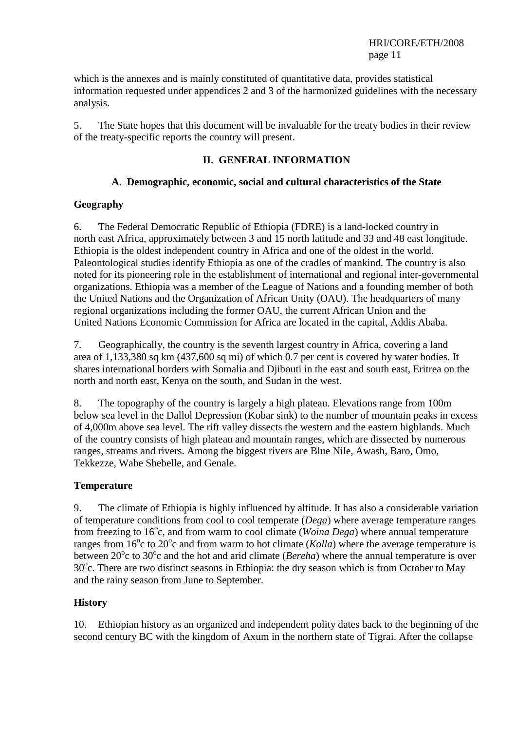which is the annexes and is mainly constituted of quantitative data, provides statistical information requested under appendices 2 and 3 of the harmonized guidelines with the necessary analysis.

5. The State hopes that this document will be invaluable for the treaty bodies in their review of the treaty-specific reports the country will present.

# **II. GENERAL INFORMATION**

#### **A. Demographic, economic, social and cultural characteristics of the State**

#### **Geography**

6. The Federal Democratic Republic of Ethiopia (FDRE) is a land-locked country in north east Africa, approximately between 3 and 15 north latitude and 33 and 48 east longitude. Ethiopia is the oldest independent country in Africa and one of the oldest in the world. Paleontological studies identify Ethiopia as one of the cradles of mankind. The country is also noted for its pioneering role in the establishment of international and regional inter-governmental organizations. Ethiopia was a member of the League of Nations and a founding member of both the United Nations and the Organization of African Unity (OAU). The headquarters of many regional organizations including the former OAU, the current African Union and the United Nations Economic Commission for Africa are located in the capital, Addis Ababa.

7. Geographically, the country is the seventh largest country in Africa, covering a land area of 1,133,380 sq km (437,600 sq mi) of which 0.7 per cent is covered by water bodies. It shares international borders with Somalia and Djibouti in the east and south east, Eritrea on the north and north east, Kenya on the south, and Sudan in the west.

8. The topography of the country is largely a high plateau. Elevations range from 100m below sea level in the Dallol Depression (Kobar sink) to the number of mountain peaks in excess of 4,000m above sea level. The rift valley dissects the western and the eastern highlands. Much of the country consists of high plateau and mountain ranges, which are dissected by numerous ranges, streams and rivers. Among the biggest rivers are Blue Nile, Awash, Baro, Omo, Tekkezze, Wabe Shebelle, and Genale.

#### **Temperature**

9. The climate of Ethiopia is highly influenced by altitude. It has also a considerable variation of temperature conditions from cool to cool temperate (*Dega*) where average temperature ranges from freezing to 16°c, and from warm to cool climate (*Woina Dega*) where annual temperature ranges from  $16^{\circ}$ c to  $20^{\circ}$ c and from warm to hot climate (*Kolla*) where the average temperature is between 20<sup>o</sup>c to 30<sup>o</sup>c and the hot and arid climate (*Bereha*) where the annual temperature is over 30°c. There are two distinct seasons in Ethiopia: the dry season which is from October to May and the rainy season from June to September.

# **History**

10. Ethiopian history as an organized and independent polity dates back to the beginning of the second century BC with the kingdom of Axum in the northern state of Tigrai. After the collapse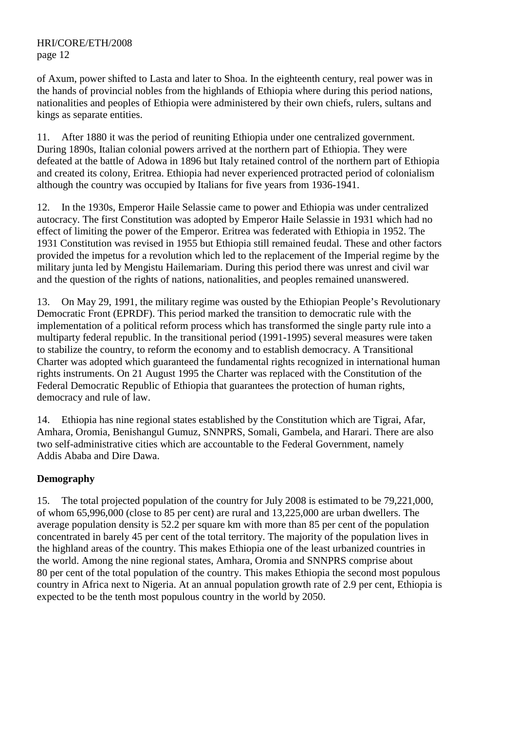of Axum, power shifted to Lasta and later to Shoa. In the eighteenth century, real power was in the hands of provincial nobles from the highlands of Ethiopia where during this period nations, nationalities and peoples of Ethiopia were administered by their own chiefs, rulers, sultans and kings as separate entities.

11. After 1880 it was the period of reuniting Ethiopia under one centralized government. During 1890s, Italian colonial powers arrived at the northern part of Ethiopia. They were defeated at the battle of Adowa in 1896 but Italy retained control of the northern part of Ethiopia and created its colony, Eritrea. Ethiopia had never experienced protracted period of colonialism although the country was occupied by Italians for five years from 1936-1941.

12. In the 1930s, Emperor Haile Selassie came to power and Ethiopia was under centralized autocracy. The first Constitution was adopted by Emperor Haile Selassie in 1931 which had no effect of limiting the power of the Emperor. Eritrea was federated with Ethiopia in 1952. The 1931 Constitution was revised in 1955 but Ethiopia still remained feudal. These and other factors provided the impetus for a revolution which led to the replacement of the Imperial regime by the military junta led by Mengistu Hailemariam. During this period there was unrest and civil war and the question of the rights of nations, nationalities, and peoples remained unanswered.

13. On May 29, 1991, the military regime was ousted by the Ethiopian People's Revolutionary Democratic Front (EPRDF). This period marked the transition to democratic rule with the implementation of a political reform process which has transformed the single party rule into a multiparty federal republic. In the transitional period (1991-1995) several measures were taken to stabilize the country, to reform the economy and to establish democracy. A Transitional Charter was adopted which guaranteed the fundamental rights recognized in international human rights instruments. On 21 August 1995 the Charter was replaced with the Constitution of the Federal Democratic Republic of Ethiopia that guarantees the protection of human rights, democracy and rule of law.

14. Ethiopia has nine regional states established by the Constitution which are Tigrai, Afar, Amhara, Oromia, Benishangul Gumuz, SNNPRS, Somali, Gambela, and Harari. There are also two self-administrative cities which are accountable to the Federal Government, namely Addis Ababa and Dire Dawa.

# **Demography**

15. The total projected population of the country for July 2008 is estimated to be 79,221,000, of whom 65,996,000 (close to 85 per cent) are rural and 13,225,000 are urban dwellers. The average population density is 52.2 per square km with more than 85 per cent of the population concentrated in barely 45 per cent of the total territory. The majority of the population lives in the highland areas of the country. This makes Ethiopia one of the least urbanized countries in the world. Among the nine regional states, Amhara, Oromia and SNNPRS comprise about 80 per cent of the total population of the country. This makes Ethiopia the second most populous country in Africa next to Nigeria. At an annual population growth rate of 2.9 per cent, Ethiopia is expected to be the tenth most populous country in the world by 2050.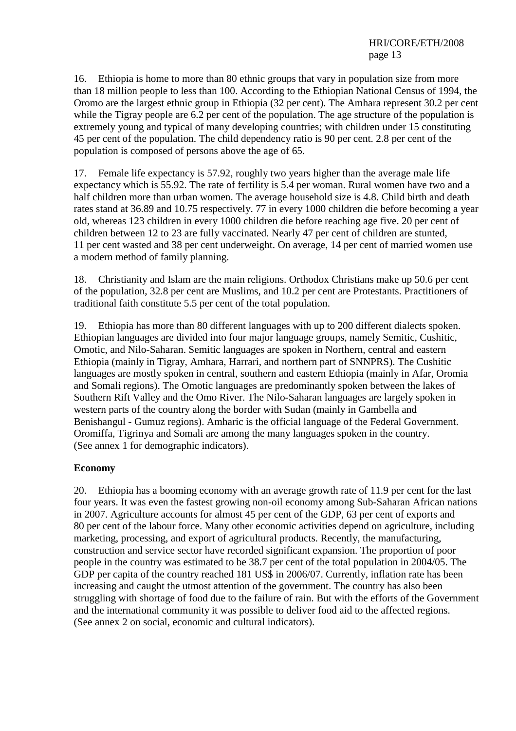16. Ethiopia is home to more than 80 ethnic groups that vary in population size from more than 18 million people to less than 100. According to the Ethiopian National Census of 1994, the Oromo are the largest ethnic group in Ethiopia (32 per cent). The Amhara represent 30.2 per cent while the Tigray people are 6.2 per cent of the population. The age structure of the population is extremely young and typical of many developing countries; with children under 15 constituting 45 per cent of the population. The child dependency ratio is 90 per cent. 2.8 per cent of the population is composed of persons above the age of 65.

17. Female life expectancy is 57.92, roughly two years higher than the average male life expectancy which is 55.92. The rate of fertility is 5.4 per woman. Rural women have two and a half children more than urban women. The average household size is 4.8. Child birth and death rates stand at 36.89 and 10.75 respectively. 77 in every 1000 children die before becoming a year old, whereas 123 children in every 1000 children die before reaching age five. 20 per cent of children between 12 to 23 are fully vaccinated. Nearly 47 per cent of children are stunted, 11 per cent wasted and 38 per cent underweight. On average, 14 per cent of married women use a modern method of family planning.

18. Christianity and Islam are the main religions. Orthodox Christians make up 50.6 per cent of the population, 32.8 per cent are Muslims, and 10.2 per cent are Protestants. Practitioners of traditional faith constitute 5.5 per cent of the total population.

19. Ethiopia has more than 80 different languages with up to 200 different dialects spoken. Ethiopian languages are divided into four major language groups, namely Semitic, Cushitic, Omotic, and Nilo-Saharan. Semitic languages are spoken in Northern, central and eastern Ethiopia (mainly in Tigray, Amhara, Harrari, and northern part of SNNPRS). The Cushitic languages are mostly spoken in central, southern and eastern Ethiopia (mainly in Afar, Oromia and Somali regions). The Omotic languages are predominantly spoken between the lakes of Southern Rift Valley and the Omo River. The Nilo-Saharan languages are largely spoken in western parts of the country along the border with Sudan (mainly in Gambella and Benishangul - Gumuz regions). Amharic is the official language of the Federal Government. Oromiffa, Tigrinya and Somali are among the many languages spoken in the country. (See annex 1 for demographic indicators).

#### **Economy**

20. Ethiopia has a booming economy with an average growth rate of 11.9 per cent for the last four years. It was even the fastest growing non-oil economy among Sub-Saharan African nations in 2007. Agriculture accounts for almost 45 per cent of the GDP, 63 per cent of exports and 80 per cent of the labour force. Many other economic activities depend on agriculture, including marketing, processing, and export of agricultural products. Recently, the manufacturing, construction and service sector have recorded significant expansion. The proportion of poor people in the country was estimated to be 38.7 per cent of the total population in 2004/05. The GDP per capita of the country reached 181 US\$ in 2006/07. Currently, inflation rate has been increasing and caught the utmost attention of the government. The country has also been struggling with shortage of food due to the failure of rain. But with the efforts of the Government and the international community it was possible to deliver food aid to the affected regions. (See annex 2 on social, economic and cultural indicators).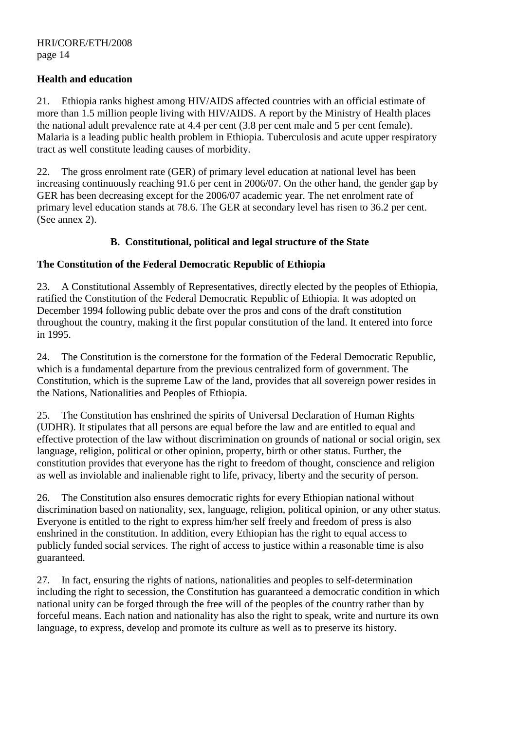# **Health and education**

21. Ethiopia ranks highest among HIV/AIDS affected countries with an official estimate of more than 1.5 million people living with HIV/AIDS. A report by the Ministry of Health places the national adult prevalence rate at 4.4 per cent (3.8 per cent male and 5 per cent female). Malaria is a leading public health problem in Ethiopia. Tuberculosis and acute upper respiratory tract as well constitute leading causes of morbidity.

22. The gross enrolment rate (GER) of primary level education at national level has been increasing continuously reaching 91.6 per cent in 2006/07. On the other hand, the gender gap by GER has been decreasing except for the 2006/07 academic year. The net enrolment rate of primary level education stands at 78.6. The GER at secondary level has risen to 36.2 per cent. (See annex 2).

# **B. Constitutional, political and legal structure of the State**

# **The Constitution of the Federal Democratic Republic of Ethiopia**

23. A Constitutional Assembly of Representatives, directly elected by the peoples of Ethiopia, ratified the Constitution of the Federal Democratic Republic of Ethiopia. It was adopted on December 1994 following public debate over the pros and cons of the draft constitution throughout the country, making it the first popular constitution of the land. It entered into force in 1995.

24. The Constitution is the cornerstone for the formation of the Federal Democratic Republic, which is a fundamental departure from the previous centralized form of government. The Constitution, which is the supreme Law of the land, provides that all sovereign power resides in the Nations, Nationalities and Peoples of Ethiopia.

25. The Constitution has enshrined the spirits of Universal Declaration of Human Rights (UDHR). It stipulates that all persons are equal before the law and are entitled to equal and effective protection of the law without discrimination on grounds of national or social origin, sex language, religion, political or other opinion, property, birth or other status. Further, the constitution provides that everyone has the right to freedom of thought, conscience and religion as well as inviolable and inalienable right to life, privacy, liberty and the security of person.

26. The Constitution also ensures democratic rights for every Ethiopian national without discrimination based on nationality, sex, language, religion, political opinion, or any other status. Everyone is entitled to the right to express him/her self freely and freedom of press is also enshrined in the constitution. In addition, every Ethiopian has the right to equal access to publicly funded social services. The right of access to justice within a reasonable time is also guaranteed.

27. In fact, ensuring the rights of nations, nationalities and peoples to self-determination including the right to secession, the Constitution has guaranteed a democratic condition in which national unity can be forged through the free will of the peoples of the country rather than by forceful means. Each nation and nationality has also the right to speak, write and nurture its own language, to express, develop and promote its culture as well as to preserve its history.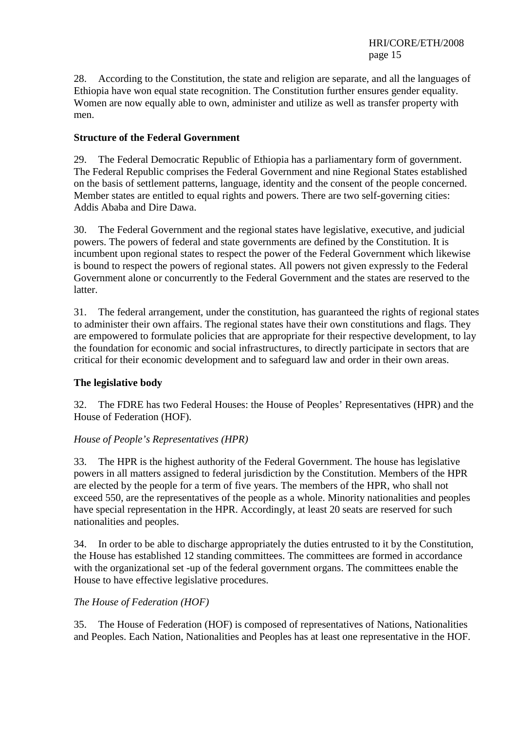28. According to the Constitution, the state and religion are separate, and all the languages of Ethiopia have won equal state recognition. The Constitution further ensures gender equality. Women are now equally able to own, administer and utilize as well as transfer property with men.

### **Structure of the Federal Government**

29. The Federal Democratic Republic of Ethiopia has a parliamentary form of government. The Federal Republic comprises the Federal Government and nine Regional States established on the basis of settlement patterns, language, identity and the consent of the people concerned. Member states are entitled to equal rights and powers. There are two self-governing cities: Addis Ababa and Dire Dawa.

30. The Federal Government and the regional states have legislative, executive, and judicial powers. The powers of federal and state governments are defined by the Constitution. It is incumbent upon regional states to respect the power of the Federal Government which likewise is bound to respect the powers of regional states. All powers not given expressly to the Federal Government alone or concurrently to the Federal Government and the states are reserved to the latter.

31. The federal arrangement, under the constitution, has guaranteed the rights of regional states to administer their own affairs. The regional states have their own constitutions and flags. They are empowered to formulate policies that are appropriate for their respective development, to lay the foundation for economic and social infrastructures, to directly participate in sectors that are critical for their economic development and to safeguard law and order in their own areas.

# **The legislative body**

32. The FDRE has two Federal Houses: the House of Peoples' Representatives (HPR) and the House of Federation (HOF).

#### *House of People's Representatives (HPR)*

33. The HPR is the highest authority of the Federal Government. The house has legislative powers in all matters assigned to federal jurisdiction by the Constitution. Members of the HPR are elected by the people for a term of five years. The members of the HPR, who shall not exceed 550, are the representatives of the people as a whole. Minority nationalities and peoples have special representation in the HPR. Accordingly, at least 20 seats are reserved for such nationalities and peoples.

34. In order to be able to discharge appropriately the duties entrusted to it by the Constitution, the House has established 12 standing committees. The committees are formed in accordance with the organizational set -up of the federal government organs. The committees enable the House to have effective legislative procedures.

#### *The House of Federation (HOF)*

35. The House of Federation (HOF) is composed of representatives of Nations, Nationalities and Peoples. Each Nation, Nationalities and Peoples has at least one representative in the HOF.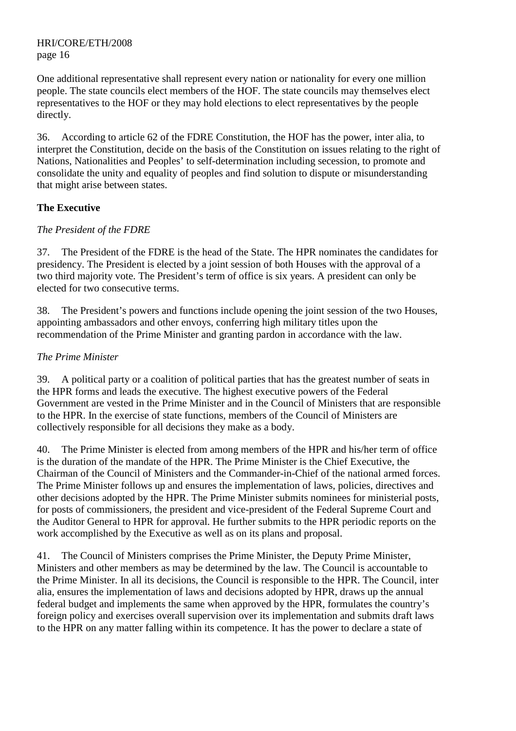One additional representative shall represent every nation or nationality for every one million people. The state councils elect members of the HOF. The state councils may themselves elect representatives to the HOF or they may hold elections to elect representatives by the people directly.

36. According to article 62 of the FDRE Constitution, the HOF has the power, inter alia, to interpret the Constitution, decide on the basis of the Constitution on issues relating to the right of Nations, Nationalities and Peoples' to self-determination including secession, to promote and consolidate the unity and equality of peoples and find solution to dispute or misunderstanding that might arise between states.

# **The Executive**

# *The President of the FDRE*

37. The President of the FDRE is the head of the State. The HPR nominates the candidates for presidency. The President is elected by a joint session of both Houses with the approval of a two third majority vote. The President's term of office is six years. A president can only be elected for two consecutive terms.

38. The President's powers and functions include opening the joint session of the two Houses, appointing ambassadors and other envoys, conferring high military titles upon the recommendation of the Prime Minister and granting pardon in accordance with the law.

#### *The Prime Minister*

39. A political party or a coalition of political parties that has the greatest number of seats in the HPR forms and leads the executive. The highest executive powers of the Federal Government are vested in the Prime Minister and in the Council of Ministers that are responsible to the HPR. In the exercise of state functions, members of the Council of Ministers are collectively responsible for all decisions they make as a body.

40. The Prime Minister is elected from among members of the HPR and his/her term of office is the duration of the mandate of the HPR. The Prime Minister is the Chief Executive, the Chairman of the Council of Ministers and the Commander-in-Chief of the national armed forces. The Prime Minister follows up and ensures the implementation of laws, policies, directives and other decisions adopted by the HPR. The Prime Minister submits nominees for ministerial posts, for posts of commissioners, the president and vice-president of the Federal Supreme Court and the Auditor General to HPR for approval. He further submits to the HPR periodic reports on the work accomplished by the Executive as well as on its plans and proposal.

41. The Council of Ministers comprises the Prime Minister, the Deputy Prime Minister, Ministers and other members as may be determined by the law. The Council is accountable to the Prime Minister. In all its decisions, the Council is responsible to the HPR. The Council, inter alia, ensures the implementation of laws and decisions adopted by HPR, draws up the annual federal budget and implements the same when approved by the HPR, formulates the country's foreign policy and exercises overall supervision over its implementation and submits draft laws to the HPR on any matter falling within its competence. It has the power to declare a state of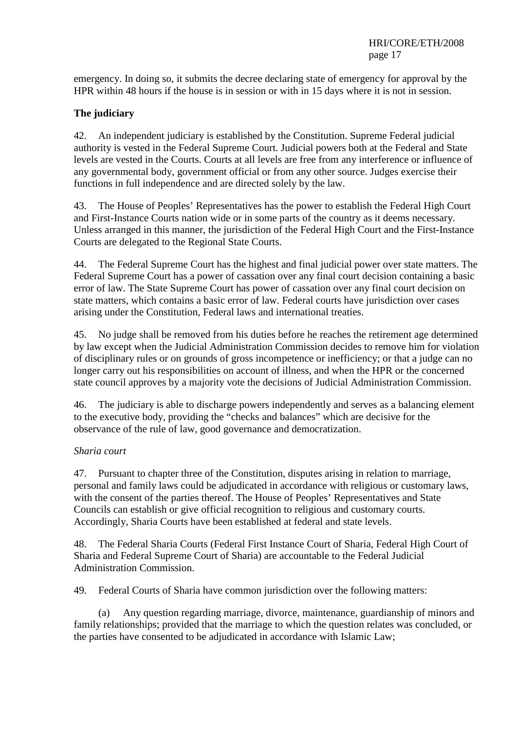emergency. In doing so, it submits the decree declaring state of emergency for approval by the HPR within 48 hours if the house is in session or with in 15 days where it is not in session.

#### **The judiciary**

42. An independent judiciary is established by the Constitution. Supreme Federal judicial authority is vested in the Federal Supreme Court. Judicial powers both at the Federal and State levels are vested in the Courts. Courts at all levels are free from any interference or influence of any governmental body, government official or from any other source. Judges exercise their functions in full independence and are directed solely by the law.

43. The House of Peoples' Representatives has the power to establish the Federal High Court and First-Instance Courts nation wide or in some parts of the country as it deems necessary. Unless arranged in this manner, the jurisdiction of the Federal High Court and the First-Instance Courts are delegated to the Regional State Courts.

44. The Federal Supreme Court has the highest and final judicial power over state matters. The Federal Supreme Court has a power of cassation over any final court decision containing a basic error of law. The State Supreme Court has power of cassation over any final court decision on state matters, which contains a basic error of law. Federal courts have jurisdiction over cases arising under the Constitution, Federal laws and international treaties.

45. No judge shall be removed from his duties before he reaches the retirement age determined by law except when the Judicial Administration Commission decides to remove him for violation of disciplinary rules or on grounds of gross incompetence or inefficiency; or that a judge can no longer carry out his responsibilities on account of illness, and when the HPR or the concerned state council approves by a majority vote the decisions of Judicial Administration Commission.

46. The judiciary is able to discharge powers independently and serves as a balancing element to the executive body, providing the "checks and balances" which are decisive for the observance of the rule of law, good governance and democratization.

#### *Sharia court*

47. Pursuant to chapter three of the Constitution, disputes arising in relation to marriage, personal and family laws could be adjudicated in accordance with religious or customary laws, with the consent of the parties thereof. The House of Peoples' Representatives and State Councils can establish or give official recognition to religious and customary courts. Accordingly, Sharia Courts have been established at federal and state levels.

48. The Federal Sharia Courts (Federal First Instance Court of Sharia, Federal High Court of Sharia and Federal Supreme Court of Sharia) are accountable to the Federal Judicial Administration Commission.

49. Federal Courts of Sharia have common jurisdiction over the following matters:

 (a) Any question regarding marriage, divorce, maintenance, guardianship of minors and family relationships; provided that the marriage to which the question relates was concluded, or the parties have consented to be adjudicated in accordance with Islamic Law;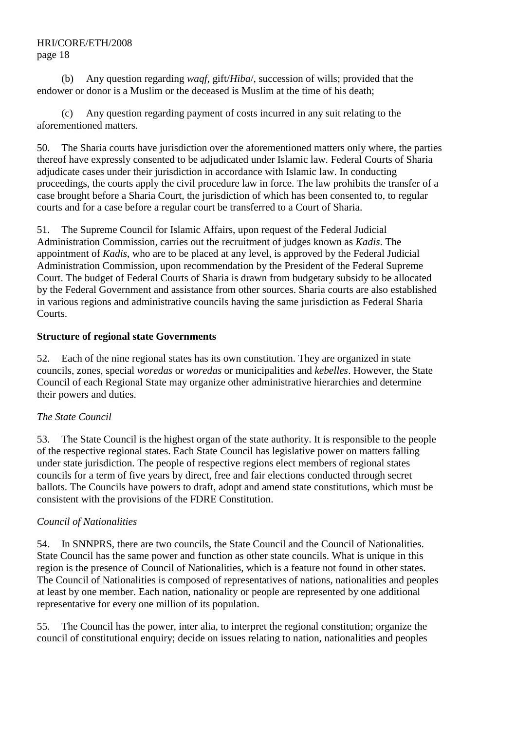(b) Any question regarding *waqf*, gift/*Hiba*/, succession of wills; provided that the endower or donor is a Muslim or the deceased is Muslim at the time of his death;

 (c) Any question regarding payment of costs incurred in any suit relating to the aforementioned matters.

50. The Sharia courts have jurisdiction over the aforementioned matters only where, the parties thereof have expressly consented to be adjudicated under Islamic law. Federal Courts of Sharia adjudicate cases under their jurisdiction in accordance with Islamic law. In conducting proceedings, the courts apply the civil procedure law in force. The law prohibits the transfer of a case brought before a Sharia Court, the jurisdiction of which has been consented to, to regular courts and for a case before a regular court be transferred to a Court of Sharia.

51. The Supreme Council for Islamic Affairs, upon request of the Federal Judicial Administration Commission, carries out the recruitment of judges known as *Kadis*. The appointment of *Kadis*, who are to be placed at any level, is approved by the Federal Judicial Administration Commission, upon recommendation by the President of the Federal Supreme Court. The budget of Federal Courts of Sharia is drawn from budgetary subsidy to be allocated by the Federal Government and assistance from other sources. Sharia courts are also established in various regions and administrative councils having the same jurisdiction as Federal Sharia Courts.

# **Structure of regional state Governments**

52. Each of the nine regional states has its own constitution. They are organized in state councils, zones, special *woredas* or *woredas* or municipalities and *kebelles*. However, the State Council of each Regional State may organize other administrative hierarchies and determine their powers and duties.

# *The State Council*

53. The State Council is the highest organ of the state authority. It is responsible to the people of the respective regional states. Each State Council has legislative power on matters falling under state jurisdiction. The people of respective regions elect members of regional states councils for a term of five years by direct, free and fair elections conducted through secret ballots. The Councils have powers to draft, adopt and amend state constitutions, which must be consistent with the provisions of the FDRE Constitution.

#### *Council of Nationalities*

54. In SNNPRS, there are two councils, the State Council and the Council of Nationalities. State Council has the same power and function as other state councils. What is unique in this region is the presence of Council of Nationalities, which is a feature not found in other states. The Council of Nationalities is composed of representatives of nations, nationalities and peoples at least by one member. Each nation, nationality or people are represented by one additional representative for every one million of its population.

55. The Council has the power, inter alia, to interpret the regional constitution; organize the council of constitutional enquiry; decide on issues relating to nation, nationalities and peoples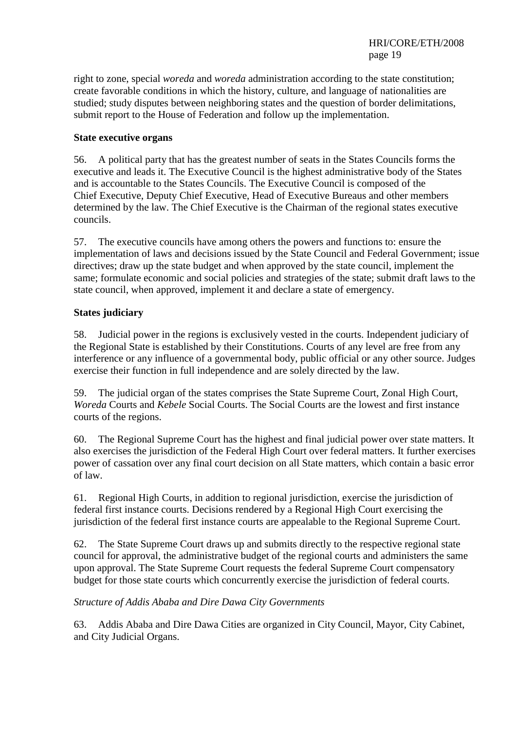right to zone, special *woreda* and *woreda* administration according to the state constitution; create favorable conditions in which the history, culture, and language of nationalities are studied; study disputes between neighboring states and the question of border delimitations, submit report to the House of Federation and follow up the implementation.

### **State executive organs**

56. A political party that has the greatest number of seats in the States Councils forms the executive and leads it. The Executive Council is the highest administrative body of the States and is accountable to the States Councils. The Executive Council is composed of the Chief Executive, Deputy Chief Executive, Head of Executive Bureaus and other members determined by the law. The Chief Executive is the Chairman of the regional states executive councils.

57. The executive councils have among others the powers and functions to: ensure the implementation of laws and decisions issued by the State Council and Federal Government; issue directives; draw up the state budget and when approved by the state council, implement the same; formulate economic and social policies and strategies of the state; submit draft laws to the state council, when approved, implement it and declare a state of emergency.

# **States judiciary**

58. Judicial power in the regions is exclusively vested in the courts. Independent judiciary of the Regional State is established by their Constitutions. Courts of any level are free from any interference or any influence of a governmental body, public official or any other source. Judges exercise their function in full independence and are solely directed by the law.

59. The judicial organ of the states comprises the State Supreme Court, Zonal High Court, *Woreda* Courts and *Kebele* Social Courts. The Social Courts are the lowest and first instance courts of the regions.

60. The Regional Supreme Court has the highest and final judicial power over state matters. It also exercises the jurisdiction of the Federal High Court over federal matters. It further exercises power of cassation over any final court decision on all State matters, which contain a basic error of law.

61. Regional High Courts, in addition to regional jurisdiction, exercise the jurisdiction of federal first instance courts. Decisions rendered by a Regional High Court exercising the jurisdiction of the federal first instance courts are appealable to the Regional Supreme Court.

62. The State Supreme Court draws up and submits directly to the respective regional state council for approval, the administrative budget of the regional courts and administers the same upon approval. The State Supreme Court requests the federal Supreme Court compensatory budget for those state courts which concurrently exercise the jurisdiction of federal courts.

#### *Structure of Addis Ababa and Dire Dawa City Governments*

63. Addis Ababa and Dire Dawa Cities are organized in City Council, Mayor, City Cabinet, and City Judicial Organs.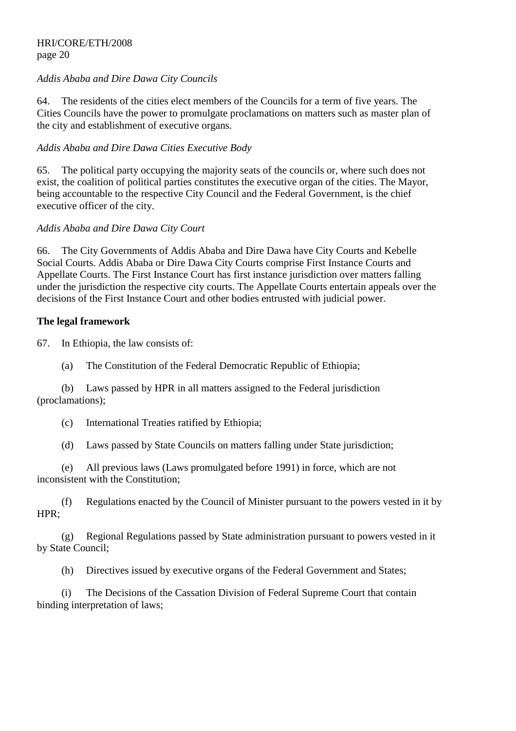#### *Addis Ababa and Dire Dawa City Councils*

64. The residents of the cities elect members of the Councils for a term of five years. The Cities Councils have the power to promulgate proclamations on matters such as master plan of the city and establishment of executive organs.

### *Addis Ababa and Dire Dawa Cities Executive Body*

65. The political party occupying the majority seats of the councils or, where such does not exist, the coalition of political parties constitutes the executive organ of the cities. The Mayor, being accountable to the respective City Council and the Federal Government, is the chief executive officer of the city.

#### *Addis Ababa and Dire Dawa City Court*

66. The City Governments of Addis Ababa and Dire Dawa have City Courts and Kebelle Social Courts. Addis Ababa or Dire Dawa City Courts comprise First Instance Courts and Appellate Courts. The First Instance Court has first instance jurisdiction over matters falling under the jurisdiction the respective city courts. The Appellate Courts entertain appeals over the decisions of the First Instance Court and other bodies entrusted with judicial power.

#### **The legal framework**

67. In Ethiopia, the law consists of:

(a) The Constitution of the Federal Democratic Republic of Ethiopia;

 (b) Laws passed by HPR in all matters assigned to the Federal jurisdiction (proclamations);

(c) International Treaties ratified by Ethiopia;

(d) Laws passed by State Councils on matters falling under State jurisdiction;

 (e) All previous laws (Laws promulgated before 1991) in force, which are not inconsistent with the Constitution;

 (f) Regulations enacted by the Council of Minister pursuant to the powers vested in it by HPR;

 (g) Regional Regulations passed by State administration pursuant to powers vested in it by State Council;

(h) Directives issued by executive organs of the Federal Government and States;

 (i) The Decisions of the Cassation Division of Federal Supreme Court that contain binding interpretation of laws;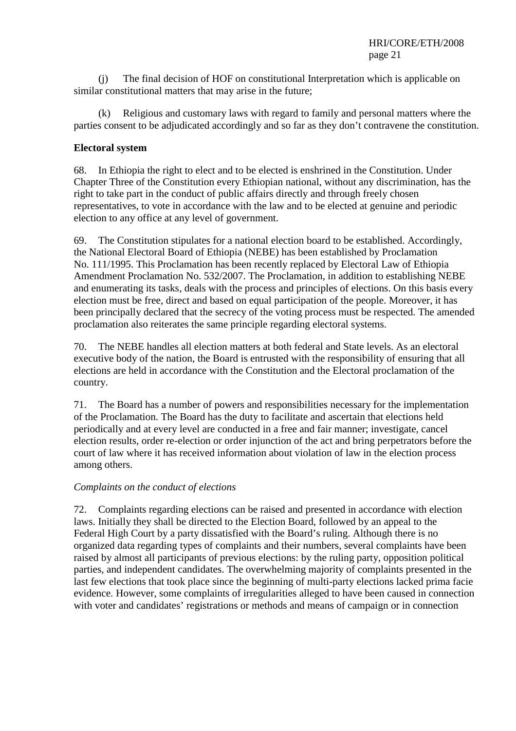(j) The final decision of HOF on constitutional Interpretation which is applicable on similar constitutional matters that may arise in the future;

Religious and customary laws with regard to family and personal matters where the parties consent to be adjudicated accordingly and so far as they don't contravene the constitution.

### **Electoral system**

68. In Ethiopia the right to elect and to be elected is enshrined in the Constitution. Under Chapter Three of the Constitution every Ethiopian national, without any discrimination, has the right to take part in the conduct of public affairs directly and through freely chosen representatives, to vote in accordance with the law and to be elected at genuine and periodic election to any office at any level of government.

69. The Constitution stipulates for a national election board to be established. Accordingly, the National Electoral Board of Ethiopia (NEBE) has been established by Proclamation No. 111/1995. This Proclamation has been recently replaced by Electoral Law of Ethiopia Amendment Proclamation No. 532/2007. The Proclamation, in addition to establishing NEBE and enumerating its tasks, deals with the process and principles of elections. On this basis every election must be free, direct and based on equal participation of the people. Moreover, it has been principally declared that the secrecy of the voting process must be respected. The amended proclamation also reiterates the same principle regarding electoral systems.

70. The NEBE handles all election matters at both federal and State levels. As an electoral executive body of the nation, the Board is entrusted with the responsibility of ensuring that all elections are held in accordance with the Constitution and the Electoral proclamation of the country.

71. The Board has a number of powers and responsibilities necessary for the implementation of the Proclamation. The Board has the duty to facilitate and ascertain that elections held periodically and at every level are conducted in a free and fair manner; investigate, cancel election results, order re-election or order injunction of the act and bring perpetrators before the court of law where it has received information about violation of law in the election process among others.

#### *Complaints on the conduct of elections*

72. Complaints regarding elections can be raised and presented in accordance with election laws. Initially they shall be directed to the Election Board, followed by an appeal to the Federal High Court by a party dissatisfied with the Board's ruling. Although there is no organized data regarding types of complaints and their numbers, several complaints have been raised by almost all participants of previous elections: by the ruling party, opposition political parties, and independent candidates. The overwhelming majority of complaints presented in the last few elections that took place since the beginning of multi-party elections lacked prima facie evidence. However, some complaints of irregularities alleged to have been caused in connection with voter and candidates' registrations or methods and means of campaign or in connection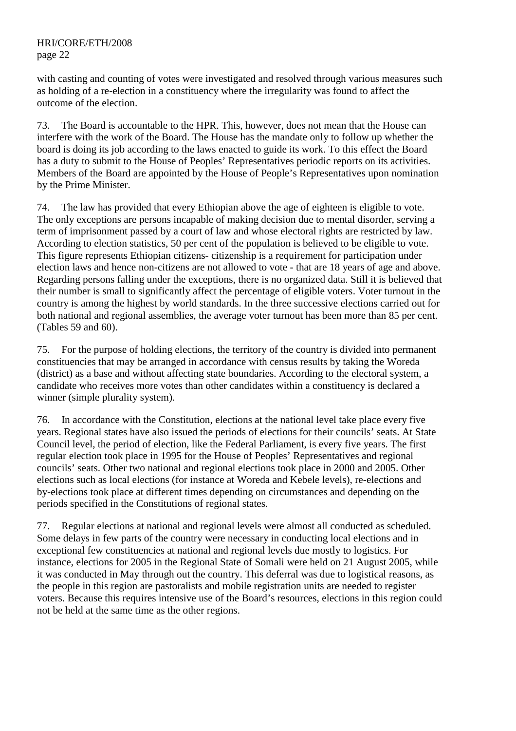with casting and counting of votes were investigated and resolved through various measures such as holding of a re-election in a constituency where the irregularity was found to affect the outcome of the election.

73. The Board is accountable to the HPR. This, however, does not mean that the House can interfere with the work of the Board. The House has the mandate only to follow up whether the board is doing its job according to the laws enacted to guide its work. To this effect the Board has a duty to submit to the House of Peoples' Representatives periodic reports on its activities. Members of the Board are appointed by the House of People's Representatives upon nomination by the Prime Minister.

74. The law has provided that every Ethiopian above the age of eighteen is eligible to vote. The only exceptions are persons incapable of making decision due to mental disorder, serving a term of imprisonment passed by a court of law and whose electoral rights are restricted by law. According to election statistics, 50 per cent of the population is believed to be eligible to vote. This figure represents Ethiopian citizens- citizenship is a requirement for participation under election laws and hence non-citizens are not allowed to vote - that are 18 years of age and above. Regarding persons falling under the exceptions, there is no organized data. Still it is believed that their number is small to significantly affect the percentage of eligible voters. Voter turnout in the country is among the highest by world standards. In the three successive elections carried out for both national and regional assemblies, the average voter turnout has been more than 85 per cent. (Tables 59 and 60).

75. For the purpose of holding elections, the territory of the country is divided into permanent constituencies that may be arranged in accordance with census results by taking the Woreda (district) as a base and without affecting state boundaries. According to the electoral system, a candidate who receives more votes than other candidates within a constituency is declared a winner (simple plurality system).

76. In accordance with the Constitution, elections at the national level take place every five years. Regional states have also issued the periods of elections for their councils' seats. At State Council level, the period of election, like the Federal Parliament, is every five years. The first regular election took place in 1995 for the House of Peoples' Representatives and regional councils' seats. Other two national and regional elections took place in 2000 and 2005. Other elections such as local elections (for instance at Woreda and Kebele levels), re-elections and by-elections took place at different times depending on circumstances and depending on the periods specified in the Constitutions of regional states.

77. Regular elections at national and regional levels were almost all conducted as scheduled. Some delays in few parts of the country were necessary in conducting local elections and in exceptional few constituencies at national and regional levels due mostly to logistics. For instance, elections for 2005 in the Regional State of Somali were held on 21 August 2005, while it was conducted in May through out the country. This deferral was due to logistical reasons, as the people in this region are pastoralists and mobile registration units are needed to register voters. Because this requires intensive use of the Board's resources, elections in this region could not be held at the same time as the other regions.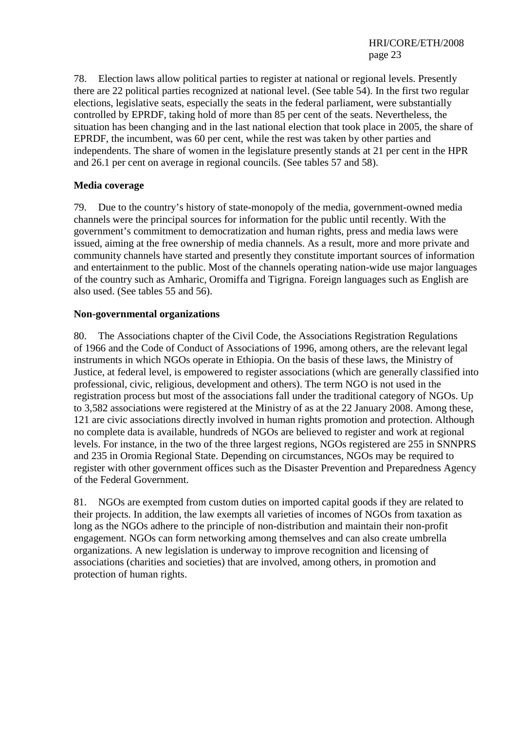78. Election laws allow political parties to register at national or regional levels. Presently there are 22 political parties recognized at national level. (See table 54). In the first two regular elections, legislative seats, especially the seats in the federal parliament, were substantially controlled by EPRDF, taking hold of more than 85 per cent of the seats. Nevertheless, the situation has been changing and in the last national election that took place in 2005, the share of EPRDF, the incumbent, was 60 per cent, while the rest was taken by other parties and independents. The share of women in the legislature presently stands at 21 per cent in the HPR and 26.1 per cent on average in regional councils. (See tables 57 and 58).

#### **Media coverage**

79. Due to the country's history of state-monopoly of the media, government-owned media channels were the principal sources for information for the public until recently. With the government's commitment to democratization and human rights, press and media laws were issued, aiming at the free ownership of media channels. As a result, more and more private and community channels have started and presently they constitute important sources of information and entertainment to the public. Most of the channels operating nation-wide use major languages of the country such as Amharic, Oromiffa and Tigrigna. Foreign languages such as English are also used. (See tables 55 and 56).

#### **Non-governmental organizations**

80. The Associations chapter of the Civil Code, the Associations Registration Regulations of 1966 and the Code of Conduct of Associations of 1996, among others, are the relevant legal instruments in which NGOs operate in Ethiopia. On the basis of these laws, the Ministry of Justice, at federal level, is empowered to register associations (which are generally classified into professional, civic, religious, development and others). The term NGO is not used in the registration process but most of the associations fall under the traditional category of NGOs. Up to 3,582 associations were registered at the Ministry of as at the 22 January 2008. Among these, 121 are civic associations directly involved in human rights promotion and protection. Although no complete data is available, hundreds of NGOs are believed to register and work at regional levels. For instance, in the two of the three largest regions, NGOs registered are 255 in SNNPRS and 235 in Oromia Regional State. Depending on circumstances, NGOs may be required to register with other government offices such as the Disaster Prevention and Preparedness Agency of the Federal Government.

81. NGOs are exempted from custom duties on imported capital goods if they are related to their projects. In addition, the law exempts all varieties of incomes of NGOs from taxation as long as the NGOs adhere to the principle of non-distribution and maintain their non-profit engagement. NGOs can form networking among themselves and can also create umbrella organizations. A new legislation is underway to improve recognition and licensing of associations (charities and societies) that are involved, among others, in promotion and protection of human rights.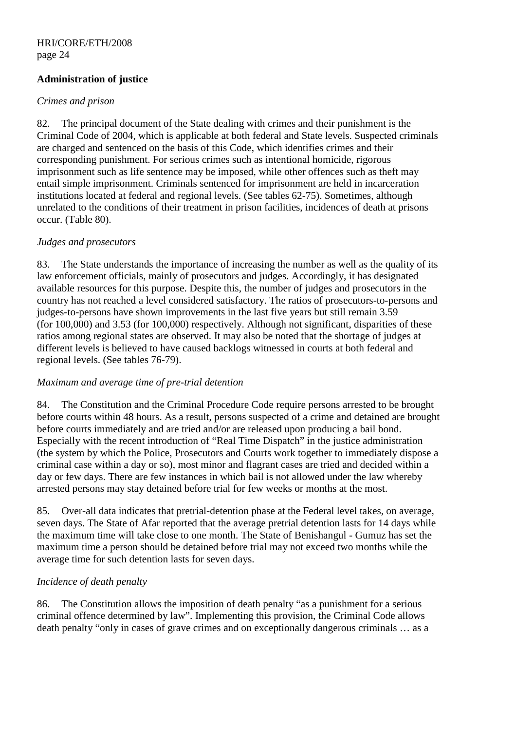# **Administration of justice**

#### *Crimes and prison*

82. The principal document of the State dealing with crimes and their punishment is the Criminal Code of 2004, which is applicable at both federal and State levels. Suspected criminals are charged and sentenced on the basis of this Code, which identifies crimes and their corresponding punishment. For serious crimes such as intentional homicide, rigorous imprisonment such as life sentence may be imposed, while other offences such as theft may entail simple imprisonment. Criminals sentenced for imprisonment are held in incarceration institutions located at federal and regional levels. (See tables 62-75). Sometimes, although unrelated to the conditions of their treatment in prison facilities, incidences of death at prisons occur. (Table 80).

#### *Judges and prosecutors*

83. The State understands the importance of increasing the number as well as the quality of its law enforcement officials, mainly of prosecutors and judges. Accordingly, it has designated available resources for this purpose. Despite this, the number of judges and prosecutors in the country has not reached a level considered satisfactory. The ratios of prosecutors-to-persons and judges-to-persons have shown improvements in the last five years but still remain 3.59 (for 100,000) and 3.53 (for 100,000) respectively. Although not significant, disparities of these ratios among regional states are observed. It may also be noted that the shortage of judges at different levels is believed to have caused backlogs witnessed in courts at both federal and regional levels. (See tables 76-79).

#### *Maximum and average time of pre-trial detention*

84. The Constitution and the Criminal Procedure Code require persons arrested to be brought before courts within 48 hours. As a result, persons suspected of a crime and detained are brought before courts immediately and are tried and/or are released upon producing a bail bond. Especially with the recent introduction of "Real Time Dispatch" in the justice administration (the system by which the Police, Prosecutors and Courts work together to immediately dispose a criminal case within a day or so), most minor and flagrant cases are tried and decided within a day or few days. There are few instances in which bail is not allowed under the law whereby arrested persons may stay detained before trial for few weeks or months at the most.

85. Over-all data indicates that pretrial-detention phase at the Federal level takes, on average, seven days. The State of Afar reported that the average pretrial detention lasts for 14 days while the maximum time will take close to one month. The State of Benishangul - Gumuz has set the maximum time a person should be detained before trial may not exceed two months while the average time for such detention lasts for seven days.

#### *Incidence of death penalty*

86. The Constitution allows the imposition of death penalty "as a punishment for a serious criminal offence determined by law". Implementing this provision, the Criminal Code allows death penalty "only in cases of grave crimes and on exceptionally dangerous criminals … as a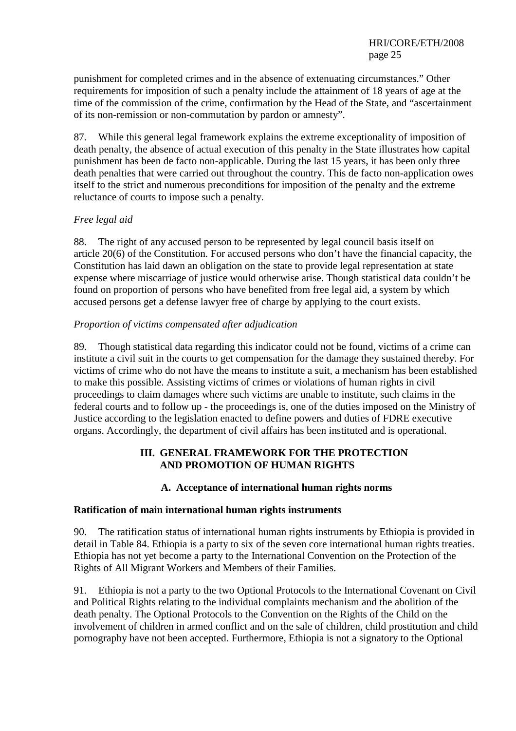punishment for completed crimes and in the absence of extenuating circumstances." Other requirements for imposition of such a penalty include the attainment of 18 years of age at the time of the commission of the crime, confirmation by the Head of the State, and "ascertainment of its non-remission or non-commutation by pardon or amnesty".

87. While this general legal framework explains the extreme exceptionality of imposition of death penalty, the absence of actual execution of this penalty in the State illustrates how capital punishment has been de facto non-applicable. During the last 15 years, it has been only three death penalties that were carried out throughout the country. This de facto non-application owes itself to the strict and numerous preconditions for imposition of the penalty and the extreme reluctance of courts to impose such a penalty.

# *Free legal aid*

88. The right of any accused person to be represented by legal council basis itself on article 20(6) of the Constitution. For accused persons who don't have the financial capacity, the Constitution has laid dawn an obligation on the state to provide legal representation at state expense where miscarriage of justice would otherwise arise. Though statistical data couldn't be found on proportion of persons who have benefited from free legal aid, a system by which accused persons get a defense lawyer free of charge by applying to the court exists.

#### *Proportion of victims compensated after adjudication*

89. Though statistical data regarding this indicator could not be found, victims of a crime can institute a civil suit in the courts to get compensation for the damage they sustained thereby. For victims of crime who do not have the means to institute a suit, a mechanism has been established to make this possible. Assisting victims of crimes or violations of human rights in civil proceedings to claim damages where such victims are unable to institute, such claims in the federal courts and to follow up - the proceedings is, one of the duties imposed on the Ministry of Justice according to the legislation enacted to define powers and duties of FDRE executive organs. Accordingly, the department of civil affairs has been instituted and is operational.

#### **III. GENERAL FRAMEWORK FOR THE PROTECTION AND PROMOTION OF HUMAN RIGHTS**

#### **A. Acceptance of international human rights norms**

#### **Ratification of main international human rights instruments**

90. The ratification status of international human rights instruments by Ethiopia is provided in detail in Table 84. Ethiopia is a party to six of the seven core international human rights treaties. Ethiopia has not yet become a party to the International Convention on the Protection of the Rights of All Migrant Workers and Members of their Families.

91. Ethiopia is not a party to the two Optional Protocols to the International Covenant on Civil and Political Rights relating to the individual complaints mechanism and the abolition of the death penalty. The Optional Protocols to the Convention on the Rights of the Child on the involvement of children in armed conflict and on the sale of children, child prostitution and child pornography have not been accepted. Furthermore, Ethiopia is not a signatory to the Optional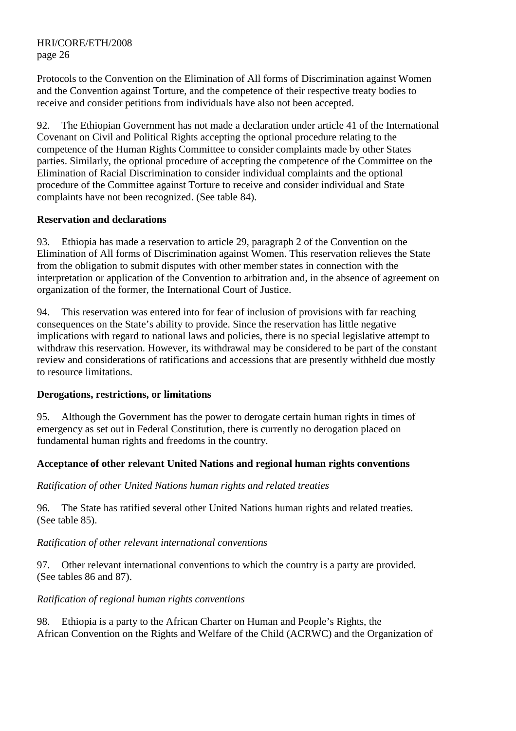Protocols to the Convention on the Elimination of All forms of Discrimination against Women and the Convention against Torture, and the competence of their respective treaty bodies to receive and consider petitions from individuals have also not been accepted.

92. The Ethiopian Government has not made a declaration under article 41 of the International Covenant on Civil and Political Rights accepting the optional procedure relating to the competence of the Human Rights Committee to consider complaints made by other States parties. Similarly, the optional procedure of accepting the competence of the Committee on the Elimination of Racial Discrimination to consider individual complaints and the optional procedure of the Committee against Torture to receive and consider individual and State complaints have not been recognized. (See table 84).

#### **Reservation and declarations**

93. Ethiopia has made a reservation to article 29, paragraph 2 of the Convention on the Elimination of All forms of Discrimination against Women. This reservation relieves the State from the obligation to submit disputes with other member states in connection with the interpretation or application of the Convention to arbitration and, in the absence of agreement on organization of the former, the International Court of Justice.

94. This reservation was entered into for fear of inclusion of provisions with far reaching consequences on the State's ability to provide. Since the reservation has little negative implications with regard to national laws and policies, there is no special legislative attempt to withdraw this reservation. However, its withdrawal may be considered to be part of the constant review and considerations of ratifications and accessions that are presently withheld due mostly to resource limitations.

#### **Derogations, restrictions, or limitations**

95. Although the Government has the power to derogate certain human rights in times of emergency as set out in Federal Constitution, there is currently no derogation placed on fundamental human rights and freedoms in the country.

#### **Acceptance of other relevant United Nations and regional human rights conventions**

#### *Ratification of other United Nations human rights and related treaties*

96. The State has ratified several other United Nations human rights and related treaties. (See table 85).

#### *Ratification of other relevant international conventions*

97. Other relevant international conventions to which the country is a party are provided. (See tables 86 and 87).

#### *Ratification of regional human rights conventions*

98. Ethiopia is a party to the African Charter on Human and People's Rights, the African Convention on the Rights and Welfare of the Child (ACRWC) and the Organization of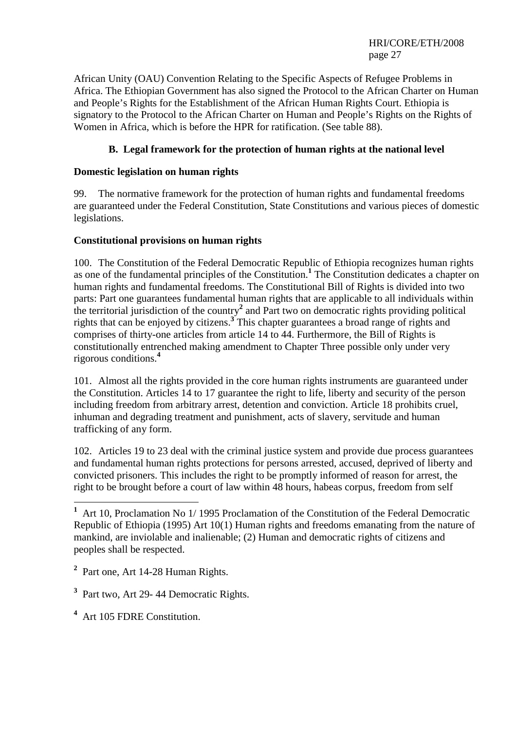African Unity (OAU) Convention Relating to the Specific Aspects of Refugee Problems in Africa. The Ethiopian Government has also signed the Protocol to the African Charter on Human and People's Rights for the Establishment of the African Human Rights Court. Ethiopia is signatory to the Protocol to the African Charter on Human and People's Rights on the Rights of Women in Africa, which is before the HPR for ratification. (See table 88).

# **B. Legal framework for the protection of human rights at the national level**

# **Domestic legislation on human rights**

99. The normative framework for the protection of human rights and fundamental freedoms are guaranteed under the Federal Constitution, State Constitutions and various pieces of domestic legislations.

# **Constitutional provisions on human rights**

100. The Constitution of the Federal Democratic Republic of Ethiopia recognizes human rights as one of the fundamental principles of the Constitution.**<sup>1</sup>** The Constitution dedicates a chapter on human rights and fundamental freedoms. The Constitutional Bill of Rights is divided into two parts: Part one guarantees fundamental human rights that are applicable to all individuals within the territorial jurisdiction of the country**<sup>2</sup>** and Part two on democratic rights providing political rights that can be enjoyed by citizens.**<sup>3</sup>** This chapter guarantees a broad range of rights and comprises of thirty-one articles from article 14 to 44. Furthermore, the Bill of Rights is constitutionally entrenched making amendment to Chapter Three possible only under very rigorous conditions.**<sup>4</sup>**

101. Almost all the rights provided in the core human rights instruments are guaranteed under the Constitution. Articles 14 to 17 guarantee the right to life, liberty and security of the person including freedom from arbitrary arrest, detention and conviction. Article 18 prohibits cruel, inhuman and degrading treatment and punishment, acts of slavery, servitude and human trafficking of any form.

102. Articles 19 to 23 deal with the criminal justice system and provide due process guarantees and fundamental human rights protections for persons arrested, accused, deprived of liberty and convicted prisoners. This includes the right to be promptly informed of reason for arrest, the right to be brought before a court of law within 48 hours, habeas corpus, freedom from self

 $\overline{a}$ 

<sup>&</sup>lt;sup>1</sup> Art 10, Proclamation No 1/1995 Proclamation of the Constitution of the Federal Democratic Republic of Ethiopia (1995) Art 10(1) Human rights and freedoms emanating from the nature of mankind, are inviolable and inalienable; (2) Human and democratic rights of citizens and peoples shall be respected.

**<sup>2</sup>** Part one, Art 14-28 Human Rights.

**<sup>3</sup>** Part two, Art 29- 44 Democratic Rights.

**<sup>4</sup>** Art 105 FDRE Constitution.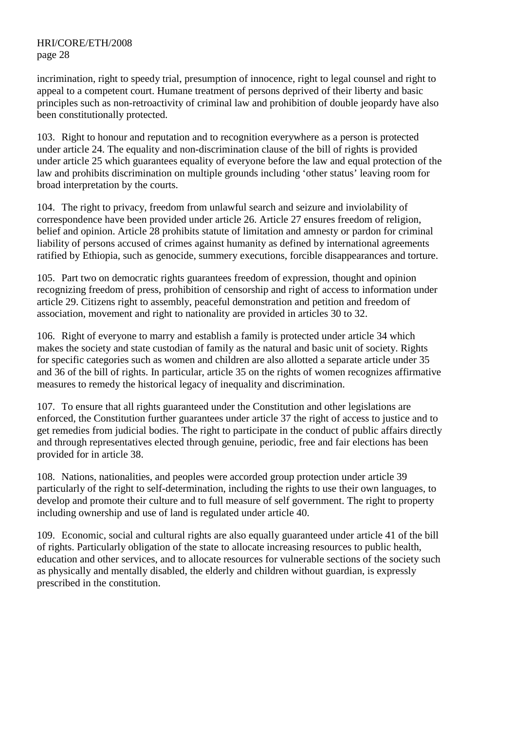incrimination, right to speedy trial, presumption of innocence, right to legal counsel and right to appeal to a competent court. Humane treatment of persons deprived of their liberty and basic principles such as non-retroactivity of criminal law and prohibition of double jeopardy have also been constitutionally protected.

103. Right to honour and reputation and to recognition everywhere as a person is protected under article 24. The equality and non-discrimination clause of the bill of rights is provided under article 25 which guarantees equality of everyone before the law and equal protection of the law and prohibits discrimination on multiple grounds including 'other status' leaving room for broad interpretation by the courts.

104. The right to privacy, freedom from unlawful search and seizure and inviolability of correspondence have been provided under article 26. Article 27 ensures freedom of religion, belief and opinion. Article 28 prohibits statute of limitation and amnesty or pardon for criminal liability of persons accused of crimes against humanity as defined by international agreements ratified by Ethiopia, such as genocide, summery executions, forcible disappearances and torture.

105. Part two on democratic rights guarantees freedom of expression, thought and opinion recognizing freedom of press, prohibition of censorship and right of access to information under article 29. Citizens right to assembly, peaceful demonstration and petition and freedom of association, movement and right to nationality are provided in articles 30 to 32.

106. Right of everyone to marry and establish a family is protected under article 34 which makes the society and state custodian of family as the natural and basic unit of society. Rights for specific categories such as women and children are also allotted a separate article under 35 and 36 of the bill of rights. In particular, article 35 on the rights of women recognizes affirmative measures to remedy the historical legacy of inequality and discrimination.

107. To ensure that all rights guaranteed under the Constitution and other legislations are enforced, the Constitution further guarantees under article 37 the right of access to justice and to get remedies from judicial bodies. The right to participate in the conduct of public affairs directly and through representatives elected through genuine, periodic, free and fair elections has been provided for in article 38.

108. Nations, nationalities, and peoples were accorded group protection under article 39 particularly of the right to self-determination, including the rights to use their own languages, to develop and promote their culture and to full measure of self government. The right to property including ownership and use of land is regulated under article 40.

109. Economic, social and cultural rights are also equally guaranteed under article 41 of the bill of rights. Particularly obligation of the state to allocate increasing resources to public health, education and other services, and to allocate resources for vulnerable sections of the society such as physically and mentally disabled, the elderly and children without guardian, is expressly prescribed in the constitution.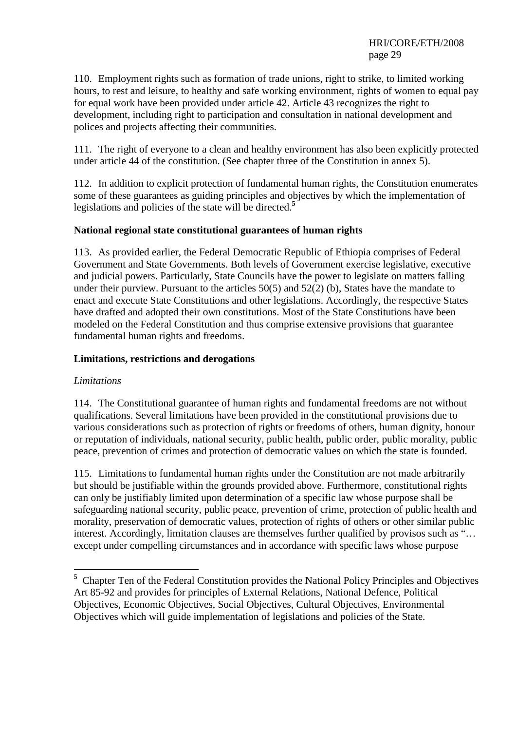110. Employment rights such as formation of trade unions, right to strike, to limited working hours, to rest and leisure, to healthy and safe working environment, rights of women to equal pay for equal work have been provided under article 42. Article 43 recognizes the right to development, including right to participation and consultation in national development and polices and projects affecting their communities.

111. The right of everyone to a clean and healthy environment has also been explicitly protected under article 44 of the constitution. (See chapter three of the Constitution in annex 5).

112. In addition to explicit protection of fundamental human rights, the Constitution enumerates some of these guarantees as guiding principles and objectives by which the implementation of legislations and policies of the state will be directed.**<sup>5</sup>**

#### **National regional state constitutional guarantees of human rights**

113. As provided earlier, the Federal Democratic Republic of Ethiopia comprises of Federal Government and State Governments. Both levels of Government exercise legislative, executive and judicial powers. Particularly, State Councils have the power to legislate on matters falling under their purview. Pursuant to the articles 50(5) and 52(2) (b), States have the mandate to enact and execute State Constitutions and other legislations. Accordingly, the respective States have drafted and adopted their own constitutions. Most of the State Constitutions have been modeled on the Federal Constitution and thus comprise extensive provisions that guarantee fundamental human rights and freedoms.

#### **Limitations, restrictions and derogations**

#### *Limitations*

114. The Constitutional guarantee of human rights and fundamental freedoms are not without qualifications. Several limitations have been provided in the constitutional provisions due to various considerations such as protection of rights or freedoms of others, human dignity, honour or reputation of individuals, national security, public health, public order, public morality, public peace, prevention of crimes and protection of democratic values on which the state is founded.

115. Limitations to fundamental human rights under the Constitution are not made arbitrarily but should be justifiable within the grounds provided above. Furthermore, constitutional rights can only be justifiably limited upon determination of a specific law whose purpose shall be safeguarding national security, public peace, prevention of crime, protection of public health and morality, preservation of democratic values, protection of rights of others or other similar public interest. Accordingly, limitation clauses are themselves further qualified by provisos such as "… except under compelling circumstances and in accordance with specific laws whose purpose

<sup>&</sup>lt;sup>5</sup> Chapter Ten of the Federal Constitution provides the National Policy Principles and Objectives Art 85-92 and provides for principles of External Relations, National Defence, Political Objectives, Economic Objectives, Social Objectives, Cultural Objectives, Environmental Objectives which will guide implementation of legislations and policies of the State.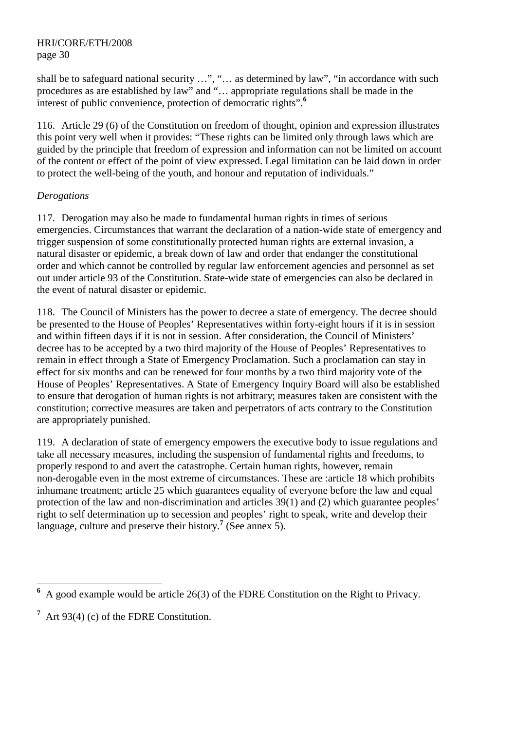shall be to safeguard national security …", "… as determined by law", "in accordance with such procedures as are established by law" and "… appropriate regulations shall be made in the interest of public convenience, protection of democratic rights".**<sup>6</sup>**

116. Article 29 (6) of the Constitution on freedom of thought, opinion and expression illustrates this point very well when it provides: "These rights can be limited only through laws which are guided by the principle that freedom of expression and information can not be limited on account of the content or effect of the point of view expressed. Legal limitation can be laid down in order to protect the well-being of the youth, and honour and reputation of individuals."

#### *Derogations*

117. Derogation may also be made to fundamental human rights in times of serious emergencies. Circumstances that warrant the declaration of a nation-wide state of emergency and trigger suspension of some constitutionally protected human rights are external invasion, a natural disaster or epidemic, a break down of law and order that endanger the constitutional order and which cannot be controlled by regular law enforcement agencies and personnel as set out under article 93 of the Constitution. State-wide state of emergencies can also be declared in the event of natural disaster or epidemic.

118. The Council of Ministers has the power to decree a state of emergency. The decree should be presented to the House of Peoples' Representatives within forty-eight hours if it is in session and within fifteen days if it is not in session. After consideration, the Council of Ministers' decree has to be accepted by a two third majority of the House of Peoples' Representatives to remain in effect through a State of Emergency Proclamation. Such a proclamation can stay in effect for six months and can be renewed for four months by a two third majority vote of the House of Peoples' Representatives. A State of Emergency Inquiry Board will also be established to ensure that derogation of human rights is not arbitrary; measures taken are consistent with the constitution; corrective measures are taken and perpetrators of acts contrary to the Constitution are appropriately punished.

119. A declaration of state of emergency empowers the executive body to issue regulations and take all necessary measures, including the suspension of fundamental rights and freedoms, to properly respond to and avert the catastrophe. Certain human rights, however, remain non-derogable even in the most extreme of circumstances. These are :article 18 which prohibits inhumane treatment; article 25 which guarantees equality of everyone before the law and equal protection of the law and non-discrimination and articles 39(1) and (2) which guarantee peoples' right to self determination up to secession and peoples' right to speak, write and develop their language, culture and preserve their history.**<sup>7</sup>** (See annex 5).

<sup>&</sup>lt;sup>6</sup> A good example would be article 26(3) of the FDRE Constitution on the Right to Privacy.

<sup>&</sup>lt;sup>7</sup> Art 93(4) (c) of the FDRE Constitution.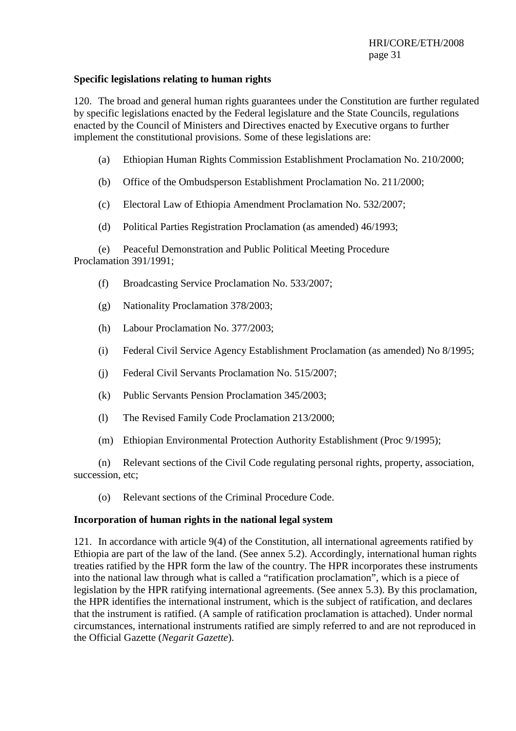#### **Specific legislations relating to human rights**

120. The broad and general human rights guarantees under the Constitution are further regulated by specific legislations enacted by the Federal legislature and the State Councils, regulations enacted by the Council of Ministers and Directives enacted by Executive organs to further implement the constitutional provisions. Some of these legislations are:

- (a) Ethiopian Human Rights Commission Establishment Proclamation No. 210/2000;
- (b) Office of the Ombudsperson Establishment Proclamation No. 211/2000;
- (c) Electoral Law of Ethiopia Amendment Proclamation No. 532/2007;
- (d) Political Parties Registration Proclamation (as amended) 46/1993;

 (e) Peaceful Demonstration and Public Political Meeting Procedure Proclamation 391/1991;

- (f) Broadcasting Service Proclamation No. 533/2007;
- (g) Nationality Proclamation 378/2003;
- (h) Labour Proclamation No. 377/2003;
- (i) Federal Civil Service Agency Establishment Proclamation (as amended) No 8/1995;
- (j) Federal Civil Servants Proclamation No. 515/2007;
- (k) Public Servants Pension Proclamation 345/2003;
- (l) The Revised Family Code Proclamation 213/2000;
- (m) Ethiopian Environmental Protection Authority Establishment (Proc 9/1995);

 (n) Relevant sections of the Civil Code regulating personal rights, property, association, succession, etc;

(o) Relevant sections of the Criminal Procedure Code.

#### **Incorporation of human rights in the national legal system**

121. In accordance with article 9(4) of the Constitution, all international agreements ratified by Ethiopia are part of the law of the land. (See annex 5.2). Accordingly, international human rights treaties ratified by the HPR form the law of the country. The HPR incorporates these instruments into the national law through what is called a "ratification proclamation", which is a piece of legislation by the HPR ratifying international agreements. (See annex 5.3). By this proclamation, the HPR identifies the international instrument, which is the subject of ratification, and declares that the instrument is ratified. (A sample of ratification proclamation is attached). Under normal circumstances, international instruments ratified are simply referred to and are not reproduced in the Official Gazette (*Negarit Gazette*).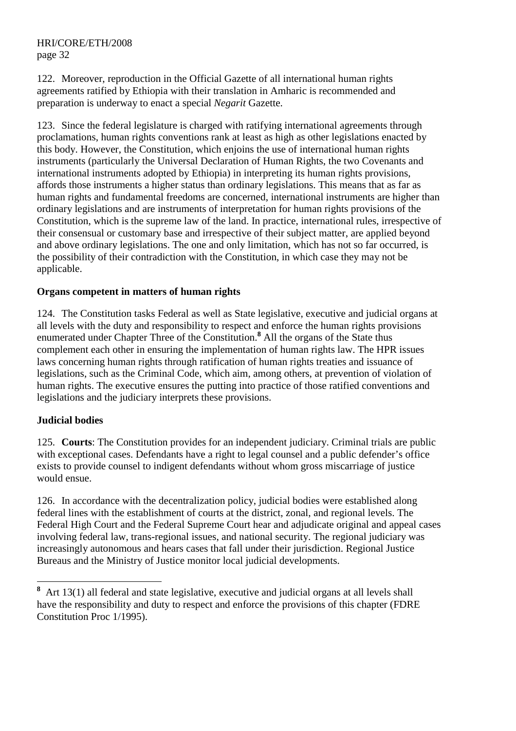122. Moreover, reproduction in the Official Gazette of all international human rights agreements ratified by Ethiopia with their translation in Amharic is recommended and preparation is underway to enact a special *Negarit* Gazette.

123. Since the federal legislature is charged with ratifying international agreements through proclamations, human rights conventions rank at least as high as other legislations enacted by this body. However, the Constitution, which enjoins the use of international human rights instruments (particularly the Universal Declaration of Human Rights, the two Covenants and international instruments adopted by Ethiopia) in interpreting its human rights provisions, affords those instruments a higher status than ordinary legislations. This means that as far as human rights and fundamental freedoms are concerned, international instruments are higher than ordinary legislations and are instruments of interpretation for human rights provisions of the Constitution, which is the supreme law of the land. In practice, international rules, irrespective of their consensual or customary base and irrespective of their subject matter, are applied beyond and above ordinary legislations. The one and only limitation, which has not so far occurred, is the possibility of their contradiction with the Constitution, in which case they may not be applicable.

#### **Organs competent in matters of human rights**

124. The Constitution tasks Federal as well as State legislative, executive and judicial organs at all levels with the duty and responsibility to respect and enforce the human rights provisions enumerated under Chapter Three of the Constitution.**<sup>8</sup>** All the organs of the State thus complement each other in ensuring the implementation of human rights law. The HPR issues laws concerning human rights through ratification of human rights treaties and issuance of legislations, such as the Criminal Code, which aim, among others, at prevention of violation of human rights. The executive ensures the putting into practice of those ratified conventions and legislations and the judiciary interprets these provisions.

#### **Judicial bodies**

125. **Courts**: The Constitution provides for an independent judiciary. Criminal trials are public with exceptional cases. Defendants have a right to legal counsel and a public defender's office exists to provide counsel to indigent defendants without whom gross miscarriage of justice would ensue.

126. In accordance with the decentralization policy, judicial bodies were established along federal lines with the establishment of courts at the district, zonal, and regional levels. The Federal High Court and the Federal Supreme Court hear and adjudicate original and appeal cases involving federal law, trans-regional issues, and national security. The regional judiciary was increasingly autonomous and hears cases that fall under their jurisdiction. Regional Justice Bureaus and the Ministry of Justice monitor local judicial developments.

 **8** Art 13(1) all federal and state legislative, executive and judicial organs at all levels shall have the responsibility and duty to respect and enforce the provisions of this chapter (FDRE Constitution Proc 1/1995).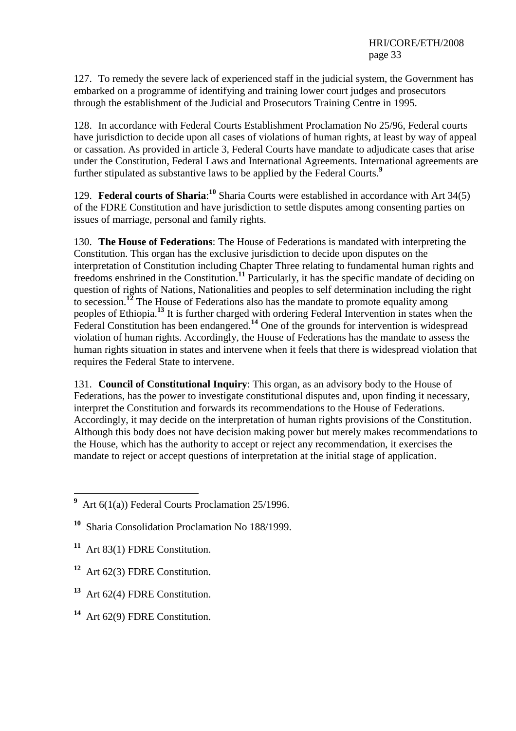127. To remedy the severe lack of experienced staff in the judicial system, the Government has embarked on a programme of identifying and training lower court judges and prosecutors through the establishment of the Judicial and Prosecutors Training Centre in 1995.

128. In accordance with Federal Courts Establishment Proclamation No 25/96, Federal courts have jurisdiction to decide upon all cases of violations of human rights, at least by way of appeal or cassation. As provided in article 3, Federal Courts have mandate to adjudicate cases that arise under the Constitution, Federal Laws and International Agreements. International agreements are further stipulated as substantive laws to be applied by the Federal Courts.**<sup>9</sup>**

129. **Federal courts of Sharia:**<sup>10</sup> Sharia Courts were established in accordance with Art 34(5) of the FDRE Constitution and have jurisdiction to settle disputes among consenting parties on issues of marriage, personal and family rights.

130. **The House of Federations**: The House of Federations is mandated with interpreting the Constitution. This organ has the exclusive jurisdiction to decide upon disputes on the interpretation of Constitution including Chapter Three relating to fundamental human rights and freedoms enshrined in the Constitution.**<sup>11</sup>** Particularly, it has the specific mandate of deciding on question of rights of Nations, Nationalities and peoples to self determination including the right to secession.**<sup>12</sup>** The House of Federations also has the mandate to promote equality among peoples of Ethiopia.**<sup>13</sup>** It is further charged with ordering Federal Intervention in states when the Federal Constitution has been endangered.**<sup>14</sup>** One of the grounds for intervention is widespread violation of human rights. Accordingly, the House of Federations has the mandate to assess the human rights situation in states and intervene when it feels that there is widespread violation that requires the Federal State to intervene.

131. **Council of Constitutional Inquiry**: This organ, as an advisory body to the House of Federations, has the power to investigate constitutional disputes and, upon finding it necessary, interpret the Constitution and forwards its recommendations to the House of Federations. Accordingly, it may decide on the interpretation of human rights provisions of the Constitution. Although this body does not have decision making power but merely makes recommendations to the House, which has the authority to accept or reject any recommendation, it exercises the mandate to reject or accept questions of interpretation at the initial stage of application.

- **<sup>11</sup>** Art 83(1) FDRE Constitution.
- **<sup>12</sup>** Art 62(3) FDRE Constitution.
- **<sup>13</sup>** Art 62(4) FDRE Constitution.
- **<sup>14</sup>** Art 62(9) FDRE Constitution.

 $\overline{a}$ **9** Art 6(1(a)) Federal Courts Proclamation 25/1996.

**<sup>10</sup>** Sharia Consolidation Proclamation No 188/1999.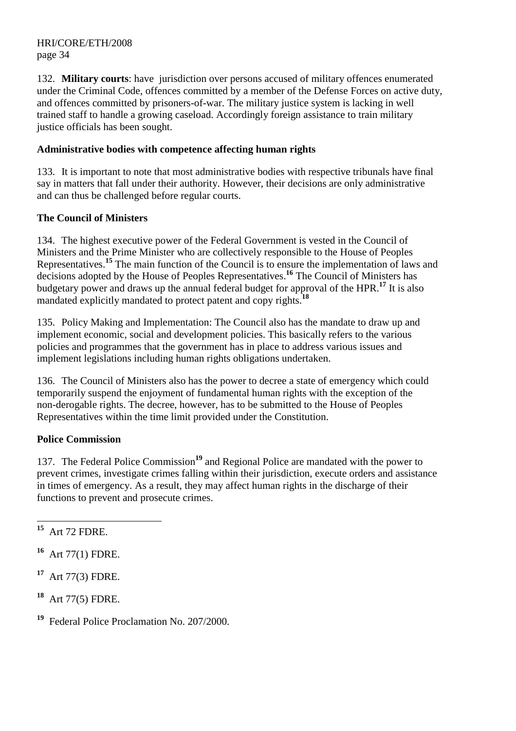132. **Military courts**: have jurisdiction over persons accused of military offences enumerated under the Criminal Code, offences committed by a member of the Defense Forces on active duty, and offences committed by prisoners-of-war. The military justice system is lacking in well trained staff to handle a growing caseload. Accordingly foreign assistance to train military justice officials has been sought.

# **Administrative bodies with competence affecting human rights**

133. It is important to note that most administrative bodies with respective tribunals have final say in matters that fall under their authority. However, their decisions are only administrative and can thus be challenged before regular courts.

# **The Council of Ministers**

134. The highest executive power of the Federal Government is vested in the Council of Ministers and the Prime Minister who are collectively responsible to the House of Peoples Representatives.**<sup>15</sup>** The main function of the Council is to ensure the implementation of laws and decisions adopted by the House of Peoples Representatives.**<sup>16</sup>** The Council of Ministers has budgetary power and draws up the annual federal budget for approval of the HPR.**<sup>17</sup>** It is also mandated explicitly mandated to protect patent and copy rights.**<sup>18</sup>**

135. Policy Making and Implementation: The Council also has the mandate to draw up and implement economic, social and development policies. This basically refers to the various policies and programmes that the government has in place to address various issues and implement legislations including human rights obligations undertaken.

136. The Council of Ministers also has the power to decree a state of emergency which could temporarily suspend the enjoyment of fundamental human rights with the exception of the non-derogable rights. The decree, however, has to be submitted to the House of Peoples Representatives within the time limit provided under the Constitution.

# **Police Commission**

137. The Federal Police Commission**<sup>19</sup>** and Regional Police are mandated with the power to prevent crimes, investigate crimes falling within their jurisdiction, execute orders and assistance in times of emergency. As a result, they may affect human rights in the discharge of their functions to prevent and prosecute crimes.

**<sup>17</sup>** Art 77(3) FDRE.

**<sup>18</sup>** Art 77(5) FDRE.

**<sup>19</sup>** Federal Police Proclamation No. 207/2000.

<sup>15</sup> **<sup>15</sup>** Art 72 FDRE.

**<sup>16</sup>** Art 77(1) FDRE.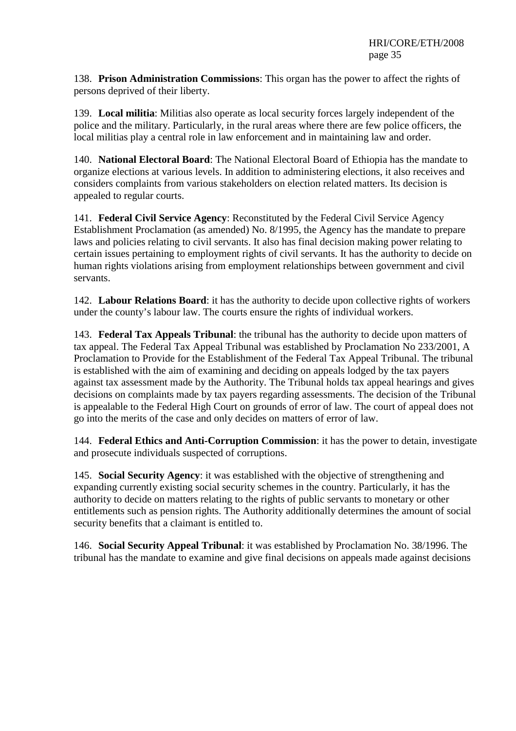138. **Prison Administration Commissions**: This organ has the power to affect the rights of persons deprived of their liberty.

139. **Local militia**: Militias also operate as local security forces largely independent of the police and the military. Particularly, in the rural areas where there are few police officers, the local militias play a central role in law enforcement and in maintaining law and order.

140. **National Electoral Board**: The National Electoral Board of Ethiopia has the mandate to organize elections at various levels. In addition to administering elections, it also receives and considers complaints from various stakeholders on election related matters. Its decision is appealed to regular courts.

141. **Federal Civil Service Agency**: Reconstituted by the Federal Civil Service Agency Establishment Proclamation (as amended) No. 8/1995, the Agency has the mandate to prepare laws and policies relating to civil servants. It also has final decision making power relating to certain issues pertaining to employment rights of civil servants. It has the authority to decide on human rights violations arising from employment relationships between government and civil servants.

142. **Labour Relations Board**: it has the authority to decide upon collective rights of workers under the county's labour law. The courts ensure the rights of individual workers.

143. **Federal Tax Appeals Tribunal**: the tribunal has the authority to decide upon matters of tax appeal. The Federal Tax Appeal Tribunal was established by Proclamation No 233/2001, A Proclamation to Provide for the Establishment of the Federal Tax Appeal Tribunal. The tribunal is established with the aim of examining and deciding on appeals lodged by the tax payers against tax assessment made by the Authority. The Tribunal holds tax appeal hearings and gives decisions on complaints made by tax payers regarding assessments. The decision of the Tribunal is appealable to the Federal High Court on grounds of error of law. The court of appeal does not go into the merits of the case and only decides on matters of error of law.

144. **Federal Ethics and Anti-Corruption Commission**: it has the power to detain, investigate and prosecute individuals suspected of corruptions.

145. **Social Security Agency**: it was established with the objective of strengthening and expanding currently existing social security schemes in the country. Particularly, it has the authority to decide on matters relating to the rights of public servants to monetary or other entitlements such as pension rights. The Authority additionally determines the amount of social security benefits that a claimant is entitled to.

146. **Social Security Appeal Tribunal**: it was established by Proclamation No. 38/1996. The tribunal has the mandate to examine and give final decisions on appeals made against decisions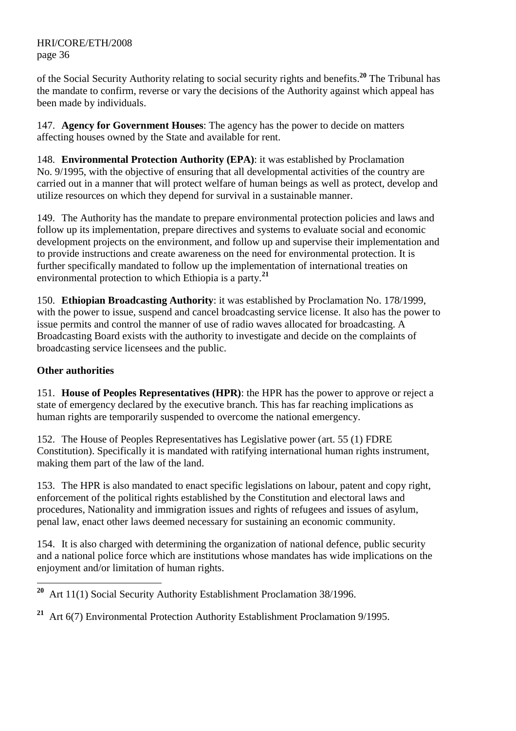of the Social Security Authority relating to social security rights and benefits.**<sup>20</sup>** The Tribunal has the mandate to confirm, reverse or vary the decisions of the Authority against which appeal has been made by individuals.

147. **Agency for Government Houses**: The agency has the power to decide on matters affecting houses owned by the State and available for rent.

148. **Environmental Protection Authority (EPA)**: it was established by Proclamation No. 9/1995, with the objective of ensuring that all developmental activities of the country are carried out in a manner that will protect welfare of human beings as well as protect, develop and utilize resources on which they depend for survival in a sustainable manner.

149. The Authority has the mandate to prepare environmental protection policies and laws and follow up its implementation, prepare directives and systems to evaluate social and economic development projects on the environment, and follow up and supervise their implementation and to provide instructions and create awareness on the need for environmental protection. It is further specifically mandated to follow up the implementation of international treaties on environmental protection to which Ethiopia is a party.**<sup>21</sup>**

150. **Ethiopian Broadcasting Authority**: it was established by Proclamation No. 178/1999, with the power to issue, suspend and cancel broadcasting service license. It also has the power to issue permits and control the manner of use of radio waves allocated for broadcasting. A Broadcasting Board exists with the authority to investigate and decide on the complaints of broadcasting service licensees and the public.

# **Other authorities**

151. **House of Peoples Representatives (HPR)**: the HPR has the power to approve or reject a state of emergency declared by the executive branch. This has far reaching implications as human rights are temporarily suspended to overcome the national emergency.

152. The House of Peoples Representatives has Legislative power (art. 55 (1) FDRE Constitution). Specifically it is mandated with ratifying international human rights instrument, making them part of the law of the land.

153. The HPR is also mandated to enact specific legislations on labour, patent and copy right, enforcement of the political rights established by the Constitution and electoral laws and procedures, Nationality and immigration issues and rights of refugees and issues of asylum, penal law, enact other laws deemed necessary for sustaining an economic community.

154. It is also charged with determining the organization of national defence, public security and a national police force which are institutions whose mandates has wide implications on the enjoyment and/or limitation of human rights.

**<sup>21</sup>** Art 6(7) Environmental Protection Authority Establishment Proclamation 9/1995.

**<sup>20</sup> <sup>20</sup>** Art 11(1) Social Security Authority Establishment Proclamation 38/1996.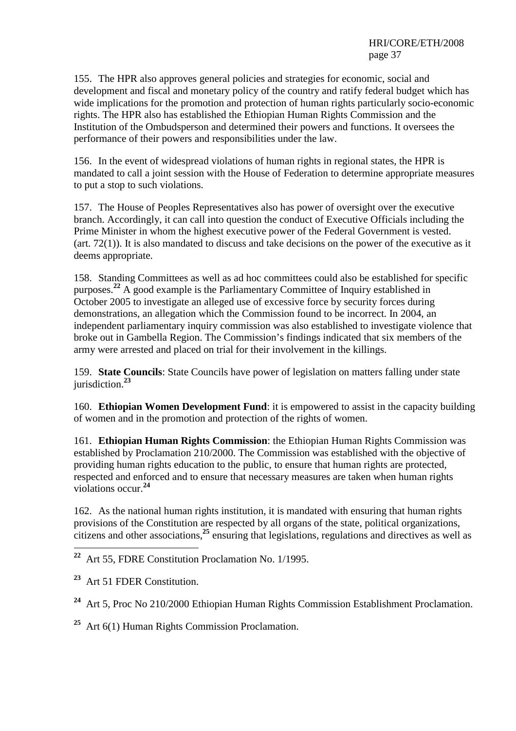155. The HPR also approves general policies and strategies for economic, social and development and fiscal and monetary policy of the country and ratify federal budget which has wide implications for the promotion and protection of human rights particularly socio-economic rights. The HPR also has established the Ethiopian Human Rights Commission and the Institution of the Ombudsperson and determined their powers and functions. It oversees the performance of their powers and responsibilities under the law.

156. In the event of widespread violations of human rights in regional states, the HPR is mandated to call a joint session with the House of Federation to determine appropriate measures to put a stop to such violations.

157. The House of Peoples Representatives also has power of oversight over the executive branch. Accordingly, it can call into question the conduct of Executive Officials including the Prime Minister in whom the highest executive power of the Federal Government is vested. (art. 72(1)). It is also mandated to discuss and take decisions on the power of the executive as it deems appropriate.

158. Standing Committees as well as ad hoc committees could also be established for specific purposes.**<sup>22</sup>** A good example is the Parliamentary Committee of Inquiry established in October 2005 to investigate an alleged use of excessive force by security forces during demonstrations, an allegation which the Commission found to be incorrect. In 2004, an independent parliamentary inquiry commission was also established to investigate violence that broke out in Gambella Region. The Commission's findings indicated that six members of the army were arrested and placed on trial for their involvement in the killings.

159. **State Councils**: State Councils have power of legislation on matters falling under state jurisdiction.**<sup>23</sup>**

160. **Ethiopian Women Development Fund**: it is empowered to assist in the capacity building of women and in the promotion and protection of the rights of women.

161. **Ethiopian Human Rights Commission**: the Ethiopian Human Rights Commission was established by Proclamation 210/2000. The Commission was established with the objective of providing human rights education to the public, to ensure that human rights are protected, respected and enforced and to ensure that necessary measures are taken when human rights violations occur.**<sup>24</sup>**

162. As the national human rights institution, it is mandated with ensuring that human rights provisions of the Constitution are respected by all organs of the state, political organizations, citizens and other associations,**<sup>25</sup>** ensuring that legislations, regulations and directives as well as

 $\overline{a}$ **<sup>22</sup>** Art 55, FDRE Constitution Proclamation No. 1/1995.

**<sup>23</sup>** Art 51 FDER Constitution.

**<sup>24</sup>** Art 5, Proc No 210/2000 Ethiopian Human Rights Commission Establishment Proclamation.

**<sup>25</sup>** Art 6(1) Human Rights Commission Proclamation.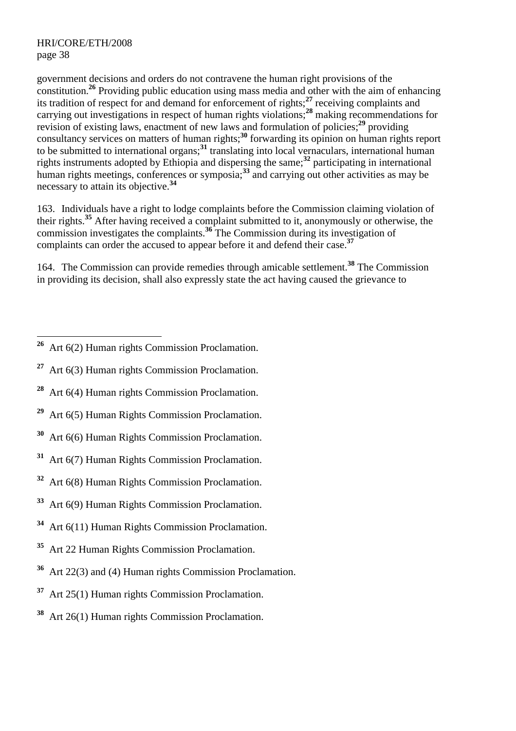government decisions and orders do not contravene the human right provisions of the constitution.**<sup>26</sup>** Providing public education using mass media and other with the aim of enhancing its tradition of respect for and demand for enforcement of rights;**<sup>27</sup>** receiving complaints and carrying out investigations in respect of human rights violations;**<sup>28</sup>** making recommendations for revision of existing laws, enactment of new laws and formulation of policies;**<sup>29</sup>** providing consultancy services on matters of human rights;**<sup>30</sup>** forwarding its opinion on human rights report to be submitted to international organs;**<sup>31</sup>** translating into local vernaculars, international human rights instruments adopted by Ethiopia and dispersing the same;**<sup>32</sup>** participating in international human rights meetings, conferences or symposia;**<sup>33</sup>** and carrying out other activities as may be necessary to attain its objective.**<sup>34</sup>**

163. Individuals have a right to lodge complaints before the Commission claiming violation of their rights.**<sup>35</sup>** After having received a complaint submitted to it, anonymously or otherwise, the commission investigates the complaints.**<sup>36</sup>** The Commission during its investigation of complaints can order the accused to appear before it and defend their case.**<sup>37</sup>**

164. The Commission can provide remedies through amicable settlement.**<sup>38</sup>** The Commission in providing its decision, shall also expressly state the act having caused the grievance to

- **<sup>27</sup>** Art 6(3) Human rights Commission Proclamation.
- **<sup>28</sup>** Art 6(4) Human rights Commission Proclamation.
- **<sup>29</sup>** Art 6(5) Human Rights Commission Proclamation.
- **<sup>30</sup>** Art 6(6) Human Rights Commission Proclamation.
- **<sup>31</sup>** Art 6(7) Human Rights Commission Proclamation.
- **<sup>32</sup>** Art 6(8) Human Rights Commission Proclamation.
- **<sup>33</sup>** Art 6(9) Human Rights Commission Proclamation.
- **<sup>34</sup>** Art 6(11) Human Rights Commission Proclamation.
- **<sup>35</sup>** Art 22 Human Rights Commission Proclamation.
- **<sup>36</sup>** Art 22(3) and (4) Human rights Commission Proclamation.
- **<sup>37</sup>** Art 25(1) Human rights Commission Proclamation.
- **<sup>38</sup>** Art 26(1) Human rights Commission Proclamation.

<sup>26</sup> **<sup>26</sup>** Art 6(2) Human rights Commission Proclamation.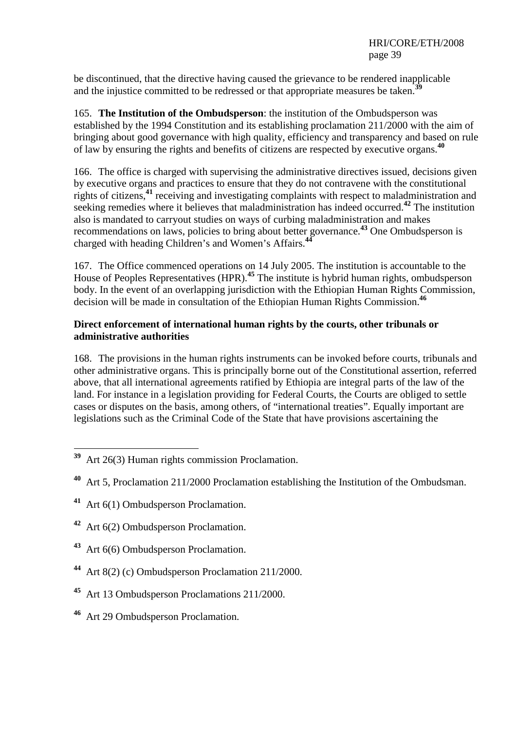be discontinued, that the directive having caused the grievance to be rendered inapplicable and the injustice committed to be redressed or that appropriate measures be taken.**<sup>39</sup>**

165. **The Institution of the Ombudsperson**: the institution of the Ombudsperson was established by the 1994 Constitution and its establishing proclamation 211/2000 with the aim of bringing about good governance with high quality, efficiency and transparency and based on rule of law by ensuring the rights and benefits of citizens are respected by executive organs.**<sup>40</sup>**

166. The office is charged with supervising the administrative directives issued, decisions given by executive organs and practices to ensure that they do not contravene with the constitutional rights of citizens,**<sup>41</sup>** receiving and investigating complaints with respect to maladministration and seeking remedies where it believes that maladministration has indeed occurred.**<sup>42</sup>** The institution also is mandated to carryout studies on ways of curbing maladministration and makes recommendations on laws, policies to bring about better governance.**<sup>43</sup>** One Ombudsperson is charged with heading Children's and Women's Affairs.**<sup>44</sup>**

167. The Office commenced operations on 14 July 2005. The institution is accountable to the House of Peoples Representatives (HPR).**<sup>45</sup>** The institute is hybrid human rights, ombudsperson body. In the event of an overlapping jurisdiction with the Ethiopian Human Rights Commission, decision will be made in consultation of the Ethiopian Human Rights Commission.**<sup>46</sup>**

## **Direct enforcement of international human rights by the courts, other tribunals or administrative authorities**

168. The provisions in the human rights instruments can be invoked before courts, tribunals and other administrative organs. This is principally borne out of the Constitutional assertion, referred above, that all international agreements ratified by Ethiopia are integral parts of the law of the land. For instance in a legislation providing for Federal Courts, the Courts are obliged to settle cases or disputes on the basis, among others, of "international treaties". Equally important are legislations such as the Criminal Code of the State that have provisions ascertaining the

- **<sup>41</sup>** Art 6(1) Ombudsperson Proclamation.
- **<sup>42</sup>** Art 6(2) Ombudsperson Proclamation.
- **<sup>43</sup>** Art 6(6) Ombudsperson Proclamation.
- Art 8(2) (c) Ombudsperson Proclamation 211/2000.
- **<sup>45</sup>** Art 13 Ombudsperson Proclamations 211/2000.
- **<sup>46</sup>** Art 29 Ombudsperson Proclamation.

 $\overline{a}$ **<sup>39</sup>** Art 26(3) Human rights commission Proclamation.

Art 5, Proclamation 211/2000 Proclamation establishing the Institution of the Ombudsman.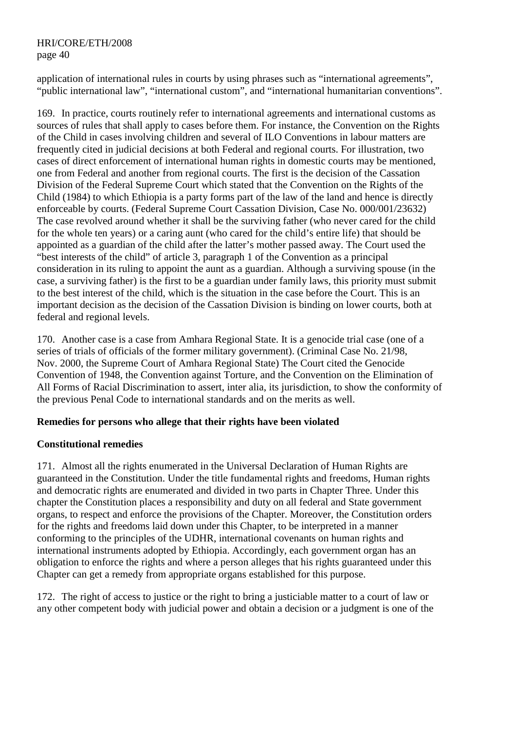application of international rules in courts by using phrases such as "international agreements", "public international law", "international custom", and "international humanitarian conventions".

169. In practice, courts routinely refer to international agreements and international customs as sources of rules that shall apply to cases before them. For instance, the Convention on the Rights of the Child in cases involving children and several of ILO Conventions in labour matters are frequently cited in judicial decisions at both Federal and regional courts. For illustration, two cases of direct enforcement of international human rights in domestic courts may be mentioned, one from Federal and another from regional courts. The first is the decision of the Cassation Division of the Federal Supreme Court which stated that the Convention on the Rights of the Child (1984) to which Ethiopia is a party forms part of the law of the land and hence is directly enforceable by courts. (Federal Supreme Court Cassation Division, Case No. 000/001/23632) The case revolved around whether it shall be the surviving father (who never cared for the child for the whole ten years) or a caring aunt (who cared for the child's entire life) that should be appointed as a guardian of the child after the latter's mother passed away. The Court used the "best interests of the child" of article 3, paragraph 1 of the Convention as a principal consideration in its ruling to appoint the aunt as a guardian. Although a surviving spouse (in the case, a surviving father) is the first to be a guardian under family laws, this priority must submit to the best interest of the child, which is the situation in the case before the Court. This is an important decision as the decision of the Cassation Division is binding on lower courts, both at federal and regional levels.

170. Another case is a case from Amhara Regional State. It is a genocide trial case (one of a series of trials of officials of the former military government). (Criminal Case No. 21/98, Nov. 2000, the Supreme Court of Amhara Regional State) The Court cited the Genocide Convention of 1948, the Convention against Torture, and the Convention on the Elimination of All Forms of Racial Discrimination to assert, inter alia, its jurisdiction, to show the conformity of the previous Penal Code to international standards and on the merits as well.

## **Remedies for persons who allege that their rights have been violated**

## **Constitutional remedies**

171. Almost all the rights enumerated in the Universal Declaration of Human Rights are guaranteed in the Constitution. Under the title fundamental rights and freedoms, Human rights and democratic rights are enumerated and divided in two parts in Chapter Three. Under this chapter the Constitution places a responsibility and duty on all federal and State government organs, to respect and enforce the provisions of the Chapter. Moreover, the Constitution orders for the rights and freedoms laid down under this Chapter, to be interpreted in a manner conforming to the principles of the UDHR, international covenants on human rights and international instruments adopted by Ethiopia. Accordingly, each government organ has an obligation to enforce the rights and where a person alleges that his rights guaranteed under this Chapter can get a remedy from appropriate organs established for this purpose.

172. The right of access to justice or the right to bring a justiciable matter to a court of law or any other competent body with judicial power and obtain a decision or a judgment is one of the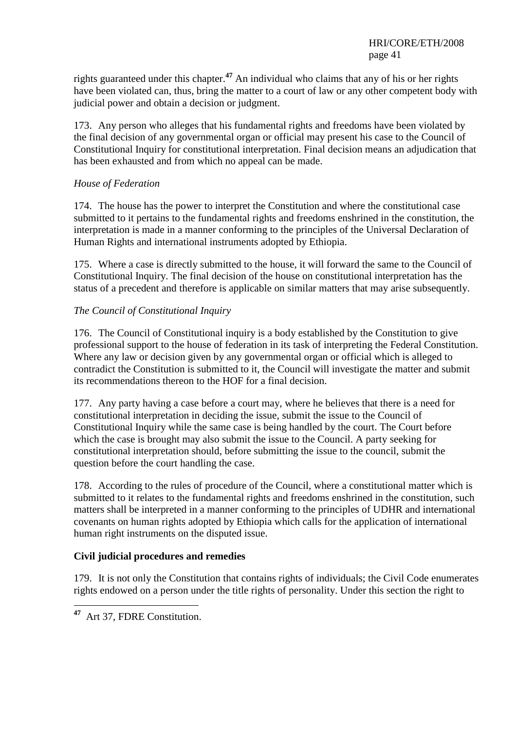rights guaranteed under this chapter.**<sup>47</sup>** An individual who claims that any of his or her rights have been violated can, thus, bring the matter to a court of law or any other competent body with judicial power and obtain a decision or judgment.

173. Any person who alleges that his fundamental rights and freedoms have been violated by the final decision of any governmental organ or official may present his case to the Council of Constitutional Inquiry for constitutional interpretation. Final decision means an adjudication that has been exhausted and from which no appeal can be made.

## *House of Federation*

174. The house has the power to interpret the Constitution and where the constitutional case submitted to it pertains to the fundamental rights and freedoms enshrined in the constitution, the interpretation is made in a manner conforming to the principles of the Universal Declaration of Human Rights and international instruments adopted by Ethiopia.

175. Where a case is directly submitted to the house, it will forward the same to the Council of Constitutional Inquiry. The final decision of the house on constitutional interpretation has the status of a precedent and therefore is applicable on similar matters that may arise subsequently.

# *The Council of Constitutional Inquiry*

176. The Council of Constitutional inquiry is a body established by the Constitution to give professional support to the house of federation in its task of interpreting the Federal Constitution. Where any law or decision given by any governmental organ or official which is alleged to contradict the Constitution is submitted to it, the Council will investigate the matter and submit its recommendations thereon to the HOF for a final decision.

177. Any party having a case before a court may, where he believes that there is a need for constitutional interpretation in deciding the issue, submit the issue to the Council of Constitutional Inquiry while the same case is being handled by the court. The Court before which the case is brought may also submit the issue to the Council. A party seeking for constitutional interpretation should, before submitting the issue to the council, submit the question before the court handling the case.

178. According to the rules of procedure of the Council, where a constitutional matter which is submitted to it relates to the fundamental rights and freedoms enshrined in the constitution, such matters shall be interpreted in a manner conforming to the principles of UDHR and international covenants on human rights adopted by Ethiopia which calls for the application of international human right instruments on the disputed issue.

# **Civil judicial procedures and remedies**

179. It is not only the Constitution that contains rights of individuals; the Civil Code enumerates rights endowed on a person under the title rights of personality. Under this section the right to

 $\overline{a}$ **<sup>47</sup>** Art 37, FDRE Constitution.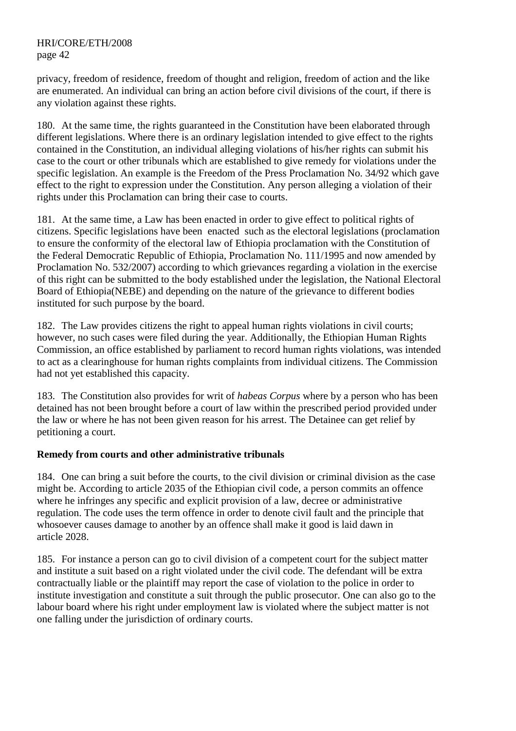privacy, freedom of residence, freedom of thought and religion, freedom of action and the like are enumerated. An individual can bring an action before civil divisions of the court, if there is any violation against these rights.

180. At the same time, the rights guaranteed in the Constitution have been elaborated through different legislations. Where there is an ordinary legislation intended to give effect to the rights contained in the Constitution, an individual alleging violations of his/her rights can submit his case to the court or other tribunals which are established to give remedy for violations under the specific legislation. An example is the Freedom of the Press Proclamation No. 34/92 which gave effect to the right to expression under the Constitution. Any person alleging a violation of their rights under this Proclamation can bring their case to courts.

181. At the same time, a Law has been enacted in order to give effect to political rights of citizens. Specific legislations have been enacted such as the electoral legislations (proclamation to ensure the conformity of the electoral law of Ethiopia proclamation with the Constitution of the Federal Democratic Republic of Ethiopia, Proclamation No. 111/1995 and now amended by Proclamation No. 532/2007) according to which grievances regarding a violation in the exercise of this right can be submitted to the body established under the legislation, the National Electoral Board of Ethiopia(NEBE) and depending on the nature of the grievance to different bodies instituted for such purpose by the board.

182. The Law provides citizens the right to appeal human rights violations in civil courts; however, no such cases were filed during the year. Additionally, the Ethiopian Human Rights Commission, an office established by parliament to record human rights violations, was intended to act as a clearinghouse for human rights complaints from individual citizens. The Commission had not yet established this capacity.

183. The Constitution also provides for writ of *habeas Corpus* where by a person who has been detained has not been brought before a court of law within the prescribed period provided under the law or where he has not been given reason for his arrest. The Detainee can get relief by petitioning a court.

## **Remedy from courts and other administrative tribunals**

184. One can bring a suit before the courts, to the civil division or criminal division as the case might be. According to article 2035 of the Ethiopian civil code, a person commits an offence where he infringes any specific and explicit provision of a law, decree or administrative regulation. The code uses the term offence in order to denote civil fault and the principle that whosoever causes damage to another by an offence shall make it good is laid dawn in article 2028.

185. For instance a person can go to civil division of a competent court for the subject matter and institute a suit based on a right violated under the civil code. The defendant will be extra contractually liable or the plaintiff may report the case of violation to the police in order to institute investigation and constitute a suit through the public prosecutor. One can also go to the labour board where his right under employment law is violated where the subject matter is not one falling under the jurisdiction of ordinary courts.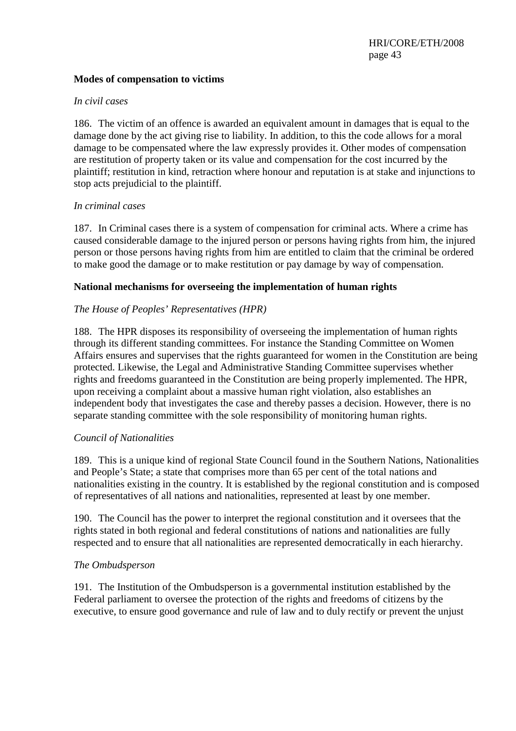#### **Modes of compensation to victims**

#### *In civil cases*

186. The victim of an offence is awarded an equivalent amount in damages that is equal to the damage done by the act giving rise to liability. In addition, to this the code allows for a moral damage to be compensated where the law expressly provides it. Other modes of compensation are restitution of property taken or its value and compensation for the cost incurred by the plaintiff; restitution in kind, retraction where honour and reputation is at stake and injunctions to stop acts prejudicial to the plaintiff.

### *In criminal cases*

187. In Criminal cases there is a system of compensation for criminal acts. Where a crime has caused considerable damage to the injured person or persons having rights from him, the injured person or those persons having rights from him are entitled to claim that the criminal be ordered to make good the damage or to make restitution or pay damage by way of compensation.

### **National mechanisms for overseeing the implementation of human rights**

### *The House of Peoples' Representatives (HPR)*

188. The HPR disposes its responsibility of overseeing the implementation of human rights through its different standing committees. For instance the Standing Committee on Women Affairs ensures and supervises that the rights guaranteed for women in the Constitution are being protected. Likewise, the Legal and Administrative Standing Committee supervises whether rights and freedoms guaranteed in the Constitution are being properly implemented. The HPR, upon receiving a complaint about a massive human right violation, also establishes an independent body that investigates the case and thereby passes a decision. However, there is no separate standing committee with the sole responsibility of monitoring human rights.

#### *Council of Nationalities*

189. This is a unique kind of regional State Council found in the Southern Nations, Nationalities and People's State; a state that comprises more than 65 per cent of the total nations and nationalities existing in the country. It is established by the regional constitution and is composed of representatives of all nations and nationalities, represented at least by one member.

190. The Council has the power to interpret the regional constitution and it oversees that the rights stated in both regional and federal constitutions of nations and nationalities are fully respected and to ensure that all nationalities are represented democratically in each hierarchy.

#### *The Ombudsperson*

191. The Institution of the Ombudsperson is a governmental institution established by the Federal parliament to oversee the protection of the rights and freedoms of citizens by the executive, to ensure good governance and rule of law and to duly rectify or prevent the unjust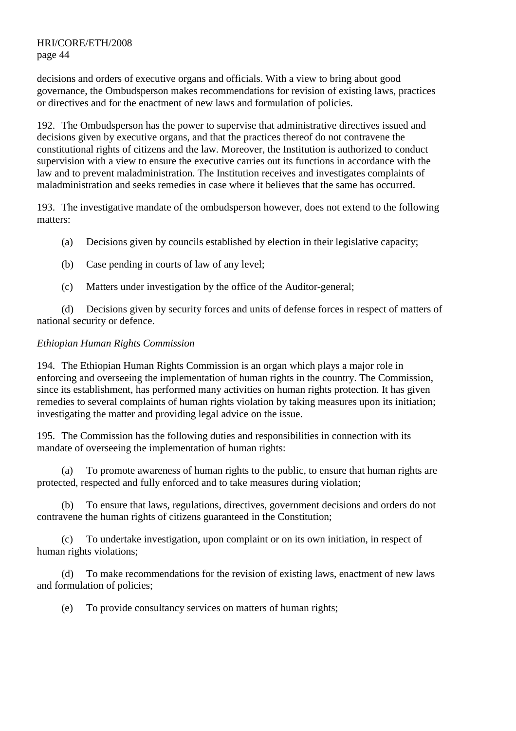decisions and orders of executive organs and officials. With a view to bring about good governance, the Ombudsperson makes recommendations for revision of existing laws, practices or directives and for the enactment of new laws and formulation of policies.

192. The Ombudsperson has the power to supervise that administrative directives issued and decisions given by executive organs, and that the practices thereof do not contravene the constitutional rights of citizens and the law. Moreover, the Institution is authorized to conduct supervision with a view to ensure the executive carries out its functions in accordance with the law and to prevent maladministration. The Institution receives and investigates complaints of maladministration and seeks remedies in case where it believes that the same has occurred.

193. The investigative mandate of the ombudsperson however, does not extend to the following matters:

(a) Decisions given by councils established by election in their legislative capacity;

- (b) Case pending in courts of law of any level;
- (c) Matters under investigation by the office of the Auditor-general;

 (d) Decisions given by security forces and units of defense forces in respect of matters of national security or defence.

## *Ethiopian Human Rights Commission*

194. The Ethiopian Human Rights Commission is an organ which plays a major role in enforcing and overseeing the implementation of human rights in the country. The Commission, since its establishment, has performed many activities on human rights protection. It has given remedies to several complaints of human rights violation by taking measures upon its initiation; investigating the matter and providing legal advice on the issue.

195. The Commission has the following duties and responsibilities in connection with its mandate of overseeing the implementation of human rights:

 (a) To promote awareness of human rights to the public, to ensure that human rights are protected, respected and fully enforced and to take measures during violation;

 (b) To ensure that laws, regulations, directives, government decisions and orders do not contravene the human rights of citizens guaranteed in the Constitution;

 (c) To undertake investigation, upon complaint or on its own initiation, in respect of human rights violations;

 (d) To make recommendations for the revision of existing laws, enactment of new laws and formulation of policies;

(e) To provide consultancy services on matters of human rights;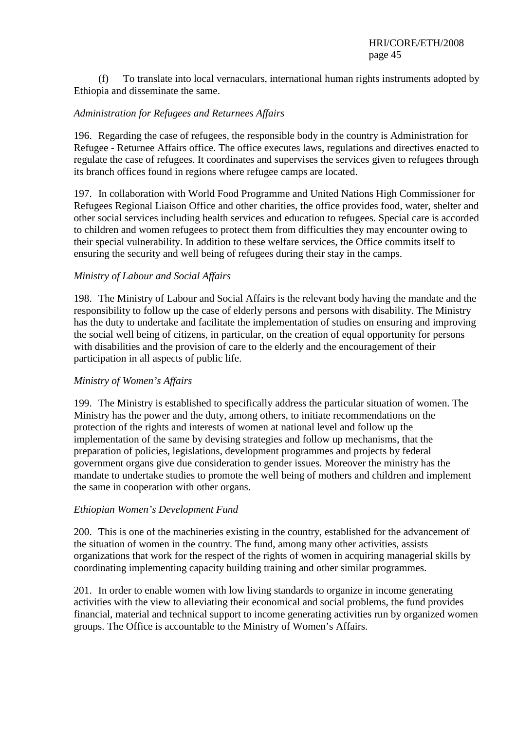(f) To translate into local vernaculars, international human rights instruments adopted by Ethiopia and disseminate the same.

## *Administration for Refugees and Returnees Affairs*

196. Regarding the case of refugees, the responsible body in the country is Administration for Refugee - Returnee Affairs office. The office executes laws, regulations and directives enacted to regulate the case of refugees. It coordinates and supervises the services given to refugees through its branch offices found in regions where refugee camps are located.

197. In collaboration with World Food Programme and United Nations High Commissioner for Refugees Regional Liaison Office and other charities, the office provides food, water, shelter and other social services including health services and education to refugees. Special care is accorded to children and women refugees to protect them from difficulties they may encounter owing to their special vulnerability. In addition to these welfare services, the Office commits itself to ensuring the security and well being of refugees during their stay in the camps.

### *Ministry of Labour and Social Affairs*

198. The Ministry of Labour and Social Affairs is the relevant body having the mandate and the responsibility to follow up the case of elderly persons and persons with disability. The Ministry has the duty to undertake and facilitate the implementation of studies on ensuring and improving the social well being of citizens, in particular, on the creation of equal opportunity for persons with disabilities and the provision of care to the elderly and the encouragement of their participation in all aspects of public life.

#### *Ministry of Women's Affairs*

199. The Ministry is established to specifically address the particular situation of women. The Ministry has the power and the duty, among others, to initiate recommendations on the protection of the rights and interests of women at national level and follow up the implementation of the same by devising strategies and follow up mechanisms, that the preparation of policies, legislations, development programmes and projects by federal government organs give due consideration to gender issues. Moreover the ministry has the mandate to undertake studies to promote the well being of mothers and children and implement the same in cooperation with other organs.

#### *Ethiopian Women's Development Fund*

200. This is one of the machineries existing in the country, established for the advancement of the situation of women in the country. The fund, among many other activities, assists organizations that work for the respect of the rights of women in acquiring managerial skills by coordinating implementing capacity building training and other similar programmes.

201. In order to enable women with low living standards to organize in income generating activities with the view to alleviating their economical and social problems, the fund provides financial, material and technical support to income generating activities run by organized women groups. The Office is accountable to the Ministry of Women's Affairs.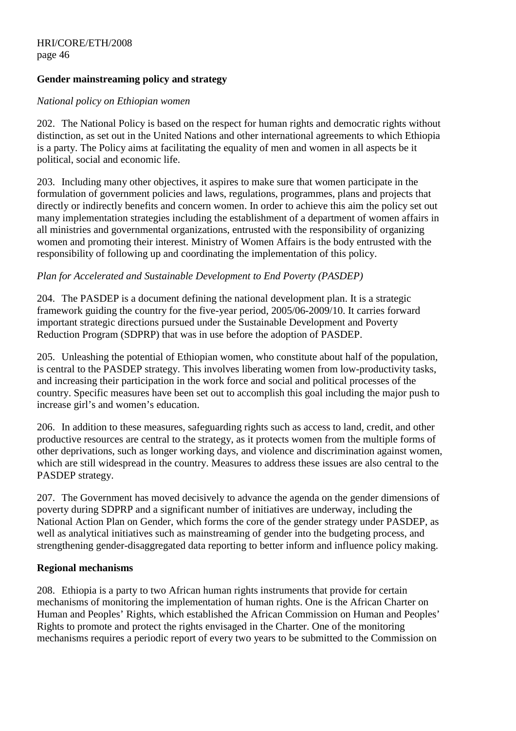# **Gender mainstreaming policy and strategy**

### *National policy on Ethiopian women*

202. The National Policy is based on the respect for human rights and democratic rights without distinction, as set out in the United Nations and other international agreements to which Ethiopia is a party. The Policy aims at facilitating the equality of men and women in all aspects be it political, social and economic life.

203. Including many other objectives, it aspires to make sure that women participate in the formulation of government policies and laws, regulations, programmes, plans and projects that directly or indirectly benefits and concern women. In order to achieve this aim the policy set out many implementation strategies including the establishment of a department of women affairs in all ministries and governmental organizations, entrusted with the responsibility of organizing women and promoting their interest. Ministry of Women Affairs is the body entrusted with the responsibility of following up and coordinating the implementation of this policy.

## *Plan for Accelerated and Sustainable Development to End Poverty (PASDEP)*

204. The PASDEP is a document defining the national development plan. It is a strategic framework guiding the country for the five-year period, 2005/06-2009/10. It carries forward important strategic directions pursued under the Sustainable Development and Poverty Reduction Program (SDPRP) that was in use before the adoption of PASDEP.

205. Unleashing the potential of Ethiopian women, who constitute about half of the population, is central to the PASDEP strategy. This involves liberating women from low-productivity tasks, and increasing their participation in the work force and social and political processes of the country. Specific measures have been set out to accomplish this goal including the major push to increase girl's and women's education.

206. In addition to these measures, safeguarding rights such as access to land, credit, and other productive resources are central to the strategy, as it protects women from the multiple forms of other deprivations, such as longer working days, and violence and discrimination against women, which are still widespread in the country. Measures to address these issues are also central to the PASDEP strategy.

207. The Government has moved decisively to advance the agenda on the gender dimensions of poverty during SDPRP and a significant number of initiatives are underway, including the National Action Plan on Gender, which forms the core of the gender strategy under PASDEP, as well as analytical initiatives such as mainstreaming of gender into the budgeting process, and strengthening gender-disaggregated data reporting to better inform and influence policy making.

## **Regional mechanisms**

208. Ethiopia is a party to two African human rights instruments that provide for certain mechanisms of monitoring the implementation of human rights. One is the African Charter on Human and Peoples' Rights, which established the African Commission on Human and Peoples' Rights to promote and protect the rights envisaged in the Charter. One of the monitoring mechanisms requires a periodic report of every two years to be submitted to the Commission on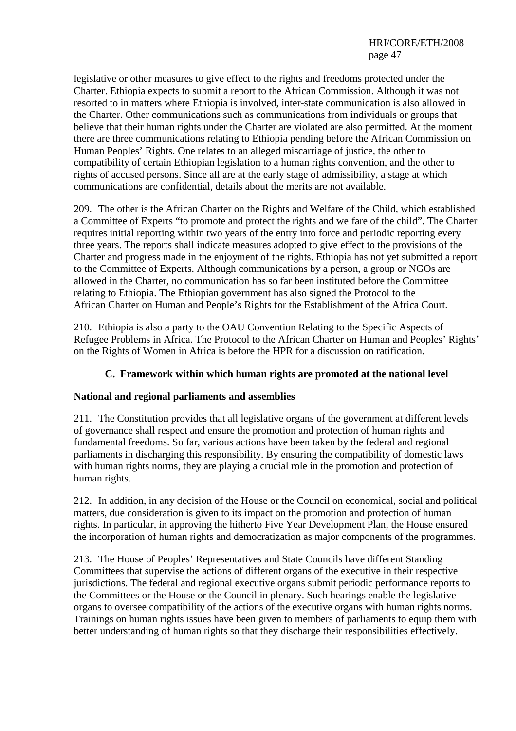legislative or other measures to give effect to the rights and freedoms protected under the Charter. Ethiopia expects to submit a report to the African Commission. Although it was not resorted to in matters where Ethiopia is involved, inter-state communication is also allowed in the Charter. Other communications such as communications from individuals or groups that believe that their human rights under the Charter are violated are also permitted. At the moment there are three communications relating to Ethiopia pending before the African Commission on Human Peoples' Rights. One relates to an alleged miscarriage of justice, the other to compatibility of certain Ethiopian legislation to a human rights convention, and the other to rights of accused persons. Since all are at the early stage of admissibility, a stage at which communications are confidential, details about the merits are not available.

209. The other is the African Charter on the Rights and Welfare of the Child, which established a Committee of Experts "to promote and protect the rights and welfare of the child". The Charter requires initial reporting within two years of the entry into force and periodic reporting every three years. The reports shall indicate measures adopted to give effect to the provisions of the Charter and progress made in the enjoyment of the rights. Ethiopia has not yet submitted a report to the Committee of Experts. Although communications by a person, a group or NGOs are allowed in the Charter, no communication has so far been instituted before the Committee relating to Ethiopia. The Ethiopian government has also signed the Protocol to the African Charter on Human and People's Rights for the Establishment of the Africa Court.

210. Ethiopia is also a party to the OAU Convention Relating to the Specific Aspects of Refugee Problems in Africa. The Protocol to the African Charter on Human and Peoples' Rights' on the Rights of Women in Africa is before the HPR for a discussion on ratification.

# **C. Framework within which human rights are promoted at the national level**

## **National and regional parliaments and assemblies**

211. The Constitution provides that all legislative organs of the government at different levels of governance shall respect and ensure the promotion and protection of human rights and fundamental freedoms. So far, various actions have been taken by the federal and regional parliaments in discharging this responsibility. By ensuring the compatibility of domestic laws with human rights norms, they are playing a crucial role in the promotion and protection of human rights.

212. In addition, in any decision of the House or the Council on economical, social and political matters, due consideration is given to its impact on the promotion and protection of human rights. In particular, in approving the hitherto Five Year Development Plan, the House ensured the incorporation of human rights and democratization as major components of the programmes.

213. The House of Peoples' Representatives and State Councils have different Standing Committees that supervise the actions of different organs of the executive in their respective jurisdictions. The federal and regional executive organs submit periodic performance reports to the Committees or the House or the Council in plenary. Such hearings enable the legislative organs to oversee compatibility of the actions of the executive organs with human rights norms. Trainings on human rights issues have been given to members of parliaments to equip them with better understanding of human rights so that they discharge their responsibilities effectively.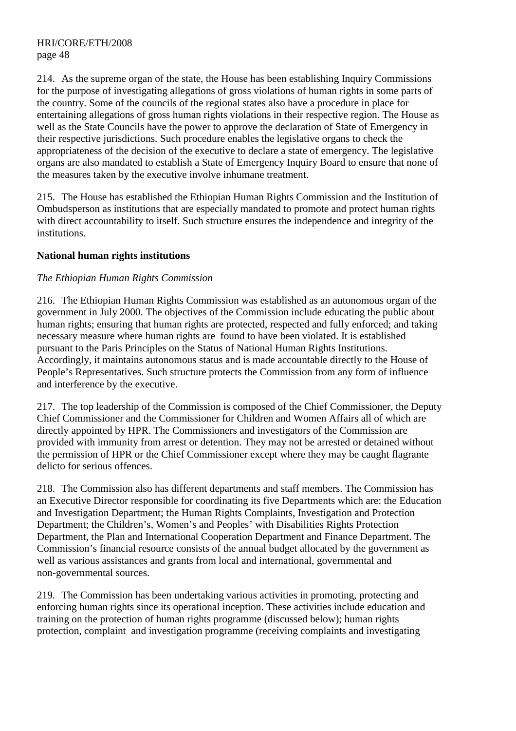214. As the supreme organ of the state, the House has been establishing Inquiry Commissions for the purpose of investigating allegations of gross violations of human rights in some parts of the country. Some of the councils of the regional states also have a procedure in place for entertaining allegations of gross human rights violations in their respective region. The House as well as the State Councils have the power to approve the declaration of State of Emergency in their respective jurisdictions. Such procedure enables the legislative organs to check the appropriateness of the decision of the executive to declare a state of emergency. The legislative organs are also mandated to establish a State of Emergency Inquiry Board to ensure that none of the measures taken by the executive involve inhumane treatment.

215. The House has established the Ethiopian Human Rights Commission and the Institution of Ombudsperson as institutions that are especially mandated to promote and protect human rights with direct accountability to itself. Such structure ensures the independence and integrity of the institutions.

## **National human rights institutions**

# *The Ethiopian Human Rights Commission*

216. The Ethiopian Human Rights Commission was established as an autonomous organ of the government in July 2000. The objectives of the Commission include educating the public about human rights; ensuring that human rights are protected, respected and fully enforced; and taking necessary measure where human rights are found to have been violated. It is established pursuant to the Paris Principles on the Status of National Human Rights Institutions. Accordingly, it maintains autonomous status and is made accountable directly to the House of People's Representatives. Such structure protects the Commission from any form of influence and interference by the executive.

217. The top leadership of the Commission is composed of the Chief Commissioner, the Deputy Chief Commissioner and the Commissioner for Children and Women Affairs all of which are directly appointed by HPR. The Commissioners and investigators of the Commission are provided with immunity from arrest or detention. They may not be arrested or detained without the permission of HPR or the Chief Commissioner except where they may be caught flagrante delicto for serious offences.

218. The Commission also has different departments and staff members. The Commission has an Executive Director responsible for coordinating its five Departments which are: the Education and Investigation Department; the Human Rights Complaints, Investigation and Protection Department; the Children's, Women's and Peoples' with Disabilities Rights Protection Department, the Plan and International Cooperation Department and Finance Department. The Commission's financial resource consists of the annual budget allocated by the government as well as various assistances and grants from local and international, governmental and non-governmental sources.

219. The Commission has been undertaking various activities in promoting, protecting and enforcing human rights since its operational inception. These activities include education and training on the protection of human rights programme (discussed below); human rights protection, complaint and investigation programme (receiving complaints and investigating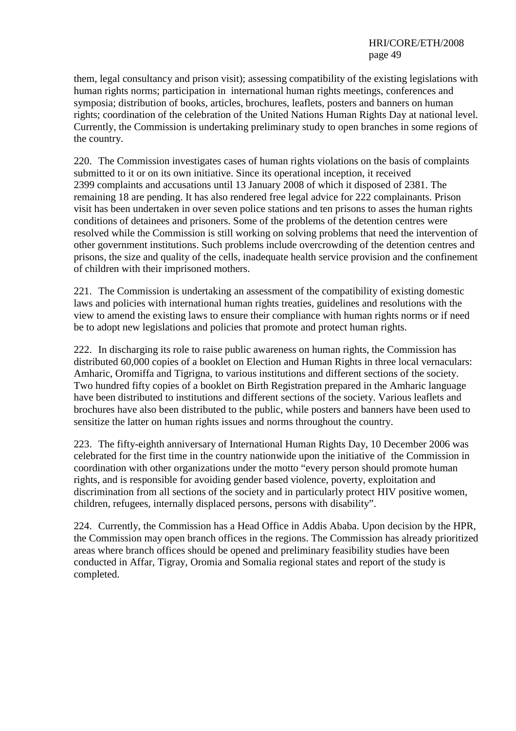them, legal consultancy and prison visit); assessing compatibility of the existing legislations with human rights norms; participation in international human rights meetings, conferences and symposia; distribution of books, articles, brochures, leaflets, posters and banners on human rights; coordination of the celebration of the United Nations Human Rights Day at national level. Currently, the Commission is undertaking preliminary study to open branches in some regions of the country.

220. The Commission investigates cases of human rights violations on the basis of complaints submitted to it or on its own initiative. Since its operational inception, it received 2399 complaints and accusations until 13 January 2008 of which it disposed of 2381. The remaining 18 are pending. It has also rendered free legal advice for 222 complainants. Prison visit has been undertaken in over seven police stations and ten prisons to asses the human rights conditions of detainees and prisoners. Some of the problems of the detention centres were resolved while the Commission is still working on solving problems that need the intervention of other government institutions. Such problems include overcrowding of the detention centres and prisons, the size and quality of the cells, inadequate health service provision and the confinement of children with their imprisoned mothers.

221. The Commission is undertaking an assessment of the compatibility of existing domestic laws and policies with international human rights treaties, guidelines and resolutions with the view to amend the existing laws to ensure their compliance with human rights norms or if need be to adopt new legislations and policies that promote and protect human rights.

222. In discharging its role to raise public awareness on human rights, the Commission has distributed 60,000 copies of a booklet on Election and Human Rights in three local vernaculars: Amharic, Oromiffa and Tigrigna, to various institutions and different sections of the society. Two hundred fifty copies of a booklet on Birth Registration prepared in the Amharic language have been distributed to institutions and different sections of the society. Various leaflets and brochures have also been distributed to the public, while posters and banners have been used to sensitize the latter on human rights issues and norms throughout the country.

223. The fifty-eighth anniversary of International Human Rights Day, 10 December 2006 was celebrated for the first time in the country nationwide upon the initiative of the Commission in coordination with other organizations under the motto "every person should promote human rights, and is responsible for avoiding gender based violence, poverty, exploitation and discrimination from all sections of the society and in particularly protect HIV positive women, children, refugees, internally displaced persons, persons with disability".

224. Currently, the Commission has a Head Office in Addis Ababa. Upon decision by the HPR, the Commission may open branch offices in the regions. The Commission has already prioritized areas where branch offices should be opened and preliminary feasibility studies have been conducted in Affar, Tigray, Oromia and Somalia regional states and report of the study is completed.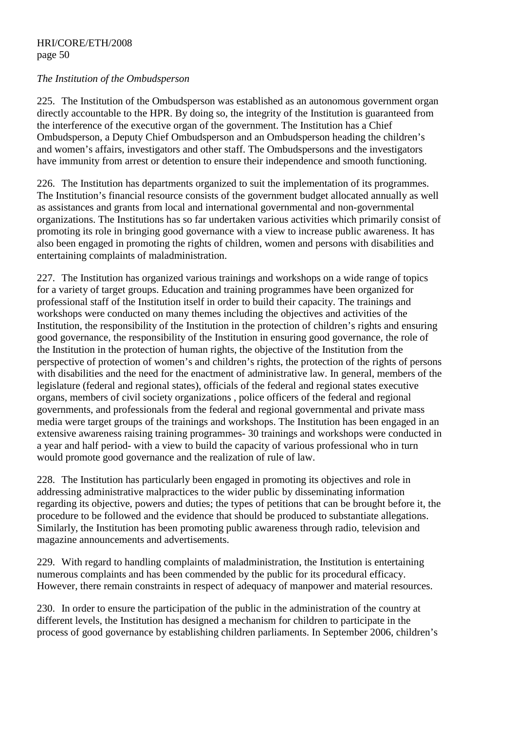#### *The Institution of the Ombudsperson*

225. The Institution of the Ombudsperson was established as an autonomous government organ directly accountable to the HPR. By doing so, the integrity of the Institution is guaranteed from the interference of the executive organ of the government. The Institution has a Chief Ombudsperson, a Deputy Chief Ombudsperson and an Ombudsperson heading the children's and women's affairs, investigators and other staff. The Ombudspersons and the investigators have immunity from arrest or detention to ensure their independence and smooth functioning.

226. The Institution has departments organized to suit the implementation of its programmes. The Institution's financial resource consists of the government budget allocated annually as well as assistances and grants from local and international governmental and non-governmental organizations. The Institutions has so far undertaken various activities which primarily consist of promoting its role in bringing good governance with a view to increase public awareness. It has also been engaged in promoting the rights of children, women and persons with disabilities and entertaining complaints of maladministration.

227. The Institution has organized various trainings and workshops on a wide range of topics for a variety of target groups. Education and training programmes have been organized for professional staff of the Institution itself in order to build their capacity. The trainings and workshops were conducted on many themes including the objectives and activities of the Institution, the responsibility of the Institution in the protection of children's rights and ensuring good governance, the responsibility of the Institution in ensuring good governance, the role of the Institution in the protection of human rights, the objective of the Institution from the perspective of protection of women's and children's rights, the protection of the rights of persons with disabilities and the need for the enactment of administrative law. In general, members of the legislature (federal and regional states), officials of the federal and regional states executive organs, members of civil society organizations , police officers of the federal and regional governments, and professionals from the federal and regional governmental and private mass media were target groups of the trainings and workshops. The Institution has been engaged in an extensive awareness raising training programmes- 30 trainings and workshops were conducted in a year and half period- with a view to build the capacity of various professional who in turn would promote good governance and the realization of rule of law.

228. The Institution has particularly been engaged in promoting its objectives and role in addressing administrative malpractices to the wider public by disseminating information regarding its objective, powers and duties; the types of petitions that can be brought before it, the procedure to be followed and the evidence that should be produced to substantiate allegations. Similarly, the Institution has been promoting public awareness through radio, television and magazine announcements and advertisements.

229. With regard to handling complaints of maladministration, the Institution is entertaining numerous complaints and has been commended by the public for its procedural efficacy. However, there remain constraints in respect of adequacy of manpower and material resources.

230. In order to ensure the participation of the public in the administration of the country at different levels, the Institution has designed a mechanism for children to participate in the process of good governance by establishing children parliaments. In September 2006, children's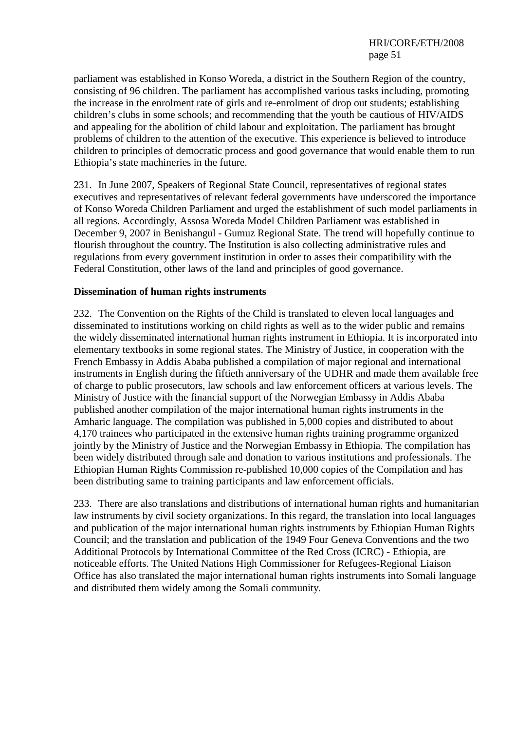parliament was established in Konso Woreda, a district in the Southern Region of the country, consisting of 96 children. The parliament has accomplished various tasks including, promoting the increase in the enrolment rate of girls and re-enrolment of drop out students; establishing children's clubs in some schools; and recommending that the youth be cautious of HIV/AIDS and appealing for the abolition of child labour and exploitation. The parliament has brought problems of children to the attention of the executive. This experience is believed to introduce children to principles of democratic process and good governance that would enable them to run Ethiopia's state machineries in the future.

231. In June 2007, Speakers of Regional State Council, representatives of regional states executives and representatives of relevant federal governments have underscored the importance of Konso Woreda Children Parliament and urged the establishment of such model parliaments in all regions. Accordingly, Assosa Woreda Model Children Parliament was established in December 9, 2007 in Benishangul - Gumuz Regional State. The trend will hopefully continue to flourish throughout the country. The Institution is also collecting administrative rules and regulations from every government institution in order to asses their compatibility with the Federal Constitution, other laws of the land and principles of good governance.

### **Dissemination of human rights instruments**

232. The Convention on the Rights of the Child is translated to eleven local languages and disseminated to institutions working on child rights as well as to the wider public and remains the widely disseminated international human rights instrument in Ethiopia. It is incorporated into elementary textbooks in some regional states. The Ministry of Justice, in cooperation with the French Embassy in Addis Ababa published a compilation of major regional and international instruments in English during the fiftieth anniversary of the UDHR and made them available free of charge to public prosecutors, law schools and law enforcement officers at various levels. The Ministry of Justice with the financial support of the Norwegian Embassy in Addis Ababa published another compilation of the major international human rights instruments in the Amharic language. The compilation was published in 5,000 copies and distributed to about 4,170 trainees who participated in the extensive human rights training programme organized jointly by the Ministry of Justice and the Norwegian Embassy in Ethiopia. The compilation has been widely distributed through sale and donation to various institutions and professionals. The Ethiopian Human Rights Commission re-published 10,000 copies of the Compilation and has been distributing same to training participants and law enforcement officials.

233. There are also translations and distributions of international human rights and humanitarian law instruments by civil society organizations. In this regard, the translation into local languages and publication of the major international human rights instruments by Ethiopian Human Rights Council; and the translation and publication of the 1949 Four Geneva Conventions and the two Additional Protocols by International Committee of the Red Cross (ICRC) - Ethiopia, are noticeable efforts. The United Nations High Commissioner for Refugees-Regional Liaison Office has also translated the major international human rights instruments into Somali language and distributed them widely among the Somali community.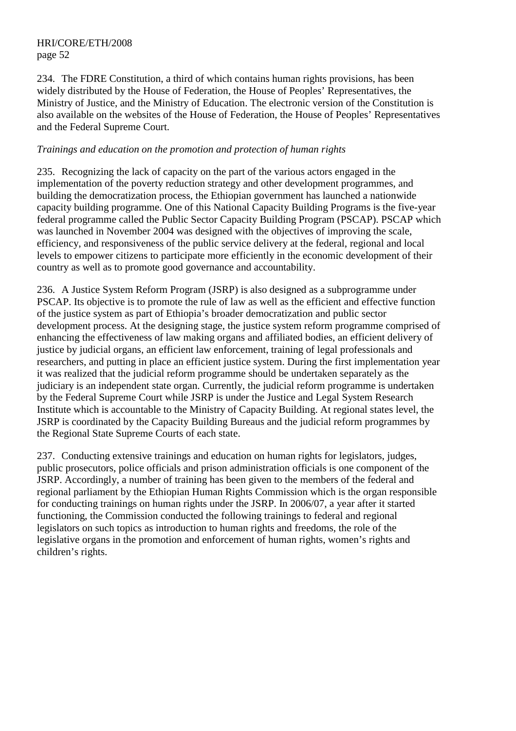234. The FDRE Constitution, a third of which contains human rights provisions, has been widely distributed by the House of Federation, the House of Peoples' Representatives, the Ministry of Justice, and the Ministry of Education. The electronic version of the Constitution is also available on the websites of the House of Federation, the House of Peoples' Representatives and the Federal Supreme Court.

# *Trainings and education on the promotion and protection of human rights*

235. Recognizing the lack of capacity on the part of the various actors engaged in the implementation of the poverty reduction strategy and other development programmes, and building the democratization process, the Ethiopian government has launched a nationwide capacity building programme. One of this National Capacity Building Programs is the five-year federal programme called the Public Sector Capacity Building Program (PSCAP). PSCAP which was launched in November 2004 was designed with the objectives of improving the scale, efficiency, and responsiveness of the public service delivery at the federal, regional and local levels to empower citizens to participate more efficiently in the economic development of their country as well as to promote good governance and accountability.

236. A Justice System Reform Program (JSRP) is also designed as a subprogramme under PSCAP. Its objective is to promote the rule of law as well as the efficient and effective function of the justice system as part of Ethiopia's broader democratization and public sector development process. At the designing stage, the justice system reform programme comprised of enhancing the effectiveness of law making organs and affiliated bodies, an efficient delivery of justice by judicial organs, an efficient law enforcement, training of legal professionals and researchers, and putting in place an efficient justice system. During the first implementation year it was realized that the judicial reform programme should be undertaken separately as the judiciary is an independent state organ. Currently, the judicial reform programme is undertaken by the Federal Supreme Court while JSRP is under the Justice and Legal System Research Institute which is accountable to the Ministry of Capacity Building. At regional states level, the JSRP is coordinated by the Capacity Building Bureaus and the judicial reform programmes by the Regional State Supreme Courts of each state.

237. Conducting extensive trainings and education on human rights for legislators, judges, public prosecutors, police officials and prison administration officials is one component of the JSRP. Accordingly, a number of training has been given to the members of the federal and regional parliament by the Ethiopian Human Rights Commission which is the organ responsible for conducting trainings on human rights under the JSRP. In 2006/07, a year after it started functioning, the Commission conducted the following trainings to federal and regional legislators on such topics as introduction to human rights and freedoms, the role of the legislative organs in the promotion and enforcement of human rights, women's rights and children's rights.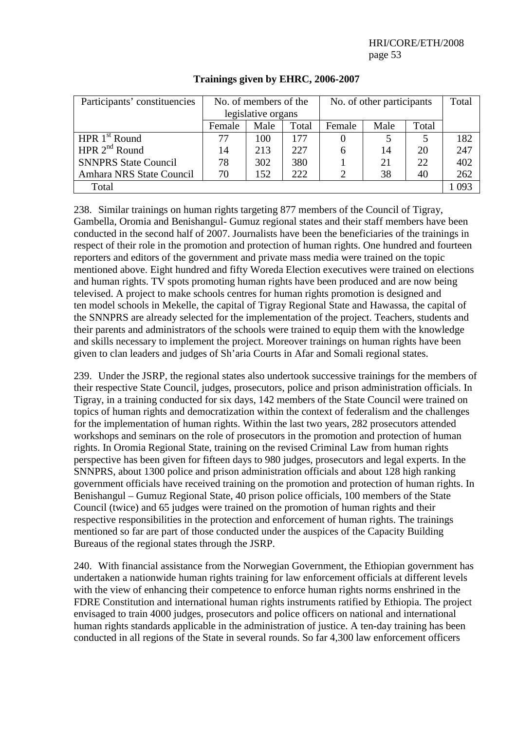| Participants' constituencies |        | No. of members of the |       |        | No. of other participants |       | Total |
|------------------------------|--------|-----------------------|-------|--------|---------------------------|-------|-------|
|                              |        | legislative organs    |       |        |                           |       |       |
|                              | Female | Male                  | Total | Female | Male                      | Total |       |
| HPR $1st$ Round              | 77     | 100                   | 177   |        | 5                         | 5     | 182   |
| HPR $2^{nd}$ Round           | 14     | 213                   | 227   | 6      | 14                        | 20    | 247   |
| <b>SNNPRS State Council</b>  | 78     | 302                   | 380   |        | 21                        | 22    | 402   |
| Amhara NRS State Council     | 70     | 152                   | 222   | C      | 38                        | 40    | 262   |
| Total                        |        |                       |       |        |                           |       | 1093  |

## **Trainings given by EHRC, 2006-2007**

238. Similar trainings on human rights targeting 877 members of the Council of Tigray, Gambella, Oromia and Benishangul- Gumuz regional states and their staff members have been conducted in the second half of 2007. Journalists have been the beneficiaries of the trainings in respect of their role in the promotion and protection of human rights. One hundred and fourteen reporters and editors of the government and private mass media were trained on the topic mentioned above. Eight hundred and fifty Woreda Election executives were trained on elections and human rights. TV spots promoting human rights have been produced and are now being televised. A project to make schools centres for human rights promotion is designed and ten model schools in Mekelle, the capital of Tigray Regional State and Hawassa, the capital of the SNNPRS are already selected for the implementation of the project. Teachers, students and their parents and administrators of the schools were trained to equip them with the knowledge and skills necessary to implement the project. Moreover trainings on human rights have been given to clan leaders and judges of Sh'aria Courts in Afar and Somali regional states.

239. Under the JSRP, the regional states also undertook successive trainings for the members of their respective State Council, judges, prosecutors, police and prison administration officials. In Tigray, in a training conducted for six days, 142 members of the State Council were trained on topics of human rights and democratization within the context of federalism and the challenges for the implementation of human rights. Within the last two years, 282 prosecutors attended workshops and seminars on the role of prosecutors in the promotion and protection of human rights. In Oromia Regional State, training on the revised Criminal Law from human rights perspective has been given for fifteen days to 980 judges, prosecutors and legal experts. In the SNNPRS, about 1300 police and prison administration officials and about 128 high ranking government officials have received training on the promotion and protection of human rights. In Benishangul – Gumuz Regional State, 40 prison police officials, 100 members of the State Council (twice) and 65 judges were trained on the promotion of human rights and their respective responsibilities in the protection and enforcement of human rights. The trainings mentioned so far are part of those conducted under the auspices of the Capacity Building Bureaus of the regional states through the JSRP.

240. With financial assistance from the Norwegian Government, the Ethiopian government has undertaken a nationwide human rights training for law enforcement officials at different levels with the view of enhancing their competence to enforce human rights norms enshrined in the FDRE Constitution and international human rights instruments ratified by Ethiopia. The project envisaged to train 4000 judges, prosecutors and police officers on national and international human rights standards applicable in the administration of justice. A ten-day training has been conducted in all regions of the State in several rounds. So far 4,300 law enforcement officers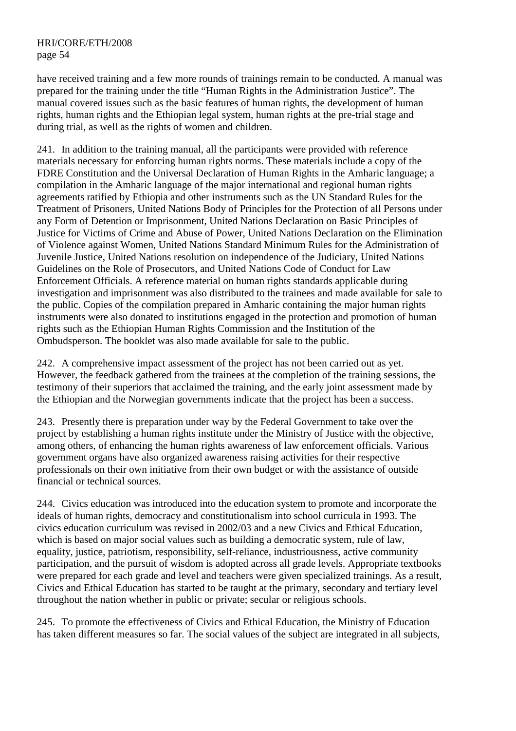have received training and a few more rounds of trainings remain to be conducted. A manual was prepared for the training under the title "Human Rights in the Administration Justice". The manual covered issues such as the basic features of human rights, the development of human rights, human rights and the Ethiopian legal system, human rights at the pre-trial stage and during trial, as well as the rights of women and children.

241. In addition to the training manual, all the participants were provided with reference materials necessary for enforcing human rights norms. These materials include a copy of the FDRE Constitution and the Universal Declaration of Human Rights in the Amharic language; a compilation in the Amharic language of the major international and regional human rights agreements ratified by Ethiopia and other instruments such as the UN Standard Rules for the Treatment of Prisoners, United Nations Body of Principles for the Protection of all Persons under any Form of Detention or Imprisonment, United Nations Declaration on Basic Principles of Justice for Victims of Crime and Abuse of Power, United Nations Declaration on the Elimination of Violence against Women, United Nations Standard Minimum Rules for the Administration of Juvenile Justice, United Nations resolution on independence of the Judiciary, United Nations Guidelines on the Role of Prosecutors, and United Nations Code of Conduct for Law Enforcement Officials. A reference material on human rights standards applicable during investigation and imprisonment was also distributed to the trainees and made available for sale to the public. Copies of the compilation prepared in Amharic containing the major human rights instruments were also donated to institutions engaged in the protection and promotion of human rights such as the Ethiopian Human Rights Commission and the Institution of the Ombudsperson. The booklet was also made available for sale to the public.

242. A comprehensive impact assessment of the project has not been carried out as yet. However, the feedback gathered from the trainees at the completion of the training sessions, the testimony of their superiors that acclaimed the training, and the early joint assessment made by the Ethiopian and the Norwegian governments indicate that the project has been a success.

243. Presently there is preparation under way by the Federal Government to take over the project by establishing a human rights institute under the Ministry of Justice with the objective, among others, of enhancing the human rights awareness of law enforcement officials. Various government organs have also organized awareness raising activities for their respective professionals on their own initiative from their own budget or with the assistance of outside financial or technical sources.

244. Civics education was introduced into the education system to promote and incorporate the ideals of human rights, democracy and constitutionalism into school curricula in 1993. The civics education curriculum was revised in 2002/03 and a new Civics and Ethical Education, which is based on major social values such as building a democratic system, rule of law, equality, justice, patriotism, responsibility, self-reliance, industriousness, active community participation, and the pursuit of wisdom is adopted across all grade levels. Appropriate textbooks were prepared for each grade and level and teachers were given specialized trainings. As a result, Civics and Ethical Education has started to be taught at the primary, secondary and tertiary level throughout the nation whether in public or private; secular or religious schools.

245. To promote the effectiveness of Civics and Ethical Education, the Ministry of Education has taken different measures so far. The social values of the subject are integrated in all subjects,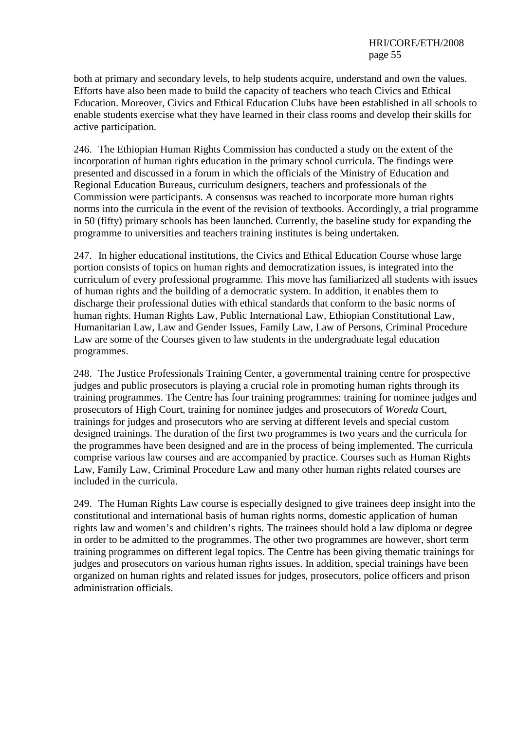both at primary and secondary levels, to help students acquire, understand and own the values. Efforts have also been made to build the capacity of teachers who teach Civics and Ethical Education. Moreover, Civics and Ethical Education Clubs have been established in all schools to enable students exercise what they have learned in their class rooms and develop their skills for active participation.

246. The Ethiopian Human Rights Commission has conducted a study on the extent of the incorporation of human rights education in the primary school curricula. The findings were presented and discussed in a forum in which the officials of the Ministry of Education and Regional Education Bureaus, curriculum designers, teachers and professionals of the Commission were participants. A consensus was reached to incorporate more human rights norms into the curricula in the event of the revision of textbooks. Accordingly, a trial programme in 50 (fifty) primary schools has been launched. Currently, the baseline study for expanding the programme to universities and teachers training institutes is being undertaken.

247. In higher educational institutions, the Civics and Ethical Education Course whose large portion consists of topics on human rights and democratization issues, is integrated into the curriculum of every professional programme. This move has familiarized all students with issues of human rights and the building of a democratic system. In addition, it enables them to discharge their professional duties with ethical standards that conform to the basic norms of human rights. Human Rights Law, Public International Law, Ethiopian Constitutional Law, Humanitarian Law, Law and Gender Issues, Family Law, Law of Persons, Criminal Procedure Law are some of the Courses given to law students in the undergraduate legal education programmes.

248. The Justice Professionals Training Center, a governmental training centre for prospective judges and public prosecutors is playing a crucial role in promoting human rights through its training programmes. The Centre has four training programmes: training for nominee judges and prosecutors of High Court, training for nominee judges and prosecutors of *Woreda* Court, trainings for judges and prosecutors who are serving at different levels and special custom designed trainings. The duration of the first two programmes is two years and the curricula for the programmes have been designed and are in the process of being implemented. The curricula comprise various law courses and are accompanied by practice. Courses such as Human Rights Law, Family Law, Criminal Procedure Law and many other human rights related courses are included in the curricula.

249. The Human Rights Law course is especially designed to give trainees deep insight into the constitutional and international basis of human rights norms, domestic application of human rights law and women's and children's rights. The trainees should hold a law diploma or degree in order to be admitted to the programmes. The other two programmes are however, short term training programmes on different legal topics. The Centre has been giving thematic trainings for judges and prosecutors on various human rights issues. In addition, special trainings have been organized on human rights and related issues for judges, prosecutors, police officers and prison administration officials.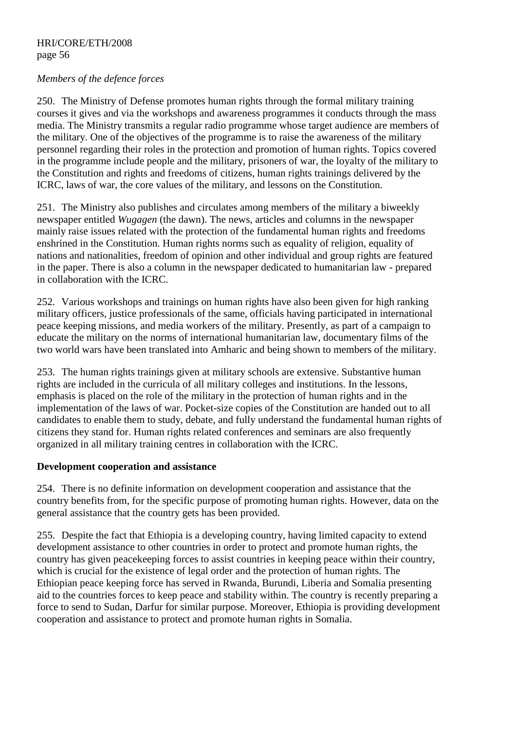## *Members of the defence forces*

250. The Ministry of Defense promotes human rights through the formal military training courses it gives and via the workshops and awareness programmes it conducts through the mass media. The Ministry transmits a regular radio programme whose target audience are members of the military. One of the objectives of the programme is to raise the awareness of the military personnel regarding their roles in the protection and promotion of human rights. Topics covered in the programme include people and the military, prisoners of war, the loyalty of the military to the Constitution and rights and freedoms of citizens, human rights trainings delivered by the ICRC, laws of war, the core values of the military, and lessons on the Constitution.

251. The Ministry also publishes and circulates among members of the military a biweekly newspaper entitled *Wugagen* (the dawn). The news, articles and columns in the newspaper mainly raise issues related with the protection of the fundamental human rights and freedoms enshrined in the Constitution. Human rights norms such as equality of religion, equality of nations and nationalities, freedom of opinion and other individual and group rights are featured in the paper. There is also a column in the newspaper dedicated to humanitarian law - prepared in collaboration with the ICRC.

252. Various workshops and trainings on human rights have also been given for high ranking military officers, justice professionals of the same, officials having participated in international peace keeping missions, and media workers of the military. Presently, as part of a campaign to educate the military on the norms of international humanitarian law, documentary films of the two world wars have been translated into Amharic and being shown to members of the military.

253. The human rights trainings given at military schools are extensive. Substantive human rights are included in the curricula of all military colleges and institutions. In the lessons, emphasis is placed on the role of the military in the protection of human rights and in the implementation of the laws of war. Pocket-size copies of the Constitution are handed out to all candidates to enable them to study, debate, and fully understand the fundamental human rights of citizens they stand for. Human rights related conferences and seminars are also frequently organized in all military training centres in collaboration with the ICRC.

#### **Development cooperation and assistance**

254. There is no definite information on development cooperation and assistance that the country benefits from, for the specific purpose of promoting human rights. However, data on the general assistance that the country gets has been provided.

255. Despite the fact that Ethiopia is a developing country, having limited capacity to extend development assistance to other countries in order to protect and promote human rights, the country has given peacekeeping forces to assist countries in keeping peace within their country, which is crucial for the existence of legal order and the protection of human rights. The Ethiopian peace keeping force has served in Rwanda, Burundi, Liberia and Somalia presenting aid to the countries forces to keep peace and stability within. The country is recently preparing a force to send to Sudan, Darfur for similar purpose. Moreover, Ethiopia is providing development cooperation and assistance to protect and promote human rights in Somalia.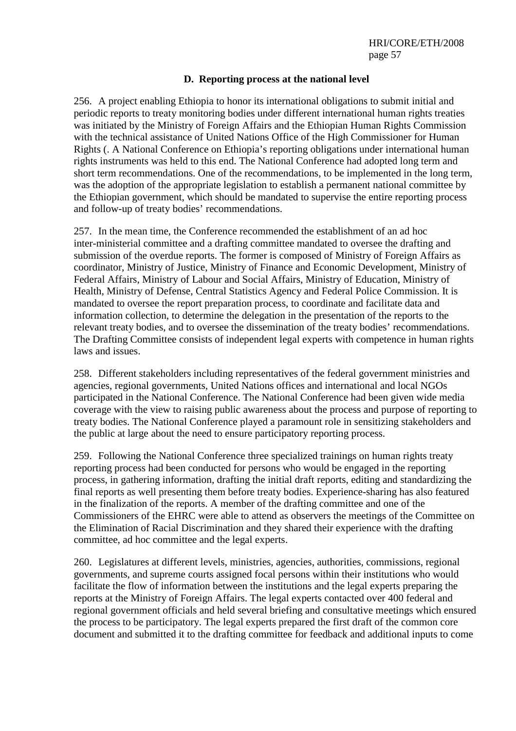## **D. Reporting process at the national level**

256. A project enabling Ethiopia to honor its international obligations to submit initial and periodic reports to treaty monitoring bodies under different international human rights treaties was initiated by the Ministry of Foreign Affairs and the Ethiopian Human Rights Commission with the technical assistance of United Nations Office of the High Commissioner for Human Rights (. A National Conference on Ethiopia's reporting obligations under international human rights instruments was held to this end. The National Conference had adopted long term and short term recommendations. One of the recommendations, to be implemented in the long term, was the adoption of the appropriate legislation to establish a permanent national committee by the Ethiopian government, which should be mandated to supervise the entire reporting process and follow-up of treaty bodies' recommendations.

257. In the mean time, the Conference recommended the establishment of an ad hoc inter-ministerial committee and a drafting committee mandated to oversee the drafting and submission of the overdue reports. The former is composed of Ministry of Foreign Affairs as coordinator, Ministry of Justice, Ministry of Finance and Economic Development, Ministry of Federal Affairs, Ministry of Labour and Social Affairs, Ministry of Education, Ministry of Health, Ministry of Defense, Central Statistics Agency and Federal Police Commission. It is mandated to oversee the report preparation process, to coordinate and facilitate data and information collection, to determine the delegation in the presentation of the reports to the relevant treaty bodies, and to oversee the dissemination of the treaty bodies' recommendations. The Drafting Committee consists of independent legal experts with competence in human rights laws and issues.

258. Different stakeholders including representatives of the federal government ministries and agencies, regional governments, United Nations offices and international and local NGOs participated in the National Conference. The National Conference had been given wide media coverage with the view to raising public awareness about the process and purpose of reporting to treaty bodies. The National Conference played a paramount role in sensitizing stakeholders and the public at large about the need to ensure participatory reporting process.

259. Following the National Conference three specialized trainings on human rights treaty reporting process had been conducted for persons who would be engaged in the reporting process, in gathering information, drafting the initial draft reports, editing and standardizing the final reports as well presenting them before treaty bodies. Experience-sharing has also featured in the finalization of the reports. A member of the drafting committee and one of the Commissioners of the EHRC were able to attend as observers the meetings of the Committee on the Elimination of Racial Discrimination and they shared their experience with the drafting committee, ad hoc committee and the legal experts.

260. Legislatures at different levels, ministries, agencies, authorities, commissions, regional governments, and supreme courts assigned focal persons within their institutions who would facilitate the flow of information between the institutions and the legal experts preparing the reports at the Ministry of Foreign Affairs. The legal experts contacted over 400 federal and regional government officials and held several briefing and consultative meetings which ensured the process to be participatory. The legal experts prepared the first draft of the common core document and submitted it to the drafting committee for feedback and additional inputs to come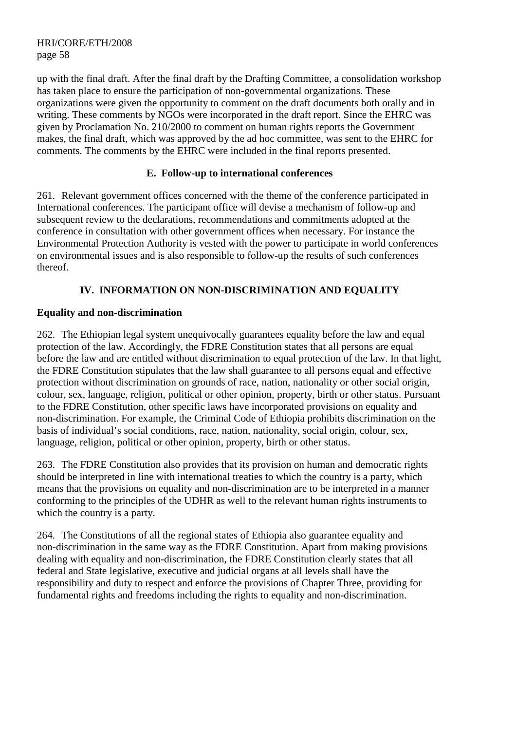up with the final draft. After the final draft by the Drafting Committee, a consolidation workshop has taken place to ensure the participation of non-governmental organizations. These organizations were given the opportunity to comment on the draft documents both orally and in writing. These comments by NGOs were incorporated in the draft report. Since the EHRC was given by Proclamation No. 210/2000 to comment on human rights reports the Government makes, the final draft, which was approved by the ad hoc committee, was sent to the EHRC for comments. The comments by the EHRC were included in the final reports presented.

## **E. Follow-up to international conferences**

261. Relevant government offices concerned with the theme of the conference participated in International conferences. The participant office will devise a mechanism of follow-up and subsequent review to the declarations, recommendations and commitments adopted at the conference in consultation with other government offices when necessary. For instance the Environmental Protection Authority is vested with the power to participate in world conferences on environmental issues and is also responsible to follow-up the results of such conferences thereof.

# **IV. INFORMATION ON NON-DISCRIMINATION AND EQUALITY**

## **Equality and non-discrimination**

262. The Ethiopian legal system unequivocally guarantees equality before the law and equal protection of the law. Accordingly, the FDRE Constitution states that all persons are equal before the law and are entitled without discrimination to equal protection of the law. In that light, the FDRE Constitution stipulates that the law shall guarantee to all persons equal and effective protection without discrimination on grounds of race, nation, nationality or other social origin, colour, sex, language, religion, political or other opinion, property, birth or other status. Pursuant to the FDRE Constitution, other specific laws have incorporated provisions on equality and non-discrimination. For example, the Criminal Code of Ethiopia prohibits discrimination on the basis of individual's social conditions, race, nation, nationality, social origin, colour, sex, language, religion, political or other opinion, property, birth or other status.

263. The FDRE Constitution also provides that its provision on human and democratic rights should be interpreted in line with international treaties to which the country is a party, which means that the provisions on equality and non-discrimination are to be interpreted in a manner conforming to the principles of the UDHR as well to the relevant human rights instruments to which the country is a party.

264. The Constitutions of all the regional states of Ethiopia also guarantee equality and non-discrimination in the same way as the FDRE Constitution. Apart from making provisions dealing with equality and non-discrimination, the FDRE Constitution clearly states that all federal and State legislative, executive and judicial organs at all levels shall have the responsibility and duty to respect and enforce the provisions of Chapter Three, providing for fundamental rights and freedoms including the rights to equality and non-discrimination.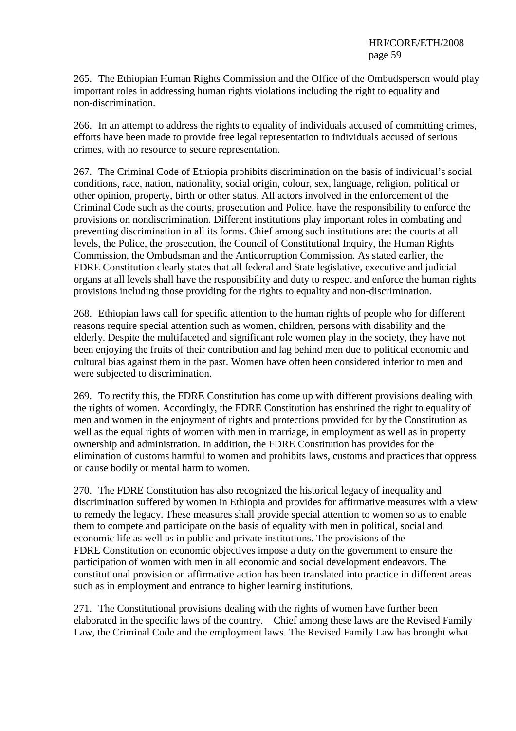265. The Ethiopian Human Rights Commission and the Office of the Ombudsperson would play important roles in addressing human rights violations including the right to equality and non-discrimination.

266. In an attempt to address the rights to equality of individuals accused of committing crimes, efforts have been made to provide free legal representation to individuals accused of serious crimes, with no resource to secure representation.

267. The Criminal Code of Ethiopia prohibits discrimination on the basis of individual's social conditions, race, nation, nationality, social origin, colour, sex, language, religion, political or other opinion, property, birth or other status. All actors involved in the enforcement of the Criminal Code such as the courts, prosecution and Police, have the responsibility to enforce the provisions on nondiscrimination. Different institutions play important roles in combating and preventing discrimination in all its forms. Chief among such institutions are: the courts at all levels, the Police, the prosecution, the Council of Constitutional Inquiry, the Human Rights Commission, the Ombudsman and the Anticorruption Commission. As stated earlier, the FDRE Constitution clearly states that all federal and State legislative, executive and judicial organs at all levels shall have the responsibility and duty to respect and enforce the human rights provisions including those providing for the rights to equality and non-discrimination.

268. Ethiopian laws call for specific attention to the human rights of people who for different reasons require special attention such as women, children, persons with disability and the elderly. Despite the multifaceted and significant role women play in the society, they have not been enjoying the fruits of their contribution and lag behind men due to political economic and cultural bias against them in the past. Women have often been considered inferior to men and were subjected to discrimination.

269. To rectify this, the FDRE Constitution has come up with different provisions dealing with the rights of women. Accordingly, the FDRE Constitution has enshrined the right to equality of men and women in the enjoyment of rights and protections provided for by the Constitution as well as the equal rights of women with men in marriage, in employment as well as in property ownership and administration. In addition, the FDRE Constitution has provides for the elimination of customs harmful to women and prohibits laws, customs and practices that oppress or cause bodily or mental harm to women.

270. The FDRE Constitution has also recognized the historical legacy of inequality and discrimination suffered by women in Ethiopia and provides for affirmative measures with a view to remedy the legacy. These measures shall provide special attention to women so as to enable them to compete and participate on the basis of equality with men in political, social and economic life as well as in public and private institutions. The provisions of the FDRE Constitution on economic objectives impose a duty on the government to ensure the participation of women with men in all economic and social development endeavors. The constitutional provision on affirmative action has been translated into practice in different areas such as in employment and entrance to higher learning institutions.

271. The Constitutional provisions dealing with the rights of women have further been elaborated in the specific laws of the country. Chief among these laws are the Revised Family Law, the Criminal Code and the employment laws. The Revised Family Law has brought what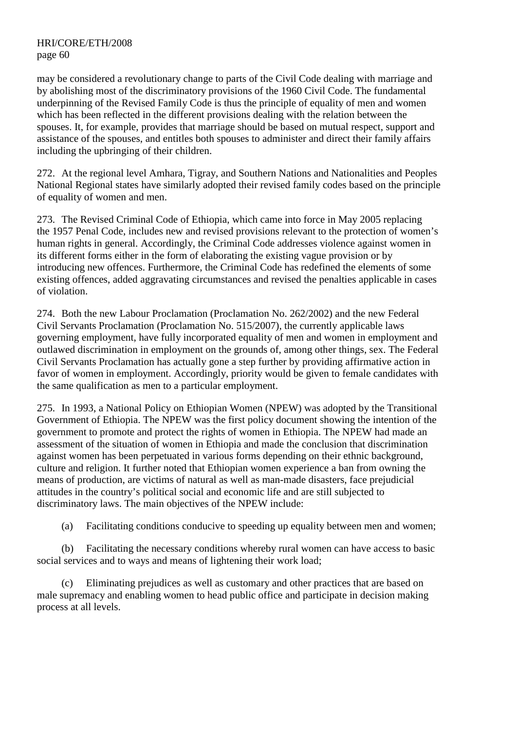may be considered a revolutionary change to parts of the Civil Code dealing with marriage and by abolishing most of the discriminatory provisions of the 1960 Civil Code. The fundamental underpinning of the Revised Family Code is thus the principle of equality of men and women which has been reflected in the different provisions dealing with the relation between the spouses. It, for example, provides that marriage should be based on mutual respect, support and assistance of the spouses, and entitles both spouses to administer and direct their family affairs including the upbringing of their children.

272. At the regional level Amhara, Tigray, and Southern Nations and Nationalities and Peoples National Regional states have similarly adopted their revised family codes based on the principle of equality of women and men.

273. The Revised Criminal Code of Ethiopia, which came into force in May 2005 replacing the 1957 Penal Code, includes new and revised provisions relevant to the protection of women's human rights in general. Accordingly, the Criminal Code addresses violence against women in its different forms either in the form of elaborating the existing vague provision or by introducing new offences. Furthermore, the Criminal Code has redefined the elements of some existing offences, added aggravating circumstances and revised the penalties applicable in cases of violation.

274. Both the new Labour Proclamation (Proclamation No. 262/2002) and the new Federal Civil Servants Proclamation (Proclamation No. 515/2007), the currently applicable laws governing employment, have fully incorporated equality of men and women in employment and outlawed discrimination in employment on the grounds of, among other things, sex. The Federal Civil Servants Proclamation has actually gone a step further by providing affirmative action in favor of women in employment. Accordingly, priority would be given to female candidates with the same qualification as men to a particular employment.

275. In 1993, a National Policy on Ethiopian Women (NPEW) was adopted by the Transitional Government of Ethiopia. The NPEW was the first policy document showing the intention of the government to promote and protect the rights of women in Ethiopia. The NPEW had made an assessment of the situation of women in Ethiopia and made the conclusion that discrimination against women has been perpetuated in various forms depending on their ethnic background, culture and religion. It further noted that Ethiopian women experience a ban from owning the means of production, are victims of natural as well as man-made disasters, face prejudicial attitudes in the country's political social and economic life and are still subjected to discriminatory laws. The main objectives of the NPEW include:

(a) Facilitating conditions conducive to speeding up equality between men and women;

 (b) Facilitating the necessary conditions whereby rural women can have access to basic social services and to ways and means of lightening their work load;

Eliminating prejudices as well as customary and other practices that are based on male supremacy and enabling women to head public office and participate in decision making process at all levels.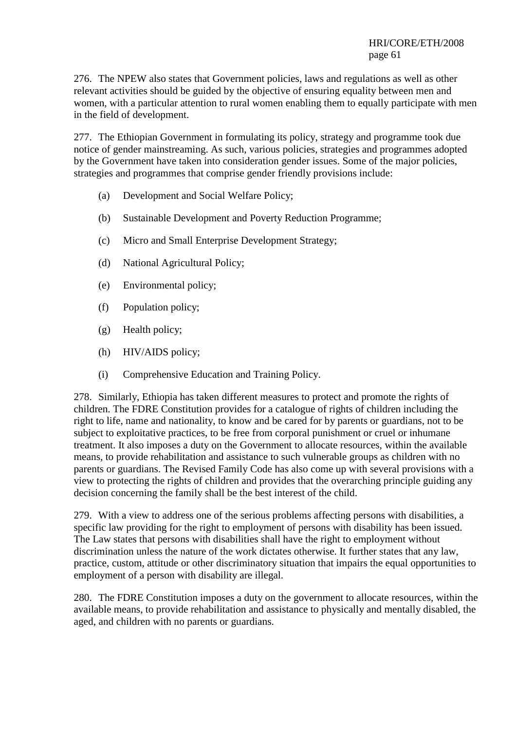276. The NPEW also states that Government policies, laws and regulations as well as other relevant activities should be guided by the objective of ensuring equality between men and women, with a particular attention to rural women enabling them to equally participate with men in the field of development.

277. The Ethiopian Government in formulating its policy, strategy and programme took due notice of gender mainstreaming. As such, various policies, strategies and programmes adopted by the Government have taken into consideration gender issues. Some of the major policies, strategies and programmes that comprise gender friendly provisions include:

- (a) Development and Social Welfare Policy;
- (b) Sustainable Development and Poverty Reduction Programme;
- (c) Micro and Small Enterprise Development Strategy;
- (d) National Agricultural Policy;
- (e) Environmental policy;
- (f) Population policy;
- (g) Health policy;
- (h) HIV/AIDS policy;
- (i) Comprehensive Education and Training Policy.

278. Similarly, Ethiopia has taken different measures to protect and promote the rights of children. The FDRE Constitution provides for a catalogue of rights of children including the right to life, name and nationality, to know and be cared for by parents or guardians, not to be subject to exploitative practices, to be free from corporal punishment or cruel or inhumane treatment. It also imposes a duty on the Government to allocate resources, within the available means, to provide rehabilitation and assistance to such vulnerable groups as children with no parents or guardians. The Revised Family Code has also come up with several provisions with a view to protecting the rights of children and provides that the overarching principle guiding any decision concerning the family shall be the best interest of the child.

279. With a view to address one of the serious problems affecting persons with disabilities, a specific law providing for the right to employment of persons with disability has been issued. The Law states that persons with disabilities shall have the right to employment without discrimination unless the nature of the work dictates otherwise. It further states that any law, practice, custom, attitude or other discriminatory situation that impairs the equal opportunities to employment of a person with disability are illegal.

280. The FDRE Constitution imposes a duty on the government to allocate resources, within the available means, to provide rehabilitation and assistance to physically and mentally disabled, the aged, and children with no parents or guardians.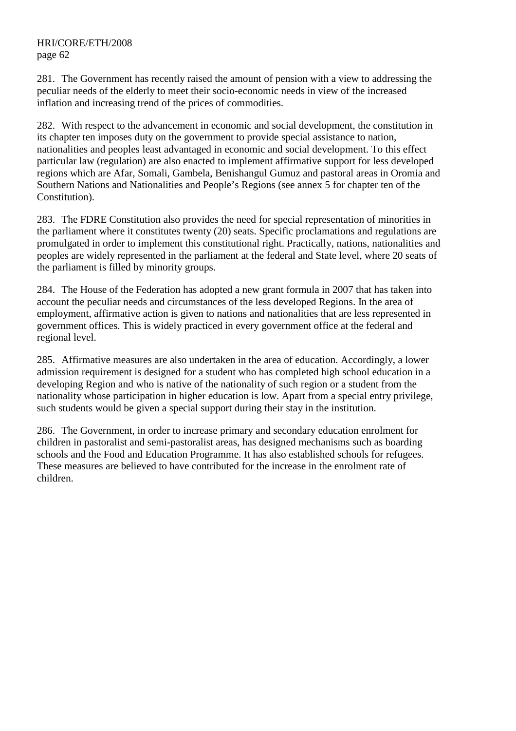281. The Government has recently raised the amount of pension with a view to addressing the peculiar needs of the elderly to meet their socio-economic needs in view of the increased inflation and increasing trend of the prices of commodities.

282. With respect to the advancement in economic and social development, the constitution in its chapter ten imposes duty on the government to provide special assistance to nation, nationalities and peoples least advantaged in economic and social development. To this effect particular law (regulation) are also enacted to implement affirmative support for less developed regions which are Afar, Somali, Gambela, Benishangul Gumuz and pastoral areas in Oromia and Southern Nations and Nationalities and People's Regions (see annex 5 for chapter ten of the Constitution).

283. The FDRE Constitution also provides the need for special representation of minorities in the parliament where it constitutes twenty (20) seats. Specific proclamations and regulations are promulgated in order to implement this constitutional right. Practically, nations, nationalities and peoples are widely represented in the parliament at the federal and State level, where 20 seats of the parliament is filled by minority groups.

284. The House of the Federation has adopted a new grant formula in 2007 that has taken into account the peculiar needs and circumstances of the less developed Regions. In the area of employment, affirmative action is given to nations and nationalities that are less represented in government offices. This is widely practiced in every government office at the federal and regional level.

285. Affirmative measures are also undertaken in the area of education. Accordingly, a lower admission requirement is designed for a student who has completed high school education in a developing Region and who is native of the nationality of such region or a student from the nationality whose participation in higher education is low. Apart from a special entry privilege, such students would be given a special support during their stay in the institution.

286. The Government, in order to increase primary and secondary education enrolment for children in pastoralist and semi-pastoralist areas, has designed mechanisms such as boarding schools and the Food and Education Programme. It has also established schools for refugees. These measures are believed to have contributed for the increase in the enrolment rate of children.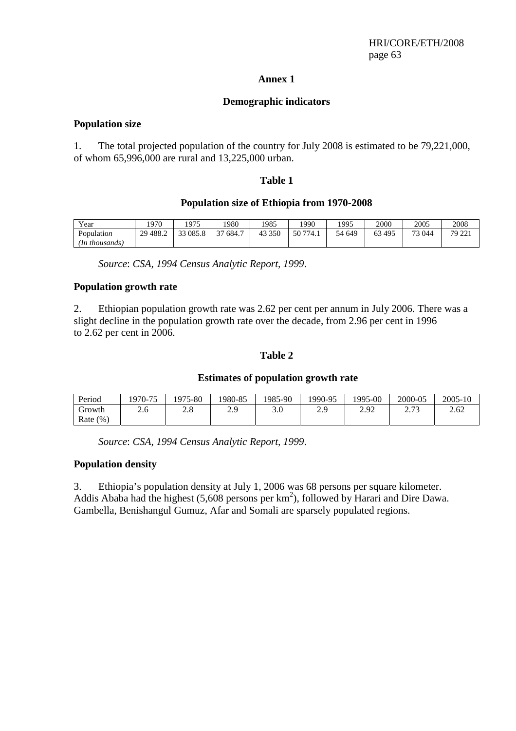#### **Annex 1**

#### **Demographic indicators**

#### **Population size**

1. The total projected population of the country for July 2008 is estimated to be 79,221,000, of whom 65,996,000 are rural and 13,225,000 urban.

#### **Table 1**

#### **Population size of Ethiopia from 1970-2008**

| Year           | 1970       | 1075            | 1980            | 1985         | 1990     | 1995      | 2000      | 2005   | 2008           |
|----------------|------------|-----------------|-----------------|--------------|----------|-----------|-----------|--------|----------------|
| Population     | 29 4 8 8.2 | 085.8<br>$\sim$ | 684.7<br>$\sim$ | 43 350<br>43 | 50 774.1 | 649<br>54 | 495<br>63 | 73 044 | 79.221<br>$-1$ |
| (In thousands) |            |                 |                 |              |          |           |           |        |                |

 *Source*: *CSA, 1994 Census Analytic Report, 1999*.

#### **Population growth rate**

2. Ethiopian population growth rate was 2.62 per cent per annum in July 2006. There was a slight decline in the population growth rate over the decade, from 2.96 per cent in 1996 to 2.62 per cent in 2006.

#### **Table 2**

#### **Estimates of population growth rate**

| Period           | 1970-75 | 1975-80 | 1980-85 | 1985-90 | 1990-95    | 1995-00 | 2000-05        | 2005-10 |
|------------------|---------|---------|---------|---------|------------|---------|----------------|---------|
| Growth           | ∠.∪     | ∠.ە     | تنظ     | 3.0     | າ ດ<br>دمه | 2.92    | 272<br>ر ، ، ، | 2.62    |
| (9/0, 1)<br>Rate |         |         |         |         |            |         |                |         |

 *Source*: *CSA, 1994 Census Analytic Report, 1999*.

#### **Population density**

3. Ethiopia's population density at July 1, 2006 was 68 persons per square kilometer. Addis Ababa had the highest  $(5,608 \text{ persons per km}^2)$ , followed by Harari and Dire Dawa. Gambella, Benishangul Gumuz, Afar and Somali are sparsely populated regions.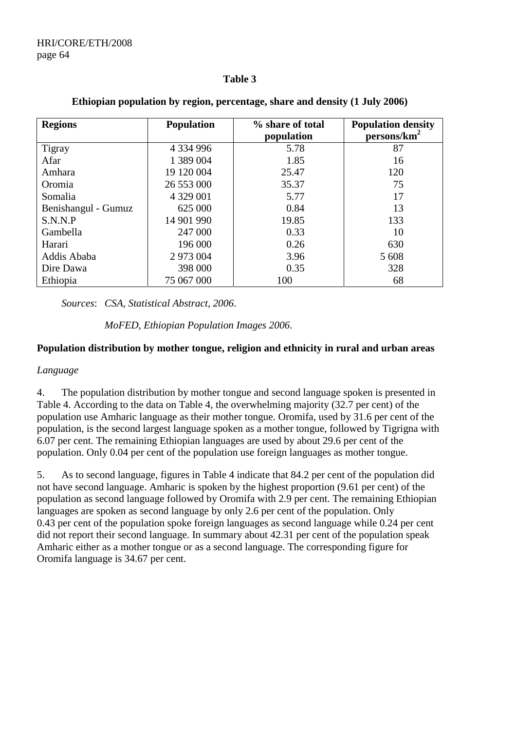#### **Table 3**

| <b>Regions</b>      | <b>Population</b> | % share of total | <b>Population density</b> |
|---------------------|-------------------|------------------|---------------------------|
|                     |                   | population       | persons/km <sup>2</sup>   |
| <b>Tigray</b>       | 4 3 3 4 9 9 6     | 5.78             | 87                        |
| Afar                | 1 389 004         | 1.85             | 16                        |
| Amhara              | 19 120 004        | 25.47            | 120                       |
| Oromia              | 26 553 000        | 35.37            | 75                        |
| Somalia             | 4 3 29 0 0 1      | 5.77             | 17                        |
| Benishangul - Gumuz | 625 000           | 0.84             | 13                        |
| S.N.N.P             | 14 901 990        | 19.85            | 133                       |
| Gambella            | 247 000           | 0.33             | 10                        |
| Harari              | 196 000           | 0.26             | 630                       |
| Addis Ababa         | 2 973 004         | 3.96             | 5 608                     |
| Dire Dawa           | 398 000           | 0.35             | 328                       |
| Ethiopia            | 75 067 000        | 100              | 68                        |

#### **Ethiopian population by region, percentage, share and density (1 July 2006)**

 *Sources*: *CSA, Statistical Abstract, 2006*.

### *MoFED*, *Ethiopian Population Images 2006*.

### **Population distribution by mother tongue, religion and ethnicity in rural and urban areas**

#### *Language*

4. The population distribution by mother tongue and second language spoken is presented in Table 4. According to the data on Table 4, the overwhelming majority (32.7 per cent) of the population use Amharic language as their mother tongue. Oromifa, used by 31.6 per cent of the population, is the second largest language spoken as a mother tongue, followed by Tigrigna with 6.07 per cent. The remaining Ethiopian languages are used by about 29.6 per cent of the population. Only 0.04 per cent of the population use foreign languages as mother tongue.

5. As to second language, figures in Table 4 indicate that 84.2 per cent of the population did not have second language. Amharic is spoken by the highest proportion (9.61 per cent) of the population as second language followed by Oromifa with 2.9 per cent. The remaining Ethiopian languages are spoken as second language by only 2.6 per cent of the population. Only 0.43 per cent of the population spoke foreign languages as second language while 0.24 per cent did not report their second language. In summary about 42.31 per cent of the population speak Amharic either as a mother tongue or as a second language. The corresponding figure for Oromifa language is 34.67 per cent.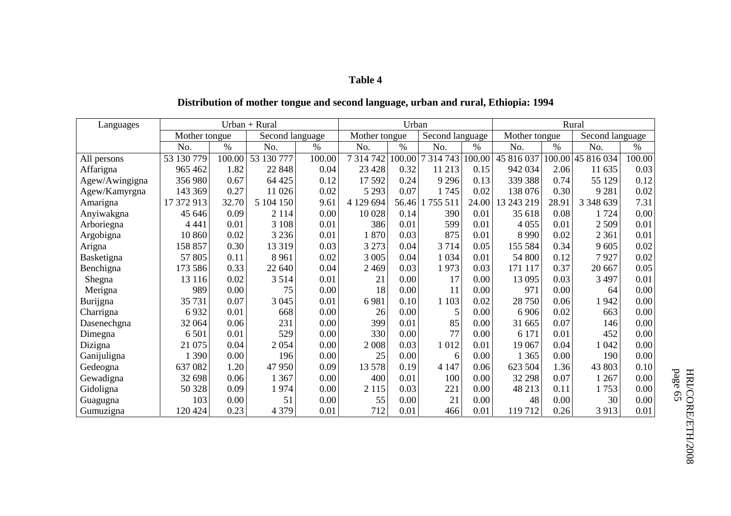#### **Table 4**

# **Distribution of mother tongue and second language, urban and rural, Ethiopia: 1994**

| Languages      | Urban + Rural |        |                      |      | Urban         |        |                 | Rural  |               |        |                 |        |
|----------------|---------------|--------|----------------------|------|---------------|--------|-----------------|--------|---------------|--------|-----------------|--------|
|                | Mother tongue |        | Second language      |      | Mother tongue |        | Second language |        | Mother tongue |        | Second language |        |
|                | No.           | $\%$   | No.                  | $\%$ | No.           | $\%$   | No.             | $\%$   | No.           | $\%$   | No.             | $\%$   |
| All persons    | 53 130 779    | 100.00 | 53 130 777<br>100.00 |      | 7 314 742     | 100.00 | 7 3 1 4 7 4 3   | 100.00 | 45 816 037    | 100.00 | 45 816 034      | 100.00 |
| Affarigna      | 965 462       | 1.82   | 22 848               | 0.04 | 23 4 28       | 0.32   | 11 213          | 0.15   | 942 034       | 2.06   | 11 635          | 0.03   |
| Agew/Awingigna | 356 980       | 0.67   | 64 4 25              | 0.12 | 17 592        | 0.24   | 9 2 9 6         | 0.13   | 339 388       | 0.74   | 55 129          | 0.12   |
| Agew/Kamyrgna  | 143 369       | 0.27   | 0.02<br>11 026       |      | 5 2 9 3       | 0.07   | 1745            | 0.02   | 138 076       | 0.30   | 9 2 8 1         | 0.02   |
| Amarigna       | 17 372 913    | 32.70  | 5 104 150            | 9.61 |               | 56.46  | 1755 511        | 24.00  | 13 243 219    | 28.91  | 3 3 4 8 6 3 9   | 7.31   |
| Anyiwakgna     | 45 646        | 0.09   | 0.00<br>2 1 1 4      |      | 10 028        | 0.14   | 390             | 0.01   | 35 618        | 0.08   | 1724            | 0.00   |
| Arboriegna     | 4 4 4 1       | 0.01   | 3 1 0 8<br>0.01      |      | 386           | 0.01   | 599             | 0.01   | 4 0 5 5       | 0.01   | 2509            | 0.01   |
| Argobigna      | 10 860        | 0.02   | 3 2 3 6              | 0.01 | 1870          | 0.03   | 875             | 0.01   | 8 9 9 0       | 0.02   | 2 3 6 1         | 0.01   |
| Arigna         | 158 857       | 0.30   | 13 3 19              | 0.03 | 3 2 7 3       | 0.04   | 3714            | 0.05   | 155 584       | 0.34   | 9 605           | 0.02   |
| Basketigna     | 57 805        | 0.11   | 8 9 6 1              | 0.02 | 3 0 0 5       | 0.04   | 1 0 3 4         | 0.01   | 54 800        | 0.12   | 7927            | 0.02   |
| Benchigna      | 173 586       | 0.33   | 22 640               | 0.04 | 2 4 6 9       | 0.03   | 1973            | 0.03   | 171 117       | 0.37   | 20 667          | 0.05   |
| Shegna         | 13 116        | 0.02   | 3 5 1 4              | 0.01 | 21            | 0.00   | 17              | 0.00   | 13 0 95       | 0.03   | 3 4 9 7         | 0.01   |
| Merigna        | 989           | 0.00   | 75                   | 0.00 | 18            | 0.00   | 11              | 0.00   | 971           | 0.00   | 64              | 0.00   |
| Burijgna       | 35 731        | 0.07   | 3 0 4 5              | 0.01 | 6981          | 0.10   | 1 1 0 3         | 0.02   | 28 750        | 0.06   | 1942            | 0.00   |
| Charrigna      | 6932          | 0.01   | 668                  | 0.00 | 26            | 0.00   | 5               | 0.00   | 6 906         | 0.02   | 663             | 0.00   |
| Dasenechgna    | 32 064        | 0.06   | 231                  | 0.00 | 399           | 0.01   | 85              | 0.00   | 31 665        | 0.07   | 146             | 0.00   |
| Dimegna        | 6501          | 0.01   | 529                  | 0.00 | 330           | 0.00   | 77              | 0.00   | 6 1 7 1       | 0.01   | 452             | 0.00   |
| Dizigna        | 21 075        | 0.04   | 2054                 | 0.00 | 2 0 0 8       | 0.03   | 1012            | 0.01   | 19 067        | 0.04   | 1 042           | 0.00   |
| Ganijuligna    | 1 3 9 0       | 0.00   | 196                  | 0.00 | 25            | 0.00   | 6               | 0.00   | 1 3 6 5       | 0.00   | 190             | 0.00   |
| Gedeogna       | 637 082       | 1.20   | 47 950               | 0.09 | 13578         | 0.19   | 4 1 4 7         | 0.06   | 623 504       | 1.36   | 43 803          | 0.10   |
| Gewadigna      | 32 698        | 0.06   | 1 3 6 7              | 0.00 | 400           | 0.01   | 100             | 0.00   | 32 298        | 0.07   | 1 267           | 0.00   |
| Gidoligna      | 50 328        | 0.09   | 1974<br>0.00         |      | 2 1 1 5       | 0.03   | 221             | 0.00   | 48 213        | 0.11   | 1753            | 0.00   |
| Guagugna       | 103           | 0.00   | 51                   | 0.00 | 55            | 0.00   | 21              | 0.00   | 48            | 0.00   | 30              | 0.00   |
| Gumuzigna      | 120 424       | 0.23   | 4 3 7 9              | 0.01 | 712           | 0.01   | 466             | 0.01   | 119712        | 0.26   | 3 9 1 3         | 0.01   |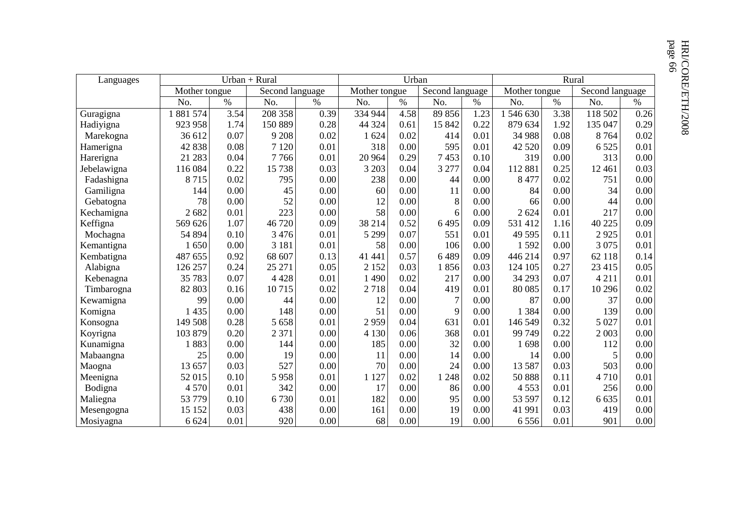HRI/CORE/ETH/2008<br>page 66

| Languages   |               |      | $Urban + Rural$ |      |               | Urban |                 |      |               | Rural |                 |      |
|-------------|---------------|------|-----------------|------|---------------|-------|-----------------|------|---------------|-------|-----------------|------|
|             | Mother tongue |      | Second language |      | Mother tongue |       | Second language |      | Mother tongue |       | Second language |      |
|             | No.           | $\%$ | No.             | $\%$ | No.           | $\%$  | No.             | $\%$ | No.           | $\%$  | No.             | $\%$ |
| Guragigna   | 881 574       | 3.54 | 208 358         | 0.39 | 334 944       | 4.58  | 89856           | 1.23 | 546 630       | 3.38  | 118 502         | 0.26 |
| Hadiyigna   | 923 958       | 1.74 | 150 889         | 0.28 | 44 324        | 0.61  | 15 842          | 0.22 | 879 634       | 1.92  | 135 047         | 0.29 |
| Marekogna   | 36 612        | 0.07 | 9 2 0 8         | 0.02 | 1 624         | 0.02  | 414             | 0.01 | 34 988        | 0.08  | 8764            | 0.02 |
| Hamerigna   | 42 838        | 0.08 | 7 1 2 0         | 0.01 | 318           | 0.00  | 595             | 0.01 | 42 5 20       | 0.09  | 6525            | 0.01 |
| Harerigna   | 21 283        | 0.04 | 7766            | 0.01 | 20 9 64       | 0.29  | 7453            | 0.10 | 319           | 0.00  | 313             | 0.00 |
| Jebelawigna | 116 084       | 0.22 | 15 738          | 0.03 | 3 2 0 3       | 0.04  | 3 2 7 7         | 0.04 | 112 881       | 0.25  | 12 4 61         | 0.03 |
| Fadashigna  | 8715          | 0.02 | 795             | 0.00 | 238           | 0.00  | 44              | 0.00 | 8 4 7 7       | 0.02  | 751             | 0.00 |
| Gamiligna   | 144           | 0.00 | 45              | 0.00 | 60            | 0.00  | 11              | 0.00 | 84            | 0.00  | 34              | 0.00 |
| Gebatogna   | 78            | 0.00 | 52              | 0.00 | 12            | 0.00  | 8               | 0.00 | 66            | 0.00  | 44              | 0.00 |
| Kechamigna  | 2682          | 0.01 | 223             | 0.00 | 58            | 0.00  | 6               | 0.00 | 2 6 2 4       | 0.01  | 217             | 0.00 |
| Keffigna    | 569 626       | 1.07 | 46 720          | 0.09 | 38 214        | 0.52  | 6495            | 0.09 | 531 412       | 1.16  | 40 225          | 0.09 |
| Mochagna    | 54 894        | 0.10 | 3 4 7 6         | 0.01 | 5 2 9 9       | 0.07  | 551             | 0.01 | 49 5 95       | 0.11  | 2925            | 0.01 |
| Kemantigna  | 1650          | 0.00 | 3 1 8 1         | 0.01 | 58            | 0.00  | 106             | 0.00 | 1592          | 0.00  | 3 0 7 5         | 0.01 |
| Kembatigna  | 487 655       | 0.92 | 68 607          | 0.13 | 41 441        | 0.57  | 6489            | 0.09 | 446 214       | 0.97  | 62 118          | 0.14 |
| Alabigna    | 126 257       | 0.24 | 25 271          | 0.05 | 2 1 5 2       | 0.03  | 1856            | 0.03 | 124 105       | 0.27  | 23 4 15         | 0.05 |
| Kebenagna   | 35 783        | 0.07 | 4 4 2 8         | 0.01 | 1 4 9 0       | 0.02  | 217             | 0.00 | 34 29 3       | 0.07  | 4 2 1 1         | 0.01 |
| Timbarogna  | 82 803        | 0.16 | 10715           | 0.02 | 2718          | 0.04  | 419             | 0.01 | 80 085        | 0.17  | 10 29 6         | 0.02 |
| Kewamigna   | 99            | 0.00 | 44              | 0.00 | 12            | 0.00  | $\overline{7}$  | 0.00 | 87            | 0.00  | 37              | 0.00 |
| Komigna     | 1 4 3 5       | 0.00 | 148             | 0.00 | 51            | 0.00  | 9               | 0.00 | 1 3 8 4       | 0.00  | 139             | 0.00 |
| Konsogna    | 149 508       | 0.28 | 5 6 5 8         | 0.01 | 2959          | 0.04  | 631             | 0.01 | 146 549       | 0.32  | 5 0 27          | 0.01 |
| Koyrigna    | 103 879       | 0.20 | 2 3 7 1         | 0.00 | 4 1 3 0       | 0.06  | 368             | 0.01 | 99 749        | 0.22  | 2 0 0 3         | 0.00 |
| Kunamigna   | 1883          | 0.00 | 144             | 0.00 | 185           | 0.00  | 32              | 0.00 | 1698          | 0.00  | 112             | 0.00 |
| Mabaangna   | 25            | 0.00 | 19              | 0.00 | 11            | 0.00  | 14              | 0.00 | 14            | 0.00  | 5               | 0.00 |
| Maogna      | 13 657        | 0.03 | 527             | 0.00 | 70            | 0.00  | 24              | 0.00 | 13 5 87       | 0.03  | 503             | 0.00 |
| Meenigna    | 52 015        | 0.10 | 5958            | 0.01 | 1 1 2 7       | 0.02  | 1 2 4 8         | 0.02 | 50 888        | 0.11  | 4710            | 0.01 |
| Bodigna     | 4570          | 0.01 | 342             | 0.00 | 17            | 0.00  | 86              | 0.00 | 4 5 5 3       | 0.01  | 256             | 0.00 |
| Maliegna    | 53 779        | 0.10 | 6730            | 0.01 | 182           | 0.00  | 95              | 0.00 | 53 597        | 0.12  | 6 6 3 5         | 0.01 |
| Mesengogna  | 15 15 2       | 0.03 | 438             | 0.00 | 161           | 0.00  | 19              | 0.00 | 41 991        | 0.03  | 419             | 0.00 |
| Mosiyagna   | 6 6 2 4       | 0.01 | 920             | 0.00 | 68            | 0.00  | 19              | 0.00 | 6556          | 0.01  | 901             | 0.00 |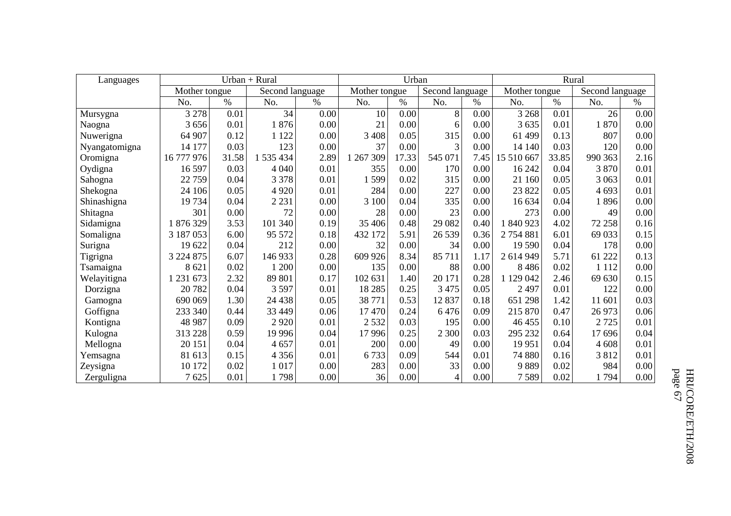| Languages     | Urban + Rural |       |                 |      | Urban         |       |                 | Rural |               |       |                 |      |
|---------------|---------------|-------|-----------------|------|---------------|-------|-----------------|-------|---------------|-------|-----------------|------|
|               | Mother tongue |       | Second language |      | Mother tongue |       | Second language |       | Mother tongue |       | Second language |      |
|               | No.           | $\%$  | No.             | $\%$ | No.           | $\%$  | No.             | $\%$  | No.           | $\%$  | No.             | $\%$ |
| Mursygna      | 3 2 7 8       | 0.01  | 34              | 0.00 | 10            | 0.00  | 8               | 0.00  | 3 2 6 8       | 0.01  | 26              | 0.00 |
| Naogna        | 3656          | 0.01  | 1876            | 0.00 | 21            | 0.00  | 6               | 0.00  | 3 6 3 5       | 0.01  | 1870            | 0.00 |
| Nuwerigna     | 64 907        | 0.12  | 1 1 2 2         | 0.00 | 3 4 0 8       | 0.05  | 315             | 0.00  | 61 499        | 0.13  | 807             | 0.00 |
| Nyangatomigna | 14 177        | 0.03  | 123             | 0.00 | 37            | 0.00  | 3               | 0.00  | 14 140        | 0.03  | 120             | 0.00 |
| Oromigna      | 16 777 976    | 31.58 | 1 535 434       | 2.89 | 1 267 309     | 17.33 | 545 071         | 7.45  | 15 510 667    | 33.85 | 990 363         | 2.16 |
| Oydigna       | 16 597        | 0.03  | 4 0 4 0         | 0.01 | 355           | 0.00  | 170             | 0.00  | 16 24 2       | 0.04  | 3870            | 0.01 |
| Sahogna       | 22759         | 0.04  | 3 3 7 8         | 0.01 | 1599          | 0.02  | 315             | 0.00  | 21 160        | 0.05  | 3 0 6 3         | 0.01 |
| Shekogna      | 24 10 6       | 0.05  | 4 9 20          | 0.01 | 284           | 0.00  | 227             | 0.00  | 23 822        | 0.05  | 4 6 9 3         | 0.01 |
| Shinashigna   | 19734         | 0.04  | 2 2 3 1         | 0.00 | 3 100         | 0.04  | 335             | 0.00  | 16 634        | 0.04  | 1896            | 0.00 |
| Shitagna      | 301           | 0.00  | 72              | 0.00 | 28            | 0.00  | 23              | 0.00  | 273           | 0.00  | 49              | 0.00 |
| Sidamigna     | 1876329       | 3.53  | 101 340         | 0.19 | 35 40 6       | 0.48  | 29 082          | 0.40  | 1 840 923     | 4.02  | 72 258          | 0.16 |
| Somaligna     | 3 187 053     | 6.00  | 95 572          | 0.18 | 432 172       | 5.91  | 26 539          | 0.36  | 2754881       | 6.01  | 69 033          | 0.15 |
| Surigna       | 19 622        | 0.04  | 212             | 0.00 | 32            | 0.00  | 34              | 0.00  | 19 590        | 0.04  | 178             | 0.00 |
| Tigrigna      | 3 2 2 4 8 7 5 | 6.07  | 146 933         | 0.28 | 609 926       | 8.34  | 85 711          | 1.17  | 2 614 949     | 5.71  | 61 222          | 0.13 |
| Tsamaigna     | 8621          | 0.02  | 1 200           | 0.00 | 135           | 0.00  | 88              | 0.00  | 8486          | 0.02  | 1 1 1 2         | 0.00 |
| Welayitigna   | 1 231 673     | 2.32  | 89 801          | 0.17 | 102 631       | 1.40  | 20 17 1         | 0.28  | 1 129 042     | 2.46  | 69 630          | 0.15 |
| Dorzigna      | 20782         | 0.04  | 3 5 9 7         | 0.01 | 18 2 8 5      | 0.25  | 3 4 7 5         | 0.05  | 2 4 9 7       | 0.01  | 122             | 0.00 |
| Gamogna       | 690 069       | 1.30  | 24 4 38         | 0.05 | 38 771        | 0.53  | 12837           | 0.18  | 651 298       | 1.42  | 11 601          | 0.03 |
| Goffigna      | 233 340       | 0.44  | 33 449          | 0.06 | 17470         | 0.24  | 6476            | 0.09  | 215 870       | 0.47  | 26 973          | 0.06 |
| Kontigna      | 48 987        | 0.09  | 2920            | 0.01 | 2532          | 0.03  | 195             | 0.00  | 46 455        | 0.10  | 2725            | 0.01 |
| Kulogna       | 313 228       | 0.59  | 19 9 96         | 0.04 | 17996         | 0.25  | 2 300           | 0.03  | 295 232       | 0.64  | 17 696          | 0.04 |
| Mellogna      | 20 15 1       | 0.04  | 4 6 5 7         | 0.01 | 200           | 0.00  | 49              | 0.00  | 19 951        | 0.04  | 4 608           | 0.01 |
| Yemsagna      | 81 613        | 0.15  | 4 3 5 6         | 0.01 | 6733          | 0.09  | 544             | 0.01  | 74 880        | 0.16  | 3812            | 0.01 |
| Zeysigna      | 10 172        | 0.02  | 1017            | 0.00 | 283           | 0.00  | 33              | 0.00  | 9889          | 0.02  | 984             | 0.00 |
| Zerguligna    | 7625          | 0.01  | 1798            | 0.00 | 36            | 0.00  | $\overline{4}$  | 0.00  | 7589          | 0.02  | 1794            | 0.00 |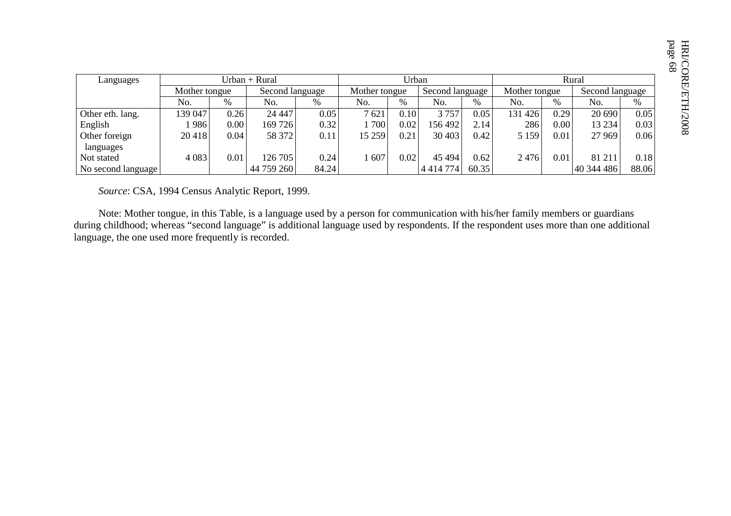| Languages                  |               |      | Urban + Rural   |       |               | Urban |                 |       |               |      | Rural           |       |
|----------------------------|---------------|------|-----------------|-------|---------------|-------|-----------------|-------|---------------|------|-----------------|-------|
|                            | Mother tongue |      | Second language |       | Mother tongue |       | Second language |       | Mother tongue |      | Second language |       |
|                            | No.           | %    | No.             | %     | No.           | %     | No.             | %     | No.           | %    | No.             | $\%$  |
| Other eth. lang.           | 139 047       | 0.26 | 24 4 4 7        | 0.05  | 7621          | 0.10  | 3757            | 0.05  | 131 426       | 0.29 | 20 690          | 0.05  |
| English                    | 986           | 0.00 | 169 726         | 0.32  | 1700          | 0.02  | 156 492         | 2.14  | 286           | 0.00 | 13 2 34         | 0.03  |
| Other foreign<br>languages | 20418         | 0.04 | 58 372          | 0.11  | 15 25 9       | 0.21  | 30 40 3         | 0.42  | 5 1 5 9       | 0.01 | 27 9 69         | 0.06  |
| Not stated                 | 4 0 8 3       | 0.01 | 126 705         | 0.24  | 607           | 0.02  | 45 4 94         | 0.62  | 2476          | 0.01 | 81 211          | 0.18  |
| No second language         |               |      | 44 759 260      | 84.24 |               |       | 4 4 1 4 7 7 4   | 60.35 |               |      | 40 344 486      | 88.06 |

*Source*: CSA, 1994 Census Analytic Report, 1999.

 Note: Mother tongue, in this Table, is a language used by a person for communication with his/her family members or guardians during childhood; whereas "second language" is additional language used by respondents. If the respondent uses more than one additional language, the one used more frequently is recorded.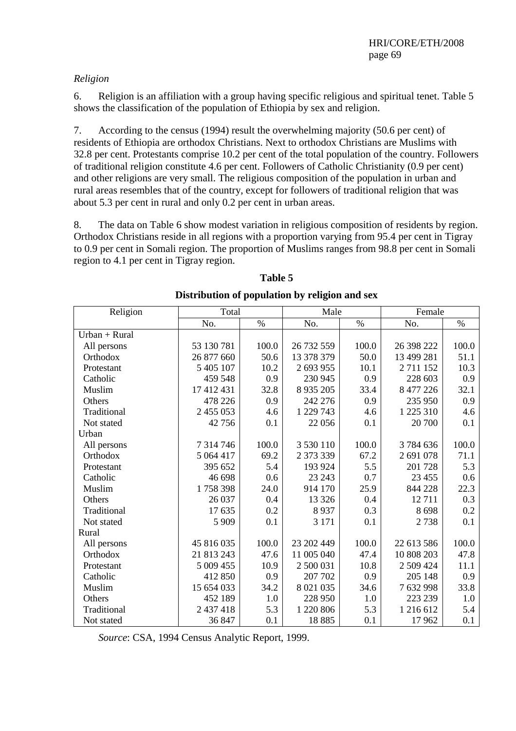## *Religion*

6. Religion is an affiliation with a group having specific religious and spiritual tenet. Table 5 shows the classification of the population of Ethiopia by sex and religion.

7. According to the census (1994) result the overwhelming majority (50.6 per cent) of residents of Ethiopia are orthodox Christians. Next to orthodox Christians are Muslims with 32.8 per cent. Protestants comprise 10.2 per cent of the total population of the country. Followers of traditional religion constitute 4.6 per cent. Followers of Catholic Christianity (0.9 per cent) and other religions are very small. The religious composition of the population in urban and rural areas resembles that of the country, except for followers of traditional religion that was about 5.3 per cent in rural and only 0.2 per cent in urban areas.

8. The data on Table 6 show modest variation in religious composition of residents by region. Orthodox Christians reside in all regions with a proportion varying from 95.4 per cent in Tigray to 0.9 per cent in Somali region. The proportion of Muslims ranges from 98.8 per cent in Somali region to 4.1 per cent in Tigray region.

| Religion      | Total         |       | Male          |       | Female     |       |
|---------------|---------------|-------|---------------|-------|------------|-------|
|               | No.           | $\%$  | No.           | $\%$  | No.        | $\%$  |
| Urban + Rural |               |       |               |       |            |       |
| All persons   | 53 130 781    | 100.0 | 26 732 559    | 100.0 | 26 398 222 | 100.0 |
| Orthodox      | 26 877 660    | 50.6  | 13 378 379    | 50.0  | 13 499 281 | 51.1  |
| Protestant    | 5 405 107     | 10.2  | 2 693 955     | 10.1  | 2711152    | 10.3  |
| Catholic      | 459 548       | 0.9   | 230 945       | 0.9   | 228 603    | 0.9   |
| Muslim        | 17412431      | 32.8  | 8 9 3 5 2 0 5 | 33.4  | 8 477 226  | 32.1  |
| Others        | 478 226       | 0.9   | 242 276       | 0.9   | 235 950    | 0.9   |
| Traditional   | 2 455 053     | 4.6   | 1 229 743     | 4.6   | 1 225 310  | 4.6   |
| Not stated    | 42756         | 0.1   | 22 056        | 0.1   | 20 700     | 0.1   |
| Urban         |               |       |               |       |            |       |
| All persons   | 7 3 1 4 7 4 6 | 100.0 | 3 530 110     | 100.0 | 3784636    | 100.0 |
| Orthodox      | 5 064 417     | 69.2  | 2 373 339     | 67.2  | 2 691 078  | 71.1  |
| Protestant    | 395 652       | 5.4   | 193 924       | 5.5   | 201 728    | 5.3   |
| Catholic      | 46 698        | 0.6   | 23 24 3       | 0.7   | 23 455     | 0.6   |
| Muslim        | 1758398       | 24.0  | 914 170       | 25.9  | 844 228    | 22.3  |
| Others        | 26 037        | 0.4   | 13 3 26       | 0.4   | 12711      | 0.3   |
| Traditional   | 17 635        | 0.2   | 8937          | 0.3   | 8698       | 0.2   |
| Not stated    | 5 9 0 9       | 0.1   | 3 1 7 1       | 0.1   | 2738       | 0.1   |
| Rural         |               |       |               |       |            |       |
| All persons   | 45 816 035    | 100.0 | 23 202 449    | 100.0 | 22 613 586 | 100.0 |
| Orthodox      | 21 813 243    | 47.6  | 11 005 040    | 47.4  | 10 808 203 | 47.8  |
| Protestant    | 5 009 455     | 10.9  | 2 500 031     | 10.8  | 2 509 424  | 11.1  |
| Catholic      | 412 850       | 0.9   | 207 702       | 0.9   | 205 148    | 0.9   |
| Muslim        | 15 654 033    | 34.2  | 8 0 21 0 35   | 34.6  | 7632998    | 33.8  |
| Others        | 452 189       | 1.0   | 228 950       | 1.0   | 223 239    | 1.0   |
| Traditional   | 2 437 418     | 5.3   | 1 220 806     | 5.3   | 1 216 612  | 5.4   |
| Not stated    | 36 847        | 0.1   | 18885         | 0.1   | 17962      | 0.1   |

## **Distribution of population by religion and sex**

**Table 5** 

*Source*: CSA, 1994 Census Analytic Report, 1999.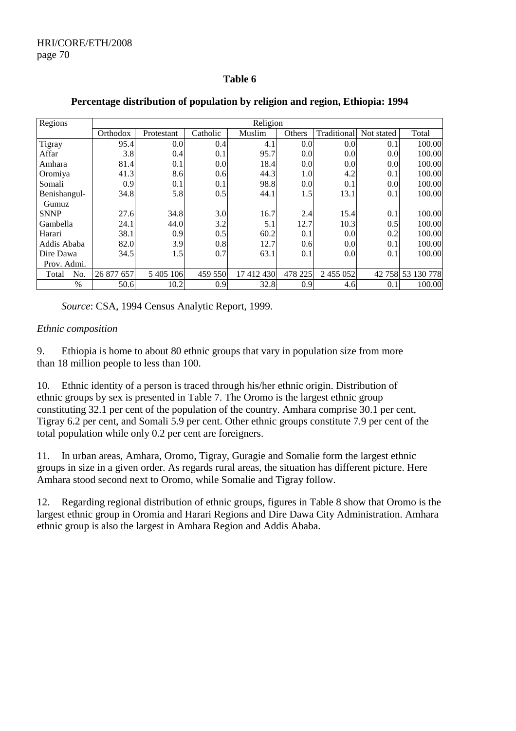#### **Table 6**

| Regions      |            |            |          | Religion   |                  |                  |            |                   |
|--------------|------------|------------|----------|------------|------------------|------------------|------------|-------------------|
|              | Orthodox   | Protestant | Catholic | Muslim     | Others           | Traditional      | Not stated | Total             |
| Tigray       | 95.4       | 0.0        | 0.4      | 4.1        | 0.0              | 0.0              | 0.1        | 100.00            |
| Affar        | 3.8        | 0.4        | 0.1      | 95.7       | 0.0              | 0.0              | 0.0        | 100.00            |
| Amhara       | 81.4       | 0.1        | 0.0      | 18.4       | 0.0              | 0.0              | 0.0        | 100.00            |
| Oromiya      | 41.3       | 8.6        | 0.6      | 44.3       | 1.0              | 4.2              | 0.1        | 100.00            |
| Somali       | 0.9        | 0.1        | 0.1      | 98.8       | 0.0              | 0.1              | 0.0        | 100.00            |
| Benishangul- | 34.8       | 5.8        | 0.5      | 44.1       | 1.5              | 13.1             | 0.1        | 100.00            |
| Gumuz        |            |            |          |            |                  |                  |            |                   |
| <b>SNNP</b>  | 27.6       | 34.8       | 3.0      | 16.7       | 2.4              | 15.4             | 0.1        | 100.00            |
| Gambella     | 24.1       | 44.0       | 3.2      | 5.1        | 12.7             | 10.3             | 0.5        | 100.00            |
| Harari       | 38.1       | 0.9        | 0.5      | 60.2       | 0.1              | 0.0 <sub>l</sub> | 0.2        | 100.00            |
| Addis Ababa  | 82.0       | 3.9        | 0.8      | 12.7       | 0.6              | 0.0              | 0.1        | 100.00            |
| Dire Dawa    | 34.5       | 1.5        | 0.7      | 63.1       | 0.1              | 0.0 <sub>l</sub> | 0.1        | 100.00            |
| Prov. Admi.  |            |            |          |            |                  |                  |            |                   |
| Total<br>No. | 26 877 657 | 5 405 106  | 459 550  | 17 412 430 | 478 225          | 2 455 052        |            | 42 758 53 130 778 |
| $\%$         | 50.6       | 10.2       | 0.9      | 32.8       | 0.9 <sup>°</sup> | 4.6              | 0.1        | 100.00            |

#### **Percentage distribution of population by religion and region, Ethiopia: 1994**

*Source*: CSA, 1994 Census Analytic Report, 1999.

### *Ethnic composition*

9. Ethiopia is home to about 80 ethnic groups that vary in population size from more than 18 million people to less than 100.

10. Ethnic identity of a person is traced through his/her ethnic origin. Distribution of ethnic groups by sex is presented in Table 7. The Oromo is the largest ethnic group constituting 32.1 per cent of the population of the country. Amhara comprise 30.1 per cent, Tigray 6.2 per cent, and Somali 5.9 per cent. Other ethnic groups constitute 7.9 per cent of the total population while only 0.2 per cent are foreigners.

11. In urban areas, Amhara, Oromo, Tigray, Guragie and Somalie form the largest ethnic groups in size in a given order. As regards rural areas, the situation has different picture. Here Amhara stood second next to Oromo, while Somalie and Tigray follow.

12. Regarding regional distribution of ethnic groups, figures in Table 8 show that Oromo is the largest ethnic group in Oromia and Harari Regions and Dire Dawa City Administration. Amhara ethnic group is also the largest in Amhara Region and Addis Ababa.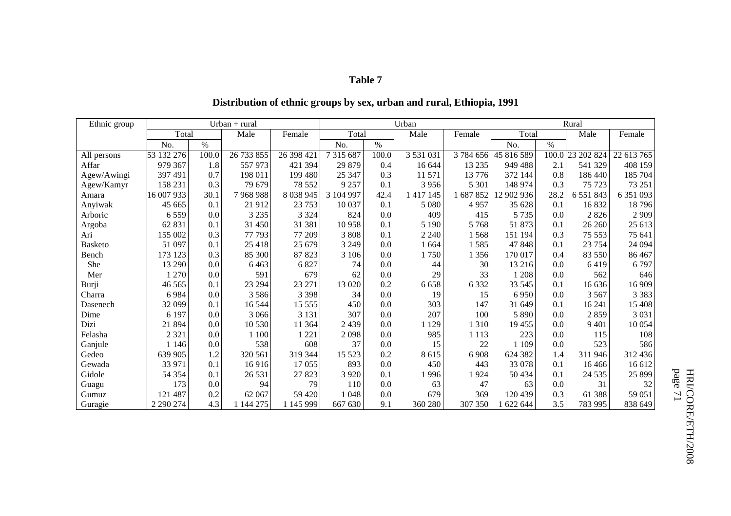#### **Table 7**

# **Distribution of ethnic groups by sex, urban and rural, Ethiopia, 1991**

| Ethnic group   |               |       | $Urban + rural$ |             |           |       | Urban     |         | Rural      |      |                  |            |  |
|----------------|---------------|-------|-----------------|-------------|-----------|-------|-----------|---------|------------|------|------------------|------------|--|
|                | Total         |       | Male            | Female      | Total     |       | Male      | Female  | Total      |      | Male             | Female     |  |
|                | No.           | $\%$  |                 |             | No.       | $\%$  |           |         | No.        | $\%$ |                  |            |  |
| All persons    | 53 132 276    | 100.0 | 26 733 855      | 26 398 421  | 7 315 687 | 100.0 | 3 531 031 | 3784656 | 45 816 589 |      | 100.0 23 202 824 | 22 613 765 |  |
| Affar          | 979 367       | 1.8   | 557973          | 421 394     | 29 879    | 0.4   | 16 644    | 13 2 35 | 949 488    | 2.1  | 541 329          | 408 159    |  |
| Agew/Awingi    | 397 491       | 0.7   | 198 011         | 199 480     | 25 347    | 0.3   | 11 571    | 13 776  | 372 144    | 0.8  | 186 440          | 185 704    |  |
| Agew/Kamyr     | 158 231       | 0.3   | 79 679          | 78 552      | 9 2 5 7   | 0.1   | 3956      | 5 3 0 1 | 148 974    | 0.3  | 75 723           | 73 251     |  |
| Amara          | 16 007 933    | 30.1  | 7968988         | 8 0 38 9 45 | 3 104 997 | 42.4  | 1 417 145 | 1687852 | 12 902 936 | 28.2 | 6 5 5 1 8 4 3    | 6 351 093  |  |
| Anyiwak        | 45 665        | 0.1   | 21 9 12         | 23 753      | 10 037    | 0.1   | 5 0 8 0   | 4957    | 35 628     | 0.1  | 16832            | 18796      |  |
| Arboric        | 6559          | 0.0   | 3 2 3 5         | 3 3 2 4     | 824       | 0.0   | 409       | 415     | 5 7 3 5    | 0.0  | 2826             | 2909       |  |
| Argoba         | 62 831        | 0.1   | 31 450          | 31 381      | 10958     | 0.1   | 5 1 9 0   | 5768    | 51 873     | 0.1  | 26 260           | 25 613     |  |
| Ari            | 155 002       | 0.3   | 77 793          | 77 209      | 3 8 0 8   | 0.1   | 2 2 4 0   | 1568    | 151 194    | 0.3  | 75 553           | 75 641     |  |
| <b>Basketo</b> | 51 097        | 0.1   | 25 4 18         | 25 679      | 3 2 4 9   | 0.0   | 1 6 6 4   | 1585    | 47 848     | 0.1  | 23 7 54          | 24 094     |  |
| Bench          | 173 123       | 0.3   | 85 300          | 87 823      | 3 1 0 6   | 0.0   | 1750      | 1 356   | 170 017    | 0.4  | 83 550           | 86467      |  |
| She            | 13 290        | 0.0   | 6463            | 6 8 2 7     | 74        | 0.0   | 44        | 30      | 13 216     | 0.0  | 6419             | 6797       |  |
| Mer            | 1 270         | 0.0   | 591             | 679         | 62        | 0.0   | 29        | 33      | 1 208      | 0.0  | 562              | 646        |  |
| Burji          | 46 5 65       | 0.1   | 23 294          | 23 271      | 13 0 20   | 0.2   | 6 6 5 8   | 6 3 3 2 | 33 545     | 0.1  | 16 636           | 16 909     |  |
| Charra         | 6984          | 0.0   | 3586            | 3 3 9 8     | 34        | 0.0   | 19        | 15      | 6950       | 0.0  | 3567             | 3 3 8 3    |  |
| Dasenech       | 32 099        | 0.1   | 16 544          | 15 555      | 450       | 0.0   | 303       | 147     | 31 649     | 0.1  | 16 241           | 15 408     |  |
| Dime           | 6 1 9 7       | 0.0   | 3 0 6 6         | 3 1 3 1     | 307       | 0.0   | 207       | 100     | 5 8 9 0    | 0.0  | 2859             | 3 0 3 1    |  |
| Dizi           | 21 894        | 0.0   | 10 530          | 11 364      | 2439      | 0.0   | 1 1 2 9   | 1 3 1 0 | 19 455     | 0.0  | 9 4 0 1          | 10 054     |  |
| Felasha        | 2 3 2 1       | 0.0   | 1 100           | 1 2 2 1     | 2098      | 0.0   | 985       | 1 1 1 3 | 223        | 0.0  | 115              | 108        |  |
| Ganjule        | 1 1 4 6       | 0.0   | 538             | 608         | 37        | 0.0   | 15        | 22      | 1 1 0 9    | 0.0  | 523              | 586        |  |
| Gedeo          | 639 905       | 1.2   | 320 561         | 319 344     | 15 5 23   | 0.2   | 8615      | 6 9 0 8 | 624 382    | 1.4  | 311946           | 312 436    |  |
| Gewada         | 33 971        | 0.1   | 16916           | 17 055      | 893       | 0.0   | 450       | 443     | 33 078     | 0.1  | 16466            | 16 612     |  |
| Gidole         | 54 354        | 0.1   | 26 5 31         | 27 823      | 3 9 2 0   | 0.1   | 1996      | 1924    | 50 434     | 0.1  | 24 5 35          | 25 8 99    |  |
| Guagu          | 173           | 0.0   | 94              | 79          | 110       | 0.0   | 63        | 47      | 63         | 0.0  | 31               | 32         |  |
| Gumuz          | 121 487       | 0.2   | 62 067          | 59 4 20     | 1 0 4 8   | 0.0   | 679       | 369     | 120 439    | 0.3  | 61 388           | 59 051     |  |
| Guragie        | 2 2 9 2 2 2 4 | 4.3   | 1 144 275       | 1 145 999   | 667 630   | 9.1   | 360 280   | 307 350 | 622 644    | 3.5  | 783 995          | 838 649    |  |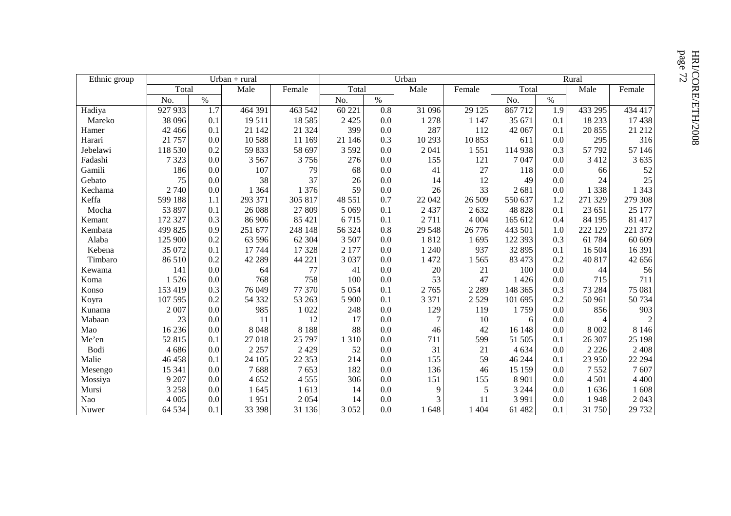| Ethnic group |                   |                  | $\overline{U}$ rban + rural |          |         |      | Urban            |         |         |                  | Rural   |         |
|--------------|-------------------|------------------|-----------------------------|----------|---------|------|------------------|---------|---------|------------------|---------|---------|
|              | Total             |                  | Male                        | Female   | Total   |      | Male             | Female  | Total   |                  | Male    | Female  |
|              | $\overline{No}$ . | $\%$             |                             |          | No.     | $\%$ |                  |         | No.     | $\%$             |         |         |
| Hadiya       | 927 933           | $\overline{1.7}$ | 464 391                     | 463 542  | 60 221  | 0.8  | 31096            | 29 1 25 | 867712  | $\overline{1.9}$ | 433 295 | 434 417 |
| Mareko       | 38 096            | 0.1              | 19511                       | 18 5 8 5 | 2 4 2 5 | 0.0  | 1 2 7 8          | 1 1 4 7 | 35 671  | 0.1              | 18 2 33 | 17438   |
| Hamer        | 42 4 6 6          | 0.1              | 21 142                      | 21 324   | 399     | 0.0  | 287              | 112     | 42 067  | 0.1              | 20 855  | 21 21 2 |
| Harari       | 21 757            | 0.0              | 10588                       | 11 169   | 21 146  | 0.3  | 10 29 3          | 10853   | 611     | 0.0              | 295     | 316     |
| Jebelawi     | 118 530           | 0.2              | 59 833                      | 58 697   | 3592    | 0.0  | 2 0 4 1          | 1551    | 114 938 | 0.3              | 57 792  | 57 146  |
| Fadashi      | 7323              | 0.0              | 3 5 6 7                     | 3756     | 276     | 0.0  | 155              | 121     | 7047    | 0.0              | 3 4 1 2 | 3 6 3 5 |
| Gamili       | 186               | 0.0              | 107                         | 79       | 68      | 0.0  | 41               | 27      | 118     | 0.0              | 66      | 52      |
| Gebato       | 75                | 0.0              | 38                          | 37       | 26      | 0.0  | 14               | 12      | 49      | 0.0              | 24      | 25      |
| Kechama      | 2740              | 0.0              | 1 3 6 4                     | 1 3 7 6  | 59      | 0.0  | 26               | 33      | 2 681   | 0.0              | 1 3 3 8 | 1 3 4 3 |
| Keffa        | 599 188           | 1.1              | 293 371                     | 305 817  | 48 5 51 | 0.7  | 22 042           | 26 509  | 550 637 | 1.2              | 271 329 | 279 308 |
| Mocha        | 53 897            | 0.1              | 26 088                      | 27 809   | 5 0 6 9 | 0.1  | 2 4 3 7          | 2 6 3 2 | 48 828  | 0.1              | 23 651  | 25 177  |
| Kemant       | 172 327           | 0.3              | 86 906                      | 85 421   | 6715    | 0.1  | 2711             | 4 0 0 4 | 165 612 | 0.4              | 84 195  | 81 417  |
| Kembata      | 499 825           | 0.9              | 251 677                     | 248 148  | 56 324  | 0.8  | 29 548           | 26 776  | 443 501 | 1.0              | 222 129 | 221 372 |
| Alaba        | 125 900           | 0.2              | 63 596                      | 62 304   | 3 5 0 7 | 0.0  | 1812             | 1 6 9 5 | 122 393 | 0.3              | 61 784  | 60 609  |
| Kebena       | 35 072            | 0.1              | 17 744                      | 17 328   | 2 1 7 7 | 0.0  | 1 2 4 0          | 937     | 32 895  | 0.1              | 16 504  | 16 391  |
| Timbaro      | 86 510            | 0.2              | 42 289                      | 44 221   | 3 0 3 7 | 0.0  | 1 472            | 1 5 6 5 | 83 473  | 0.2              | 40 817  | 42 656  |
| Kewama       | 141               | 0.0              | 64                          | 77       | 41      | 0.0  | 20               | 21      | 100     | 0.0              | 44      | 56      |
| Koma         | 1526              | 0.0              | 768                         | 758      | 100     | 0.0  | 53               | 47      | 1 4 2 6 | 0.0              | 715     | 711     |
| Konso        | 153 419           | 0.3              | 76 049                      | 77 370   | 5 0 5 4 | 0.1  | 2765             | 2 2 8 9 | 148 365 | 0.3              | 73 284  | 75 081  |
| Koyra        | 107 595           | 0.2              | 54 3 32                     | 53 263   | 5 900   | 0.1  | 3 3 7 1          | 2529    | 101 695 | 0.2              | 50 961  | 50734   |
| Kunama       | 2 0 0 7           | 0.0              | 985                         | 1 0 2 2  | 248     | 0.0  | 129              | 119     | 1759    | 0.0              | 856     | 903     |
| Mabaan       | 23                | 0.0              | 11                          | 12       | 17      | 0.0  | $\boldsymbol{7}$ | 10      | 6       | 0.0              |         |         |
| Mao          | 16 23 6           | 0.0              | 8048                        | 8 1 8 8  | 88      | 0.0  | 46               | 42      | 16 148  | 0.0              | 8 0 0 2 | 8 1 4 6 |
| Me'en        | 52 815            | 0.1              | 27 018                      | 25 797   | 1 3 1 0 | 0.0  | 711              | 599     | 51 505  | 0.1              | 26 307  | 25 198  |
| Bodi         | 4 6 8 6           | 0.0              | 2 2 5 7                     | 2 4 2 9  | 52      | 0.0  | 31               | 21      | 4 6 3 4 | 0.0              | 2 2 2 6 | 2 4 0 8 |
| Malie        | 46 458            | 0.1              | 24 105                      | 22 3 5 3 | 214     | 0.0  | 155              | 59      | 46 244  | 0.1              | 23 950  | 22 294  |
| Mesengo      | 15 341            | 0.0              | 7688                        | 7653     | 182     | 0.0  | 136              | 46      | 15 15 9 | 0.0              | 7552    | 7607    |
| Mossiya      | 9 207             | 0.0              | 4 6 5 2                     | 4 5 5 5  | 306     | 0.0  | 151              | 155     | 8 9 0 1 | 0.0              | 4501    | 4 4 0 0 |
| Mursi        | 3 2 5 8           | 0.0              | 1 645                       | 1 613    | 14      | 0.0  | 9                | 5       | 3 2 4 4 | 0.0              | 1636    | 1608    |
| Nao          | 4 0 0 5           | 0.0              | 1951                        | 2054     | 14      | 0.0  | 3                | 11      | 3 9 9 1 | 0.0              | 1948    | 2043    |
| Nuwer        | 64 534            | 0.1              | 33 398                      | 31 136   | 3 0 5 2 | 0.0  | 1648             | 1 4 0 4 | 61 482  | 0.1              | 31 750  | 29 732  |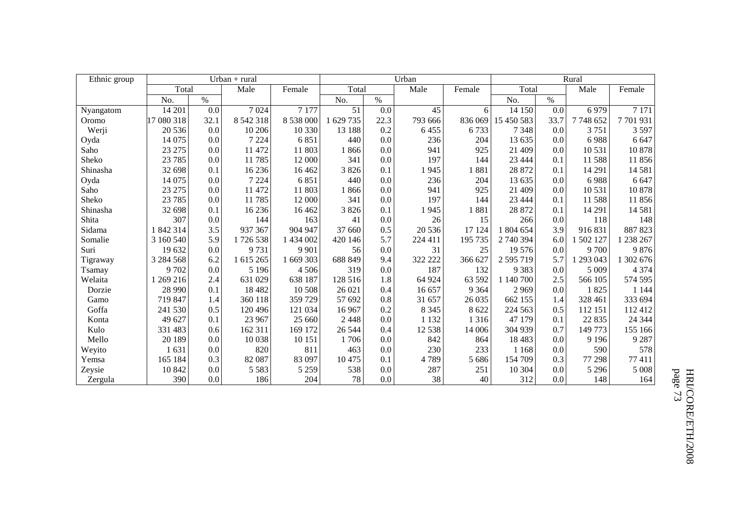| Ethnic group |            |      | $Urban + rural$ |           |         |      | Urban   |         | Rural      |      |           |           |
|--------------|------------|------|-----------------|-----------|---------|------|---------|---------|------------|------|-----------|-----------|
|              | Total      |      | Male            | Female    | Total   |      | Male    | Female  | Total      |      | Male      | Female    |
|              | No.        | $\%$ |                 |           | No.     | $\%$ |         |         | No.        | $\%$ |           |           |
| Nyangatom    | 14 201     | 0.0  | 7024            | 7 1 7 7   | 51      | 0.0  | 45      | 6       | 14 150     | 0.0  | 6979      | 7 1 7 1   |
| Oromo        | 17 080 318 | 32.1 | 8 542 318       | 8 538 000 | 629 735 | 22.3 | 793 666 | 836 069 | 15 450 583 | 33.7 | 7748652   | 7701931   |
| Werji        | 20 536     | 0.0  | 10 20 6         | 10 330    | 13 188  | 0.2  | 6 4 5 5 | 6733    | 7 3 4 8    | 0.0  | 3751      | 3 5 9 7   |
| Oyda         | 14 075     | 0.0  | 7 2 2 4         | 6851      | 440     | 0.0  | 236     | 204     | 13 635     | 0.0  | 6988      | 6 6 4 7   |
| Saho         | 23 275     | 0.0  | 11 472          | 11 803    | 1866    | 0.0  | 941     | 925     | 21 409     | 0.0  | 10 5 31   | 10878     |
| Sheko        | 23 7 85    | 0.0  | 11785           | 12 000    | 341     | 0.0  | 197     | 144     | 23 4 4 4   | 0.1  | 11588     | 11856     |
| Shinasha     | 32 698     | 0.1  | 16 23 6         | 16 4 62   | 3826    | 0.1  | 1945    | 1881    | 28 872     | 0.1  | 14 291    | 14 5 8 1  |
| Oyda         | 14 075     | 0.0  | 7 2 2 4         | 6851      | 440     | 0.0  | 236     | 204     | 13 635     | 0.0  | 6988      | 6 6 4 7   |
| Saho         | 23 275     | 0.0  | 11 472          | 11 803    | 1866    | 0.0  | 941     | 925     | 21 409     | 0.0  | 10 5 31   | 10878     |
| Sheko        | 23 7 85    | 0.0  | 11785           | 12 000    | 341     | 0.0  | 197     | 144     | 23 4 4 4   | 0.1  | 11 588    | 11856     |
| Shinasha     | 32 698     | 0.1  | 16 236          | 16 4 62   | 3826    | 0.1  | 1945    | 1881    | 28 872     | 0.1  | 14 291    | 14 5 8 1  |
| Shita        | 307        | 0.0  | 144             | 163       | 41      | 0.0  | 26      | 15      | 266        | 0.0  | 118       | 148       |
| Sidama       | 1 842 314  | 3.5  | 937 367         | 904 947   | 37 660  | 0.5  | 20 536  | 17 124  | 1 804 654  | 3.9  | 916831    | 887823    |
| Somalie      | 3 160 540  | 5.9  | 1726538         | 1 434 002 | 420 146 | 5.7  | 224 411 | 195 735 | 2740394    | 6.0  | 1 502 127 | 1 238 267 |
| Suri         | 19 632     | 0.0  | 9731            | 9 9 0 1   | 56      | 0.0  | 31      | 25      | 19 576     | 0.0  | 9700      | 9876      |
| Tigraway     | 3 284 568  | 6.2  | 1 615 265       | 1 669 303 | 688 849 | 9.4  | 322 222 | 366 627 | 2 595 719  | 5.7  | 1 293 043 | 1 302 676 |
| Tsamay       | 9 702      | 0.0  | 5 1 9 6         | 4 5 0 6   | 319     | 0.0  | 187     | 132     | 9 3 8 3    | 0.0  | 5 0 0 9   | 4 3 7 4   |
| Welaita      | 1 269 216  | 2.4  | 631 029         | 638 187   | 128 516 | 1.8  | 64 924  | 63 592  | 1 140 700  | 2.5  | 566 105   | 574 595   |
| Dorzie       | 28 990     | 0.1  | 18 4 8 2        | 10 508    | 26 021  | 0.4  | 16 657  | 9 3 6 4 | 2969       | 0.0  | 1825      | 1 1 4 4   |
| Gamo         | 719 847    | 1.4  | 360 118         | 359 729   | 57 692  | 0.8  | 31 657  | 26 035  | 662 155    | 1.4  | 328 461   | 333 694   |
| Goffa        | 241 530    | 0.5  | 120 496         | 121 034   | 16 967  | 0.2  | 8 3 4 5 | 8 6 2 2 | 224 563    | 0.5  | 112 151   | 112 412   |
| Konta        | 49 627     | 0.1  | 23 967          | 25 660    | 2448    | 0.0  | 1 1 3 2 | 1 3 1 6 | 47 179     | 0.1  | 22 8 35   | 24 344    |
| Kulo         | 331 483    | 0.6  | 162 311         | 169 172   | 26 5 44 | 0.4  | 12 538  | 14 006  | 304 939    | 0.7  | 149 773   | 155 166   |
| Mello        | 20 189     | 0.0  | 10 038          | 10 15 1   | 1706    | 0.0  | 842     | 864     | 18 4 83    | 0.0  | 9 1 9 6   | 9 2 8 7   |
| Weyito       | 1631       | 0.0  | 820             | 811       | 463     | 0.0  | 230     | 233     | 1 1 6 8    | 0.0  | 590       | 578       |
| Yemsa        | 165 184    | 0.3  | 82 087          | 83 097    | 10 4 75 | 0.1  | 4789    | 5 686   | 154 709    | 0.3  | 77 298    | 77411     |
| Zeysie       | 10 842     | 0.0  | 5 5 8 3         | 5 2 5 9   | 538     | 0.0  | 287     | 251     | 10 304     | 0.0  | 5 2 9 6   | 5 0 0 8   |
| Zergula      | 390        | 0.0  | 186             | 204       | 78      | 0.0  | 38      | 40      | 312        | 0.0  | 148       | 164       |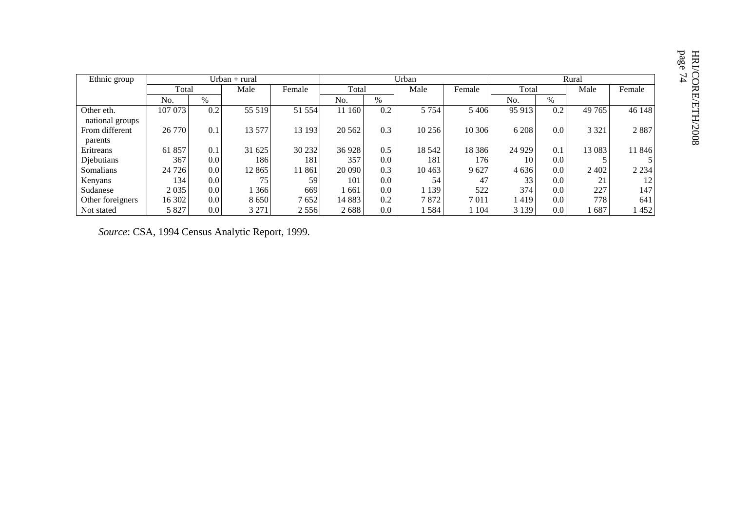| Ethnic group     | $Urban + rural$ |      |         |         |         |         | Urban   |          |         |      | Rural   |         |
|------------------|-----------------|------|---------|---------|---------|---------|---------|----------|---------|------|---------|---------|
|                  | Total           |      | Male    | Female  | Total   |         | Male    | Female   | Total   |      | Male    | Female  |
|                  | No.             | $\%$ |         |         | No.     | $\%$    |         |          | No.     | $\%$ |         |         |
| Other eth.       | 107 073         | 0.2  | 55 519  | 51 554  | 11 160  | 0.2     | 5 7 5 4 | 5 4 0 6  | 95 913  | 0.2  | 49 7 65 | 46 148  |
| national groups  |                 |      |         |         |         |         |         |          |         |      |         |         |
| From different   | 26 770          | 0.1  | 13 577  | 13 193  | 20 5 62 | 0.3     | 10 25 6 | 10 30 6  | 6 2 0 8 | 0.0  | 3 3 2 1 | 2887    |
| parents          |                 |      |         |         |         |         |         |          |         |      |         |         |
| Eritreans        | 61 857          | 0.1  | 31 625  | 30 232  | 36 928  | 0.5     | 18 5 42 | 18 3 8 6 | 24 9 29 | 0.1  | 13 083  | 11 846  |
| Djebutians       | 367             | 0.0  | 186     | 181     | 357     | 0.0     | 181     | 176      | 10      | 0.0  |         |         |
| Somalians        | 24 7 26         | 0.0  | 12 865  | 11 861  | 20 090  | 0.3     | 10 4 63 | 9 6 27   | 4 6 3 6 | 0.0  | 2402    | 2 2 3 4 |
| Kenyans          | 134             | 0.0  | 75      | 59      | 101     | 0.0     | 54      | 47       | 33      | 0.0  | 21      | 12      |
| Sudanese         | 2 0 3 5         | 0.0  | 366     | 669     | 661     | 0.0     | 139     | 522      | 374     | 0.0  | 227     | 147     |
| Other foreigners | 16 302          | 0.0  | 8650    | 7 652   | 14 8 83 | 0.2     | 7872    | 7011     | 1 419   | 0.0  | 778     | 641     |
| Not stated       | 5 827           | 0.0  | 3 2 7 1 | 2 5 5 6 | 2688    | $0.0\,$ | 584     | 1 104    | 3 1 3 9 | 0.0  | 1687    | 452     |

*Source*: CSA, 1994 Census Analytic Report, 1999.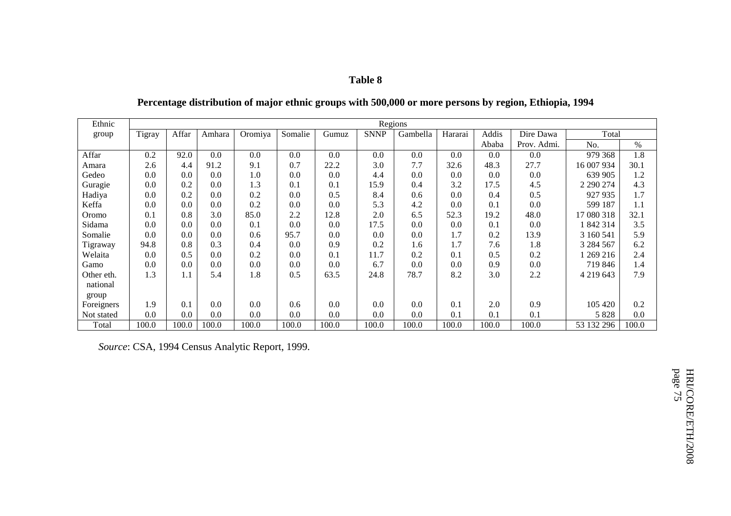| Ethnic     |        |       |        |         |         |       | Regions     |          |         |       |             |               |       |
|------------|--------|-------|--------|---------|---------|-------|-------------|----------|---------|-------|-------------|---------------|-------|
| group      | Tigray | Affar | Amhara | Oromiya | Somalie | Gumuz | <b>SNNP</b> | Gambella | Hararai | Addis | Dire Dawa   | Total         |       |
|            |        |       |        |         |         |       |             |          |         | Ababa | Prov. Admi. | No.           | $\%$  |
| Affar      | 0.2    | 92.0  | 0.0    | 0.0     | 0.0     | 0.0   | 0.0         | 0.0      | 0.0     | 0.0   | 0.0         | 979 368       | 1.8   |
| Amara      | 2.6    | 4.4   | 91.2   | 9.1     | 0.7     | 22.2  | 3.0         | 7.7      | 32.6    | 48.3  | 27.7        | 16 007 934    | 30.1  |
| Gedeo      | 0.0    | 0.0   | 0.0    | 1.0     | 0.0     | 0.0   | 4.4         | 0.0      | 0.0     | 0.0   | 0.0         | 639 905       | 1.2   |
| Guragie    | 0.0    | 0.2   | 0.0    | 1.3     | 0.1     | 0.1   | 15.9        | 0.4      | 3.2     | 17.5  | 4.5         | 2 290 274     | 4.3   |
| Hadiya     | 0.0    | 0.2   | 0.0    | 0.2     | 0.0     | 0.5   | 8.4         | 0.6      | 0.0     | 0.4   | 0.5         | 927 935       | 1.7   |
| Keffa      | 0.0    | 0.0   | 0.0    | 0.2     | 0.0     | 0.0   | 5.3         | 4.2      | 0.0     | 0.1   | 0.0         | 599 187       | 1.1   |
| Oromo      | 0.1    | 0.8   | 3.0    | 85.0    | 2.2     | 12.8  | 2.0         | 6.5      | 52.3    | 19.2  | 48.0        | 17 080 318    | 32.1  |
| Sidama     | 0.0    | 0.0   | 0.0    | 0.1     | 0.0     | 0.0   | 17.5        | 0.0      | 0.0     | 0.1   | 0.0         | 1 842 314     | 3.5   |
| Somalie    | 0.0    | 0.0   | 0.0    | 0.6     | 95.7    | 0.0   | 0.0         | 0.0      | 1.7     | 0.2   | 13.9        | 3 160 541     | 5.9   |
| Tigraway   | 94.8   | 0.8   | 0.3    | 0.4     | 0.0     | 0.9   | 0.2         | 1.6      | 1.7     | 7.6   | 1.8         | 3 284 567     | 6.2   |
| Welaita    | 0.0    | 0.5   | 0.0    | 0.2     | 0.0     | 0.1   | 11.7        | 0.2      | 0.1     | 0.5   | 0.2         | 1 269 216     | 2.4   |
| Gamo       | 0.0    | 0.0   | 0.0    | 0.0     | 0.0     | 0.0   | 6.7         | 0.0      | 0.0     | 0.9   | 0.0         | 719 846       | 1.4   |
| Other eth. | 1.3    | 1.1   | 5.4    | 1.8     | 0.5     | 63.5  | 24.8        | 78.7     | 8.2     | 3.0   | 2.2         | 4 2 1 9 6 4 3 | 7.9   |
| national   |        |       |        |         |         |       |             |          |         |       |             |               |       |
| group      |        |       |        |         |         |       |             |          |         |       |             |               |       |
| Foreigners | 1.9    | 0.1   | 0.0    | 0.0     | 0.6     | 0.0   | 0.0         | 0.0      | 0.1     | 2.0   | 0.9         | 105 420       | 0.2   |
| Not stated | 0.0    | 0.0   | 0.0    | 0.0     | 0.0     | 0.0   | 0.0         | 0.0      | 0.1     | 0.1   | 0.1         | 5 8 2 8       | 0.0   |
| Total      | 100.0  | 100.0 | 100.0  | 100.0   | 100.0   | 100.0 | 100.0       | 100.0    | 100.0   | 100.0 | 100.0       | 53 132 296    | 100.0 |

# **Percentage distribution of major ethnic groups with 500,000 or more persons by region, Ethiopia, 1994**

*Source*: CSA, 1994 Census Analytic Report, 1999.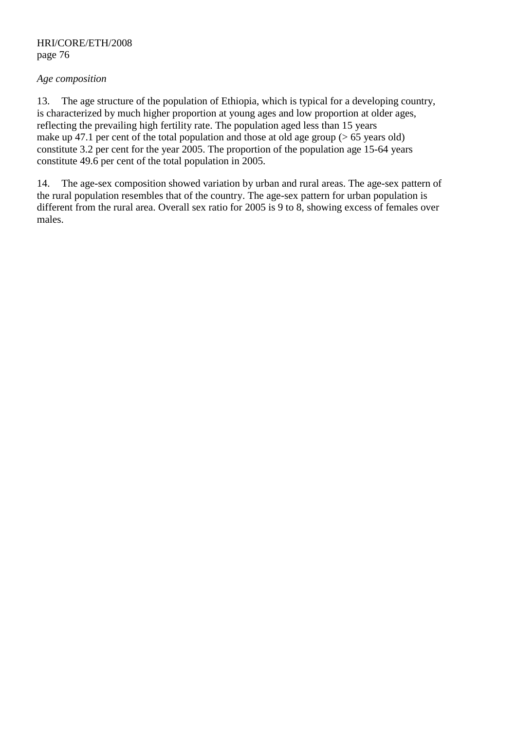## HRI/CORE/ETH/2008 page 76

#### *Age composition*

13. The age structure of the population of Ethiopia, which is typical for a developing country, is characterized by much higher proportion at young ages and low proportion at older ages, reflecting the prevailing high fertility rate. The population aged less than 15 years make up 47.1 per cent of the total population and those at old age group (> 65 years old) constitute 3.2 per cent for the year 2005. The proportion of the population age 15-64 years constitute 49.6 per cent of the total population in 2005.

14. The age-sex composition showed variation by urban and rural areas. The age-sex pattern of the rural population resembles that of the country. The age-sex pattern for urban population is different from the rural area. Overall sex ratio for 2005 is 9 to 8, showing excess of females over males.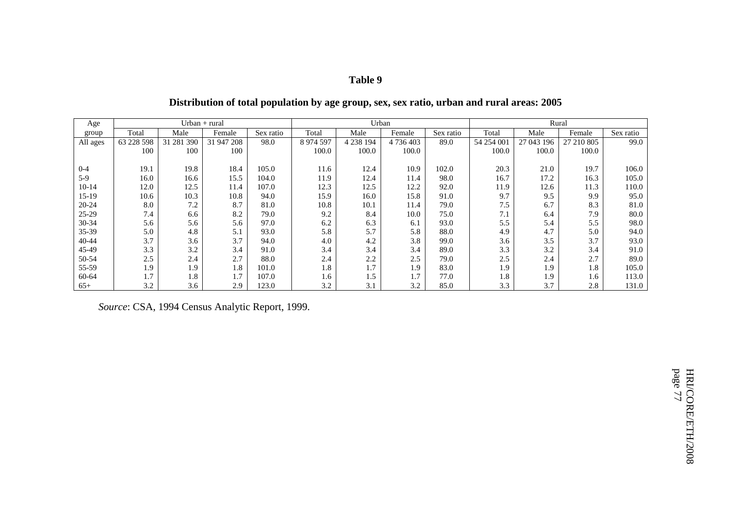| Age       |            |               | Urban + rural |           |           |               | Urban     |           |            |            | Rural      |           |
|-----------|------------|---------------|---------------|-----------|-----------|---------------|-----------|-----------|------------|------------|------------|-----------|
| group     | Total      | Male          | Female        | Sex ratio | Total     | Male          | Female    | Sex ratio | Total      | Male       | Female     | Sex ratio |
| All ages  | 63 228 598 | 390<br>31 281 | 31 947 208    | 98.0      | 8 974 597 | 4 2 3 8 1 9 4 | 4 736 403 | 89.0      | 54 254 001 | 27 043 196 | 27 210 805 | 99.0      |
|           | 100        | 100           | 100           |           | 100.0     | 100.0         | 100.0     |           | 100.0      | 100.0      | 100.0      |           |
|           |            |               |               |           |           |               |           |           |            |            |            |           |
| $0 - 4$   | 19.1       | 19.8          | 18.4          | 105.0     | 11.6      | 12.4          | 10.9      | 102.0     | 20.3       | 21.0       | 19.7       | 106.0     |
| $5-9$     | 16.0       | 16.6          | 15.5          | 104.0     | 11.9      | 12.4          | 11.4      | 98.0      | 16.7       | 17.2       | 16.3       | 105.0     |
| $10-14$   | 12.0       | 12.5          | 11.4          | 107.0     | 12.3      | 12.5          | 12.2      | 92.0      | 11.9       | 12.6       | 11.3       | 110.0     |
| $15-19$   | 10.6       | 10.3          | 10.8          | 94.0      | 15.9      | 16.0          | 15.8      | 91.0      | 9.7        | 9.5        | 9.9        | 95.0      |
| $20 - 24$ | 8.0        | 7.2           | 8.7           | 81.0      | 10.8      | 10.1          | 11.4      | 79.0      | 7.5        | 6.7        | 8.3        | 81.0      |
| 25-29     | 7.4        | 6.6           | 8.2           | 79.0      | 9.2       | 8.4           | 10.0      | 75.0      | 7.1        | 6.4        | 7.9        | 80.0      |
| 30-34     | 5.6        | 5.6           | 5.6           | 97.0      | 6.2       | 6.3           | 6.1       | 93.0      | 5.5        | 5.4        | 5.5        | 98.0      |
| 35-39     | 5.0        | 4.8           | 5.1           | 93.0      | 5.8       | 5.7           | 5.8       | 88.0      | 4.9        | 4.7        | 5.0        | 94.0      |
| $40 - 44$ | 3.7        | 3.6           | 3.7           | 94.0      | 4.0       | 4.2           | 3.8       | 99.0      | 3.6        | 3.5        | 3.7        | 93.0      |
| 45-49     | 3.3        | 3.2           | 3.4           | 91.0      | 3.4       | 3.4           | 3.4       | 89.0      | 3.3        | 3.2        | 3.4        | 91.0      |
| 50-54     | 2.5        | 2.4           | 2.7           | 88.0      | 2.4       | 2.2           | 2.5       | 79.0      | 2.5        | 2.4        | 2.7        | 89.0      |
| 55-59     | 1.9        | 1.9           | 1.8           | 101.0     | 1.8       | 1.7           | 1.9       | 83.0      | 1.9        | 1.9        | 1.8        | 105.0     |
| 60-64     | 1.7        | 1.8           | 1.7           | 107.0     | 1.6       | 1.5           | 1.7       | 77.0      | 1.8        | 1.9        | 1.6        | 113.0     |
| $65+$     | 3.2        | 3.6           | 2.9           | 123.0     | 3.2       | 3.1           | 3.2       | 85.0      | 3.3        | 3.7        | 2.8        | 131.0     |

# **Distribution of total population by age group, sex, sex ratio, urban and rural areas: 2005**

 *Source*: CSA, 1994 Census Analytic Report, 1999.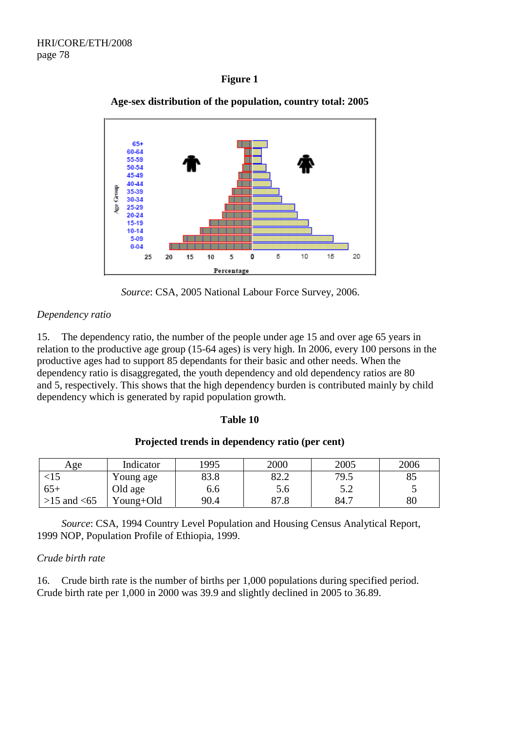## **Figure 1**



### **Age-sex distribution of the population, country total: 2005**



## *Dependency ratio*

15. The dependency ratio, the number of the people under age 15 and over age 65 years in relation to the productive age group (15-64 ages) is very high. In 2006, every 100 persons in the productive ages had to support 85 dependants for their basic and other needs. When the dependency ratio is disaggregated, the youth dependency and old dependency ratios are 80 and 5, respectively. This shows that the high dependency burden is contributed mainly by child dependency which is generated by rapid population growth.

#### **Table 10**

## **Projected trends in dependency ratio (per cent)**

| Age              | Indicator | 1995 | 2000          | 2005        | 2006 |
|------------------|-----------|------|---------------|-------------|------|
|                  | Young age | 83.8 | റെ റ<br>ے . ت | 79.5        | 85   |
| $65+$            | Old age   | 6.6  | 5.6           | < ^<br>ے. ب |      |
| $>15$ and $< 65$ | Young+Old | 90.4 | 87.8          | 84.7        | 80   |

 *Source*: CSA, 1994 Country Level Population and Housing Census Analytical Report, 1999 NOP, Population Profile of Ethiopia, 1999.

#### *Crude birth rate*

16. Crude birth rate is the number of births per 1,000 populations during specified period. Crude birth rate per 1,000 in 2000 was 39.9 and slightly declined in 2005 to 36.89.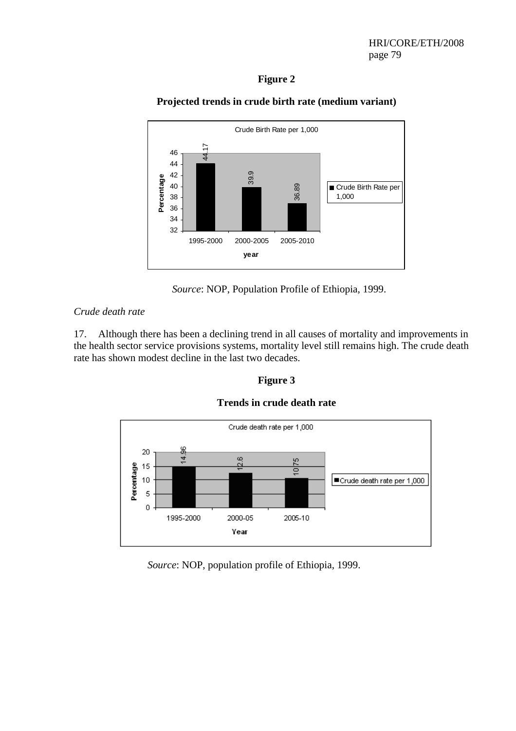# **Figure 2**



## **Projected trends in crude birth rate (medium variant)**

 *Source*: NOP, Population Profile of Ethiopia, 1999.

## *Crude death rate*

17. Although there has been a declining trend in all causes of mortality and improvements in the health sector service provisions systems, mortality level still remains high. The crude death rate has shown modest decline in the last two decades.

#### **Figure 3**

#### **Trends in crude death rate**



 *Source*: NOP, population profile of Ethiopia, 1999.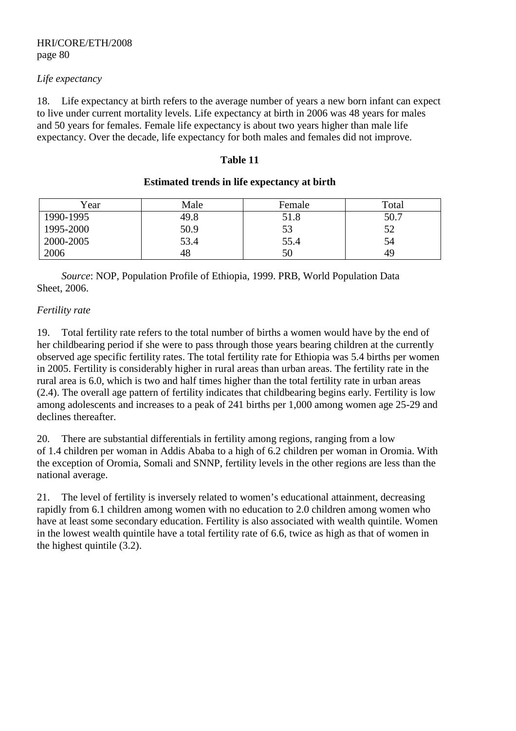#### *Life expectancy*

18. Life expectancy at birth refers to the average number of years a new born infant can expect to live under current mortality levels. Life expectancy at birth in 2006 was 48 years for males and 50 years for females. Female life expectancy is about two years higher than male life expectancy. Over the decade, life expectancy for both males and females did not improve.

#### **Table 11**

| Year      | Male | Female | Total |
|-----------|------|--------|-------|
| 1990-1995 | 49.8 | 51.8   | 50.7  |
| 1995-2000 | 50.9 | 53     | 52    |
| 2000-2005 | 53.4 | 55.4   | 54    |
| 2006      | 48   | 50     | 49    |

## **Estimated trends in life expectancy at birth**

 *Source*: NOP, Population Profile of Ethiopia, 1999. PRB, World Population Data Sheet, 2006.

## *Fertility rate*

19. Total fertility rate refers to the total number of births a women would have by the end of her childbearing period if she were to pass through those years bearing children at the currently observed age specific fertility rates. The total fertility rate for Ethiopia was 5.4 births per women in 2005. Fertility is considerably higher in rural areas than urban areas. The fertility rate in the rural area is 6.0, which is two and half times higher than the total fertility rate in urban areas (2.4). The overall age pattern of fertility indicates that childbearing begins early. Fertility is low among adolescents and increases to a peak of 241 births per 1,000 among women age 25-29 and declines thereafter.

20. There are substantial differentials in fertility among regions, ranging from a low of 1.4 children per woman in Addis Ababa to a high of 6.2 children per woman in Oromia. With the exception of Oromia, Somali and SNNP, fertility levels in the other regions are less than the national average.

21. The level of fertility is inversely related to women's educational attainment, decreasing rapidly from 6.1 children among women with no education to 2.0 children among women who have at least some secondary education. Fertility is also associated with wealth quintile. Women in the lowest wealth quintile have a total fertility rate of 6.6, twice as high as that of women in the highest quintile (3.2).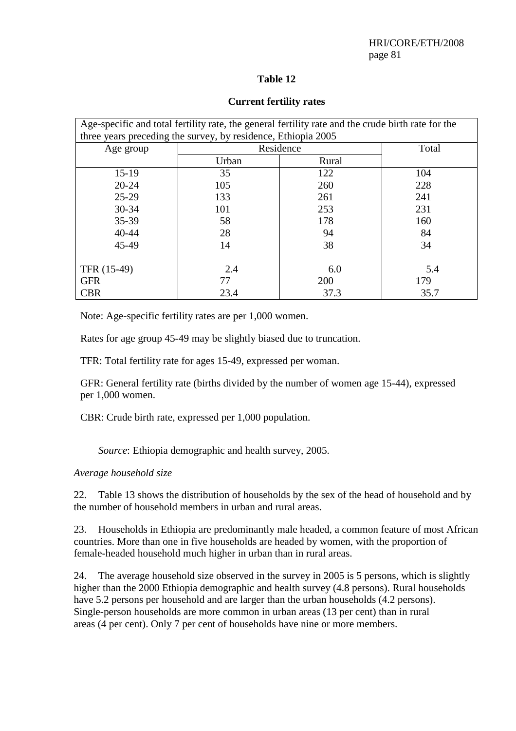#### **Current fertility rates**

|             |                                                               | Age-specific and total fertility rate, the general fertility rate and the crude birth rate for the |       |
|-------------|---------------------------------------------------------------|----------------------------------------------------------------------------------------------------|-------|
|             | three years preceding the survey, by residence, Ethiopia 2005 |                                                                                                    |       |
| Age group   | Residence                                                     |                                                                                                    | Total |
|             | Urban                                                         | Rural                                                                                              |       |
| $15-19$     | 35                                                            | 122                                                                                                | 104   |
| $20 - 24$   | 105                                                           | 260                                                                                                | 228   |
| $25-29$     | 133                                                           | 261                                                                                                | 241   |
| 30-34       | 101                                                           | 253                                                                                                | 231   |
| $35 - 39$   | 58                                                            | 178                                                                                                | 160   |
| 40-44       | 28                                                            | 94                                                                                                 | 84    |
| 45-49       | 14                                                            | 38                                                                                                 | 34    |
|             |                                                               |                                                                                                    |       |
| TFR (15-49) | 2.4                                                           | 6.0                                                                                                | 5.4   |
| <b>GFR</b>  | 77                                                            | <b>200</b>                                                                                         | 179   |
| <b>CBR</b>  | 23.4                                                          | 37.3                                                                                               | 35.7  |

Note: Age-specific fertility rates are per 1,000 women.

Rates for age group 45-49 may be slightly biased due to truncation.

TFR: Total fertility rate for ages 15-49, expressed per woman.

GFR: General fertility rate (births divided by the number of women age 15-44), expressed per 1,000 women.

CBR: Crude birth rate, expressed per 1,000 population.

 *Source*: Ethiopia demographic and health survey, 2005.

#### *Average household size*

22. Table 13 shows the distribution of households by the sex of the head of household and by the number of household members in urban and rural areas.

23. Households in Ethiopia are predominantly male headed, a common feature of most African countries. More than one in five households are headed by women, with the proportion of female-headed household much higher in urban than in rural areas.

24. The average household size observed in the survey in 2005 is 5 persons, which is slightly higher than the 2000 Ethiopia demographic and health survey (4.8 persons). Rural households have 5.2 persons per household and are larger than the urban households (4.2 persons). Single-person households are more common in urban areas (13 per cent) than in rural areas (4 per cent). Only 7 per cent of households have nine or more members.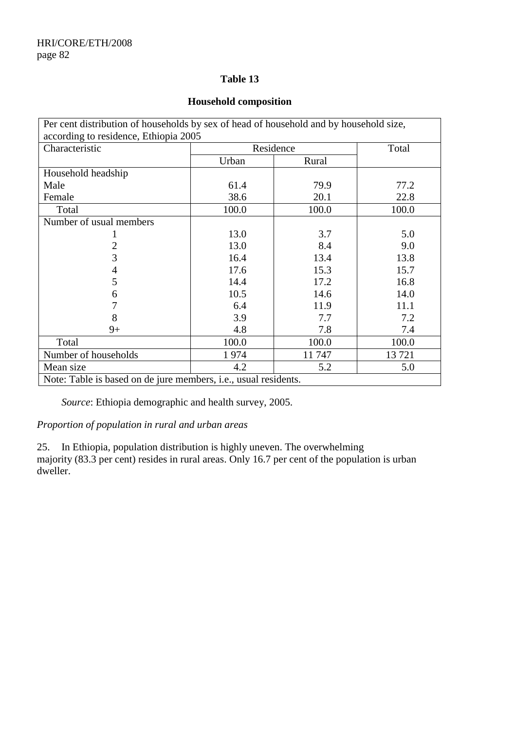## **Household composition**

| Per cent distribution of households by sex of head of household and by household size, |           |       |       |
|----------------------------------------------------------------------------------------|-----------|-------|-------|
| according to residence, Ethiopia 2005                                                  |           |       |       |
| Characteristic                                                                         | Residence |       | Total |
|                                                                                        | Urban     | Rural |       |
| Household headship                                                                     |           |       |       |
| Male                                                                                   | 61.4      | 79.9  | 77.2  |
| Female                                                                                 | 38.6      | 20.1  | 22.8  |
| Total                                                                                  | 100.0     | 100.0 | 100.0 |
| Number of usual members                                                                |           |       |       |
|                                                                                        | 13.0      | 3.7   | 5.0   |
| 2                                                                                      | 13.0      | 8.4   | 9.0   |
| 3                                                                                      | 16.4      | 13.4  | 13.8  |
| 4                                                                                      | 17.6      | 15.3  | 15.7  |
| 5                                                                                      | 14.4      | 17.2  | 16.8  |
| 6                                                                                      | 10.5      | 14.6  | 14.0  |
| 7                                                                                      | 6.4       | 11.9  | 11.1  |
| 8                                                                                      | 3.9       | 7.7   | 7.2   |
| $9+$                                                                                   | 4.8       | 7.8   | 7.4   |
| Total                                                                                  | 100.0     | 100.0 | 100.0 |
| Number of households                                                                   | 1974      | 11747 | 13721 |
| Mean size                                                                              | 4.2       | 5.2   | 5.0   |
| Note: Table is based on de jure members, i.e., usual residents.                        |           |       |       |

 *Source*: Ethiopia demographic and health survey, 2005.

## *Proportion of population in rural and urban areas*

25. In Ethiopia, population distribution is highly uneven. The overwhelming majority (83.3 per cent) resides in rural areas. Only 16.7 per cent of the population is urban dweller.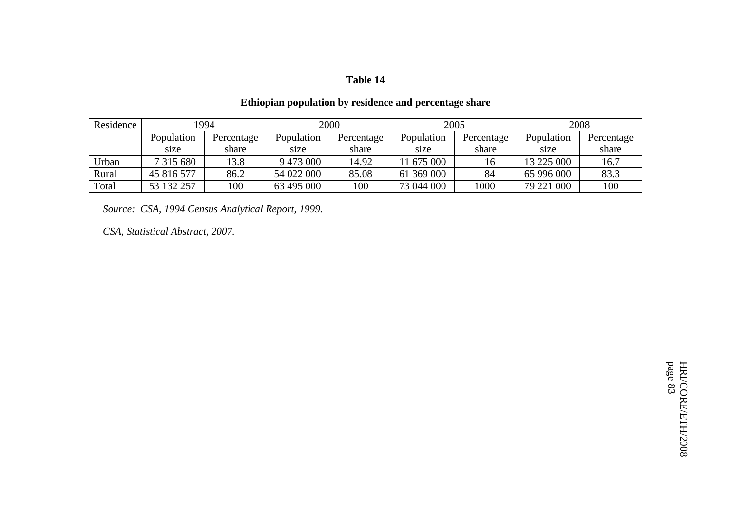| Residence |               | 994        |               | 2000       |            | 2005       |            | 2008       |
|-----------|---------------|------------|---------------|------------|------------|------------|------------|------------|
|           | Population    | Percentage | Population    | Percentage | Population | Percentage | Population | Percentage |
|           | size          | share      | size          | share      | size       | share      | size       | share      |
| Urban     | 7 3 1 5 6 8 0 | 13.8       | 9 4 7 3 0 0 0 | 14.92      | 675 000    | 16         | 13 225 000 | 16.7       |
| Rural     | 45 816 577    | 86.2       | 54 022 000    | 85.08      | 61 369 000 | 84         | 65 996 000 | 83.3       |
| Total     | 53 132 257    | 100        | 63 495 000    | 100        | 73 044 000 | 1000       | 79 221 000 | 100        |

# **Ethiopian population by residence and percentage share**

*Source: CSA, 1994 Census Analytical Report, 1999.* 

 *CSA, Statistical Abstract, 2007.*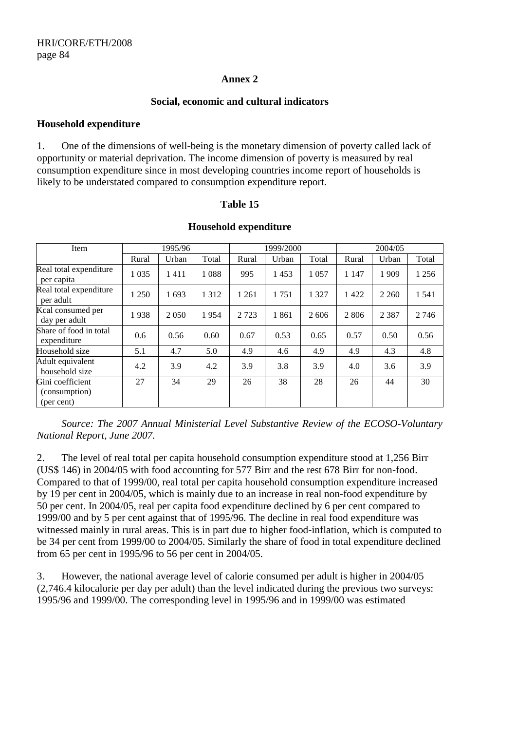#### **Annex 2**

### **Social, economic and cultural indicators**

#### **Household expenditure**

1. One of the dimensions of well-being is the monetary dimension of poverty called lack of opportunity or material deprivation. The income dimension of poverty is measured by real consumption expenditure since in most developing countries income report of households is likely to be understated compared to consumption expenditure report.

## **Table 15**

| Item                                            |         | 1995/96 |         | 1999/2000 |       |         |         | 2004/05 |         |
|-------------------------------------------------|---------|---------|---------|-----------|-------|---------|---------|---------|---------|
|                                                 | Rural   | Urban   | Total   | Rural     | Urban | Total   | Rural   | Urban   | Total   |
| Real total expenditure<br>per capita            | 1 0 3 5 | 1411    | 1 0 8 8 | 995       | 1453  | 1 0 5 7 | 1 1 4 7 | 1 9 0 9 | 1 2 5 6 |
| Real total expenditure<br>per adult             | 1 250   | 1693    | 1 3 1 2 | 1 2 6 1   | 1751  | 1 3 2 7 | 1422    | 2 2 6 0 | 1 5 4 1 |
| Kcal consumed per<br>day per adult              | 1938    | 2 0 5 0 | 1954    | 2 7 2 3   | 1861  | 2606    | 2806    | 2 3 8 7 | 2 7 4 6 |
| Share of food in total<br>expenditure           | 0.6     | 0.56    | 0.60    | 0.67      | 0.53  | 0.65    | 0.57    | 0.50    | 0.56    |
| Household size                                  | 5.1     | 4.7     | 5.0     | 4.9       | 4.6   | 4.9     | 4.9     | 4.3     | 4.8     |
| Adult equivalent<br>household size              | 4.2     | 3.9     | 4.2     | 3.9       | 3.8   | 3.9     | 4.0     | 3.6     | 3.9     |
| Gini coefficient<br>(consumption)<br>(per cent) | 27      | 34      | 29      | 26        | 38    | 28      | 26      | 44      | 30      |

#### **Household expenditure**

 *Source: The 2007 Annual Ministerial Level Substantive Review of the ECOSO-Voluntary National Report, June 2007.* 

2. The level of real total per capita household consumption expenditure stood at 1,256 Birr (US\$ 146) in 2004/05 with food accounting for 577 Birr and the rest 678 Birr for non-food. Compared to that of 1999/00, real total per capita household consumption expenditure increased by 19 per cent in 2004/05, which is mainly due to an increase in real non-food expenditure by 50 per cent. In 2004/05, real per capita food expenditure declined by 6 per cent compared to 1999/00 and by 5 per cent against that of 1995/96. The decline in real food expenditure was witnessed mainly in rural areas. This is in part due to higher food-inflation, which is computed to be 34 per cent from 1999/00 to 2004/05. Similarly the share of food in total expenditure declined from 65 per cent in 1995/96 to 56 per cent in 2004/05.

3. However, the national average level of calorie consumed per adult is higher in 2004/05 (2,746.4 kilocalorie per day per adult) than the level indicated during the previous two surveys: 1995/96 and 1999/00. The corresponding level in 1995/96 and in 1999/00 was estimated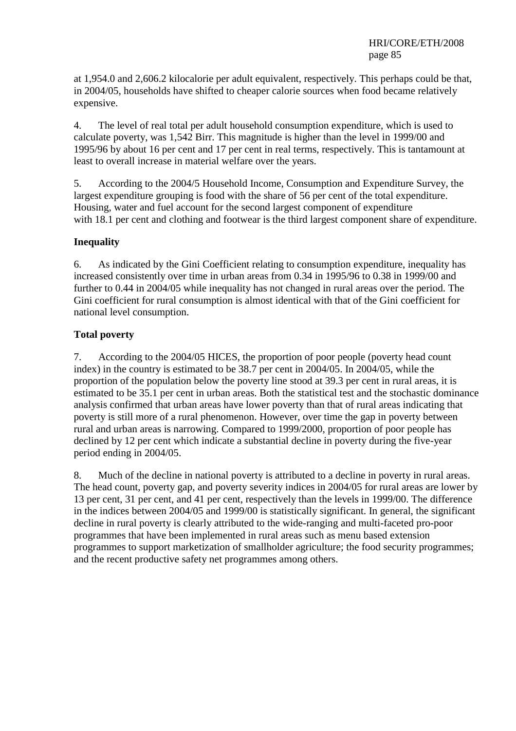## HRI/CORE/ETH/2008 page 85

at 1,954.0 and 2,606.2 kilocalorie per adult equivalent, respectively. This perhaps could be that, in 2004/05, households have shifted to cheaper calorie sources when food became relatively expensive.

4. The level of real total per adult household consumption expenditure, which is used to calculate poverty, was 1,542 Birr. This magnitude is higher than the level in 1999/00 and 1995/96 by about 16 per cent and 17 per cent in real terms, respectively. This is tantamount at least to overall increase in material welfare over the years.

5. According to the 2004/5 Household Income, Consumption and Expenditure Survey, the largest expenditure grouping is food with the share of 56 per cent of the total expenditure. Housing, water and fuel account for the second largest component of expenditure with 18.1 per cent and clothing and footwear is the third largest component share of expenditure.

## **Inequality**

6. As indicated by the Gini Coefficient relating to consumption expenditure, inequality has increased consistently over time in urban areas from 0.34 in 1995/96 to 0.38 in 1999/00 and further to 0.44 in 2004/05 while inequality has not changed in rural areas over the period. The Gini coefficient for rural consumption is almost identical with that of the Gini coefficient for national level consumption.

## **Total poverty**

7. According to the 2004/05 HICES, the proportion of poor people (poverty head count index) in the country is estimated to be 38.7 per cent in 2004/05. In 2004/05, while the proportion of the population below the poverty line stood at 39.3 per cent in rural areas, it is estimated to be 35.1 per cent in urban areas. Both the statistical test and the stochastic dominance analysis confirmed that urban areas have lower poverty than that of rural areas indicating that poverty is still more of a rural phenomenon. However, over time the gap in poverty between rural and urban areas is narrowing. Compared to 1999/2000, proportion of poor people has declined by 12 per cent which indicate a substantial decline in poverty during the five-year period ending in 2004/05.

8. Much of the decline in national poverty is attributed to a decline in poverty in rural areas. The head count, poverty gap, and poverty severity indices in 2004/05 for rural areas are lower by 13 per cent, 31 per cent, and 41 per cent, respectively than the levels in 1999/00. The difference in the indices between 2004/05 and 1999/00 is statistically significant. In general, the significant decline in rural poverty is clearly attributed to the wide-ranging and multi-faceted pro-poor programmes that have been implemented in rural areas such as menu based extension programmes to support marketization of smallholder agriculture; the food security programmes; and the recent productive safety net programmes among others.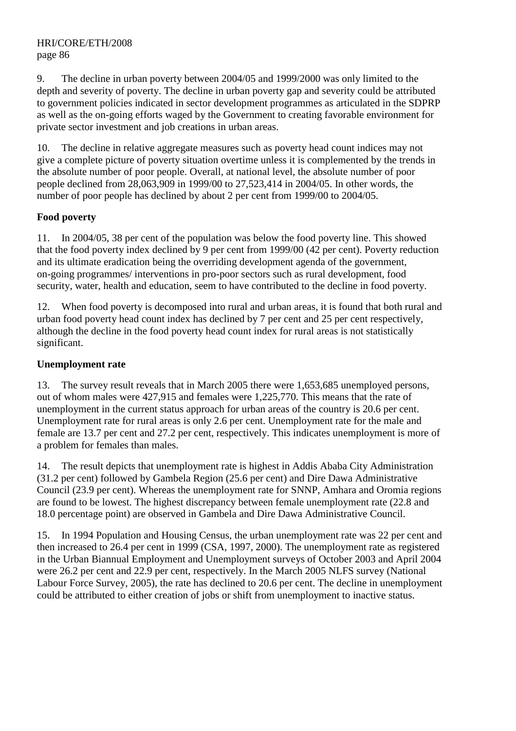HRI/CORE/ETH/2008 page 86

9. The decline in urban poverty between 2004/05 and 1999/2000 was only limited to the depth and severity of poverty. The decline in urban poverty gap and severity could be attributed to government policies indicated in sector development programmes as articulated in the SDPRP as well as the on-going efforts waged by the Government to creating favorable environment for private sector investment and job creations in urban areas.

10. The decline in relative aggregate measures such as poverty head count indices may not give a complete picture of poverty situation overtime unless it is complemented by the trends in the absolute number of poor people. Overall, at national level, the absolute number of poor people declined from 28,063,909 in 1999/00 to 27,523,414 in 2004/05. In other words, the number of poor people has declined by about 2 per cent from 1999/00 to 2004/05.

# **Food poverty**

11. In 2004/05, 38 per cent of the population was below the food poverty line. This showed that the food poverty index declined by 9 per cent from 1999/00 (42 per cent). Poverty reduction and its ultimate eradication being the overriding development agenda of the government, on-going programmes/ interventions in pro-poor sectors such as rural development, food security, water, health and education, seem to have contributed to the decline in food poverty.

12. When food poverty is decomposed into rural and urban areas, it is found that both rural and urban food poverty head count index has declined by 7 per cent and 25 per cent respectively, although the decline in the food poverty head count index for rural areas is not statistically significant.

# **Unemployment rate**

13. The survey result reveals that in March 2005 there were 1,653,685 unemployed persons, out of whom males were 427,915 and females were 1,225,770. This means that the rate of unemployment in the current status approach for urban areas of the country is 20.6 per cent. Unemployment rate for rural areas is only 2.6 per cent. Unemployment rate for the male and female are 13.7 per cent and 27.2 per cent, respectively. This indicates unemployment is more of a problem for females than males.

14. The result depicts that unemployment rate is highest in Addis Ababa City Administration (31.2 per cent) followed by Gambela Region (25.6 per cent) and Dire Dawa Administrative Council (23.9 per cent). Whereas the unemployment rate for SNNP, Amhara and Oromia regions are found to be lowest. The highest discrepancy between female unemployment rate (22.8 and 18.0 percentage point) are observed in Gambela and Dire Dawa Administrative Council.

15. In 1994 Population and Housing Census, the urban unemployment rate was 22 per cent and then increased to 26.4 per cent in 1999 (CSA, 1997, 2000). The unemployment rate as registered in the Urban Biannual Employment and Unemployment surveys of October 2003 and April 2004 were 26.2 per cent and 22.9 per cent, respectively. In the March 2005 NLFS survey (National Labour Force Survey, 2005), the rate has declined to 20.6 per cent. The decline in unemployment could be attributed to either creation of jobs or shift from unemployment to inactive status.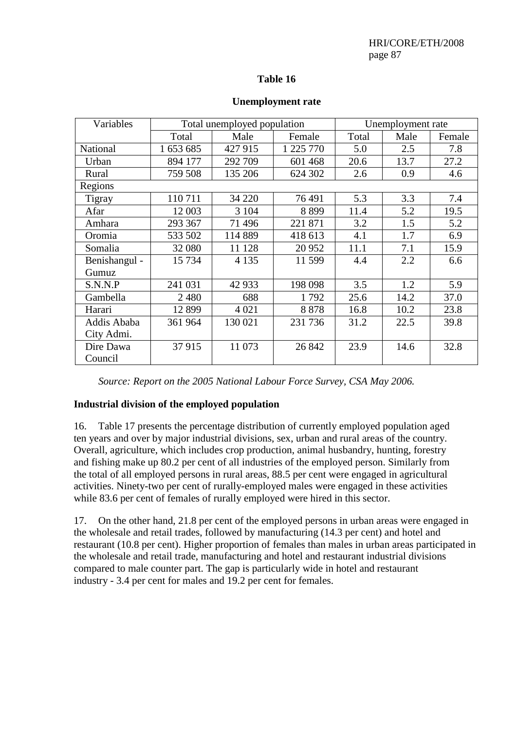| Variables     |           | Total unemployed population |           |       | Unemployment rate |        |
|---------------|-----------|-----------------------------|-----------|-------|-------------------|--------|
|               | Total     | Male                        | Female    | Total | Male              | Female |
| National      | 1 653 685 | 427 915                     | 1 225 770 | 5.0   | 2.5               | 7.8    |
| Urban         | 894 177   | 292 709                     | 601 468   | 20.6  | 13.7              | 27.2   |
| Rural         | 759 508   | 135 206                     | 624 302   | 2.6   | 0.9               | 4.6    |
| Regions       |           |                             |           |       |                   |        |
| Tigray        | 110711    | 34 220                      | 76 491    | 5.3   | 3.3               | 7.4    |
| Afar          | 12 003    | 3 104                       | 8899      | 11.4  | 5.2               | 19.5   |
| Amhara        | 293 367   | 71 496                      | 221 871   | 3.2   | 1.5               | 5.2    |
| Oromia        | 533 502   | 114 889                     | 418 613   | 4.1   | 1.7               | 6.9    |
| Somalia       | 32 080    | 11 128                      | 20 952    | 11.1  | 7.1               | 15.9   |
| Benishangul - | 15 7 34   | 4 1 3 5                     | 11 599    | 4.4   | 2.2               | 6.6    |
| Gumuz         |           |                             |           |       |                   |        |
| S.N.N.P       | 241 031   | 42 933                      | 198 098   | 3.5   | 1.2               | 5.9    |
| Gambella      | 2 4 8 0   | 688                         | 1792      | 25.6  | 14.2              | 37.0   |
| Harari        | 12899     | 4 0 21                      | 8878      | 16.8  | 10.2              | 23.8   |
| Addis Ababa   | 361 964   | 130 021                     | 231 736   | 31.2  | 22.5              | 39.8   |
| City Admi.    |           |                             |           |       |                   |        |
| Dire Dawa     | 37915     | 11 073                      | 26 842    | 23.9  | 14.6              | 32.8   |
| Council       |           |                             |           |       |                   |        |

### **Unemployment rate**

 *Source: Report on the 2005 National Labour Force Survey, CSA May 2006.* 

## **Industrial division of the employed population**

16. Table 17 presents the percentage distribution of currently employed population aged ten years and over by major industrial divisions, sex, urban and rural areas of the country. Overall, agriculture, which includes crop production, animal husbandry, hunting, forestry and fishing make up 80.2 per cent of all industries of the employed person. Similarly from the total of all employed persons in rural areas, 88.5 per cent were engaged in agricultural activities. Ninety-two per cent of rurally-employed males were engaged in these activities while 83.6 per cent of females of rurally employed were hired in this sector.

17. On the other hand, 21.8 per cent of the employed persons in urban areas were engaged in the wholesale and retail trades, followed by manufacturing (14.3 per cent) and hotel and restaurant (10.8 per cent). Higher proportion of females than males in urban areas participated in the wholesale and retail trade, manufacturing and hotel and restaurant industrial divisions compared to male counter part. The gap is particularly wide in hotel and restaurant industry - 3.4 per cent for males and 19.2 per cent for females.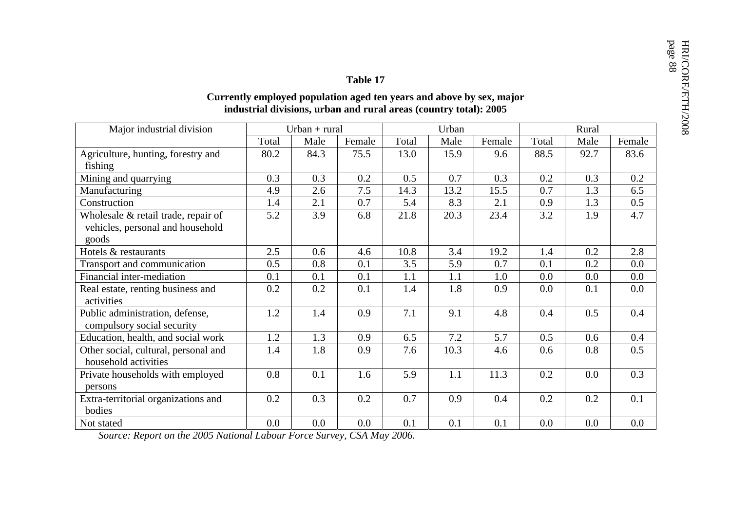|                                                                                  |                                                                                                                                           |                 | Table 17 |       |       |        |       |       |        |
|----------------------------------------------------------------------------------|-------------------------------------------------------------------------------------------------------------------------------------------|-----------------|----------|-------|-------|--------|-------|-------|--------|
|                                                                                  | Currently employed population aged ten years and above by sex, major<br>industrial divisions, urban and rural areas (country total): 2005 |                 |          |       |       |        |       |       |        |
| Major industrial division                                                        |                                                                                                                                           | $Urban + rural$ |          |       | Urban |        |       | Rural |        |
|                                                                                  | Total                                                                                                                                     | Male            | Female   | Total | Male  | Female | Total | Male  | Female |
| Agriculture, hunting, forestry and<br>fishing                                    | 80.2                                                                                                                                      | 84.3            | 75.5     | 13.0  | 15.9  | 9.6    | 88.5  | 92.7  | 83.6   |
| Mining and quarrying                                                             | 0.3                                                                                                                                       | 0.3             | 0.2      | 0.5   | 0.7   | 0.3    | 0.2   | 0.3   | 0.2    |
| Manufacturing                                                                    | 4.9                                                                                                                                       | 2.6             | 7.5      | 14.3  | 13.2  | 15.5   | 0.7   | 1.3   | 6.5    |
| Construction                                                                     | 1.4                                                                                                                                       | 2.1             | 0.7      | 5.4   | 8.3   | 2.1    | 0.9   | 1.3   | 0.5    |
| Wholesale & retail trade, repair of<br>vehicles, personal and household<br>goods | 5.2                                                                                                                                       | 3.9             | 6.8      | 21.8  | 20.3  | 23.4   | 3.2   | 1.9   | 4.7    |
| Hotels & restaurants                                                             | 2.5                                                                                                                                       | 0.6             | 4.6      | 10.8  | 3.4   | 19.2   | 1.4   | 0.2   | 2.8    |
| Transport and communication                                                      | 0.5                                                                                                                                       | 0.8             | 0.1      | 3.5   | 5.9   | 0.7    | 0.1   | 0.2   | 0.0    |
| Financial inter-mediation                                                        | 0.1                                                                                                                                       | 0.1             | 0.1      | 1.1   | 1.1   | 1.0    | 0.0   | 0.0   | 0.0    |
| Real estate, renting business and<br>activities                                  | 0.2                                                                                                                                       | 0.2             | 0.1      | 1.4   | 1.8   | 0.9    | 0.0   | 0.1   | 0.0    |
| Public administration, defense,<br>compulsory social security                    | 1.2                                                                                                                                       | 1.4             | 0.9      | 7.1   | 9.1   | 4.8    | 0.4   | 0.5   | 0.4    |
| Education, health, and social work                                               | 1.2                                                                                                                                       | 1.3             | 0.9      | 6.5   | 7.2   | 5.7    | 0.5   | 0.6   | 0.4    |
| Other social, cultural, personal and<br>household activities                     | 1.4                                                                                                                                       | 1.8             | 0.9      | 7.6   | 10.3  | 4.6    | 0.6   | 0.8   | 0.5    |
| Private households with employed<br>persons                                      | 0.8                                                                                                                                       | 0.1             | 1.6      | 5.9   | 1.1   | 11.3   | 0.2   | 0.0   | 0.3    |
| Extra-territorial organizations and<br>bodies                                    | 0.2                                                                                                                                       | 0.3             | 0.2      | 0.7   | 0.9   | 0.4    | 0.2   | 0.2   | 0.1    |
| Not stated                                                                       | 0.0                                                                                                                                       | 0.0             | 0.0      | 0.1   | 0.1   | 0.1    | 0.0   | 0.0   | 0.0    |

 *Source: Report on the 2005 National Labour Force Survey, CSA May 2006.*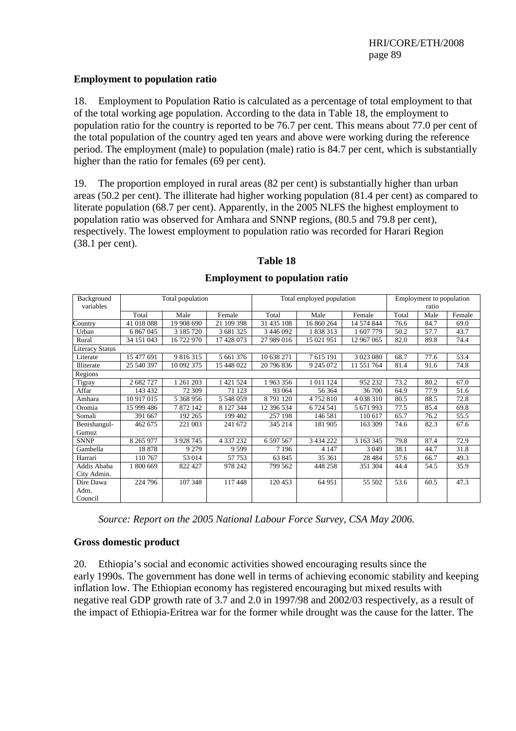### **Employment to population ratio**

18. Employment to Population Ratio is calculated as a percentage of total employment to that of the total working age population. According to the data in Table 18, the employment to population ratio for the country is reported to be 76.7 per cent. This means about 77.0 per cent of the total population of the country aged ten years and above were working during the reference period. The employment (male) to population (male) ratio is 84.7 per cent, which is substantially higher than the ratio for females (69 per cent).

19. The proportion employed in rural areas (82 per cent) is substantially higher than urban areas (50.2 per cent). The illiterate had higher working population (81.4 per cent) as compared to literate population (68.7 per cent). Apparently, in the 2005 NLFS the highest employment to population ratio was observed for Amhara and SNNP regions, (80.5 and 79.8 per cent), respectively. The lowest employment to population ratio was recorded for Harari Region (38.1 per cent).

#### **Table 18**

| Background<br>variables      |                         | Total population |            | Total employed population |               | Employment to population<br>ratio |       |      |        |
|------------------------------|-------------------------|------------------|------------|---------------------------|---------------|-----------------------------------|-------|------|--------|
|                              | Total                   | Male             | Female     | Total                     | Male          | Female                            | Total | Male | Female |
| Country                      | 41 018 088              | 19 908 690       | 21 109 398 | 31 435 108                | 16 860 264    | 14 574 844                        | 76.6  | 84.7 | 69.0   |
| Urban                        | 6 867 045               | 3 185 720        | 3 681 325  | 3 446 092                 | 1838313       | 1 607 779                         | 50.2  | 57.7 | 43.7   |
| Rural                        | 34 151 043              | 16 722 970       | 17 428 073 | 27 989 016                | 15 021 951    | 12 967 065                        | 82.0  | 89.8 | 74.4   |
| <b>Literacy Status</b>       |                         |                  |            |                           |               |                                   |       |      |        |
| Literate                     | $\overline{15}$ 477 691 | 9816315          | 5 661 376  | 10 638 271                | 7615191       | 3 023 080                         | 68.7  | 77.6 | 53.4   |
| Illiterate                   | 25 540 397              | 10 092 375       | 15 448 022 | 20 79 6 83 6              | 9 245 072     | 11 551 764                        | 81.4  | 91.6 | 74.8   |
| Regions                      |                         |                  |            |                           |               |                                   |       |      |        |
| Tigray                       | 2 682 727               | 1 261 203        | 1 421 524  | 1963356                   | 1 0 1 1 1 2 4 | 952 232                           | 73.2  | 80.2 | 67.0   |
| Affar                        | 143 432                 | 72 309           | 71 123     | 93 064                    | 56 364        | 36 700                            | 64.9  | 77.9 | 51.6   |
| Amhara                       | 10 917 015              | 5 368 956        | 5 548 059  | 8791120                   | 4752810       | 4 0 38 310                        | 80.5  | 88.5 | 72.8   |
| Oromia                       | 15 999 486              | 7872142          | 8 127 344  | 12 396 534                | 6 724 541     | 5 671 993                         | 77.5  | 85.4 | 69.8   |
| Somali                       | 391 667                 | 192 265          | 199 402    | 257 198                   | 146 581       | 110 617                           | 65.7  | 76.2 | 55.5   |
| Benishangul-<br>Gumuz        | 462 675                 | 221 003          | 241 672    | 345 214                   | 181 905       | 163 309                           | 74.6  | 82.3 | 67.6   |
| <b>SNNP</b>                  | 8 2 6 5 9 7 7           | 3 9 28 7 45      | 4 337 232  | 6 597 567                 | 3 4 3 4 2 2 2 | 3 163 345                         | 79.8  | 87.4 | 72.9   |
| Gambella                     | 18878                   | 9 2 7 9          | 9599       | 7 1 9 6                   | 4 1 4 7       | 3 0 4 9                           | 38.1  | 44.7 | 31.8   |
| Harrari                      | 110 767                 | 53 014           | 57 753     | 63 845                    | 35 361        | 28 4 84                           | 57.6  | 66.7 | 49.3   |
| Addis Ababa<br>City Admin.   | 1 800 669               | 822 427          | 978 242    | 799 562                   | 448 258       | 351 304                           | 44.4  | 54.5 | 35.9   |
| Dire Dawa<br>Adm.<br>Council | 224 796                 | 107 348          | 117448     | 120 453                   | 64 951        | 55 502                            | 53.6  | 60.5 | 47.3   |

#### **Employment to population ratio**

 *Source: Report on the 2005 National Labour Force Survey, CSA May 2006.* 

#### **Gross domestic product**

20. Ethiopia's social and economic activities showed encouraging results since the early 1990s. The government has done well in terms of achieving economic stability and keeping inflation low. The Ethiopian economy has registered encouraging but mixed results with negative real GDP growth rate of 3.7 and 2.0 in 1997/98 and 2002/03 respectively, as a result of the impact of Ethiopia-Eritrea war for the former while drought was the cause for the latter. The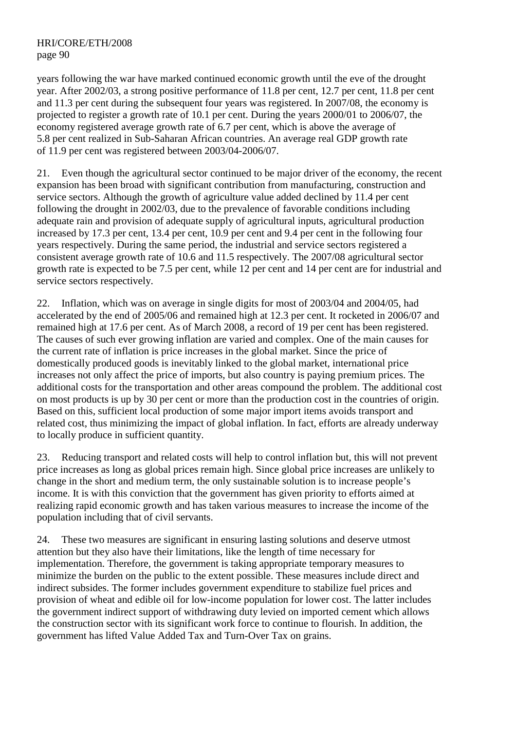years following the war have marked continued economic growth until the eve of the drought year. After 2002/03, a strong positive performance of 11.8 per cent, 12.7 per cent, 11.8 per cent and 11.3 per cent during the subsequent four years was registered. In 2007/08, the economy is projected to register a growth rate of 10.1 per cent. During the years 2000/01 to 2006/07, the economy registered average growth rate of 6.7 per cent, which is above the average of 5.8 per cent realized in Sub-Saharan African countries. An average real GDP growth rate of 11.9 per cent was registered between 2003/04-2006/07.

21. Even though the agricultural sector continued to be major driver of the economy, the recent expansion has been broad with significant contribution from manufacturing, construction and service sectors. Although the growth of agriculture value added declined by 11.4 per cent following the drought in 2002/03, due to the prevalence of favorable conditions including adequate rain and provision of adequate supply of agricultural inputs, agricultural production increased by 17.3 per cent, 13.4 per cent, 10.9 per cent and 9.4 per cent in the following four years respectively. During the same period, the industrial and service sectors registered a consistent average growth rate of 10.6 and 11.5 respectively. The 2007/08 agricultural sector growth rate is expected to be 7.5 per cent, while 12 per cent and 14 per cent are for industrial and service sectors respectively.

22. Inflation, which was on average in single digits for most of 2003/04 and 2004/05, had accelerated by the end of 2005/06 and remained high at 12.3 per cent. It rocketed in 2006/07 and remained high at 17.6 per cent. As of March 2008, a record of 19 per cent has been registered. The causes of such ever growing inflation are varied and complex. One of the main causes for the current rate of inflation is price increases in the global market. Since the price of domestically produced goods is inevitably linked to the global market, international price increases not only affect the price of imports, but also country is paying premium prices. The additional costs for the transportation and other areas compound the problem. The additional cost on most products is up by 30 per cent or more than the production cost in the countries of origin. Based on this, sufficient local production of some major import items avoids transport and related cost, thus minimizing the impact of global inflation. In fact, efforts are already underway to locally produce in sufficient quantity.

23. Reducing transport and related costs will help to control inflation but, this will not prevent price increases as long as global prices remain high. Since global price increases are unlikely to change in the short and medium term, the only sustainable solution is to increase people's income. It is with this conviction that the government has given priority to efforts aimed at realizing rapid economic growth and has taken various measures to increase the income of the population including that of civil servants.

24. These two measures are significant in ensuring lasting solutions and deserve utmost attention but they also have their limitations, like the length of time necessary for implementation. Therefore, the government is taking appropriate temporary measures to minimize the burden on the public to the extent possible. These measures include direct and indirect subsides. The former includes government expenditure to stabilize fuel prices and provision of wheat and edible oil for low-income population for lower cost. The latter includes the government indirect support of withdrawing duty levied on imported cement which allows the construction sector with its significant work force to continue to flourish. In addition, the government has lifted Value Added Tax and Turn-Over Tax on grains.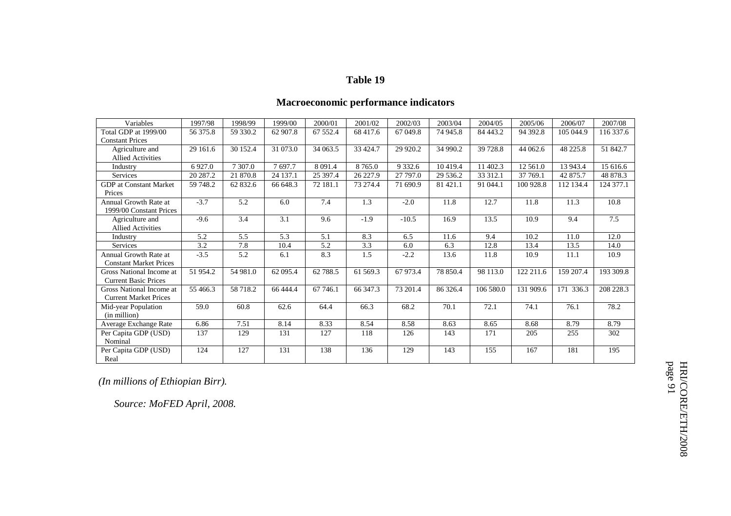# **Macroeconomic performance indicators**

| Variables                     | 1997/98  | 1998/99  | 1999/00  | 2000/01              | 2001/02    | 2002/03               | 2003/04  | 2004/05   | 2005/06   | 2006/07   | 2007/08   |
|-------------------------------|----------|----------|----------|----------------------|------------|-----------------------|----------|-----------|-----------|-----------|-----------|
| Total GDP at 1999/00          | 56 375.8 | 59 330.2 | 62 907.8 | 67 552.4             | 68 417.6   | 67 049.8              | 74 945.8 | 84 443.2  | 94 392.8  | 105 044.9 | 116 337.6 |
| <b>Constant Prices</b>        |          |          |          |                      |            |                       |          |           |           |           |           |
| Agriculture and               | 29 161.6 | 30 152.4 | 31 073.0 | 34 063.5             | 33 4 24.7  | 29 9 20.2             | 34 990.2 | 39 728.8  | 44 062.6  | 48 225.8  | 51 842.7  |
| <b>Allied Activities</b>      |          |          |          |                      |            |                       |          |           |           |           |           |
| Industry                      | 6 9 27.0 | 7 307.0  | 7697.7   | 8 0 9 1.4            | 8 7 6 5 .0 | 9 3 3 2.6             | 10419.4  | 11 402.3  | 12 561.0  | 13 943.4  | 15 616.6  |
| <b>Services</b>               | 20 287.2 | 21 870.8 | 24 137.1 | $\overline{25}397.4$ | 26 227.9   | $\overline{27}$ 797.0 | 29 536.2 | 33 312.1  | 37 769.1  | 42 875.7  | 48 878.3  |
| <b>GDP</b> at Constant Market | 59 748.2 | 62 832.6 | 66 648.3 | 72 181.1             | 73 274.4   | 71 690.9              | 81 421.1 | 91 044.1  | 100 928.8 | 112 134.4 | 124 377.1 |
| Prices                        |          |          |          |                      |            |                       |          |           |           |           |           |
| Annual Growth Rate at         | $-3.7$   | 5.2      | 6.0      | 7.4                  | 1.3        | $-2.0$                | 11.8     | 12.7      | 11.8      | 11.3      | 10.8      |
| 1999/00 Constant Prices       |          |          |          |                      |            |                       |          |           |           |           |           |
| Agriculture and               | $-9.6$   | 3.4      | 3.1      | 9.6                  | $-1.9$     | $-10.5$               | 16.9     | 13.5      | 10.9      | 9.4       | 7.5       |
| <b>Allied Activities</b>      |          |          |          |                      |            |                       |          |           |           |           |           |
| Industry                      | 5.2      | 5.5      | 5.3      | 5.1                  | 8.3        | 6.5                   | 11.6     | 9.4       | 10.2      | 11.0      | 12.0      |
| <b>Services</b>               | 3.2      | 7.8      | 10.4     | 5.2                  | 3.3        | 6.0                   | 6.3      | 12.8      | 13.4      | 13.5      | 14.0      |
| Annual Growth Rate at         | $-3.5$   | 5.2      | 6.1      | 8.3                  | 1.5        | $-2.2$                | 13.6     | 11.8      | 10.9      | 11.1      | 10.9      |
| <b>Constant Market Prices</b> |          |          |          |                      |            |                       |          |           |           |           |           |
| Gross National Income at      | 51 954.2 | 54 981.0 | 62 095.4 | 62 788.5             | 61 569.3   | 67 973.4              | 78 850.4 | 98 113.0  | 122 211.6 | 159 207.4 | 193 309.8 |
| <b>Current Basic Prices</b>   |          |          |          |                      |            |                       |          |           |           |           |           |
| Gross National Income at      | 55 466.3 | 58 718.2 | 66 444.4 | 67 746.1             | 66 347.3   | 73 201.4              | 86 326.4 | 106 580.0 | 131 909.6 | 171 336.3 | 208 228.3 |
| <b>Current Market Prices</b>  |          |          |          |                      |            |                       |          |           |           |           |           |
| Mid-year Population           | 59.0     | 60.8     | 62.6     | 64.4                 | 66.3       | 68.2                  | 70.1     | 72.1      | 74.1      | 76.1      | 78.2      |
| (in million)                  |          |          |          |                      |            |                       |          |           |           |           |           |
| Average Exchange Rate         | 6.86     | 7.51     | 8.14     | 8.33                 | 8.54       | 8.58                  | 8.63     | 8.65      | 8.68      | 8.79      | 8.79      |
| Per Capita GDP (USD)          | 137      | 129      | 131      | 127                  | 118        | 126                   | 143      | 171       | 205       | 255       | 302       |
| Nominal                       |          |          |          |                      |            |                       |          |           |           |           |           |
| Per Capita GDP (USD)          | 124      | 127      | 131      | 138                  | 136        | 129                   | 143      | 155       | 167       | 181       | 195       |
| Real                          |          |          |          |                      |            |                       |          |           |           |           |           |

 *(In millions of Ethiopian Birr).* 

 *Source: MoFED April, 2008.* 

 HRI/CORE/ETH/2008 page 91 HRI/CORE/ETH/2008<br>page 91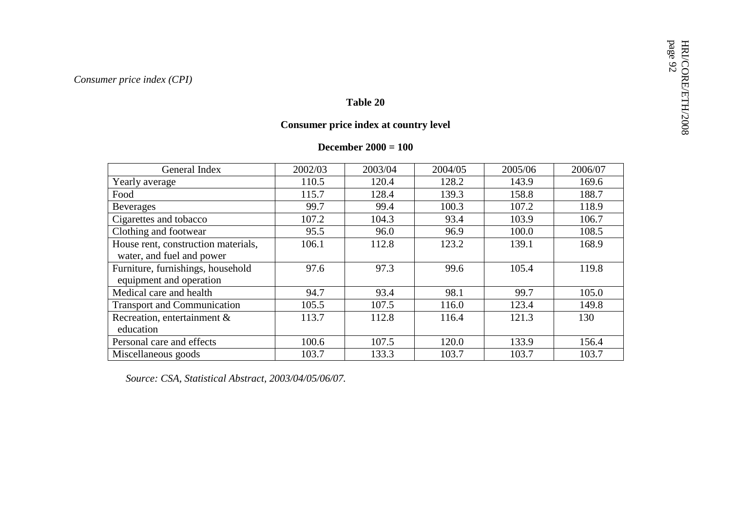#### **December 2000 = 100**

| General Index                       | 2002/03 | 2003/04 | 2004/05 | 2005/06 | 2006/07 |
|-------------------------------------|---------|---------|---------|---------|---------|
| Yearly average                      | 110.5   | 120.4   | 128.2   | 143.9   | 169.6   |
| Food                                | 115.7   | 128.4   | 139.3   | 158.8   | 188.7   |
| <b>Beverages</b>                    | 99.7    | 99.4    | 100.3   | 107.2   | 118.9   |
| Cigarettes and tobacco              | 107.2   | 104.3   | 93.4    | 103.9   | 106.7   |
| Clothing and footwear               | 95.5    | 96.0    | 96.9    | 100.0   | 108.5   |
| House rent, construction materials, | 106.1   | 112.8   | 123.2   | 139.1   | 168.9   |
| water, and fuel and power           |         |         |         |         |         |
| Furniture, furnishings, household   | 97.6    | 97.3    | 99.6    | 105.4   | 119.8   |
| equipment and operation             |         |         |         |         |         |
| Medical care and health             | 94.7    | 93.4    | 98.1    | 99.7    | 105.0   |
| <b>Transport and Communication</b>  | 105.5   | 107.5   | 116.0   | 123.4   | 149.8   |
| Recreation, entertainment &         | 113.7   | 112.8   | 116.4   | 121.3   | 130     |
| education                           |         |         |         |         |         |
| Personal care and effects           | 100.6   | 107.5   | 120.0   | 133.9   | 156.4   |
| Miscellaneous goods                 | 103.7   | 133.3   | 103.7   | 103.7   | 103.7   |

 *Source: CSA, Statistical Abstract, 2003/04/05/06/07.*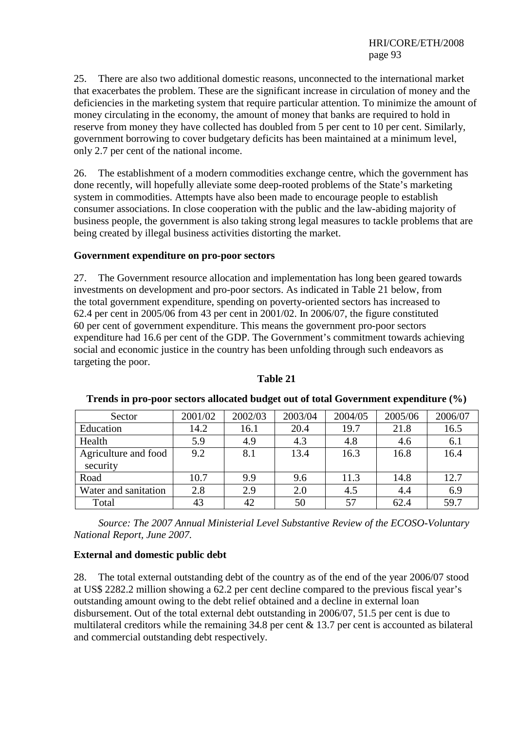HRI/CORE/ETH/2008 page 93

25. There are also two additional domestic reasons, unconnected to the international market that exacerbates the problem. These are the significant increase in circulation of money and the deficiencies in the marketing system that require particular attention. To minimize the amount of money circulating in the economy, the amount of money that banks are required to hold in reserve from money they have collected has doubled from 5 per cent to 10 per cent. Similarly, government borrowing to cover budgetary deficits has been maintained at a minimum level, only 2.7 per cent of the national income.

26. The establishment of a modern commodities exchange centre, which the government has done recently, will hopefully alleviate some deep-rooted problems of the State's marketing system in commodities. Attempts have also been made to encourage people to establish consumer associations. In close cooperation with the public and the law-abiding majority of business people, the government is also taking strong legal measures to tackle problems that are being created by illegal business activities distorting the market.

## **Government expenditure on pro-poor sectors**

27. The Government resource allocation and implementation has long been geared towards investments on development and pro-poor sectors. As indicated in Table 21 below, from the total government expenditure, spending on poverty-oriented sectors has increased to 62.4 per cent in 2005/06 from 43 per cent in 2001/02. In 2006/07, the figure constituted 60 per cent of government expenditure. This means the government pro-poor sectors expenditure had 16.6 per cent of the GDP. The Government's commitment towards achieving social and economic justice in the country has been unfolding through such endeavors as targeting the poor.

| Sector               | 2001/02 | 2002/03 | 2003/04 | 2004/05 | 2005/06 | 2006/07 |
|----------------------|---------|---------|---------|---------|---------|---------|
| Education            | 14.2    | 16.1    | 20.4    | 19.7    | 21.8    | 16.5    |
| Health               | 5.9     | 4.9     | 4.3     | 4.8     | 4.6     | 6.1     |
| Agriculture and food | 9.2     | 8.1     | 13.4    | 16.3    | 16.8    | 16.4    |
| security             |         |         |         |         |         |         |
| Road                 | 10.7    | 9.9     | 9.6     | 11.3    | 14.8    | 12.7    |
| Water and sanitation | 2.8     | 2.9     | 2.0     | 4.5     | 4.4     | 6.9     |
| Total                | 43      | 42      | 50      | 57      | 62.4    | 59.7    |

#### **Table 21**

#### **Trends in pro-poor sectors allocated budget out of total Government expenditure (%)**

 *Source: The 2007 Annual Ministerial Level Substantive Review of the ECOSO-Voluntary National Report, June 2007.* 

## **External and domestic public debt**

28. The total external outstanding debt of the country as of the end of the year 2006/07 stood at US\$ 2282.2 million showing a 62.2 per cent decline compared to the previous fiscal year's outstanding amount owing to the debt relief obtained and a decline in external loan disbursement. Out of the total external debt outstanding in 2006/07, 51.5 per cent is due to multilateral creditors while the remaining 34.8 per cent  $\&$  13.7 per cent is accounted as bilateral and commercial outstanding debt respectively.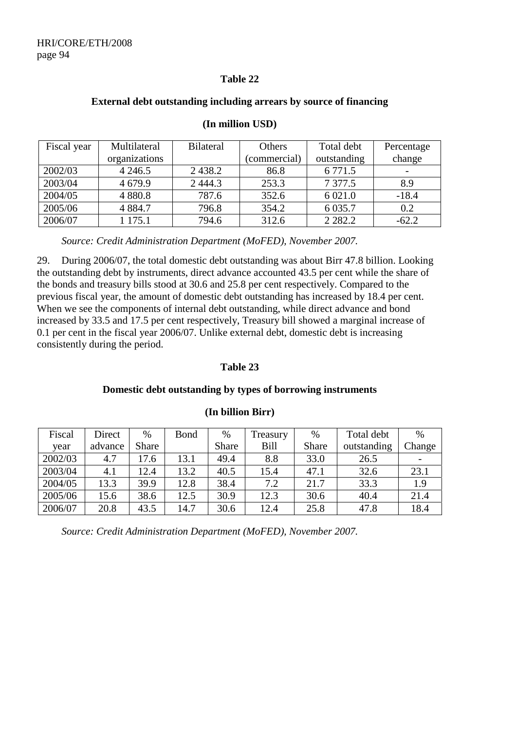| Fiscal year | Multilateral  | <b>Bilateral</b> | Others       | Total debt  | Percentage |
|-------------|---------------|------------------|--------------|-------------|------------|
|             | organizations |                  | (commercial) | outstanding | change     |
| 2002/03     | 4 2 4 6 .5    | 2438.2           | 86.8         | 6 7 7 1 .5  |            |
| 2003/04     | 4 6 7 9.9     | 2 4 4 4 .3       | 253.3        | 7 3 7 7 .5  | 8.9        |
| 2004/05     | 4 8 8 0.8     | 787.6            | 352.6        | 6 0 2 1 .0  | $-18.4$    |
| 2005/06     | 4884.7        | 796.8            | 354.2        | 6 0 35.7    | 0.2        |
| 2006/07     | 1 175.1       | 794.6            | 312.6        | 2 2 8 2 .2  | $-62.2$    |

### **External debt outstanding including arrears by source of financing**

**(In million USD)** 

 *Source: Credit Administration Department (MoFED), November 2007.* 

29. During 2006/07, the total domestic debt outstanding was about Birr 47.8 billion. Looking the outstanding debt by instruments, direct advance accounted 43.5 per cent while the share of the bonds and treasury bills stood at 30.6 and 25.8 per cent respectively. Compared to the previous fiscal year, the amount of domestic debt outstanding has increased by 18.4 per cent. When we see the components of internal debt outstanding, while direct advance and bond increased by 33.5 and 17.5 per cent respectively, Treasury bill showed a marginal increase of 0.1 per cent in the fiscal year 2006/07. Unlike external debt, domestic debt is increasing consistently during the period.

#### **Table 23**

#### **Domestic debt outstanding by types of borrowing instruments**

| Fiscal  | Direct  | $\%$  | <b>Bond</b> | %     | Treasury | $\%$  | Total debt  | %      |
|---------|---------|-------|-------------|-------|----------|-------|-------------|--------|
| year    | advance | Share |             | Share | Bill     | Share | outstanding | Change |
| 2002/03 | 4.7     | 17.6  | 13.1        | 49.4  | 8.8      | 33.0  | 26.5        |        |
| 2003/04 | 4.1     | 12.4  | 13.2        | 40.5  | 15.4     | 47.1  | 32.6        | 23.1   |
| 2004/05 | 13.3    | 39.9  | 12.8        | 38.4  | 7.2      | 21.7  | 33.3        | 1.9    |
| 2005/06 | 15.6    | 38.6  | 12.5        | 30.9  | 12.3     | 30.6  | 40.4        | 21.4   |
| 2006/07 | 20.8    | 43.5  | 14.7        | 30.6  | 12.4     | 25.8  | 47.8        | 18.4   |

#### **(In billion Birr)**

 *Source: Credit Administration Department (MoFED), November 2007.*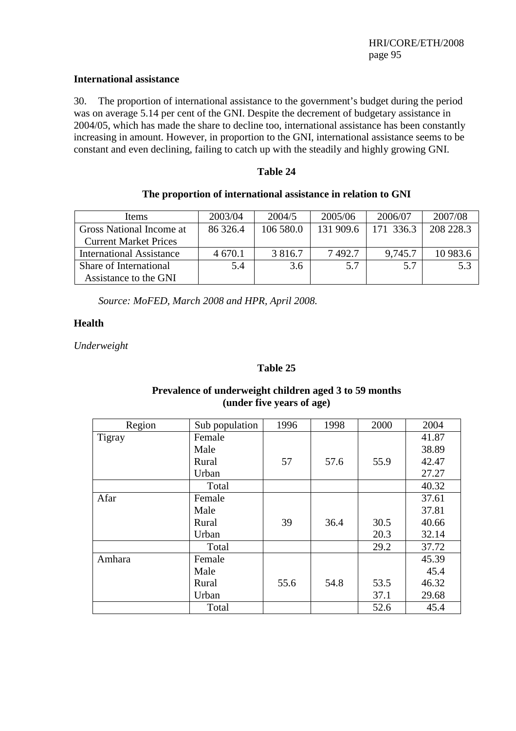## **International assistance**

30. The proportion of international assistance to the government's budget during the period was on average 5.14 per cent of the GNI. Despite the decrement of budgetary assistance in 2004/05, which has made the share to decline too, international assistance has been constantly increasing in amount. However, in proportion to the GNI, international assistance seems to be constant and even declining, failing to catch up with the steadily and highly growing GNI.

#### **Table 24**

## **The proportion of international assistance in relation to GNI**

| <b>Items</b>                    | 2003/04  | 2004/5    | 2005/06   | 2006/07   | 2007/08   |
|---------------------------------|----------|-----------|-----------|-----------|-----------|
| Gross National Income at        | 86 326.4 | 106 580.0 | 131 909.6 | 171 336.3 | 208 228.3 |
| <b>Current Market Prices</b>    |          |           |           |           |           |
| <b>International Assistance</b> | 4 670.1  | 3 8 1 6.7 | 7492.7    | 9,745.7   | 10 983.6  |
| Share of International          | 5.4      | 3.6       | 5.7       | 5.7       | 5.3       |
| Assistance to the GNI           |          |           |           |           |           |

 *Source: MoFED, March 2008 and HPR, April 2008.* 

## **Health**

*Underweight* 

## **Table 25**

## **Prevalence of underweight children aged 3 to 59 months (under five years of age)**

| Region | Sub population | 1996 | 1998 | 2000 | 2004  |
|--------|----------------|------|------|------|-------|
| Tigray | Female         |      |      |      | 41.87 |
|        | Male           |      |      |      | 38.89 |
|        | Rural          | 57   | 57.6 | 55.9 | 42.47 |
|        | Urban          |      |      |      | 27.27 |
|        | Total          |      |      |      | 40.32 |
| Afar   | Female         |      |      |      | 37.61 |
|        | Male           |      |      |      | 37.81 |
|        | Rural          | 39   | 36.4 | 30.5 | 40.66 |
|        | Urban          |      |      | 20.3 | 32.14 |
|        | Total          |      |      | 29.2 | 37.72 |
| Amhara | Female         |      |      |      | 45.39 |
|        | Male           |      |      |      | 45.4  |
|        | Rural          | 55.6 | 54.8 | 53.5 | 46.32 |
|        | Urban          |      |      | 37.1 | 29.68 |
|        | Total          |      |      | 52.6 | 45.4  |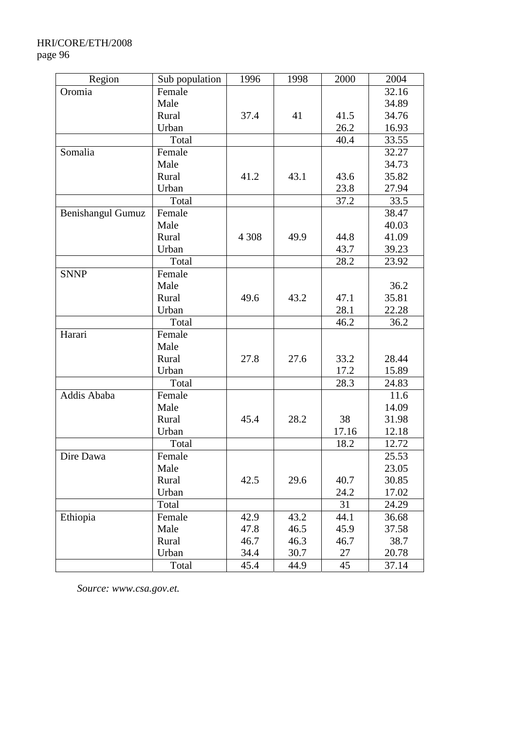# HRI/CORE/ETH/2008 page 96

| Region            | Sub population | 1996    | 1998 | 2000  | 2004  |
|-------------------|----------------|---------|------|-------|-------|
| Oromia            | Female         |         |      |       | 32.16 |
|                   | Male           |         |      |       | 34.89 |
|                   | Rural          | 37.4    | 41   | 41.5  | 34.76 |
|                   | Urban          |         |      | 26.2  | 16.93 |
|                   | Total          |         |      | 40.4  | 33.55 |
| Somalia           | Female         |         |      |       | 32.27 |
|                   | Male           |         |      |       | 34.73 |
|                   | Rural          | 41.2    | 43.1 | 43.6  | 35.82 |
|                   | Urban          |         |      | 23.8  | 27.94 |
|                   | Total          |         |      | 37.2  | 33.5  |
| Benishangul Gumuz | Female         |         |      |       | 38.47 |
|                   | Male           |         |      |       | 40.03 |
|                   | Rural          | 4 3 0 8 | 49.9 | 44.8  | 41.09 |
|                   | Urban          |         |      | 43.7  | 39.23 |
|                   | Total          |         |      | 28.2  | 23.92 |
| <b>SNNP</b>       | Female         |         |      |       |       |
|                   | Male           |         |      |       | 36.2  |
|                   | Rural          | 49.6    | 43.2 | 47.1  | 35.81 |
|                   | Urban          |         |      | 28.1  | 22.28 |
|                   | Total          |         |      | 46.2  | 36.2  |
| Harari            | Female         |         |      |       |       |
|                   | Male           |         |      |       |       |
|                   | Rural          | 27.8    | 27.6 | 33.2  | 28.44 |
|                   | Urban          |         |      | 17.2  | 15.89 |
|                   | Total          |         |      | 28.3  | 24.83 |
| Addis Ababa       | Female         |         |      |       | 11.6  |
|                   | Male           |         |      |       | 14.09 |
|                   | Rural          | 45.4    | 28.2 | 38    | 31.98 |
|                   | Urban          |         |      | 17.16 | 12.18 |
|                   | Total          |         |      | 18.2  | 12.72 |
| Dire Dawa         | Female         |         |      |       | 25.53 |
|                   | Male           |         |      |       | 23.05 |
|                   | Rural          | 42.5    | 29.6 | 40.7  | 30.85 |
|                   | Urban          |         |      | 24.2  | 17.02 |
|                   | Total          |         |      | 31    | 24.29 |
| Ethiopia          | Female         | 42.9    | 43.2 | 44.1  | 36.68 |
|                   | Male           | 47.8    | 46.5 | 45.9  | 37.58 |
|                   | Rural          | 46.7    | 46.3 | 46.7  | 38.7  |
|                   | Urban          | 34.4    | 30.7 | 27    | 20.78 |
|                   | Total          | 45.4    | 44.9 | 45    | 37.14 |

 *Source: www.csa.gov.et.*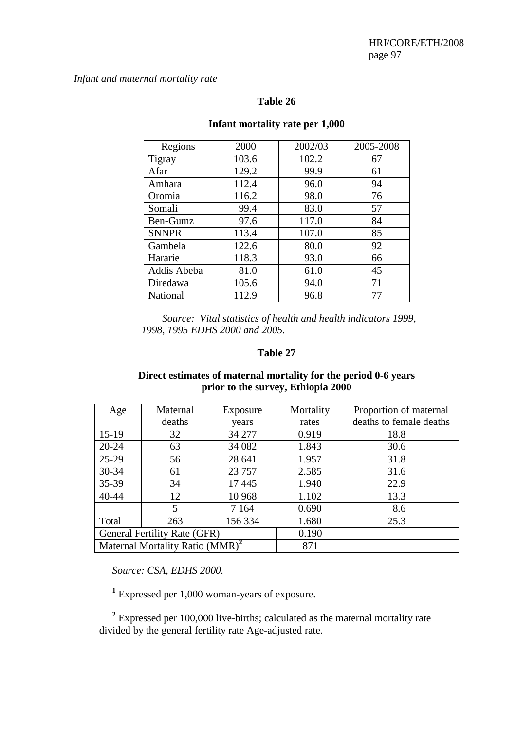*Infant and maternal mortality rate* 

## **Table 26**

#### **Infant mortality rate per 1,000**

| Regions       | 2000  | 2002/03 | 2005-2008 |
|---------------|-------|---------|-----------|
| <b>Tigray</b> | 103.6 | 102.2   | 67        |
| Afar          | 129.2 | 99.9    | 61        |
| Amhara        | 112.4 | 96.0    | 94        |
| Oromia        | 116.2 | 98.0    | 76        |
| Somali        | 99.4  | 83.0    | 57        |
| Ben-Gumz      | 97.6  | 117.0   | 84        |
| <b>SNNPR</b>  | 113.4 | 107.0   | 85        |
| Gambela       | 122.6 | 80.0    | 92        |
| Hararie       | 118.3 | 93.0    | 66        |
| Addis Abeba   | 81.0  | 61.0    | 45        |
| Diredawa      | 105.6 | 94.0    | 71        |
| National      | 112.9 | 96.8    | 77        |

 *Source: Vital statistics of health and health indicators 1999, 1998, 1995 EDHS 2000 and 2005.* 

## **Table 27**

## **Direct estimates of maternal mortality for the period 0-6 years prior to the survey, Ethiopia 2000**

| Age                                         | Maternal | Exposure | Mortality | Proportion of maternal  |
|---------------------------------------------|----------|----------|-----------|-------------------------|
|                                             | deaths   | vears    | rates     | deaths to female deaths |
| $15-19$                                     | 32       | 34 277   | 0.919     | 18.8                    |
| $20 - 24$                                   | 63       | 34 082   | 1.843     | 30.6                    |
| $25-29$                                     | 56       | 28 641   | 1.957     | 31.8                    |
| 30-34                                       | 61       | 23 7 5 7 | 2.585     | 31.6                    |
| 35-39                                       | 34       | 17445    | 1.940     | 22.9                    |
| $40 - 44$                                   | 12       | 10 968   | 1.102     | 13.3                    |
|                                             | 5        | 7 1 6 4  | 0.690     | 8.6                     |
| Total                                       | 263      | 156 334  | 1.680     | 25.3                    |
| General Fertility Rate (GFR)                |          |          | 0.190     |                         |
| Maternal Mortality Ratio (MMR) <sup>2</sup> |          |          | 871       |                         |

*Source: CSA, EDHS 2000.* 

<sup>1</sup> Expressed per 1,000 woman-years of exposure.

<sup>2</sup> Expressed per 100,000 live-births; calculated as the maternal mortality rate divided by the general fertility rate Age-adjusted rate.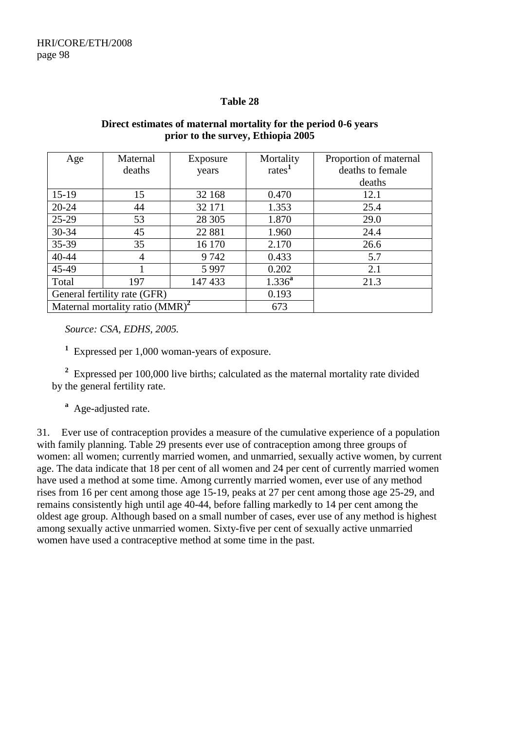#### **Direct estimates of maternal mortality for the period 0-6 years prior to the survey, Ethiopia 2005**

| Age                          | Maternal                           | Exposure | Mortality          | Proportion of maternal |
|------------------------------|------------------------------------|----------|--------------------|------------------------|
|                              | deaths                             | years    | rates <sup>1</sup> | deaths to female       |
|                              |                                    |          |                    | deaths                 |
| $15-19$                      | 15                                 | 32 168   | 0.470              | 12.1                   |
| $20 - 24$                    | 44                                 | 32 171   | 1.353              | 25.4                   |
| $25-29$                      | 53                                 | 28 30 5  | 1.870              | 29.0                   |
| 30-34                        | 45                                 | 22 881   | 1.960              | 24.4                   |
| $35 - 39$                    | 35                                 | 16 170   | 2.170              | 26.6                   |
| 40-44                        | $\overline{4}$                     | 9742     | 0.433              | 5.7                    |
| 45-49                        |                                    | 5 9 9 7  | 0.202              | 2.1                    |
| Total                        | 197                                | 147 433  | $1.336^{a}$        | 21.3                   |
| General fertility rate (GFR) |                                    |          | 0.193              |                        |
|                              | Maternal mortality ratio $(MMR)^2$ |          | 673                |                        |

*Source: CSA, EDHS, 2005.* 

<sup>1</sup> Expressed per 1,000 woman-years of exposure.

<sup>2</sup> Expressed per 100,000 live births; calculated as the maternal mortality rate divided by the general fertility rate.

<sup>a</sup> Age-adjusted rate.

31. Ever use of contraception provides a measure of the cumulative experience of a population with family planning. Table 29 presents ever use of contraception among three groups of women: all women; currently married women, and unmarried, sexually active women, by current age. The data indicate that 18 per cent of all women and 24 per cent of currently married women have used a method at some time. Among currently married women, ever use of any method rises from 16 per cent among those age 15-19, peaks at 27 per cent among those age 25-29, and remains consistently high until age 40-44, before falling markedly to 14 per cent among the oldest age group. Although based on a small number of cases, ever use of any method is highest among sexually active unmarried women. Sixty-five per cent of sexually active unmarried women have used a contraceptive method at some time in the past.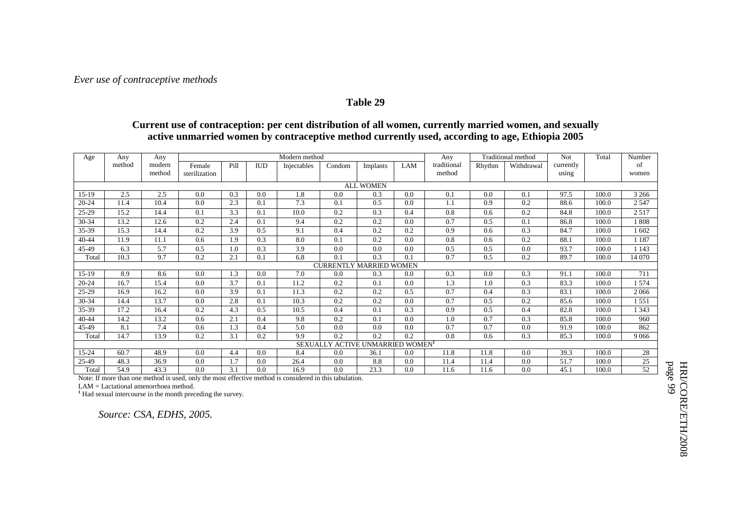## *Ever use of contraceptive methods*

#### **Table 29**

## **Current use of contraception: per cent distribution of all women, currently married women, and sexually active unmarried women by contraceptive method currently used, according to age, Ethiopia 2005**

| Age       | Any    | Any    |               |      |            | Modern method |                                              |                  |            | Any         |        | Traditional method | Not       | Total | Number  |
|-----------|--------|--------|---------------|------|------------|---------------|----------------------------------------------|------------------|------------|-------------|--------|--------------------|-----------|-------|---------|
|           | method | modern | Female        | Pill | <b>IUD</b> | Injectables   | Condom                                       | Implants         | <b>LAM</b> | traditional | Rhythm | Withdrawal         | currently |       | of      |
|           |        | method | sterilization |      |            |               |                                              |                  |            | method      |        |                    | using     |       | women   |
|           |        |        |               |      |            |               |                                              | <b>ALL WOMEN</b> |            |             |        |                    |           |       |         |
| 15-19     | 2.5    | 2.5    | 0.0           | 0.3  | 0.0        | 1.8           | 0.0                                          | 0.3              | 0.0        | 0.1         | 0.0    | 0.1                | 97.5      | 100.0 | 3 2 6 6 |
| $20 - 24$ | 11.4   | 10.4   | 0.0           | 2.3  | 0.1        | 7.3           | 0.1                                          | 0.5              | 0.0        | 1.1         | 0.9    | 0.2                | 88.6      | 100.0 | 2 5 4 7 |
| 25-29     | 15.2   | 14.4   | 0.1           | 3.3  | 0.1        | 10.0          | 0.2                                          | 0.3              | 0.4        | 0.8         | 0.6    | 0.2                | 84.8      | 100.0 | 2517    |
| 30-34     | 13.2   | 12.6   | 0.2           | 2.4  | 0.1        | 9.4           | 0.2                                          | 0.2              | 0.0        | 0.7         | 0.5    | 0.1                | 86.8      | 100.0 | 1808    |
| 35-39     | 15.3   | 14.4   | 0.2           | 3.9  | 0.5        | 9.1           | 0.4                                          | 0.2              | 0.2        | 0.9         | 0.6    | 0.3                | 84.7      | 100.0 | 1602    |
| 40-44     | 11.9   | 11.1   | 0.6           | 1.9  | 0.3        | 8.0           | 0.1                                          | 0.2              | 0.0        | 0.8         | 0.6    | 0.2                | 88.1      | 100.0 | 1 1 8 7 |
| 45-49     | 6.3    | 5.7    | 0.5           | 1.0  | 0.3        | 3.9           | 0.0                                          | 0.0              | 0.0        | 0.5         | 0.5    | 0.0                | 93.7      | 100.0 | 1 1 4 3 |
| Total     | 10.3   | 9.7    | 0.2           | 2.1  | 0.1        | 6.8           | 0.1                                          | 0.3              | 0.1        | 0.7         | 0.5    | 0.2                | 89.7      | 100.0 | 14 070  |
|           |        |        |               |      |            |               | <b>CURRENTLY MARRIED WOMEN</b>               |                  |            |             |        |                    |           |       |         |
| 15-19     | 8.9    | 8.6    | 0.0           | 1.3  | 0.0        | 7.0           | 0.0                                          | 0.3              | 0.0        | 0.3         | 0.0    | 0.3                | 91.1      | 100.0 | 711     |
| $20 - 24$ | 16.7   | 15.4   | 0.0           | 3.7  | 0.1        | 11.2          | 0.2                                          | 0.1              | 0.0        | 1.3         | 1.0    | 0.3                | 83.3      | 100.0 | 1574    |
| 25-29     | 16.9   | 16.2   | 0.0           | 3.9  | 0.1        | 11.3          | 0.2                                          | 0.2              | 0.5        | 0.7         | 0.4    | 0.3                | 83.1      | 100.0 | 2066    |
| 30-34     | 14.4   | 13.7   | 0.0           | 2.8  | 0.1        | 10.3          | 0.2                                          | 0.2              | 0.0        | 0.7         | 0.5    | 0.2                | 85.6      | 100.0 | 1551    |
| 35-39     | 17.2   | 16.4   | 0.2           | 4.3  | 0.5        | 10.5          | 0.4                                          | 0.1              | 0.3        | 0.9         | 0.5    | 0.4                | 82.8      | 100.0 | 1 343   |
| 40-44     | 14.2   | 13.2   | 0.6           | 2.1  | 0.4        | 9.8           | 0.2                                          | 0.1              | 0.0        | 1.0         | 0.7    | 0.3                | 85.8      | 100.0 | 960     |
| 45-49     | 8.1    | 7.4    | 0.6           | 1.3  | 0.4        | 5.0           | 0.0                                          | 0.0              | 0.0        | 0.7         | 0.7    | 0.0                | 91.9      | 100.0 | 862     |
| Total     | 14.7   | 13.9   | 0.2           | 3.1  | 0.2        | 9.9           | 0.2                                          | 0.2              | 0.2        | 0.8         | 0.6    | 0.3                | 85.3      | 100.0 | 9 0 6 6 |
|           |        |        |               |      |            |               | SEXUALLY ACTIVE UNMARRIED WOMEN <sup>1</sup> |                  |            |             |        |                    |           |       |         |
| 15-24     | 60.7   | 48.9   | 0.0           | 4.4  | 0.0        | 8.4           | 0.0                                          | 36.1             | 0.0        | 11.8        | 11.8   | 0.0                | 39.3      | 100.0 | 28      |
| 25-49     | 48.3   | 36.9   | 0.0           | 1.7  | 0.0        | 26.4          | 0.0                                          | 8.8              | 0.0        | 11.4        | 11.4   | 0.0                | 51.7      | 100.0 | 25      |
| Total     | 54.9   | 43.3   | 0.0           | 3.1  | 0.0        | 16.9          | 0.0                                          | 23.3             | 0.0        | 11.6        | 11.6   | 0.0                | 45.1      | 100.0 | 52      |

Note: If more than one method is used, only the most effective method is considered in this tabulation.

LAM = Lactational amenorrhoea method.

**<sup>1</sup>** Had sexual intercourse in the month preceding the survey.

 *Source: CSA, EDHS, 2005.* 

 HRI/CORE/ETH/2008 HRI/CORE/ETH/2008<br>page 99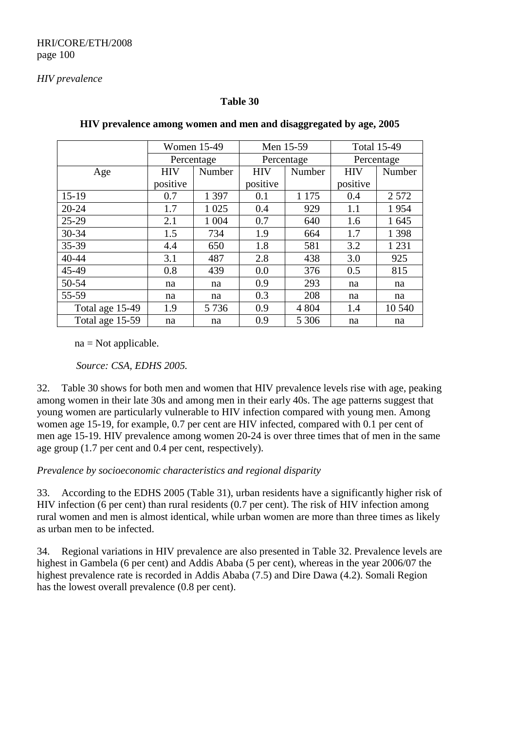### *HIV prevalence*

#### **Table 30**

|                 |            | <b>Women 15-49</b> |            | Men 15-59 |            | <b>Total 15-49</b> |
|-----------------|------------|--------------------|------------|-----------|------------|--------------------|
|                 | Percentage |                    | Percentage |           | Percentage |                    |
| Age             | <b>HIV</b> | Number             | <b>HIV</b> | Number    | <b>HIV</b> | Number             |
|                 | positive   |                    | positive   |           | positive   |                    |
| $15-19$         | 0.7        | 1 3 9 7            | 0.1        | 1 1 7 5   | 0.4        | 2 5 7 2            |
| $20 - 24$       | 1.7        | 1 0 2 5            | 0.4        | 929       | 1.1        | 1954               |
| 25-29           | 2.1        | 1 0 0 4            | 0.7        | 640       | 1.6        | 1 645              |
| 30-34           | 1.5        | 734                | 1.9        | 664       | 1.7        | 1 3 9 8            |
| 35-39           | 4.4        | 650                | 1.8        | 581       | 3.2        | 1 2 3 1            |
| 40-44           | 3.1        | 487                | 2.8        | 438       | 3.0        | 925                |
| 45-49           | 0.8        | 439                | 0.0        | 376       | 0.5        | 815                |
| 50-54           | na         | na                 | 0.9        | 293       | na         | na                 |
| 55-59           | na         | na                 | 0.3        | 208       | na         | na                 |
| Total age 15-49 | 1.9        | 5736               | 0.9        | 4 8 0 4   | 1.4        | 10 540             |
| Total age 15-59 | na         | na                 | 0.9        | 5 3 0 6   | na         | na                 |

## **HIV prevalence among women and men and disaggregated by age, 2005**

 $na = Not applicable.$ 

### *Source: CSA, EDHS 2005.*

32. Table 30 shows for both men and women that HIV prevalence levels rise with age, peaking among women in their late 30s and among men in their early 40s. The age patterns suggest that young women are particularly vulnerable to HIV infection compared with young men. Among women age 15-19, for example, 0.7 per cent are HIV infected, compared with 0.1 per cent of men age 15-19. HIV prevalence among women 20-24 is over three times that of men in the same age group (1.7 per cent and 0.4 per cent, respectively).

#### *Prevalence by socioeconomic characteristics and regional disparity*

33. According to the EDHS 2005 (Table 31), urban residents have a significantly higher risk of HIV infection (6 per cent) than rural residents (0.7 per cent). The risk of HIV infection among rural women and men is almost identical, while urban women are more than three times as likely as urban men to be infected.

34. Regional variations in HIV prevalence are also presented in Table 32. Prevalence levels are highest in Gambela (6 per cent) and Addis Ababa (5 per cent), whereas in the year 2006/07 the highest prevalence rate is recorded in Addis Ababa (7.5) and Dire Dawa (4.2). Somali Region has the lowest overall prevalence (0.8 per cent).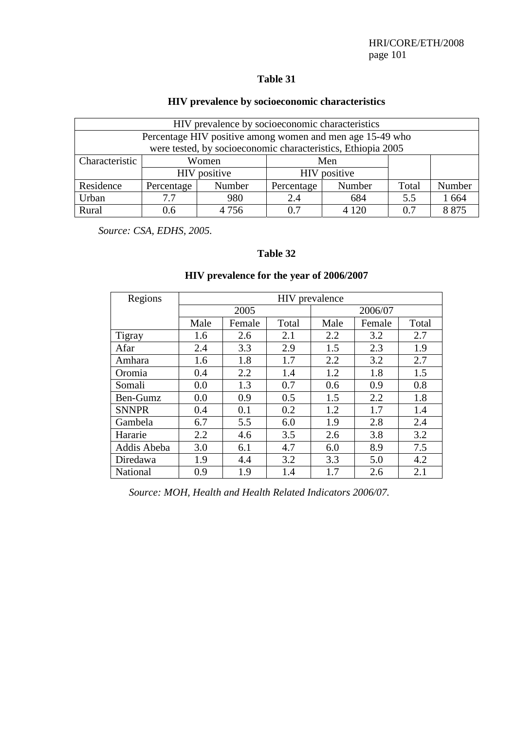#### **HIV prevalence by socioeconomic characteristics**

| HIV prevalence by socioeconomic characteristics |                                                           |                                                              |              |         |       |        |  |
|-------------------------------------------------|-----------------------------------------------------------|--------------------------------------------------------------|--------------|---------|-------|--------|--|
|                                                 | Percentage HIV positive among women and men age 15-49 who |                                                              |              |         |       |        |  |
|                                                 |                                                           | were tested, by socioeconomic characteristics, Ethiopia 2005 |              |         |       |        |  |
| Characteristic                                  | Women                                                     |                                                              | Men          |         |       |        |  |
|                                                 | HIV positive                                              |                                                              | HIV positive |         |       |        |  |
| Residence                                       | Percentage                                                | Number                                                       | Percentage   | Number  | Total | Number |  |
| Urban                                           | 7.7                                                       | 980                                                          | 2.4          | 684     | 5.5   | 1 664  |  |
| Rural                                           | 0.6                                                       | 4756                                                         | 0.7          | 4 1 2 0 | 0.7   | 8875   |  |

 *Source: CSA, EDHS, 2005.*

#### **Table 32**

## HIV prevalence 2005 2006/07 Regions Male | Female | Total | Male | Female | Total Tigray 1.6 2.6 2.1 2.2 3.2 2.7 Afar 2.4 3.3 2.9 1.5 2.3 1.9 Amhara | 1.6 | 1.8 | 1.7 | 2.2 | 3.2 | 2.7 Oromia | 0.4 | 2.2 | 1.4 | 1.2 | 1.8 | 1.5 Somali 0.0 1.3 0.7 0.6 0.9 0.8 Ben-Gumz 0.0 0.9 0.5 1.5 2.2 1.8 SNNPR | 0.4 | 0.1 | 0.2 | 1.2 | 1.7 | 1.4 Gambela 6.7 5.5 6.0 1.9 2.8 2.4 Hararie 2.2 4.6 3.5 2.6 3.8 3.2 Addis Abeba | 3.0 | 6.1 | 4.7 | 6.0 | 8.9 | 7.5 Diredawa | 1.9 | 4.4 | 3.2 | 3.3 | 5.0 | 4.2 National 0.9 1.9 1.4 1.7 2.6 2.1

#### **HIV prevalence for the year of 2006/2007**

 *Source: MOH, Health and Health Related Indicators 2006/07.*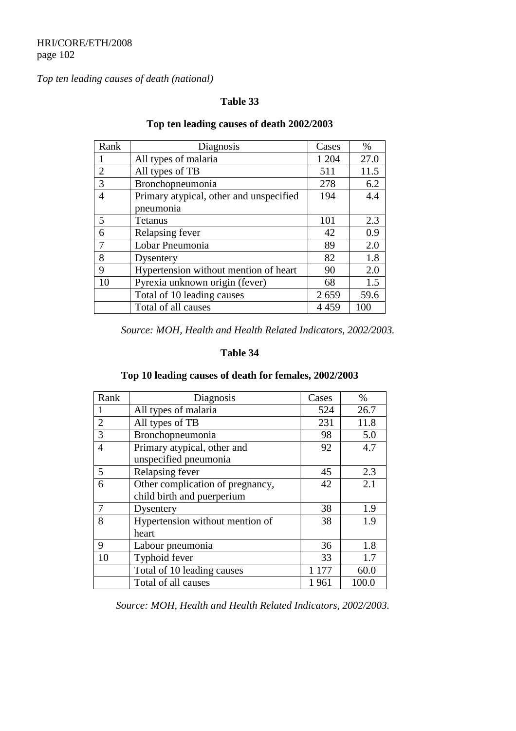## *Top ten leading causes of death (national)*

### **Table 33**

#### **Top ten leading causes of death 2002/2003**

| Rank                     | Diagnosis                               | Cases | $\%$ |
|--------------------------|-----------------------------------------|-------|------|
|                          | All types of malaria                    | 1 204 | 27.0 |
| $\overline{2}$           | All types of TB                         | 511   | 11.5 |
| 3                        | Bronchopneumonia                        | 278   | 6.2  |
| $\overline{4}$           | Primary atypical, other and unspecified | 194   | 4.4  |
|                          | pneumonia                               |       |      |
| $\overline{\phantom{0}}$ | <b>Tetanus</b>                          | 101   | 2.3  |
| 6                        | Relapsing fever                         | 42    | 0.9  |
| 7                        | Lobar Pneumonia                         | 89    | 2.0  |
| 8                        | Dysentery                               | 82    | 1.8  |
| 9                        | Hypertension without mention of heart   | 90    | 2.0  |
| 10                       | Pyrexia unknown origin (fever)          | 68    | 1.5  |
|                          | Total of 10 leading causes              | 2659  | 59.6 |
|                          | Total of all causes                     | 4459  | 100  |

 *Source: MOH, Health and Health Related Indicators, 2002/2003.* 

## **Table 34**

## **Top 10 leading causes of death for females, 2002/2003**

| Rank           | Diagnosis                        | Cases | $\%$  |
|----------------|----------------------------------|-------|-------|
| 1              | All types of malaria             | 524   | 26.7  |
| $\overline{2}$ | All types of TB                  | 231   | 11.8  |
| 3              | Bronchopneumonia                 | 98    | 5.0   |
| $\overline{4}$ | Primary atypical, other and      | 92    | 4.7   |
|                | unspecified pneumonia            |       |       |
| 5              | Relapsing fever                  | 45    | 2.3   |
| 6              | Other complication of pregnancy, | 42    | 2.1   |
|                | child birth and puerperium       |       |       |
| 7              | Dysentery                        | 38    | 1.9   |
| 8              | Hypertension without mention of  | 38    | 1.9   |
|                | heart                            |       |       |
| 9              | Labour pneumonia                 | 36    | 1.8   |
| 10             | Typhoid fever                    | 33    | 1.7   |
|                | Total of 10 leading causes       | 1 177 | 60.0  |
|                | Total of all causes              | 1961  | 100.0 |

 *Source: MOH, Health and Health Related Indicators, 2002/2003.*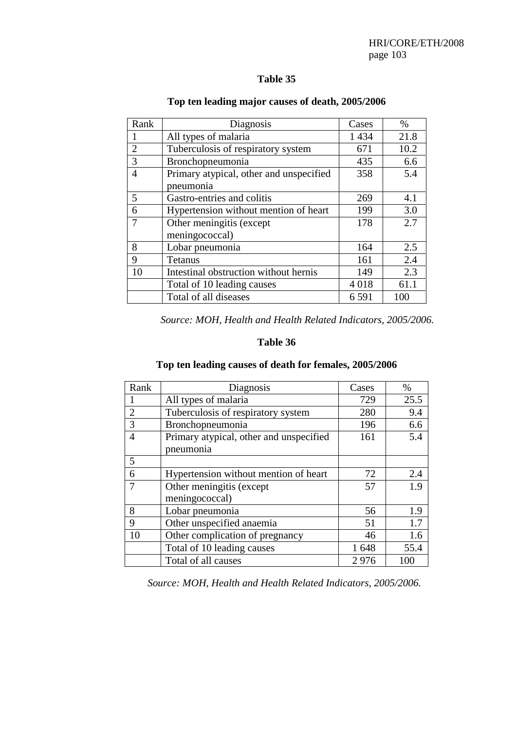| Rank           | Diagnosis                               | Cases   | $\%$ |
|----------------|-----------------------------------------|---------|------|
|                | All types of malaria                    | 1 4 3 4 | 21.8 |
| $\overline{2}$ | Tuberculosis of respiratory system      | 671     | 10.2 |
| 3              | Bronchopneumonia                        | 435     | 6.6  |
| $\overline{4}$ | Primary atypical, other and unspecified | 358     | 5.4  |
|                | pneumonia                               |         |      |
| $\overline{5}$ | Gastro-entries and colitis              | 269     | 4.1  |
| 6              | Hypertension without mention of heart   | 199     | 3.0  |
| 7              | Other meningitis (except                | 178     | 2.7  |
|                | meningococcal)                          |         |      |
| 8              | Lobar pneumonia                         | 164     | 2.5  |
| 9              | <b>Tetanus</b>                          | 161     | 2.4  |
| 10             | Intestinal obstruction without hernis   | 149     | 2.3  |
|                | Total of 10 leading causes              | 4018    | 61.1 |
|                | Total of all diseases                   | 6 5 9 1 | 100  |

## **Top ten leading major causes of death, 2005/2006**

 *Source: MOH, Health and Health Related Indicators, 2005/2006.* 

## **Table 36**

## **Top ten leading causes of death for females, 2005/2006**

| Rank           | Diagnosis                               | Cases | $\%$ |
|----------------|-----------------------------------------|-------|------|
|                | All types of malaria                    | 729   | 25.5 |
| $\overline{2}$ | Tuberculosis of respiratory system      | 280   | 9.4  |
| 3              | Bronchopneumonia                        | 196   | 6.6  |
| $\overline{4}$ | Primary atypical, other and unspecified | 161   | 5.4  |
|                | pneumonia                               |       |      |
| 5              |                                         |       |      |
| 6              | Hypertension without mention of heart   | 72    | 2.4  |
|                | Other meningitis (except                | 57    | 1.9  |
|                | meningococcal)                          |       |      |
| 8              | Lobar pneumonia                         | 56    | 1.9  |
| 9              | Other unspecified anaemia               | 51    | 1.7  |
| 10             | Other complication of pregnancy         | 46    | 1.6  |
|                | Total of 10 leading causes              | 1648  | 55.4 |
|                | Total of all causes                     | 2976  | 100  |

 *Source: MOH, Health and Health Related Indicators, 2005/2006.*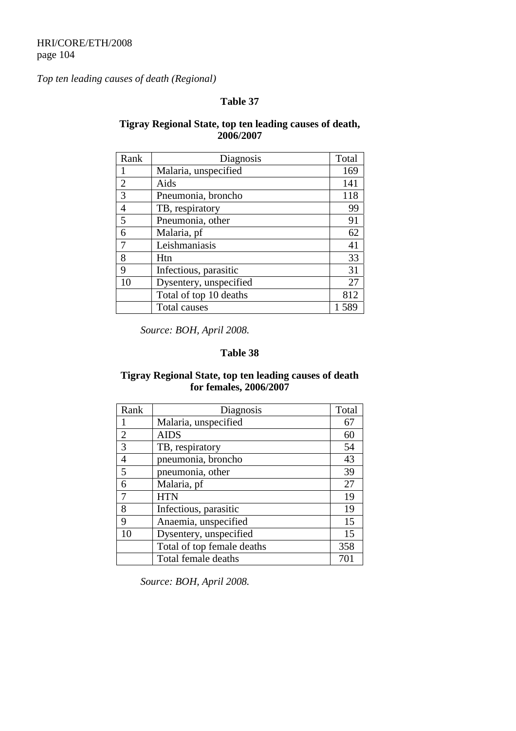*Top ten leading causes of death (Regional)* 

## **Table 37**

## **Tigray Regional State, top ten leading causes of death, 2006/2007**

| Rank           | Diagnosis              | Total |
|----------------|------------------------|-------|
|                | Malaria, unspecified   | 169   |
| $\overline{2}$ | Aids                   | 141   |
| 3              | Pneumonia, broncho     | 118   |
| $\overline{4}$ | TB, respiratory        | 99    |
| 5              | Pneumonia, other       | 91    |
| 6              | Malaria, pf            | 62    |
| 7              | Leishmaniasis          | 41    |
| 8              | Htn                    | 33    |
| 9              | Infectious, parasitic  | 31    |
| 10             | Dysentery, unspecified | 27    |
|                | Total of top 10 deaths | 812   |
|                | <b>Total causes</b>    | 1589  |

 *Source: BOH, April 2008.* 

## **Table 38**

## **Tigray Regional State, top ten leading causes of death for females, 2006/2007**

| Rank           | Diagnosis                  | Total |
|----------------|----------------------------|-------|
|                | Malaria, unspecified       | 67    |
| $\overline{2}$ | <b>AIDS</b>                | 60    |
| 3              | TB, respiratory            | 54    |
| $\overline{4}$ | pneumonia, broncho         | 43    |
| 5              | pneumonia, other           | 39    |
| 6              | Malaria, pf                | 27    |
| 7              | <b>HTN</b>                 | 19    |
| 8              | Infectious, parasitic      | 19    |
| 9              | Anaemia, unspecified       | 15    |
| 10             | Dysentery, unspecified     | 15    |
|                | Total of top female deaths | 358   |
|                | Total female deaths        | 701   |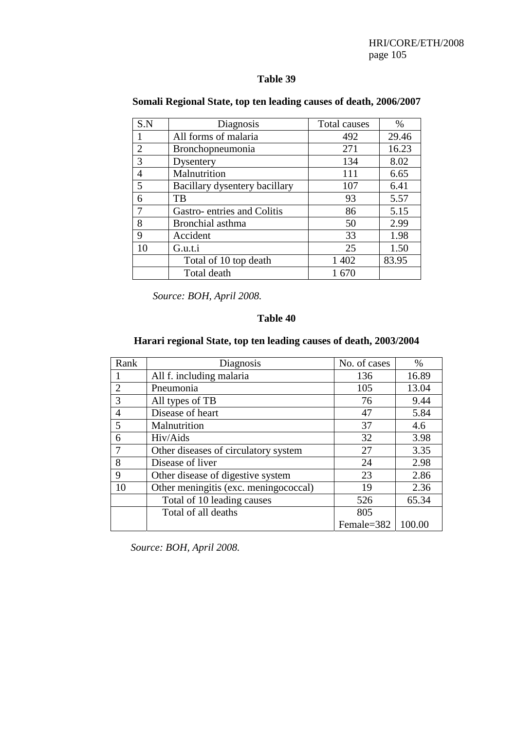| S.N | Diagnosis                     | <b>Total causes</b> | $\%$  |
|-----|-------------------------------|---------------------|-------|
|     | All forms of malaria          | 492                 | 29.46 |
| 2   | <b>Bronchopneumonia</b>       | 271                 | 16.23 |
| 3   | Dysentery                     | 134                 | 8.02  |
| 4   | Malnutrition                  | 111                 | 6.65  |
| 5   | Bacillary dysentery bacillary | 107                 | 6.41  |
| 6   | TB                            | 93                  | 5.57  |
|     | Gastro-entries and Colitis    | 86                  | 5.15  |
| 8   | Bronchial asthma              | 50                  | 2.99  |
| 9   | Accident                      | 33                  | 1.98  |
| 10  | G.u.t.i                       | 25                  | 1.50  |
|     | Total of 10 top death         | 1 402               | 83.95 |
|     | Total death                   | 1 670               |       |

# **Somali Regional State, top ten leading causes of death, 2006/2007**

 *Source: BOH, April 2008.* 

## **Table 40**

# **Harari regional State, top ten leading causes of death, 2003/2004**

| Rank                        | Diagnosis                             | No. of cases | $\%$   |
|-----------------------------|---------------------------------------|--------------|--------|
|                             | All f. including malaria              | 136          | 16.89  |
| $\mathcal{D}_{\mathcal{L}}$ | Pneumonia                             | 105          | 13.04  |
| 3                           | All types of TB                       | 76           | 9.44   |
| $\overline{4}$              | Disease of heart                      | 47           | 5.84   |
| 5                           | Malnutrition                          | 37           | 4.6    |
| 6                           | Hiv/Aids                              | 32           | 3.98   |
| 7                           | Other diseases of circulatory system  | 27           | 3.35   |
| 8                           | Disease of liver                      | 24           | 2.98   |
| 9                           | Other disease of digestive system     | 23           | 2.86   |
| 10                          | Other meningitis (exc. meningococcal) | 19           | 2.36   |
|                             | Total of 10 leading causes            | 526          | 65.34  |
|                             | Total of all deaths                   | 805          |        |
|                             |                                       | Female=382   | 100.00 |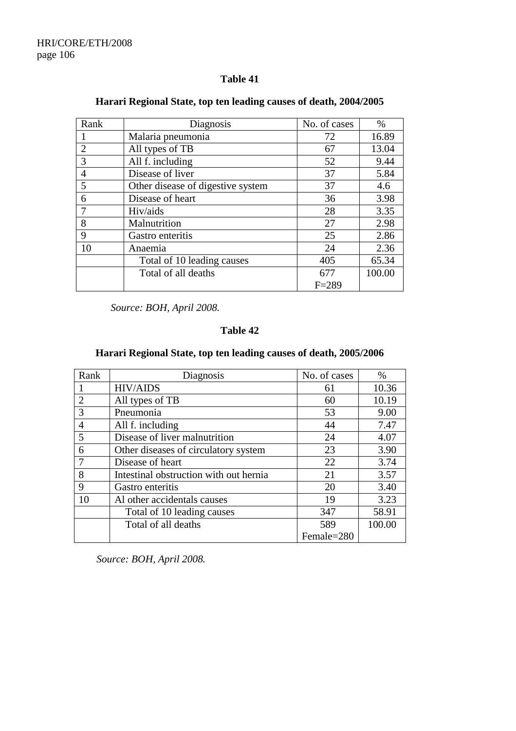| Rank           | Diagnosis                         | No. of cases | $\%$   |
|----------------|-----------------------------------|--------------|--------|
|                | Malaria pneumonia                 | 72           | 16.89  |
| $\overline{2}$ | All types of TB                   | 67           | 13.04  |
| 3              | All f. including                  | 52           | 9.44   |
| $\overline{4}$ | Disease of liver                  | 37           | 5.84   |
| 5              | Other disease of digestive system | 37           | 4.6    |
| 6              | Disease of heart                  | 36           | 3.98   |
| 7              | Hiv/aids                          | 28           | 3.35   |
| 8              | Malnutrition                      | 27           | 2.98   |
| 9              | Gastro enteritis                  | 25           | 2.86   |
| 10             | Anaemia                           | 24           | 2.36   |
|                | Total of 10 leading causes        | 405          | 65.34  |
|                | Total of all deaths               | 677          | 100.00 |
|                |                                   | $F = 289$    |        |

# **Harari Regional State, top ten leading causes of death, 2004/2005**

 *Source: BOH, April 2008.* 

## **Table 42**

# **Harari Regional State, top ten leading causes of death, 2005/2006**

| Rank           | Diagnosis                              | No. of cases | $\%$   |
|----------------|----------------------------------------|--------------|--------|
|                | <b>HIV/AIDS</b>                        | 61           | 10.36  |
| $\overline{2}$ | All types of TB                        | 60           | 10.19  |
| 3              | Pneumonia                              | 53           | 9.00   |
| $\overline{4}$ | All f. including                       | 44           | 7.47   |
| 5              | Disease of liver malnutrition          | 24           | 4.07   |
| 6              | Other diseases of circulatory system   | 23           | 3.90   |
| 7              | Disease of heart                       | 22           | 3.74   |
| 8              | Intestinal obstruction with out hernia | 21           | 3.57   |
| 9              | Gastro enteritis                       | 20           | 3.40   |
| 10             | Al other accidentals causes            | 19           | 3.23   |
|                | Total of 10 leading causes             | 347          | 58.91  |
|                | Total of all deaths                    | 589          | 100.00 |
|                |                                        | Female=280   |        |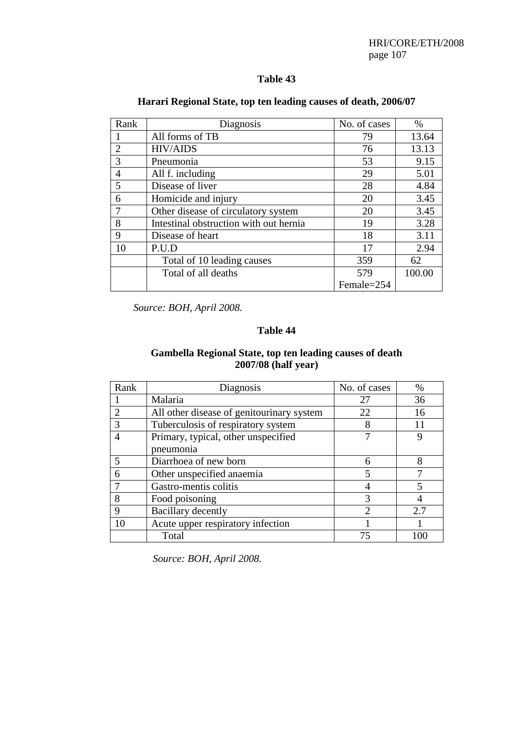| Rank           | Diagnosis                              | No. of cases | %      |
|----------------|----------------------------------------|--------------|--------|
|                | All forms of TB                        | 79           | 13.64  |
| 2              | <b>HIV/AIDS</b>                        | 76           | 13.13  |
| $\overline{3}$ | Pneumonia                              | 53           | 9.15   |
| $\overline{4}$ | All f. including                       | 29           | 5.01   |
| 5              | Disease of liver                       | 28           | 4.84   |
| 6              | Homicide and injury                    | 20           | 3.45   |
| 7              | Other disease of circulatory system    | 20           | 3.45   |
| 8              | Intestinal obstruction with out hernia | 19           | 3.28   |
| 9              | Disease of heart                       | 18           | 3.11   |
| 10             | P.U.D                                  | 17           | 2.94   |
|                | Total of 10 leading causes             | 359          | 62     |
|                | Total of all deaths                    | 579          | 100.00 |
|                |                                        | Female=254   |        |

# **Harari Regional State, top ten leading causes of death, 2006/07**

 *Source: BOH, April 2008.* 

## **Table 44**

## **Gambella Regional State, top ten leading causes of death 2007/08 (half year)**

| Rank                        | Diagnosis                                 | No. of cases                | $\%$ |
|-----------------------------|-------------------------------------------|-----------------------------|------|
|                             | Malaria                                   | 27                          | 36   |
| $\mathcal{D}_{\mathcal{L}}$ | All other disease of genitourinary system | 22                          | 16   |
| 3                           | Tuberculosis of respiratory system        | 8                           | 11   |
|                             | Primary, typical, other unspecified       |                             |      |
|                             | pneumonia                                 |                             |      |
|                             | Diarrhoea of new born                     | 6                           | 8    |
| 6                           | Other unspecified anaemia                 | 5                           |      |
|                             | Gastro-mentis colitis                     |                             |      |
| 8                           | Food poisoning                            | 3                           |      |
| 9                           | <b>Bacillary decently</b>                 | $\mathcal{D}_{\mathcal{A}}$ | 2.7  |
| 10                          | Acute upper respiratory infection         |                             |      |
|                             | Total                                     | 75                          | 100  |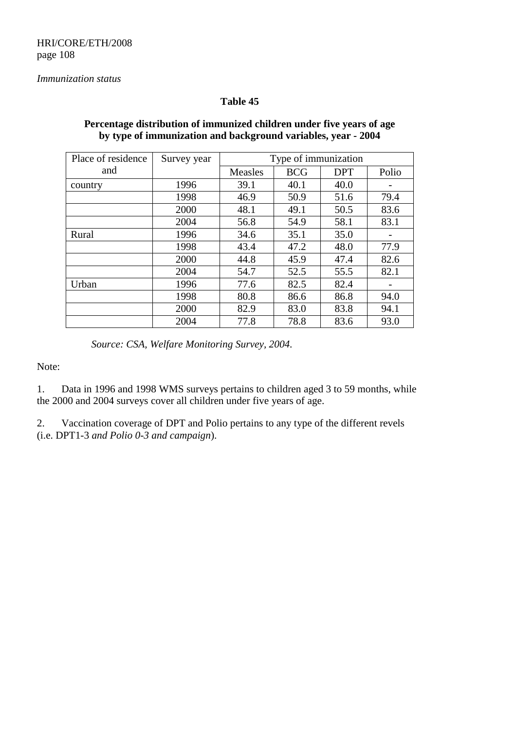#### *Immunization status*

#### **Table 45**

| Place of residence | Survey year | Type of immunization |            |            |       |
|--------------------|-------------|----------------------|------------|------------|-------|
| and                |             | Measles              | <b>BCG</b> | <b>DPT</b> | Polio |
| country            | 1996        | 39.1                 | 40.1       | 40.0       |       |
|                    | 1998        | 46.9                 | 50.9       | 51.6       | 79.4  |
|                    | 2000        | 48.1                 | 49.1       | 50.5       | 83.6  |
|                    | 2004        | 56.8                 | 54.9       | 58.1       | 83.1  |
| Rural              | 1996        | 34.6                 | 35.1       | 35.0       |       |
|                    | 1998        | 43.4                 | 47.2       | 48.0       | 77.9  |
|                    | 2000        | 44.8                 | 45.9       | 47.4       | 82.6  |
|                    | 2004        | 54.7                 | 52.5       | 55.5       | 82.1  |
| Urban              | 1996        | 77.6                 | 82.5       | 82.4       |       |
|                    | 1998        | 80.8                 | 86.6       | 86.8       | 94.0  |
|                    |             |                      |            |            |       |

 $\begin{array}{|c|c|c|c|c|c|c|c|c|c|c|} \hline \sim & 2000 & \mid & 82.9 & \mid & 83.0 & \mid & 83.8 & \mid & 94.1 \ \hline \end{array}$  $\begin{array}{|c|c|c|c|c|c|c|c|c|} \hline \text{2004} & \text{77.8} & \text{78.8} & \text{83.6} & \text{93.0} \ \hline \end{array}$ 

## **Percentage distribution of immunized children under five years of age by type of immunization and background variables, year - 2004**

 *Source: CSA, Welfare Monitoring Survey, 2004.* 

Note:

1. Data in 1996 and 1998 WMS surveys pertains to children aged 3 to 59 months, while the 2000 and 2004 surveys cover all children under five years of age.

2. Vaccination coverage of DPT and Polio pertains to any type of the different revels (i.e. DPT1-3 *and Polio 0-3 and campaign*).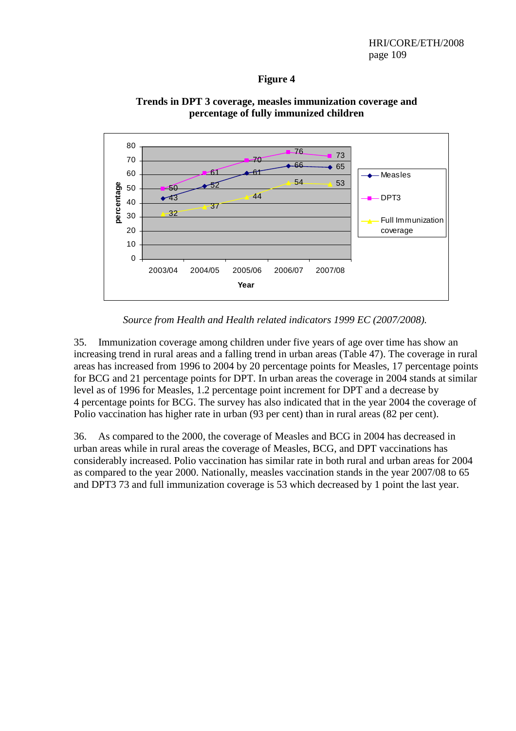## **Figure 4**





 *Source from Health and Health related indicators 1999 EC (2007/2008).* 

35. Immunization coverage among children under five years of age over time has show an increasing trend in rural areas and a falling trend in urban areas (Table 47). The coverage in rural areas has increased from 1996 to 2004 by 20 percentage points for Measles, 17 percentage points for BCG and 21 percentage points for DPT. In urban areas the coverage in 2004 stands at similar level as of 1996 for Measles, 1.2 percentage point increment for DPT and a decrease by 4 percentage points for BCG. The survey has also indicated that in the year 2004 the coverage of Polio vaccination has higher rate in urban (93 per cent) than in rural areas (82 per cent).

36. As compared to the 2000, the coverage of Measles and BCG in 2004 has decreased in urban areas while in rural areas the coverage of Measles, BCG, and DPT vaccinations has considerably increased. Polio vaccination has similar rate in both rural and urban areas for 2004 as compared to the year 2000. Nationally, measles vaccination stands in the year 2007/08 to 65 and DPT3 73 and full immunization coverage is 53 which decreased by 1 point the last year.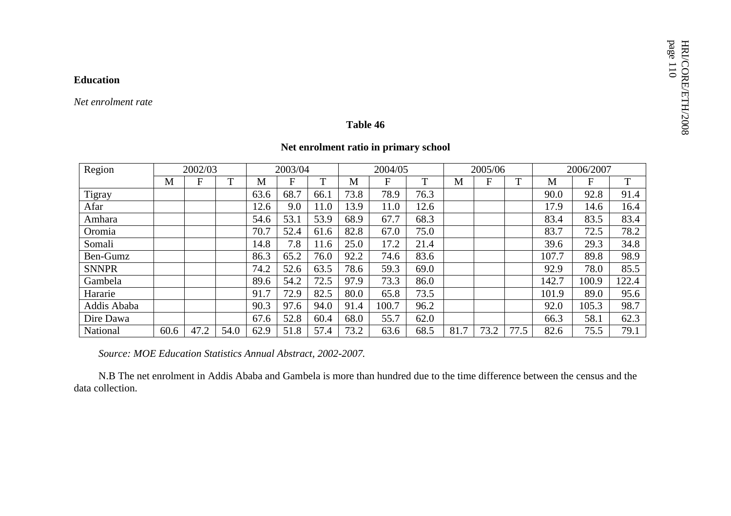## **Net enrolment ratio in primary school**

| Region       |      | 2002/03 |      |      | 2003/04 |      |      | 2004/05      |      |      | 2005/06 |      |       | 2006/2007 |       |
|--------------|------|---------|------|------|---------|------|------|--------------|------|------|---------|------|-------|-----------|-------|
|              | M    | F       | T    | M    | F       | T    | M    | $\mathbf{F}$ | T    | M    | F       | T    | M     | F         | T     |
| Tigray       |      |         |      | 63.6 | 68.7    | 66.1 | 73.8 | 78.9         | 76.3 |      |         |      | 90.0  | 92.8      | 91.4  |
| Afar         |      |         |      | 12.6 | 9.0     | 11.0 | 13.9 | 11.0         | 12.6 |      |         |      | 17.9  | 14.6      | 16.4  |
| Amhara       |      |         |      | 54.6 | 53.1    | 53.9 | 68.9 | 67.7         | 68.3 |      |         |      | 83.4  | 83.5      | 83.4  |
| Oromia       |      |         |      | 70.7 | 52.4    | 61.6 | 82.8 | 67.0         | 75.0 |      |         |      | 83.7  | 72.5      | 78.2  |
| Somali       |      |         |      | 14.8 | 7.8     | 11.6 | 25.0 | 17.2         | 21.4 |      |         |      | 39.6  | 29.3      | 34.8  |
| Ben-Gumz     |      |         |      | 86.3 | 65.2    | 76.0 | 92.2 | 74.6         | 83.6 |      |         |      | 107.7 | 89.8      | 98.9  |
| <b>SNNPR</b> |      |         |      | 74.2 | 52.6    | 63.5 | 78.6 | 59.3         | 69.0 |      |         |      | 92.9  | 78.0      | 85.5  |
| Gambela      |      |         |      | 89.6 | 54.2    | 72.5 | 97.9 | 73.3         | 86.0 |      |         |      | 142.7 | 100.9     | 122.4 |
| Hararie      |      |         |      | 91.7 | 72.9    | 82.5 | 80.0 | 65.8         | 73.5 |      |         |      | 101.9 | 89.0      | 95.6  |
| Addis Ababa  |      |         |      | 90.3 | 97.6    | 94.0 | 91.4 | 100.7        | 96.2 |      |         |      | 92.0  | 105.3     | 98.7  |
| Dire Dawa    |      |         |      | 67.6 | 52.8    | 60.4 | 68.0 | 55.7         | 62.0 |      |         |      | 66.3  | 58.1      | 62.3  |
| National     | 60.6 | 47.2    | 54.0 | 62.9 | 51.8    | 57.4 | 73.2 | 63.6         | 68.5 | 81.7 | 73.2    | 77.5 | 82.6  | 75.5      | 79.1  |

 *Source: MOE Education Statistics Annual Abstract, 2002-2007.* 

 N.B The net enrolment in Addis Ababa and Gambela is more than hundred due to the time difference between the census and the data collection.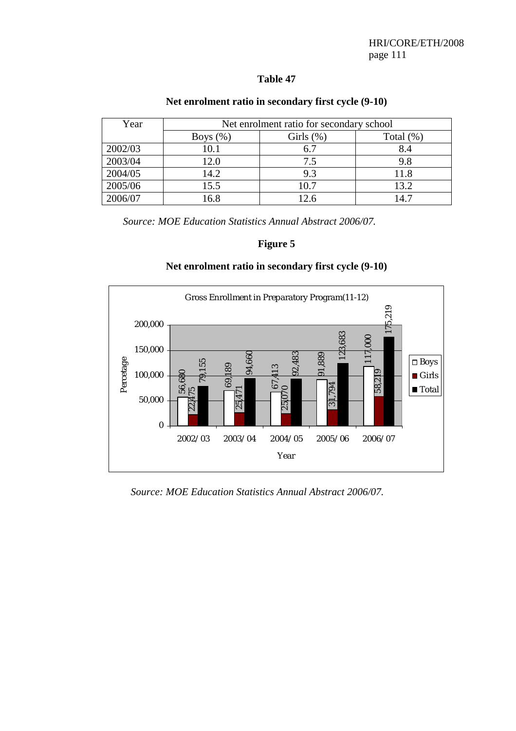## **Net enrolment ratio in secondary first cycle (9-10)**

| Year    | Net enrolment ratio for secondary school |                              |      |  |  |  |  |
|---------|------------------------------------------|------------------------------|------|--|--|--|--|
|         | Boys $(\%)$                              | Girls $(\%)$<br>Total $(\%)$ |      |  |  |  |  |
| 2002/03 | 10.1                                     | 6.7                          | 8.4  |  |  |  |  |
| 2003/04 | 12.0                                     | 7.5                          | 9.8  |  |  |  |  |
| 2004/05 | 14.2                                     | 9.3                          | 11.8 |  |  |  |  |
| 2005/06 | 15.5                                     | 10.7                         | 13.2 |  |  |  |  |
| 2006/07 | 16.8                                     | 12.6                         | 14.7 |  |  |  |  |

 *Source: MOE Education Statistics Annual Abstract 2006/07.*

## **Figure 5**

## **Net enrolment ratio in secondary first cycle (9-10)**



 *Source: MOE Education Statistics Annual Abstract 2006/07.*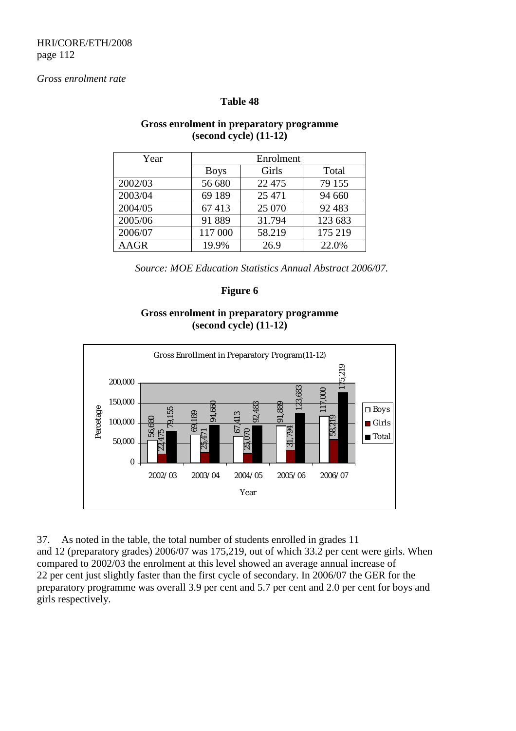## *Gross enrolment rate*

## **Table 48**

## **Gross enrolment in preparatory programme (second cycle) (11-12)**

| Year    | Enrolment   |          |         |  |  |  |
|---------|-------------|----------|---------|--|--|--|
|         | <b>Boys</b> | Girls    | Total   |  |  |  |
| 2002/03 | 56 680      | 22 4 7 5 | 79 155  |  |  |  |
| 2003/04 | 69 189      | 25 4 71  | 94 660  |  |  |  |
| 2004/05 | 67413       | 25 070   | 92 4 83 |  |  |  |
| 2005/06 | 91 889      | 31.794   | 123 683 |  |  |  |
| 2006/07 | 117 000     | 58.219   | 175 219 |  |  |  |
| AAGR    | 19.9%       | 26.9     | 22.0%   |  |  |  |

 *Source: MOE Education Statistics Annual Abstract 2006/07.*

## **Figure 6**

## **Gross enrolment in preparatory programme (second cycle) (11-12)**



37. As noted in the table, the total number of students enrolled in grades 11 and 12 (preparatory grades) 2006/07 was 175,219, out of which 33.2 per cent were girls. When compared to 2002/03 the enrolment at this level showed an average annual increase of 22 per cent just slightly faster than the first cycle of secondary. In 2006/07 the GER for the preparatory programme was overall 3.9 per cent and 5.7 per cent and 2.0 per cent for boys and girls respectively.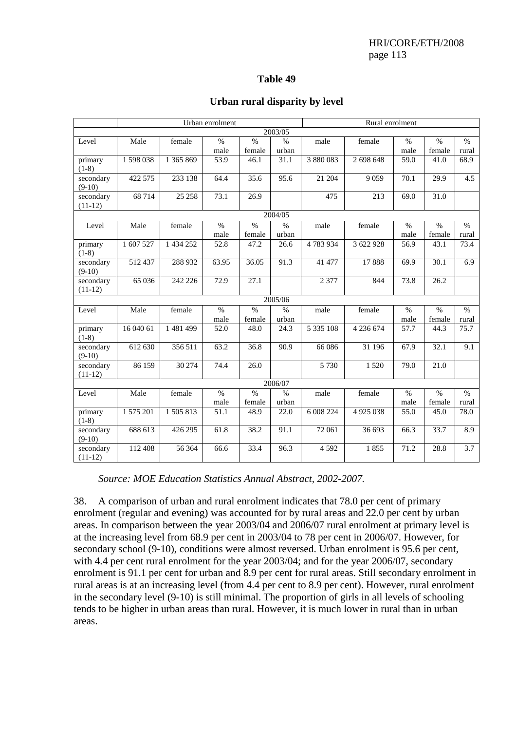## **Urban rural disparity by level**

|                        | Urban enrolment |           |       |               | Rural enrolment      |               |                  |      |                   |                        |
|------------------------|-----------------|-----------|-------|---------------|----------------------|---------------|------------------|------|-------------------|------------------------|
|                        |                 |           |       |               | 2003/05              |               |                  |      |                   |                        |
| Level                  | Male            | female    | $\%$  | $\frac{0}{0}$ | $\%$                 | male          | female           | $\%$ | $\%$              | $\%$                   |
|                        |                 |           | male  | female        | urban                |               |                  | male | female            | rural                  |
| primary                | 1598038         | 1 365 869 | 53.9  | 46.1          | 31.1                 | 3 880 083     | 2 698 648        | 59.0 | 41.0              | 68.9                   |
| $(1-8)$<br>secondary   | 422 575         | 233 138   | 64.4  | 35.6          | 95.6                 | 21 204        | 9 0 5 9          | 70.1 | 29.9              | 4.5                    |
| $(9-10)$               |                 |           |       |               |                      |               |                  |      |                   |                        |
| secondary<br>$(11-12)$ | 68 714          | 25 25 8   | 73.1  | 26.9          |                      | 475           | $\overline{213}$ | 69.0 | $\overline{31.0}$ |                        |
|                        |                 |           |       |               | $\overline{2004/05}$ |               |                  |      |                   |                        |
| Level                  | Male            | female    | $\%$  | $\frac{0}{6}$ | $\%$                 | male          | female           | $\%$ | $\frac{0}{0}$     | $\frac{0}{0}$          |
|                        |                 |           | male  | female        | urban                |               |                  | male | female            | rural                  |
| primary<br>$(1-8)$     | 1 607 527       | 1 434 252 | 52.8  | 47.2          | 26.6                 | 4 783 934     | 3 622 928        | 56.9 | 43.1              | 73.4                   |
| secondary<br>$(9-10)$  | 512 437         | 288 932   | 63.95 | 36.05         | 91.3                 | 41 477        | 17888            | 69.9 | $\overline{30.1}$ | 6.9                    |
| secondary<br>$(11-12)$ | 65 036          | 242 226   | 72.9  | 27.1          |                      | 2 3 7 7       | 844              | 73.8 | 26.2              |                        |
|                        |                 |           |       |               | 2005/06              |               |                  |      |                   |                        |
| Level                  | Male            | female    | $\%$  | $\%$          | $\%$                 | male          | female           | $\%$ | $\%$              | $\frac{0}{0}$          |
|                        |                 |           | male  | female        | urban                |               |                  | male | female            | rural                  |
| primary<br>$(1-8)$     | 16 040 61       | 1 481 499 | 52.0  | 48.0          | 24.3                 | 5 3 3 5 1 0 8 | 4 236 674        | 57.7 | 44.3              | 75.7                   |
| secondary<br>$(9-10)$  | 612 630         | 356 511   | 63.2  | 36.8          | 90.9                 | 66 086        | 31 196           | 67.9 | 32.1              | 9.1                    |
| secondary<br>$(11-12)$ | 86159           | 30 274    | 74.4  | 26.0          |                      | 5 7 3 0       | 1520             | 79.0 | 21.0              |                        |
|                        |                 |           |       |               | 2006/07              |               |                  |      |                   |                        |
| Level                  | Male            | female    | $\%$  | $\%$          | $\%$                 | male          | female           | $\%$ | $\%$              | $\%$                   |
|                        |                 |           | male  | female        | urban                |               |                  | male | female            | $\operatorname{rural}$ |
| primary<br>$(1-8)$     | 1 575 201       | 1 505 813 | 51.1  | 48.9          | 22.0                 | 6 008 224     | 4 9 25 0 38      | 55.0 | 45.0              | 78.0                   |
| secondary<br>$(9-10)$  | 688 613         | 426 295   | 61.8  | 38.2          | 91.1                 | 72 061        | 36 693           | 66.3 | 33.7              | 8.9                    |
| secondary<br>$(11-12)$ | 112 408         | 56 364    | 66.6  | 33.4          | 96.3                 | 4 5 9 2       | 1855             | 71.2 | 28.8              | $\overline{3.7}$       |

 *Source: MOE Education Statistics Annual Abstract, 2002-2007.* 

38. A comparison of urban and rural enrolment indicates that 78.0 per cent of primary enrolment (regular and evening) was accounted for by rural areas and 22.0 per cent by urban areas. In comparison between the year 2003/04 and 2006/07 rural enrolment at primary level is at the increasing level from 68.9 per cent in 2003/04 to 78 per cent in 2006/07. However, for secondary school (9-10), conditions were almost reversed. Urban enrolment is 95.6 per cent, with 4.4 per cent rural enrolment for the year 2003/04; and for the year 2006/07, secondary enrolment is 91.1 per cent for urban and 8.9 per cent for rural areas. Still secondary enrolment in rural areas is at an increasing level (from 4.4 per cent to 8.9 per cent). However, rural enrolment in the secondary level (9-10) is still minimal. The proportion of girls in all levels of schooling tends to be higher in urban areas than rural. However, it is much lower in rural than in urban areas.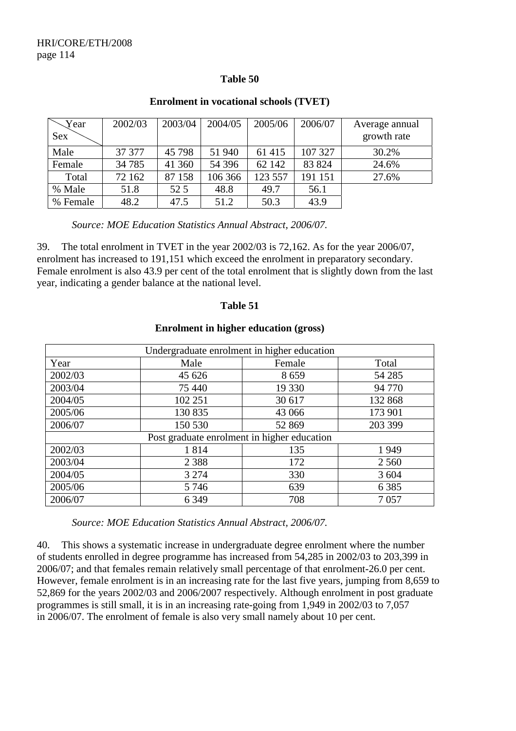| Year<br><b>Sex</b> | 2002/03 | 2003/04 | 2004/05 | 2005/06 | 2006/07 | Average annual<br>growth rate |
|--------------------|---------|---------|---------|---------|---------|-------------------------------|
| Male               | 37 377  | 45 798  | 51 940  | 61 415  | 107 327 | 30.2%                         |
| Female             | 34 7 85 | 41 360  | 54 39 6 | 62 142  | 83 824  | 24.6%                         |
| Total              | 72 162  | 87 158  | 106 366 | 123 557 | 191 151 | 27.6%                         |
| % Male             | 51.8    | 52.5    | 48.8    | 49.7    | 56.1    |                               |
| % Female           | 48.2    | 47.5    | 51.2    | 50.3    | 43.9    |                               |

## **Enrolment in vocational schools (TVET)**

 *Source: MOE Education Statistics Annual Abstract, 2006/07.* 

39. The total enrolment in TVET in the year 2002/03 is 72,162. As for the year 2006/07, enrolment has increased to 191,151 which exceed the enrolment in preparatory secondary. Female enrolment is also 43.9 per cent of the total enrolment that is slightly down from the last year, indicating a gender balance at the national level.

## **Table 51**

## Undergraduate enrolment in higher education Year Male Remale Total 2002/03 1 45 626 8 659 54 285 2003/04 75 440 19 330 94 770 2004/05 102 251 30 617 132 868 2005/06 130 835 43 066 173 901 2006/07 150 530 52 869 203 399 Post graduate enrolment in higher education 2002/03 1 814 135 1 949 2003/04 2 388 172 2 560 2004/05 3 274 3 330 3 3604 2005/06 5 746 639 6385 2006/07 6 349 708 7 057

## **Enrolment in higher education (gross)**

 *Source: MOE Education Statistics Annual Abstract, 2006/07.* 

40. This shows a systematic increase in undergraduate degree enrolment where the number of students enrolled in degree programme has increased from 54,285 in 2002/03 to 203,399 in 2006/07; and that females remain relatively small percentage of that enrolment-26.0 per cent. However, female enrolment is in an increasing rate for the last five years, jumping from 8,659 to 52,869 for the years 2002/03 and 2006/2007 respectively. Although enrolment in post graduate programmes is still small, it is in an increasing rate-going from 1,949 in 2002/03 to 7,057 in 2006/07. The enrolment of female is also very small namely about 10 per cent.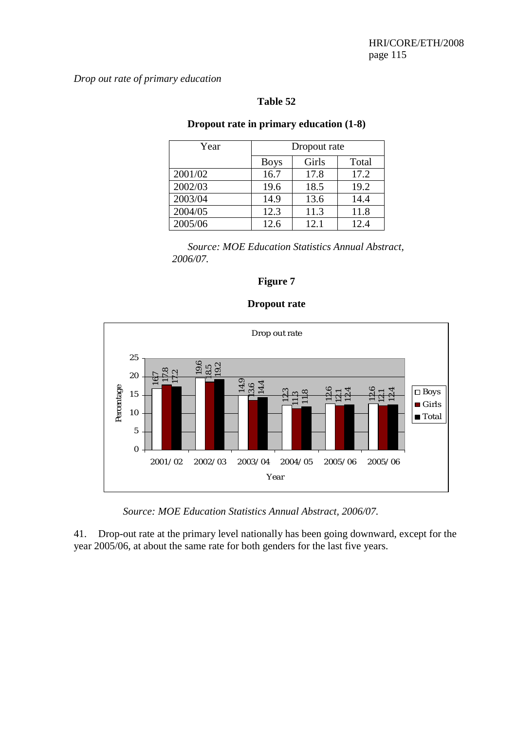## *Drop out rate of primary education*

## **Table 52**

## **Dropout rate in primary education (1-8)**

| Year    | Dropout rate |       |       |  |  |
|---------|--------------|-------|-------|--|--|
|         | <b>Boys</b>  | Girls | Total |  |  |
| 2001/02 | 16.7         | 17.8  | 17.2  |  |  |
| 2002/03 | 19.6         | 18.5  | 19.2  |  |  |
| 2003/04 | 14.9         | 13.6  | 14.4  |  |  |
| 2004/05 | 12.3         | 11.3  | 11.8  |  |  |
| 2005/06 | 12.6         | 12.1  | 12.4  |  |  |

 *Source: MOE Education Statistics Annual Abstract, 2006/07.* 

# **Figure 7**

## **Dropout rate**



 *Source: MOE Education Statistics Annual Abstract, 2006/07.* 

41. Drop-out rate at the primary level nationally has been going downward, except for the year 2005/06, at about the same rate for both genders for the last five years.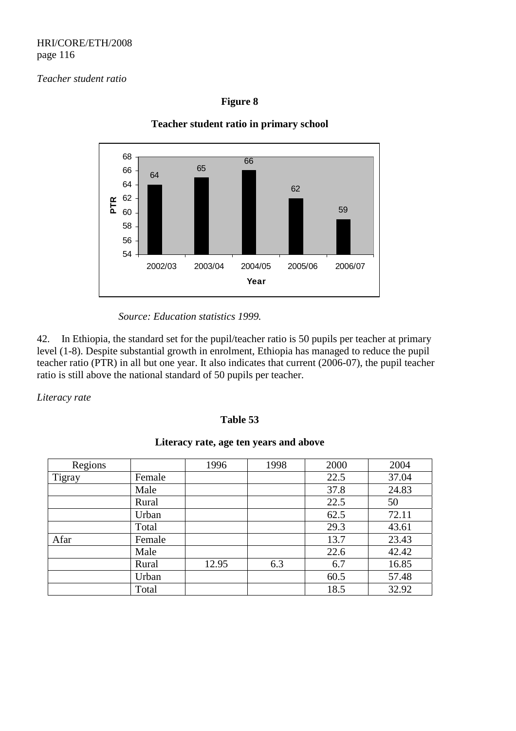## *Teacher student ratio*

## **Figure 8**



## **Teacher student ratio in primary school**

 *Source: Education statistics 1999.* 

42. In Ethiopia, the standard set for the pupil/teacher ratio is 50 pupils per teacher at primary level (1-8). Despite substantial growth in enrolment, Ethiopia has managed to reduce the pupil teacher ratio (PTR) in all but one year. It also indicates that current (2006-07), the pupil teacher ratio is still above the national standard of 50 pupils per teacher.

*Literacy rate* 

## **Table 53**

## **Literacy rate, age ten years and above**

| Regions |        | 1996  | 1998 | 2000 | 2004  |
|---------|--------|-------|------|------|-------|
| Tigray  | Female |       |      | 22.5 | 37.04 |
|         | Male   |       |      | 37.8 | 24.83 |
|         | Rural  |       |      | 22.5 | 50    |
|         | Urban  |       |      | 62.5 | 72.11 |
|         | Total  |       |      | 29.3 | 43.61 |
| Afar    | Female |       |      | 13.7 | 23.43 |
|         | Male   |       |      | 22.6 | 42.42 |
|         | Rural  | 12.95 | 6.3  | 6.7  | 16.85 |
|         | Urban  |       |      | 60.5 | 57.48 |
|         | Total  |       |      | 18.5 | 32.92 |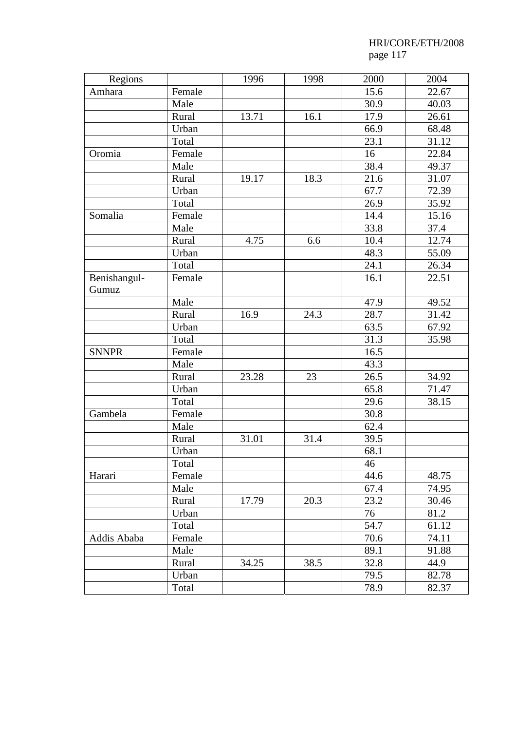HRI/CORE/ETH/2008 page 117

| Regions               |        | 1996  | 1998 | 2000 | 2004  |
|-----------------------|--------|-------|------|------|-------|
| Amhara                | Female |       |      | 15.6 | 22.67 |
|                       | Male   |       |      | 30.9 | 40.03 |
|                       | Rural  | 13.71 | 16.1 | 17.9 | 26.61 |
|                       | Urban  |       |      | 66.9 | 68.48 |
|                       | Total  |       |      | 23.1 | 31.12 |
| Oromia                | Female |       |      | 16   | 22.84 |
|                       | Male   |       |      | 38.4 | 49.37 |
|                       | Rural  | 19.17 | 18.3 | 21.6 | 31.07 |
|                       | Urban  |       |      | 67.7 | 72.39 |
|                       | Total  |       |      | 26.9 | 35.92 |
| Somalia               | Female |       |      | 14.4 | 15.16 |
|                       | Male   |       |      | 33.8 | 37.4  |
|                       | Rural  | 4.75  | 6.6  | 10.4 | 12.74 |
|                       | Urban  |       |      | 48.3 | 55.09 |
|                       | Total  |       |      | 24.1 | 26.34 |
| Benishangul-<br>Gumuz | Female |       |      | 16.1 | 22.51 |
|                       | Male   |       |      | 47.9 | 49.52 |
|                       | Rural  | 16.9  | 24.3 | 28.7 | 31.42 |
|                       | Urban  |       |      | 63.5 | 67.92 |
|                       | Total  |       |      | 31.3 | 35.98 |
| <b>SNNPR</b>          | Female |       |      | 16.5 |       |
|                       | Male   |       |      | 43.3 |       |
|                       | Rural  | 23.28 | 23   | 26.5 | 34.92 |
|                       | Urban  |       |      | 65.8 | 71.47 |
|                       | Total  |       |      | 29.6 | 38.15 |
| Gambela               | Female |       |      | 30.8 |       |
|                       | Male   |       |      | 62.4 |       |
|                       | Rural  | 31.01 | 31.4 | 39.5 |       |
|                       | Urban  |       |      | 68.1 |       |
|                       | Total  |       |      | 46   |       |
| Harari                | Female |       |      | 44.6 | 48.75 |
|                       | Male   |       |      | 67.4 | 74.95 |
|                       | Rural  | 17.79 | 20.3 | 23.2 | 30.46 |
|                       | Urban  |       |      | 76   | 81.2  |
|                       | Total  |       |      | 54.7 | 61.12 |
| Addis Ababa           | Female |       |      | 70.6 | 74.11 |
|                       | Male   |       |      | 89.1 | 91.88 |
|                       | Rural  | 34.25 | 38.5 | 32.8 | 44.9  |
|                       | Urban  |       |      | 79.5 | 82.78 |
|                       | Total  |       |      | 78.9 | 82.37 |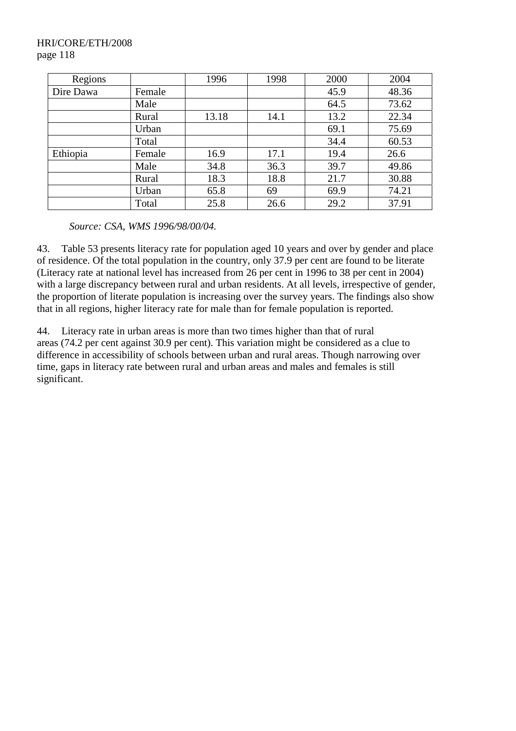## HRI/CORE/ETH/2008 page 118

| Regions   |        | 1996  | 1998 | 2000 | 2004  |
|-----------|--------|-------|------|------|-------|
| Dire Dawa | Female |       |      | 45.9 | 48.36 |
|           | Male   |       |      | 64.5 | 73.62 |
|           | Rural  | 13.18 | 14.1 | 13.2 | 22.34 |
|           | Urban  |       |      | 69.1 | 75.69 |
|           | Total  |       |      | 34.4 | 60.53 |
| Ethiopia  | Female | 16.9  | 17.1 | 19.4 | 26.6  |
|           | Male   | 34.8  | 36.3 | 39.7 | 49.86 |
|           | Rural  | 18.3  | 18.8 | 21.7 | 30.88 |
|           | Urban  | 65.8  | 69   | 69.9 | 74.21 |
|           | Total  | 25.8  | 26.6 | 29.2 | 37.91 |

 *Source: CSA, WMS 1996/98/00/04.* 

43. Table 53 presents literacy rate for population aged 10 years and over by gender and place of residence. Of the total population in the country, only 37.9 per cent are found to be literate (Literacy rate at national level has increased from 26 per cent in 1996 to 38 per cent in 2004) with a large discrepancy between rural and urban residents. At all levels, irrespective of gender, the proportion of literate population is increasing over the survey years. The findings also show that in all regions, higher literacy rate for male than for female population is reported.

44. Literacy rate in urban areas is more than two times higher than that of rural areas (74.2 per cent against 30.9 per cent). This variation might be considered as a clue to difference in accessibility of schools between urban and rural areas. Though narrowing over time, gaps in literacy rate between rural and urban areas and males and females is still significant.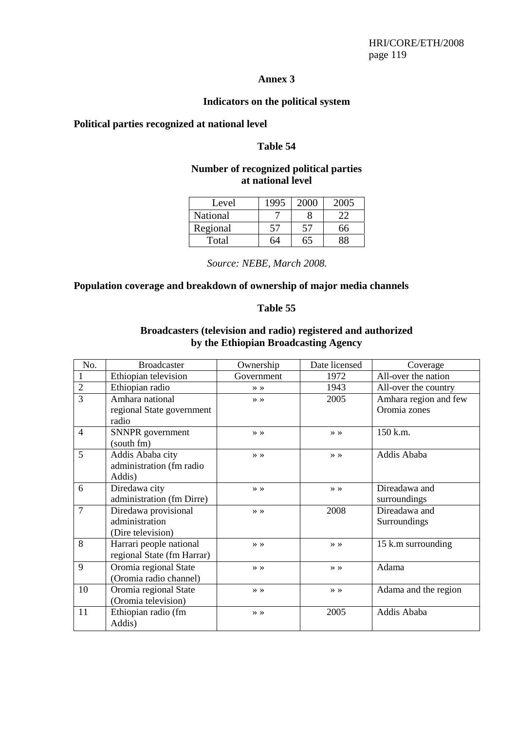## **Annex 3**

## **Indicators on the political system**

## **Political parties recognized at national level**

## **Table 54**

## **Number of recognized political parties at national level**

| Level    | 1995 | 2000 | 2005 |
|----------|------|------|------|
| National |      |      |      |
| Regional | 57   | 57   | 56   |
| Total    |      |      |      |

 *Source: NEBE, March 2008.* 

## **Population coverage and breakdown of ownership of major media channels**

## **Table 55**

## **Broadcasters (television and radio) registered and authorized by the Ethiopian Broadcasting Agency**

| No.            | <b>Broadcaster</b>         | Ownership                   | Date licensed               | Coverage              |
|----------------|----------------------------|-----------------------------|-----------------------------|-----------------------|
| 1              | Ethiopian television       | Government                  | 1972                        | All-over the nation   |
| $\overline{2}$ | Ethiopian radio            | $\times$ $\times$           | 1943                        | All-over the country  |
| $\overline{3}$ | Amhara national            | $\gg$ $\gg$                 | 2005                        | Amhara region and few |
|                | regional State government  |                             |                             | Oromia zones          |
|                | radio                      |                             |                             |                       |
| $\overline{4}$ | SNNPR government           | $\gg$ $\gg$                 | $\times$                    | 150 k.m.              |
|                | (south fm)                 |                             |                             |                       |
| 5              | Addis Ababa city           | $\rightarrow$ $\rightarrow$ | $\times$                    | Addis Ababa           |
|                | administration (fm radio   |                             |                             |                       |
|                | Addis)                     |                             |                             |                       |
| 6              | Diredawa city              | $\rightarrow$ $\rightarrow$ | $\rightarrow$ $\rightarrow$ | Direadawa and         |
|                | administration (fm Dirre)  |                             |                             | surroundings          |
| $\overline{7}$ | Diredawa provisional       | $\rightarrow$ $\rightarrow$ | 2008                        | Direadawa and         |
|                | administration             |                             |                             | Surroundings          |
|                | (Dire television)          |                             |                             |                       |
| 8              | Harrari people national    | $\times$                    | $\times$                    | 15 k.m surrounding    |
|                | regional State (fm Harrar) |                             |                             |                       |
| 9              | Oromia regional State      | $\rightarrow$ $\rightarrow$ | $\times$                    | Adama                 |
|                | (Oromia radio channel)     |                             |                             |                       |
| 10             | Oromia regional State      | $\rightarrow$ $\rightarrow$ | $\times$                    | Adama and the region  |
|                | (Oromia television)        |                             |                             |                       |
| 11             | Ethiopian radio (fm        | $\gg$ $\gg$                 | 2005                        | Addis Ababa           |
|                | Addis)                     |                             |                             |                       |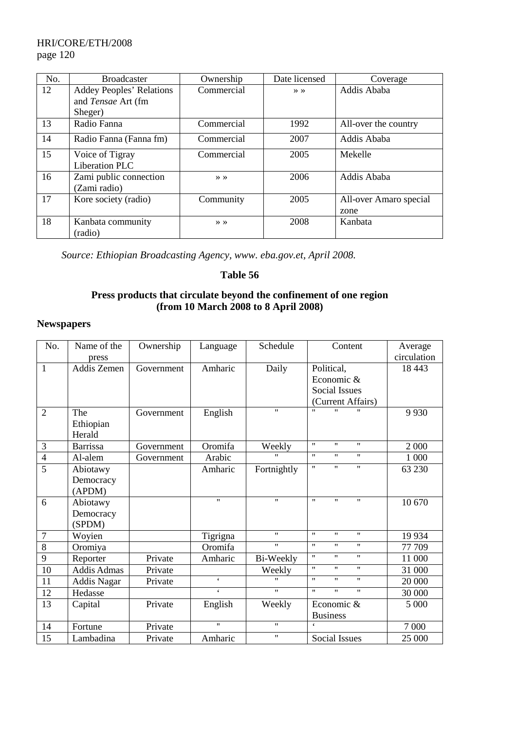## HRI/CORE/ETH/2008 page 120

| No. | <b>Broadcaster</b>              | Ownership         | Date licensed               | Coverage               |
|-----|---------------------------------|-------------------|-----------------------------|------------------------|
| 12  | <b>Addey Peoples' Relations</b> | Commercial        | $\rightarrow$ $\rightarrow$ | Addis Ababa            |
|     | and Tensae Art (fm              |                   |                             |                        |
|     | Sheger)                         |                   |                             |                        |
| 13  | Radio Fanna                     | Commercial        | 1992                        | All-over the country   |
| 14  | Radio Fanna (Fanna fm)          | Commercial        | 2007                        | Addis Ababa            |
| 15  | Voice of Tigray                 | Commercial        | 2005                        | Mekelle                |
|     | <b>Liberation PLC</b>           |                   |                             |                        |
| 16  | Zami public connection          | $\times$ $\times$ | 2006                        | Addis Ababa            |
|     | (Zami radio)                    |                   |                             |                        |
| 17  | Kore society (radio)            | Community         | 2005                        | All-over Amaro special |
|     |                                 |                   |                             | zone                   |
| 18  | Kanbata community               | $\times$ $\times$ | 2008                        | Kanbata                |
|     | (radio)                         |                   |                             |                        |

 *Source: Ethiopian Broadcasting Agency, www. eba.gov.et, April 2008.* 

## **Table 56**

# **Press products that circulate beyond the confinement of one region (from 10 March 2008 to 8 April 2008)**

# **Newspapers**

| No.            | Name of the        | Ownership  | Language     | Schedule     | Content                                                     | Average     |
|----------------|--------------------|------------|--------------|--------------|-------------------------------------------------------------|-------------|
|                | press              |            |              |              |                                                             | circulation |
| $\mathbf{1}$   | <b>Addis Zemen</b> | Government | Amharic      | Daily        | Political,                                                  | 18 4 43     |
|                |                    |            |              |              | Economic &                                                  |             |
|                |                    |            |              |              | <b>Social Issues</b>                                        |             |
|                |                    |            |              |              | (Current Affairs)                                           |             |
| $\overline{2}$ | The                | Government | English      | $\mathbf{H}$ | $\mathbf{H}$                                                | 9 9 3 0     |
|                | Ethiopian          |            |              |              |                                                             |             |
|                | Herald             |            |              |              |                                                             |             |
| 3              | <b>Barrissa</b>    | Government | Oromifa      | Weekly       | $\mathbf{H}$<br>$\mathbf{H}$<br>$^{\prime}$                 | 2 000       |
| 4              | Al-alem            | Government | Arabic       | $^{\prime}$  | $\mathbf{H}$<br>$^{\prime\prime}$<br>$^{\prime\prime}$      | 1 000       |
| 5              | Abiotawy           |            | Amharic      | Fortnightly  | $^{\prime\prime}$<br>$\mathbf{H}$<br>$^{\prime}$            | 63 230      |
|                | Democracy          |            |              |              |                                                             |             |
|                | (APDM)             |            |              |              |                                                             |             |
| 6              | Abiotawy           |            | $^{\dagger}$ | $\mathbf{H}$ | $^{\prime\prime}$<br>$^{\prime\prime}$<br>$^{\prime\prime}$ | 10 670      |
|                | Democracy          |            |              |              |                                                             |             |
|                | (SPDM)             |            |              |              |                                                             |             |
| $\overline{7}$ | Woyien             |            | Tigrigna     | $\mathbf{H}$ | $\boldsymbol{\mathsf{H}}$<br>$\mathbf{H}$<br>$\mathbf{H}$   | 19 9 34     |
| 8              | Oromiya            |            | Oromifa      | $\mathbf{H}$ | $\mathbf{H}$<br>$\mathbf{H}$<br>$\mathbf{H}$                | 77 709      |
| 9              | Reporter           | Private    | Amharic      | Bi-Weekly    | $\mathbf{H}$<br>$\mathbf{H}$<br>$\mathbf{H}$                | 11 000      |
| 10             | <b>Addis Admas</b> | Private    |              | Weekly       | $\mathbf{H}$<br>$^{\dagger}$<br>$^{\prime\prime}$           | 31 000      |
| 11             | <b>Addis Nagar</b> | Private    | $\epsilon$   |              | $\mathbf{H}$<br>$^{\prime\prime}$<br>$^{\prime\prime}$      | 20 000      |
| 12             | Hedasse            |            | $\epsilon$   | $\mathbf{H}$ | $\mathbf{H}$<br>$\mathbf{H}$<br>$\mathbf{H}$                | 30 000      |
| 13             | Capital            | Private    | English      | Weekly       | Economic &                                                  | 5 000       |
|                |                    |            |              |              | <b>Business</b>                                             |             |
| 14             | Fortune            | Private    | $^{\dagger}$ | $\mathbf{H}$ | $\epsilon$                                                  | 7 000       |
| 15             | Lambadina          | Private    | Amharic      | $\mathbf{H}$ | Social Issues                                               | 25 000      |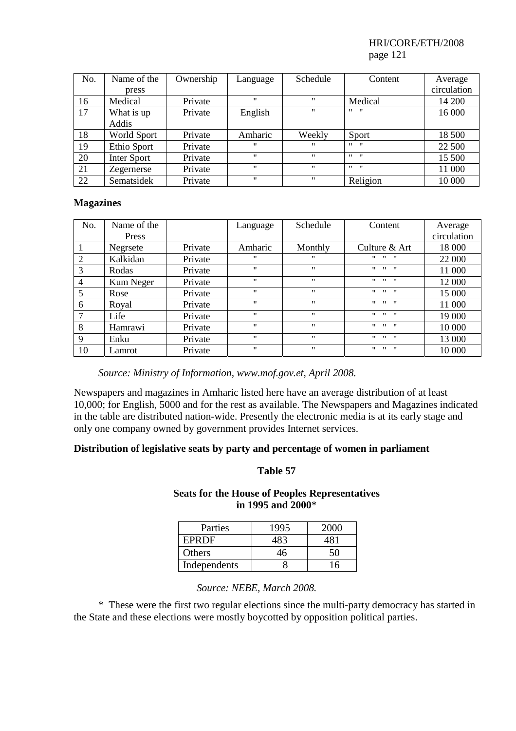HRI/CORE/ETH/2008 page 121

| No. | Name of the | Ownership | Language          | Schedule          | Content   | Average     |
|-----|-------------|-----------|-------------------|-------------------|-----------|-------------|
|     | press       |           |                   |                   |           | circulation |
| 16  | Medical     | Private   | $^{\prime\prime}$ | $^{\prime\prime}$ | Medical   | 14 200      |
| 17  | What is up  | Private   | English           | $^{\prime\prime}$ | $11 - 11$ | 16 000      |
|     | Addis       |           |                   |                   |           |             |
| 18  | World Sport | Private   | Amharic           | Weekly            | Sport     | 18 500      |
| 19  | Ethio Sport | Private   | "                 | $^{\prime\prime}$ | $11 - 11$ | 22 500      |
| 20  | Inter Sport | Private   | $\mathbf{H}$      | $^{\prime\prime}$ | $11 - 11$ | 15 500      |
| 21  | Zegernerse  | Private   | $^{\prime\prime}$ | $^{\prime\prime}$ | $11 - 11$ | 11 000      |
| 22  | Sematsidek  | Private   | $^{\prime\prime}$ | $^{\prime\prime}$ | Religion  | 10 000      |

## **Magazines**

| No.            | Name of the  |         | Language          | Schedule          | Content        | Average     |
|----------------|--------------|---------|-------------------|-------------------|----------------|-------------|
|                | <b>Press</b> |         |                   |                   |                | circulation |
|                | Negrsete     | Private | Amharic           | Monthly           | Culture & Art  | 18 000      |
| 2              | Kalkidan     | Private | "                 | $^{\prime\prime}$ | $11 - 11 - 11$ | 22 000      |
| 3              | Rodas        | Private | $^{\prime\prime}$ | $^{\prime\prime}$ | 11 11 11       | 11 000      |
| $\overline{4}$ | Kum Neger    | Private | $^{\prime\prime}$ | $^{\prime\prime}$ | $11 - 11 - 11$ | 12 000      |
| 5              | Rose         | Private | $^{\prime\prime}$ | $^{\prime\prime}$ | $11 - 11 - 11$ | 15 000      |
| 6              | Royal        | Private | $^{\prime\prime}$ | $^{\prime\prime}$ | 11 11 11       | 11 000      |
| 7              | Life         | Private | $^{\prime\prime}$ | $^{\prime\prime}$ | 11 11 11       | 19 000      |
| 8              | Hamrawi      | Private | $^{\prime\prime}$ | $^{\prime\prime}$ | 11 11 11       | 10 000      |
| $\mathbf Q$    | Enku         | Private | $^{\prime\prime}$ | $^{\prime\prime}$ | $11 - 11 - 11$ | 13 000      |
| 10             | Lamrot       | Private | $^{\dagger}$      | $^{\prime\prime}$ | $11 - 11 - 11$ | 10 000      |

 *Source: Ministry of Information, www.mof.gov.et, April 2008.* 

Newspapers and magazines in Amharic listed here have an average distribution of at least 10,000; for English, 5000 and for the rest as available. The Newspapers and Magazines indicated in the table are distributed nation-wide. Presently the electronic media is at its early stage and only one company owned by government provides Internet services.

## **Distribution of legislative seats by party and percentage of women in parliament**

## **Table 57**

## **Seats for the House of Peoples Representatives in 1995 and 2000**\*

| Parties      | 1995 |   |
|--------------|------|---|
| <b>EPRDE</b> |      |   |
| Others       |      |   |
| Independents |      | n |

## *Source: NEBE, March 2008.*

 \* These were the first two regular elections since the multi-party democracy has started in the State and these elections were mostly boycotted by opposition political parties.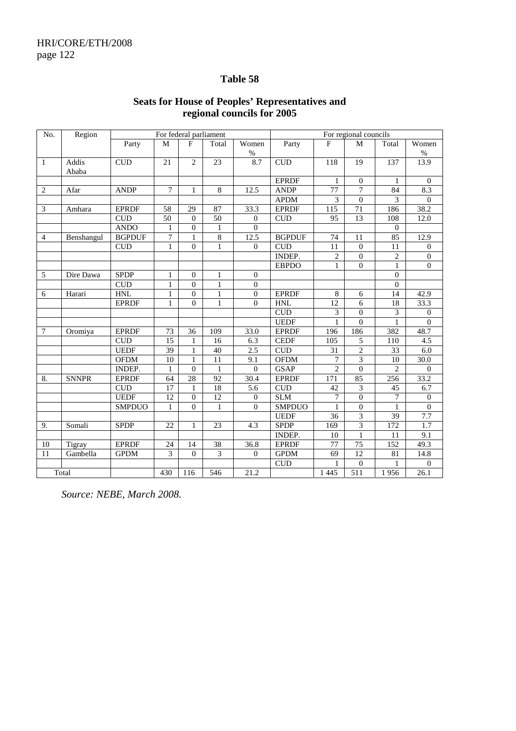| No.            | Region       |               |                | For federal parliament |                         |                  |               |                  | For regional councils |                  |                  |
|----------------|--------------|---------------|----------------|------------------------|-------------------------|------------------|---------------|------------------|-----------------------|------------------|------------------|
|                |              | Party         | M              | $F_{\rm}$              | Total                   | Women<br>$\%$    | Party         | F                | M                     | Total            | Women<br>$\%$    |
| $\mathbf{1}$   | Addis        | <b>CUD</b>    | 21             | $\overline{2}$         | 23                      | 8.7              | <b>CUD</b>    | 118              | 19                    | 137              | 13.9             |
|                | Ababa        |               |                |                        |                         |                  |               |                  |                       |                  |                  |
|                |              |               |                |                        |                         |                  | <b>EPRDF</b>  | $\mathbf{1}$     | $\mathbf{0}$          | 1                | $\mathbf{0}$     |
| $\overline{2}$ | Afar         | <b>ANDP</b>   | $\overline{7}$ | 1                      | 8                       | 12.5             | <b>ANDP</b>   | $\overline{77}$  | $\overline{7}$        | 84               | 8.3              |
|                |              |               |                |                        |                         |                  | <b>APDM</b>   | 3                | $\Omega$              | 3                | $\Omega$         |
| $\overline{3}$ | Amhara       | <b>EPRDF</b>  | 58             | 29                     | 87                      | 33.3             | <b>EPRDF</b>  | $\overline{115}$ | 71                    | 186              | 38.2             |
|                |              | <b>CUD</b>    | 50             | $\theta$               | 50                      | $\overline{0}$   | <b>CUD</b>    | 95               | 13                    | 108              | 12.0             |
|                |              | <b>ANDO</b>   | 1              | $\Omega$               | 1                       | $\Omega$         |               |                  |                       | $\Omega$         |                  |
| $\overline{4}$ | Benshangul   | <b>BGPDUF</b> | $\overline{7}$ | 1                      | $\overline{8}$          | 12.5             | <b>BGPDUF</b> | 74               | 11                    | 85               | 12.9             |
|                |              | <b>CUD</b>    | $\mathbf{1}$   | $\Omega$               | $\mathbf{1}$            | $\overline{0}$   | <b>CUD</b>    | 11               | $\Omega$              | 11               | $\mathbf{0}$     |
|                |              |               |                |                        |                         |                  | INDEP.        | $\overline{2}$   | $\boldsymbol{0}$      | $\overline{c}$   | $\boldsymbol{0}$ |
|                |              |               |                |                        |                         |                  | <b>EBPDO</b>  | $\mathbf{1}$     | $\Omega$              | $\mathbf{1}$     | $\boldsymbol{0}$ |
| 5              | Dire Dawa    | <b>SPDP</b>   | 1              | $\Omega$               | 1                       | $\mathbf{0}$     |               |                  |                       | $\overline{0}$   |                  |
|                |              | CUD           | $\mathbf{1}$   | $\Omega$               | 1                       | $\overline{0}$   |               |                  |                       | $\boldsymbol{0}$ |                  |
| 6              | Harari       | <b>HNL</b>    | $\,1\,$        | $\Omega$               | 1                       | $\overline{0}$   | <b>EPRDF</b>  | 8                | 6                     | 14               | 42.9             |
|                |              | <b>EPRDF</b>  | $\mathbf{1}$   | $\overline{0}$         | 1                       | $\boldsymbol{0}$ | <b>HNL</b>    | 12               | 6                     | 18               | 33.3             |
|                |              |               |                |                        |                         |                  | CUD           | $\overline{3}$   | $\boldsymbol{0}$      | 3                | $\boldsymbol{0}$ |
|                |              |               |                |                        |                         |                  | <b>UEDF</b>   | $\mathbf{1}$     | $\Omega$              | $\mathbf{1}$     | $\mathbf{0}$     |
| $\tau$         | Oromiya      | <b>EPRDF</b>  | 73             | 36                     | 109                     | 33.0             | <b>EPRDF</b>  | 196              | 186                   | 382              | 48.7             |
|                |              | <b>CUD</b>    | 15             | $\mathbf{1}$           | 16                      | 6.3              | <b>CEDF</b>   | 105              | 5                     | 110              | 4.5              |
|                |              | <b>UEDF</b>   | 39             | 1                      | 40                      | 2.5              | <b>CUD</b>    | 31               | $\overline{2}$        | 33               | 6.0              |
|                |              | <b>OFDM</b>   | 10             | 1                      | 11                      | 9.1              | <b>OFDM</b>   | $\overline{7}$   | $\overline{3}$        | 10               | 30.0             |
|                |              | <b>INDEP.</b> | $\mathbf{1}$   | $\Omega$               | $\mathbf{1}$            | $\Omega$         | <b>GSAP</b>   | $\overline{2}$   | $\Omega$              | 2                | $\mathbf{0}$     |
| 8.             | <b>SNNPR</b> | <b>EPRDF</b>  | 64             | $\overline{28}$        | 92                      | 30.4             | <b>EPRDF</b>  | 171              | 85                    | 256              | 33.2             |
|                |              | <b>CUD</b>    | 17             | 1                      | 18                      | 5.6              | <b>CUD</b>    | 42               | 3                     | 45               | 6.7              |
|                |              | <b>UEDF</b>   | 12             | $\theta$               | 12                      | $\mathbf{0}$     | <b>SLM</b>    | 7                | $\mathbf{0}$          | 7                | $\boldsymbol{0}$ |
|                |              | <b>SMPDUO</b> | 1              | $\Omega$               | 1                       | $\boldsymbol{0}$ | <b>SMPDUO</b> | 1                | $\mathbf{0}$          | $\mathbf{1}$     | $\boldsymbol{0}$ |
|                |              |               |                |                        |                         |                  | <b>UEDF</b>   | 36               | 3                     | 39               | 7.7              |
| 9.             | Somali       | <b>SPDP</b>   | 22             | 1                      | 23                      | 4.3              | <b>SPDP</b>   | 169              | 3                     | 172              | 1.7              |
|                |              |               |                |                        |                         |                  | INDEP.        | 10               | 1                     | 11               | 9.1              |
| 10             | Tigray       | <b>EPRDF</b>  | 24             | 14                     | 38                      | 36.8             | <b>EPRDF</b>  | 77               | 75                    | 152              | 49.3             |
| 11             | Gambella     | <b>GPDM</b>   | $\overline{3}$ | $\mathbf{0}$           | $\overline{\mathbf{3}}$ | $\overline{0}$   | <b>GPDM</b>   | 69               | 12                    | 81               | 14.8             |
|                |              |               |                |                        |                         |                  | <b>CUD</b>    | 1                | $\mathbf{0}$          | 1                | $\mathbf{0}$     |
| Total          |              |               | 430            | 116                    | 546                     | 21.2             |               | 1 4 4 5          | 511                   | 1956             | 26.1             |

# **Seats for House of Peoples' Representatives and regional councils for 2005**

 *Source: NEBE, March 2008.*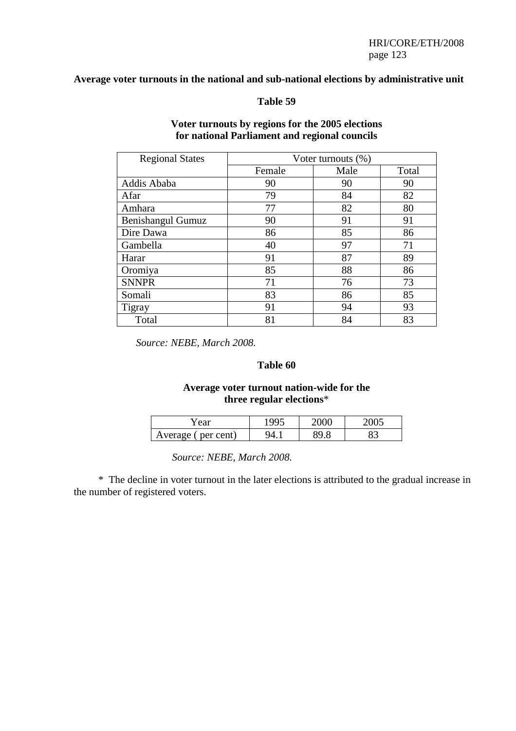HRI/CORE/ETH/2008 page 123

## **Average voter turnouts in the national and sub-national elections by administrative unit**

## **Table 59**

## **Voter turnouts by regions for the 2005 elections for national Parliament and regional councils**

| <b>Regional States</b>   |        | Voter turnouts $(\%)$ |       |
|--------------------------|--------|-----------------------|-------|
|                          | Female | Male                  | Total |
| Addis Ababa              | 90     | 90                    | 90    |
| Afar                     | 79     | 84                    | 82    |
| Amhara                   | 77     | 82                    | 80    |
| <b>Benishangul Gumuz</b> | 90     | 91                    | 91    |
| Dire Dawa                | 86     | 85                    | 86    |
| Gambella                 | 40     | 97                    | 71    |
| Harar                    | 91     | 87                    | 89    |
| Oromiya                  | 85     | 88                    | 86    |
| <b>SNNPR</b>             | 71     | 76                    | 73    |
| Somali                   | 83     | 86                    | 85    |
| Tigray                   | 91     | 94                    | 93    |
| Total                    | 81     | 84                    | 83    |

 *Source: NEBE, March 2008.* 

## **Table 60**

## **Average voter turnout nation-wide for the three regular elections**\*

| rear               | 1995 | 2000 | 2005 |
|--------------------|------|------|------|
| Average (per cent) | QД   | 89.8 |      |

 *Source: NEBE, March 2008.* 

 \* The decline in voter turnout in the later elections is attributed to the gradual increase in the number of registered voters.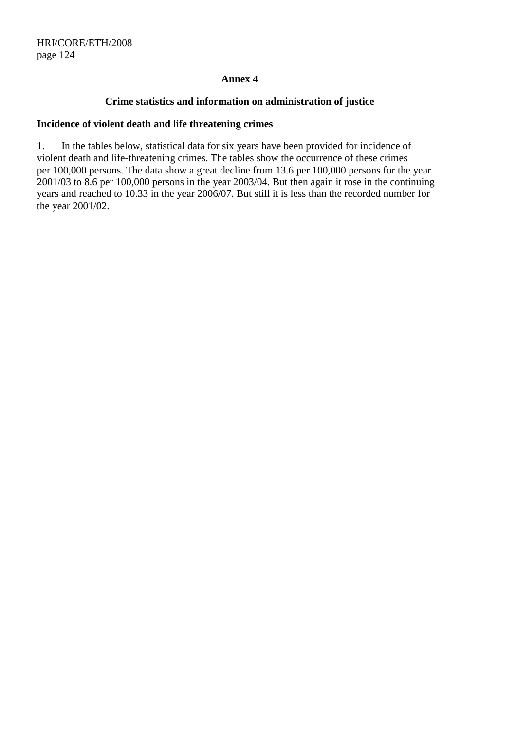## **Annex 4**

## **Crime statistics and information on administration of justice**

## **Incidence of violent death and life threatening crimes**

1. In the tables below, statistical data for six years have been provided for incidence of violent death and life-threatening crimes. The tables show the occurrence of these crimes per 100,000 persons. The data show a great decline from 13.6 per 100,000 persons for the year 2001/03 to 8.6 per 100,000 persons in the year 2003/04. But then again it rose in the continuing years and reached to 10.33 in the year 2006/07. But still it is less than the recorded number for the year 2001/02.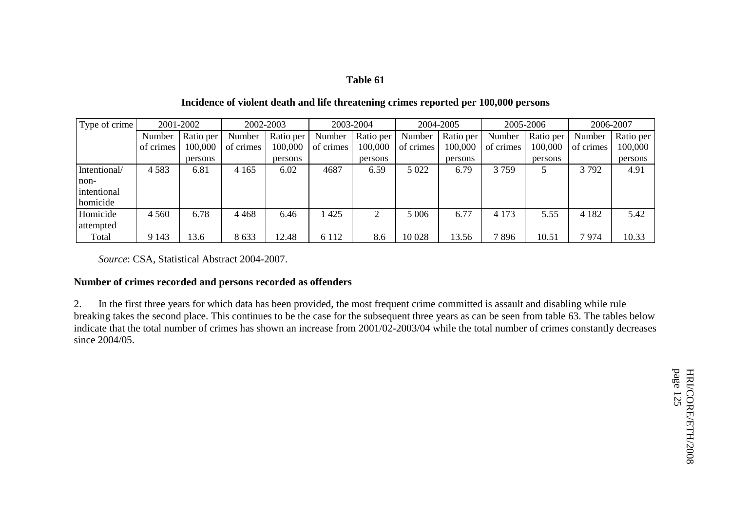| Type of crime |           | 2001-2002 |           | 2002-2003 |           | 2003-2004             |           | 2004-2005 |           | 2005-2006 |           | 2006-2007 |
|---------------|-----------|-----------|-----------|-----------|-----------|-----------------------|-----------|-----------|-----------|-----------|-----------|-----------|
|               | Number    | Ratio per | Number    | Ratio per | Number    | Ratio per             | Number    | Ratio per | Number    | Ratio per | Number    | Ratio per |
|               | of crimes | 100,000   | of crimes | 100,000   | of crimes | 100,000               | of crimes | 100,000   | of crimes | 100,000   | of crimes | 100,000   |
|               |           | persons   |           | persons   |           | persons               |           | persons   |           | persons   |           | persons   |
| Intentional/  | 4583      | 6.81      | 4 1 6 5   | 6.02      | 4687      | 6.59                  | 5 0 2 2   | 6.79      | 3759      |           | 3 7 9 2   | 4.91      |
| non-          |           |           |           |           |           |                       |           |           |           |           |           |           |
| intentional   |           |           |           |           |           |                       |           |           |           |           |           |           |
| homicide      |           |           |           |           |           |                       |           |           |           |           |           |           |
| Homicide      | 4 5 6 0   | 6.78      | 4 4 6 8   | 6.46      | l 425     | $\mathcal{D}_{\cdot}$ | 5 0 0 6   | 6.77      | 4 1 7 3   | 5.55      | 4 1 8 2   | 5.42      |
| attempted     |           |           |           |           |           |                       |           |           |           |           |           |           |
| Total         | 9 1 4 3   | 13.6      | 8633      | 12.48     | 6 1 1 2   | 8.6                   | 10 028    | 13.56     | 7896      | 10.51     | 7974      | 10.33     |

## **Incidence of violent death and life threatening crimes reported per 100,000 persons**

*Source*: CSA, Statistical Abstract 2004-2007.

## **Number of crimes recorded and persons recorded as offenders**

2. In the first three years for which data has been provided, the most frequent crime committed is assault and disabling while rule breaking takes the second place. This continues to be the case for the subsequent three years as can be seen from table 63. The tables below indicate that the total number of crimes has shown an increase from 2001/02-2003/04 while the total number of crimes constantly decreases since 2004/05.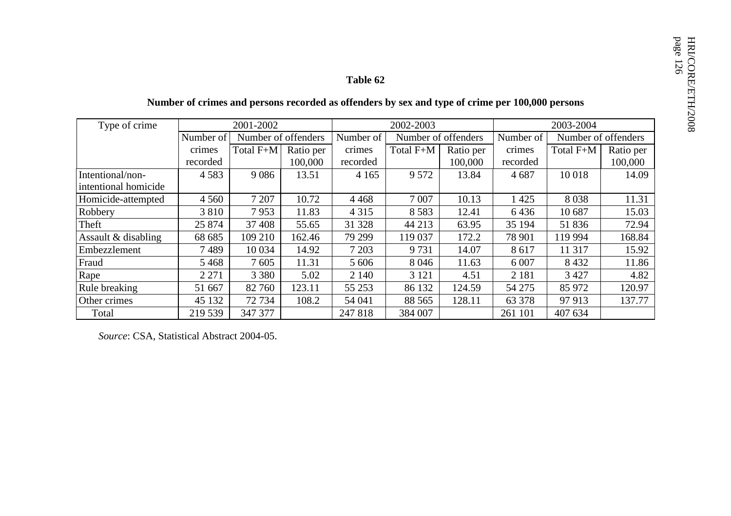| Type of crime        |           | 2001-2002           |           |           | 2002-2003           |           |           | 2003-2004           |           |
|----------------------|-----------|---------------------|-----------|-----------|---------------------|-----------|-----------|---------------------|-----------|
|                      | Number of | Number of offenders |           | Number of | Number of offenders |           | Number of | Number of offenders |           |
|                      | crimes    | Total F+M           | Ratio per | crimes    | Total F+M           | Ratio per | crimes    | Total F+M           | Ratio per |
|                      | recorded  |                     | 100,000   | recorded  |                     | 100,000   | recorded  |                     | 100,000   |
| Intentional/non-     | 4583      | 9086                | 13.51     | 4 1 6 5   | 9 5 7 2             | 13.84     | 4687      | 10 018              | 14.09     |
| intentional homicide |           |                     |           |           |                     |           |           |                     |           |
| Homicide-attempted   | 4 5 6 0   | 7 207               | 10.72     | 4 4 6 8   | 7 0 0 7             | 10.13     | 1425      | 8038                | 11.31     |
| Robbery              | 3810      | 7953                | 11.83     | 4 3 1 5   | 8 5 8 3             | 12.41     | 6436      | 10 687              | 15.03     |
| Theft                | 25 874    | 37 408              | 55.65     | 31 328    | 44 213              | 63.95     | 35 194    | 51836               | 72.94     |
| Assault & disabling  | 68 685    | 109 210             | 162.46    | 79 299    | 119 037             | 172.2     | 78 901    | 119 994             | 168.84    |
| Embezzlement         | 7489      | 10 0 34             | 14.92     | 7 2 0 3   | 9731                | 14.07     | 8617      | 11 317              | 15.92     |
| Fraud                | 5468      | 7605                | 11.31     | 5 606     | 8 0 4 6             | 11.63     | 6 0 0 7   | 8432                | 11.86     |
| Rape                 | 2 2 7 1   | 3 3 8 0             | 5.02      | 2 1 4 0   | 3 1 2 1             | 4.51      | 2 1 8 1   | 3 4 2 7             | 4.82      |
| Rule breaking        | 51 667    | 82 760              | 123.11    | 55 253    | 86 132              | 124.59    | 54 275    | 85 972              | 120.97    |
| Other crimes         | 45 132    | 72 734              | 108.2     | 54 041    | 88 5 65             | 128.11    | 63 378    | 97 913              | 137.77    |
| Total                | 219 539   | 347 377             |           | 247818    | 384 007             |           | 261 101   | 407 634             |           |

# Fable 62<br>Number of crimes and persons recorded as offenders by sex and type of crime per 100,000 persons

*Source*: CSA, Statistical Abstract 2004-05.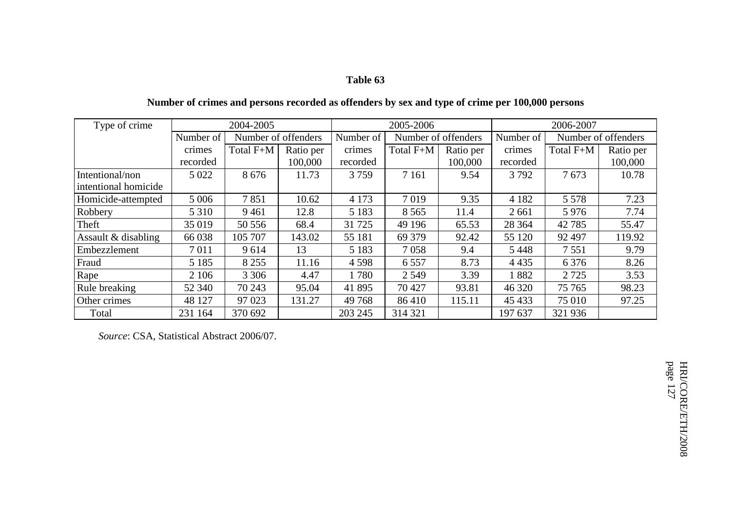| Type of crime         |                     | 2004-2005           |           |           | 2005-2006           |           |           | 2006-2007 |                     |  |
|-----------------------|---------------------|---------------------|-----------|-----------|---------------------|-----------|-----------|-----------|---------------------|--|
|                       | Number of           | Number of offenders |           | Number of | Number of offenders |           | Number of |           | Number of offenders |  |
|                       | Total F+M<br>crimes |                     | Ratio per | crimes    | Total F+M           | Ratio per | crimes    | Total F+M | Ratio per           |  |
|                       | recorded            |                     | 100,000   | recorded  |                     | 100,000   | recorded  |           | 100,000             |  |
| Intentional/non       | 5 0 2 2             | 8676                | 11.73     | 3759      | 7 1 6 1             | 9.54      | 3792      | 7673      | 10.78               |  |
| intentional homicide  |                     |                     |           |           |                     |           |           |           |                     |  |
| Homicide-attempted    | 5 0 0 6             | 7851                | 10.62     | 4 1 7 3   | 7019                | 9.35      | 4 1 8 2   | 5 5 7 8   | 7.23                |  |
| Robbery               | 5 3 1 0             | 9461                | 12.8      | 5 1 8 3   | 8 5 6 5             | 11.4      | 2 6 6 1   | 5976      | 7.74                |  |
| Theft                 | 35 019              | 50 556              | 68.4      | 31 7 25   | 49 196              | 65.53     | 28 3 64   | 42 7 85   | 55.47               |  |
| Assault $&$ disabling | 66 038              | 105 707             | 143.02    | 55 181    | 69 379              | 92.42     | 55 120    | 92 497    | 119.92              |  |
| Embezzlement          | 7011                | 9614                | 13        | 5 1 8 3   | 7058                | 9.4       | 5 4 4 8   | 7 5 5 1   | 9.79                |  |
| Fraud                 | 5 1 8 5             | 8 2 5 5             | 11.16     | 4598      | 6 5 5 7             | 8.73      | 4 4 3 5   | 6 3 7 6   | 8.26                |  |
| Rape                  | 2 1 0 6             | 3 3 0 6             | 4.47      | 1780      | 2 5 4 9             | 3.39      | 1882      | 2 7 2 5   | 3.53                |  |
| <b>Rule breaking</b>  | 52 340              | 70 243              | 95.04     | 41895     | 70 427              | 93.81     | 46 320    | 75 765    | 98.23               |  |
| Other crimes          | 48 127              | 97 023              | 131.27    | 49 768    | 86410               | 115.11    | 45 4 33   | 75 010    | 97.25               |  |
| Total                 | 231 164             | 370 692             |           | 203 245   | 314 321             |           | 197 637   | 321 936   |                     |  |

# **Number of crimes and persons recorded as offenders by sex and type of crime per 100,000 persons**

*Source*: CSA, Statistical Abstract 2006/07.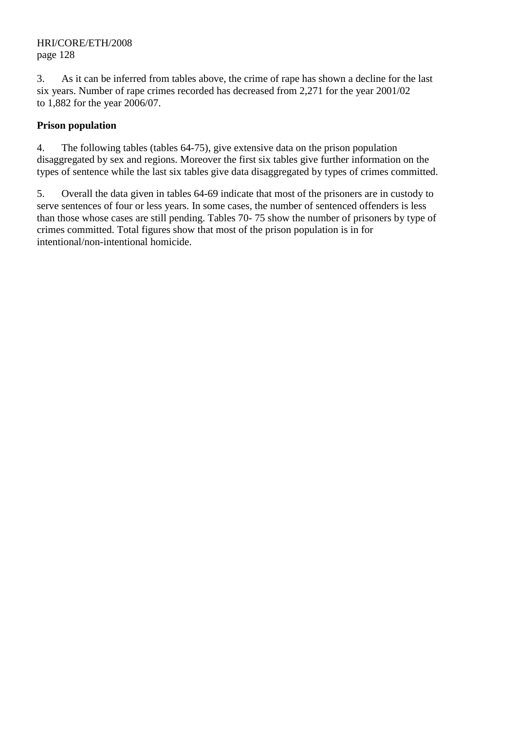## HRI/CORE/ETH/2008 page 128

3. As it can be inferred from tables above, the crime of rape has shown a decline for the last six years. Number of rape crimes recorded has decreased from 2,271 for the year 2001/02 to 1,882 for the year 2006/07.

## **Prison population**

4. The following tables (tables 64-75), give extensive data on the prison population disaggregated by sex and regions. Moreover the first six tables give further information on the types of sentence while the last six tables give data disaggregated by types of crimes committed.

5. Overall the data given in tables 64-69 indicate that most of the prisoners are in custody to serve sentences of four or less years. In some cases, the number of sentenced offenders is less than those whose cases are still pending. Tables 70- 75 show the number of prisoners by type of crimes committed. Total figures show that most of the prison population is in for intentional/non-intentional homicide.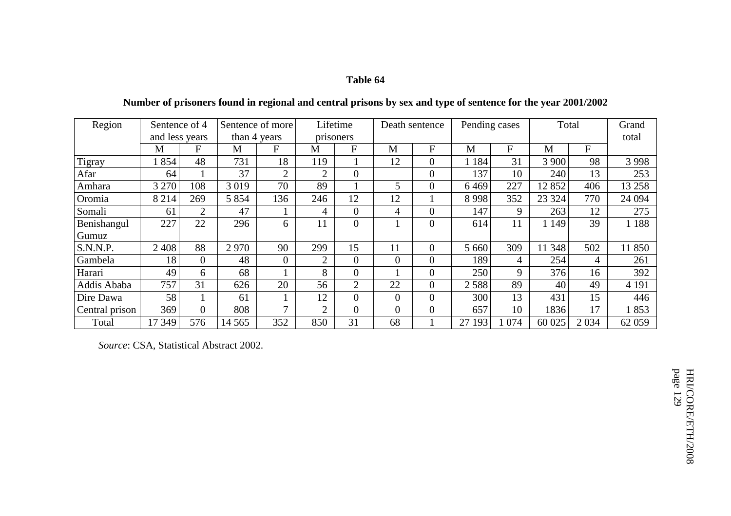| Region         | Sentence of 4  |                |         | Sentence of more |                | Lifetime       |          | Death sentence          | Pending cases |         | Total   |         | Grand   |
|----------------|----------------|----------------|---------|------------------|----------------|----------------|----------|-------------------------|---------------|---------|---------|---------|---------|
|                | and less years |                |         | than 4 years     |                | prisoners      |          |                         |               |         |         |         | total   |
|                | M              | F              | M       | F                | M              | F              | M        | $\overline{\mathrm{F}}$ | M             | F       | M       | F       |         |
| Tigray         | 854            | 48             | 731     | 18               | 119            |                | 12       | $\overline{0}$          | 1 1 8 4       | 31      | 3 900   | 98      | 3 9 9 8 |
| Afar           | 64             |                | 37      | $\overline{2}$   | $\overline{2}$ | $\overline{0}$ |          | $\overline{0}$          | 137           | 10      | 240     | 13      | 253     |
| Amhara         | 3 2 7 0        | 108            | 3019    | 70               | 89             |                | 5        | $\overline{0}$          | 6469          | 227     | 12852   | 406     | 13 258  |
| Oromia         | 8 2 1 4        | 269            | 5 8 5 4 | 136              | 246            | 12             | 12       |                         | 8998          | 352     | 23 3 24 | 770     | 24 094  |
| Somali         | 61             | $\overline{2}$ | 47      |                  | 4              | $\overline{0}$ | 4        | $\overline{0}$          | 147           | 9       | 263     | 12      | 275     |
| Benishangul    | 227            | 22             | 296     | 6                | 11             | $\overline{0}$ |          | $\overline{0}$          | 614           | 11      | 1 1 4 9 | 39      | 1 1 8 8 |
| Gumuz          |                |                |         |                  |                |                |          |                         |               |         |         |         |         |
| S.N.N.P.       | 2 4 0 8        | 88             | 2970    | 90               | 299            | 15             | 11       | $\theta$                | 5 6 6 0       | 309     | 11 348  | 502     | 11 850  |
| Gambela        | 18             | $\Omega$       | 48      | 0                | 2              | $\overline{0}$ | $\theta$ | $\Omega$                | 189           | 4       | 254     | 4       | 261     |
| Harari         | 49             | 6              | 68      |                  | 8              | $\overline{0}$ |          | $\overline{0}$          | 250           | 9       | 376     | 16      | 392     |
| Addis Ababa    | 757            | 31             | 626     | 20               | 56             | $\overline{2}$ | 22       | $\overline{0}$          | 2588          | 89      | 40      | 49      | 4 1 9 1 |
| Dire Dawa      | 58             |                | 61      |                  | 12             | $\overline{0}$ | $\theta$ | $\overline{0}$          | 300           | 13      | 431     | 15      | 446     |
| Central prison | 369            | $\Omega$       | 808     | $\mathcal{I}$    | $\overline{2}$ | $\overline{0}$ | $\theta$ | $\theta$                | 657           | 10      | 1836    | 17      | 1853    |
| Total          | 17 349         | 576            | 14 5 65 | 352              | 850            | 31             | 68       |                         | 27<br>193     | 1 0 7 4 | 60 025  | 2 0 3 4 | 62 059  |

# **Number of prisoners found in regional and central prisons by sex and type of sentence for the year 2001/2002**

*Source*: CSA, Statistical Abstract 2002.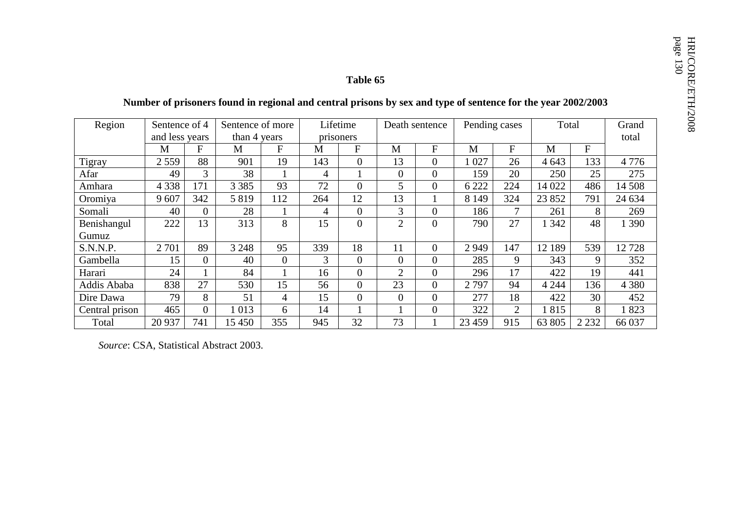| Region         | Sentence of 4  |                | Sentence of more |                |     | Lifetime       |                | Death sentence |         | Pending cases | Total   |         | Grand   |
|----------------|----------------|----------------|------------------|----------------|-----|----------------|----------------|----------------|---------|---------------|---------|---------|---------|
|                | and less years |                | than 4 years     |                |     | prisoners      |                |                |         |               |         |         | total   |
|                | M              | F              | M                | F              | M   | F              | M              | F              | M       | F             | M       | F       |         |
| Tigray         | 2 5 5 9        | 88             | 901              | 19             | 143 | $\overline{0}$ | 13             | $\overline{0}$ | 027     | 26            | 4 6 43  | 133     | 4776    |
| Afar           | 49             | $\overline{3}$ | 38               |                | 4   |                | $\theta$       | $\overline{0}$ | 159     | 20            | 250     | 25      | 275     |
| Amhara         | 4 3 3 8        | 171            | 3 3 8 5          | 93             | 72  | $\overline{0}$ | 5              | $\overline{0}$ | 6 2 2 2 | 224           | 14 022  | 486     | 14 508  |
| Oromiya        | 9607           | 342            | 5819             | 112            | 264 | 12             | 13             |                | 8 1 4 9 | 324           | 23 852  | 791     | 24 634  |
| Somali         | 40             | $\Omega$       | 28               |                | 4   | $\overline{0}$ | 3              | $\overline{0}$ | 186     |               | 261     | 8       | 269     |
| Benishangul    | 222            | 13             | 313              | 8              | 15  | $\overline{0}$ | $\overline{2}$ | $\overline{0}$ | 790     | 27            | 1 3 4 2 | 48      | 1 390   |
| Gumuz          |                |                |                  |                |     |                |                |                |         |               |         |         |         |
| S.N.N.P.       | 2701           | 89             | 3 2 4 8          | 95             | 339 | 18             | 11             | $\overline{0}$ | 2949    | 147           | 12 189  | 539     | 12728   |
| Gambella       | 15             | $\theta$       | 40               | $\overline{0}$ | 3   | $\overline{0}$ | 0              | $\overline{0}$ | 285     | 9             | 343     | 9       | 352     |
| Harari         | 24             |                | 84               |                | 16  | $\overline{0}$ | $\overline{2}$ | $\overline{0}$ | 296     | 17            | 422     | 19      | 441     |
| Addis Ababa    | 838            | 27             | 530              | 15             | 56  | $\overline{0}$ | 23             | $\overline{0}$ | 2797    | 94            | 4 2 4 4 | 136     | 4 3 8 0 |
| Dire Dawa      | 79             | 8              | 51               | 4              | 15  | $\overline{0}$ | $\theta$       | $\overline{0}$ | 277     | 18            | 422     | 30      | 452     |
| Central prison | 465            | $\Omega$       | 1 0 1 3          | 6              | 14  |                |                | $\overline{0}$ | 322     | 2             | 1815    | 8       | 823     |
| Total          | 20 937         | 741            | 15 450           | 355            | 945 | 32             | 73             |                | 23 459  | 915           | 63 805  | 2 2 3 2 | 66 037  |

# Table 65<br>Number of prisoners found in regional and central prisons by sex and type of sentence for the year 2002/2003

*Source*: CSA, Statistical Abstract 2003.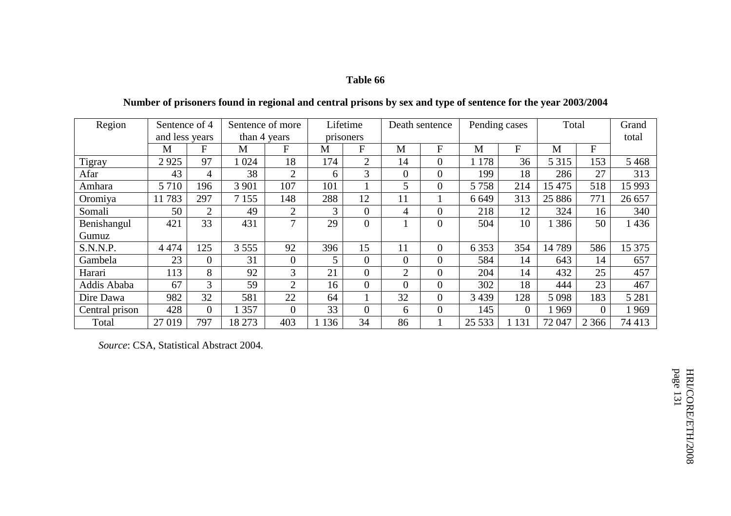| Region         | Sentence of 4  |          |         | Sentence of more |         | Lifetime       |                | Death sentence |         | Pending cases | Total    |          | Grand   |
|----------------|----------------|----------|---------|------------------|---------|----------------|----------------|----------------|---------|---------------|----------|----------|---------|
|                | and less years |          |         | than 4 years     |         | prisoners      |                |                |         |               |          |          | total   |
|                | M              | F        | M       | F                | M       | F              | M              | F              | M       | F             | M        | F        |         |
| Tigray         | 2925           | 97       | 1 0 24  | 18               | 174     | $\overline{2}$ | 14             | $\overline{0}$ | 1 1 7 8 | 36            | 5 3 1 5  | 153      | 5468    |
| Afar           | 43             | 4        | 38      | $\overline{2}$   | 6       | 3              | $\theta$       | $\Omega$       | 199     | 18            | 286      | 27       | 313     |
| Amhara         | 5 7 1 0        | 196      | 3 9 0 1 | 107              | 101     |                | 5              | $\theta$       | 5 7 5 8 | 214           | 15 4 75  | 518      | 15 9 93 |
| Oromiya        | 783            | 297      | 7 1 5 5 | 148              | 288     | 12             | 11             |                | 6 6 4 9 | 313           | 25 8 8 6 | 771      | 26 657  |
| Somali         | 50             | 2        | 49      | $\overline{2}$   | 3       | $\Omega$       | 4              | $\theta$       | 218     | 12            | 324      | 16       | 340     |
| Benishangul    | 421            | 33       | 431     | 7                | 29      | $\theta$       |                | $\Omega$       | 504     | 10            | 386      | 50       | 1436    |
| Gumuz          |                |          |         |                  |         |                |                |                |         |               |          |          |         |
| S.N.N.P.       | 4 4 7 4        | 125      | 3 5 5 5 | 92               | 396     | 15             | 11             | $\theta$       | 6 3 5 3 | 354           | 14789    | 586      | 15 375  |
| Gambela        | 23             | 0        | 31      | $\overline{0}$   | 5       | $\Omega$       | $\theta$       | $\theta$       | 584     | 14            | 643      | 14       | 657     |
| Harari         | 113            | 8        | 92      | 3                | 21      | $\Omega$       | $\overline{2}$ | $\theta$       | 204     | 14            | 432      | 25       | 457     |
| Addis Ababa    | 67             | 3        | 59      | 2                | 16      | $\Omega$       | $\theta$       | $\Omega$       | 302     | 18            | 444      | 23       | 467     |
| Dire Dawa      | 982            | 32       | 581     | 22               | 64      |                | 32             | $\theta$       | 3 4 3 9 | 128           | 5 0 9 8  | 183      | 5 2 8 1 |
| Central prison | 428            | $\theta$ | 1 357   | $\theta$         | 33      | $\Omega$       | 6              | $\theta$       | 145     | $\Omega$      | 969      | $\theta$ | 1969    |
| Total          | 27 019         | 797      | 18 273  | 403              | 1 1 3 6 | 34             | 86             |                | 25 5 33 | 1 1 3 1       | 72 047   | 2 3 6 6  | 74 413  |

# **Number of prisoners found in regional and central prisons by sex and type of sentence for the year 2003/2004**

*Source*: CSA, Statistical Abstract 2004.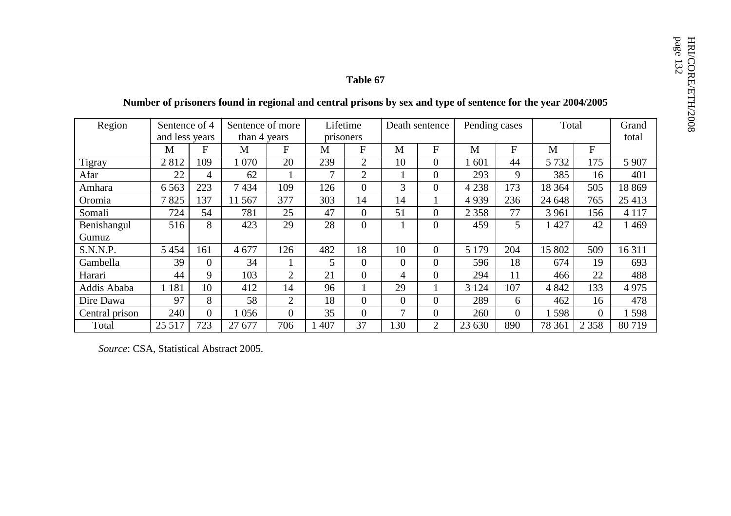| Region         | Sentence of 4  |          | Sentence of more |          | Lifetime  |                |                | Death sentence | Pending cases |          | Total   |          | Grand    |
|----------------|----------------|----------|------------------|----------|-----------|----------------|----------------|----------------|---------------|----------|---------|----------|----------|
|                | and less years |          | than 4 years     |          | prisoners |                |                |                |               |          |         |          | total    |
|                | M              | F        | M                | F        | M         | $\overline{F}$ | M              | F              | M             | F        | M       | F        |          |
| Tigray         | 2812           | 109      | 1 070            | 20       | 239       | 2              | 10             | $\overline{0}$ | 601           | 44       | 5 7 3 2 | 175      | 5 907    |
| Afar           | 22             | 4        | 62               |          | 7         | 2              |                | $\overline{0}$ | 293           | 9        | 385     | 16       | 401      |
| Amhara         | 6 5 6 3        | 223      | 7434             | 109      | 126       | 0              | 3              | $\overline{0}$ | 4 2 3 8       | 173      | 18 364  | 505      | 18 8 6 9 |
| Oromia         | 7825           | 137      | 567<br>11        | 377      | 303       | 14             | 14             |                | 4939          | 236      | 24 648  | 765      | 25 413   |
| Somali         | 724            | 54       | 781              | 25       | 47        | 0              | 51             | $\overline{0}$ | 2 3 5 8       | 77       | 3 9 6 1 | 156      | 4 1 1 7  |
| Benishangul    | 516            | 8        | 423              | 29       | 28        | 0              |                | $\overline{0}$ | 459           | 5        | 427     | 42       | 1 4 6 9  |
| Gumuz          |                |          |                  |          |           |                |                |                |               |          |         |          |          |
| S.N.N.P.       | 5 4 5 4        | 161      | 4 6 7 7          | 126      | 482       | 18             | 10             | $\theta$       | 5 1 7 9       | 204      | 15 802  | 509      | 16 3 11  |
| Gambella       | 39             | $\Omega$ | 34               |          | 5.        | 0              | 0              | $\Omega$       | 596           | 18       | 674     | 19       | 693      |
| Harari         | 44             | 9        | 103              | 2        | 21        | $\overline{0}$ | 4              | $\overline{0}$ | 294           | 11       | 466     | 22       | 488      |
| Addis Ababa    | 1 1 8 1        | 10       | 412              | 14       | 96        |                | 29             |                | 3 1 2 4       | 107      | 4 8 4 2 | 133      | 4975     |
| Dire Dawa      | 97             | 8        | 58               | 2        | 18        | $\overline{0}$ | $\overline{0}$ | $\Omega$       | 289           | 6        | 462     | 16       | 478      |
| Central prison | 240            | $\Omega$ | 056              | $\Omega$ | 35        | $\overline{0}$ | 7              | $\Omega$       | 260           | $\Omega$ | 598     | $\theta$ | 598      |
| Total          | 25 5 17        | 723      | 27 677           | 706      | 407       | 37             | 130            | $\overline{2}$ | 23 630        | 890      | 78 361  | 2 3 5 8  | 80719    |

# Table 67<br>Number of prisoners found in regional and central prisons by sex and type of sentence for the year 2004/2005

*Source*: CSA, Statistical Abstract 2005.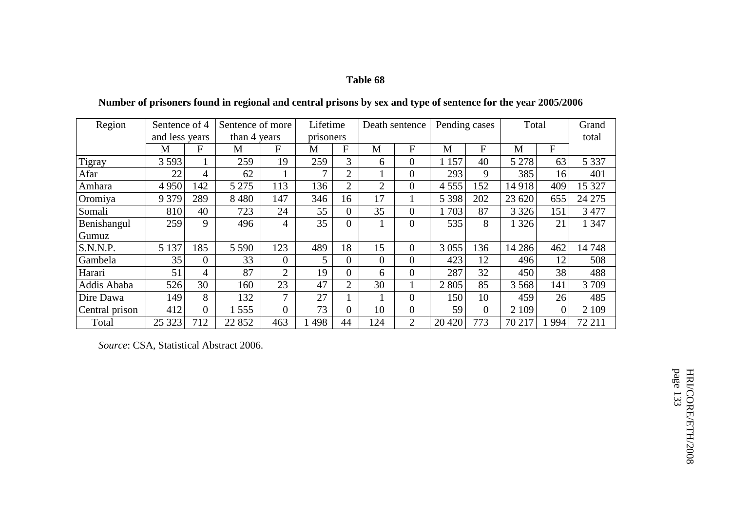| Region         | Sentence of 4  |          | Sentence of more |                | Lifetime  |                |                | Death sentence | Pending cases |                | Total    |                | Grand   |
|----------------|----------------|----------|------------------|----------------|-----------|----------------|----------------|----------------|---------------|----------------|----------|----------------|---------|
|                | and less years |          | than 4 years     |                | prisoners |                |                |                |               |                |          |                | total   |
|                | M              | F        | M                | F              | M         | F              | M              | F              | M             | $\overline{F}$ | M        | F              |         |
| Tigray         | 3 5 9 3        |          | 259              | 19             | 259       | $\mathfrak{Z}$ | 6              | $\overline{0}$ | 1 157         | 40             | 5 2 7 8  | 63             | 5 3 3 7 |
| Afar           | 22             | 4        | 62               |                | 7         | 2              |                | $\overline{0}$ | 293           | 9              | 385      | 16             | 401     |
| Amhara         | 4 9 5 0        | 142      | 5 2 7 5          | 113            | 136       | $\overline{2}$ | $\overline{2}$ | $\overline{0}$ | 4 5 5 5       | 152            | 14918    | 409            | 15 327  |
| Oromiya        | 9 3 7 9        | 289      | 8 4 8 0          | 147            | 346       | 16             | 17             |                | 5 3 9 8       | 202            | 23 620   | 655            | 24 27 5 |
| Somali         | 810            | 40       | 723              | 24             | 55        | $\Omega$       | 35             | $\theta$       | 703           | 87             | 3 3 2 6  | 151            | 3 4 7 7 |
| Benishangul    | 259            | 9        | 496              | 4              | 35        | $\Omega$       |                | $\overline{0}$ | 535           | 8              | 326      | 21             | 1 347   |
| Gumuz          |                |          |                  |                |           |                |                |                |               |                |          |                |         |
| S.N.N.P.       | 5 1 3 7        | 185      | 5 5 9 0          | 123            | 489       | 18             | 15             | $\overline{0}$ | 3 0 5 5       | 136            | 14 2 8 6 | 462            | 14748   |
| Gambela        | 35             | 0        | 33               | $\theta$       | 5         | $\Omega$       | $\Omega$       | $\theta$       | 423           | 12             | 496      | 12             | 508     |
| Harari         | 51             | 4        | 87               | $\overline{2}$ | 19        | $\Omega$       | 6              | $\overline{0}$ | 287           | 32             | 450      | 38             | 488     |
| Addis Ababa    | 526            | 30       | 160              | 23             | 47        | 2              | 30             |                | 2 8 0 5       | 85             | 3 5 6 8  | 141            | 3709    |
| Dire Dawa      | 149            | 8        | 132              | 7              | 27        |                |                | $\overline{0}$ | 150           | 10             | 459      | 26             | 485     |
| Central prison | 412            | $\theta$ | 1 555            | $\theta$       | 73        | $\Omega$       | 10             | $\theta$       | 59            | $\theta$       | 2 1 0 9  | $\overline{0}$ | 2 1 0 9 |
| Total          | 25 3 23        | 712      | 22 852           | 463            | 498       | 44             | 124            | $\overline{2}$ | 20 4 20       | 773            | 70 217   | 994            | 72 211  |

# **Number of prisoners found in regional and central prisons by sex and type of sentence for the year 2005/2006**

*Source*: CSA, Statistical Abstract 2006.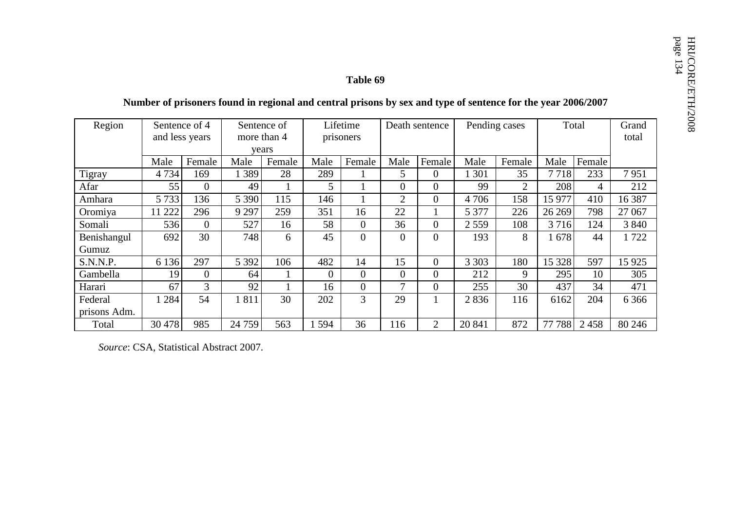| Region       | Sentence of 4  |                |          | Sentence of |          | Lifetime       |                | Death sentence   |         | Pending cases | Total   |        | Grand   |
|--------------|----------------|----------------|----------|-------------|----------|----------------|----------------|------------------|---------|---------------|---------|--------|---------|
|              | and less years |                |          | more than 4 |          | prisoners      |                |                  |         |               |         |        | total   |
|              |                |                |          | years       |          |                |                |                  |         |               |         |        |         |
|              | Male           | Female         | Male     | Female      | Male     | Female         | Male           | Female           | Male    | Female        | Male    | Female |         |
| Tigray       | 4 7 3 4        | 169            | 389      | 28          | 289      |                | 5              | $\mathbf{0}$     | 301     | 35            | 7718    | 233    | 7951    |
| Afar         | 55             | $\Omega$       | 49       |             | 5.       |                | $\overline{0}$ | $\overline{0}$   | 99      | 2             | 208     | 4      | 212     |
| Amhara       | 5 7 3 3        | 136            | 5 3 9 0  | 115         | 146      |                | $\overline{2}$ | $\boldsymbol{0}$ | 4706    | 158           | 15 977  | 410    | 16 3 87 |
| Oromiya      | 222            | 296            | 9 2 9 7  | 259         | 351      | 16             | 22             |                  | 5 3 7 7 | 226           | 26 26 9 | 798    | 27 067  |
| Somali       | 536            | $\overline{0}$ | 527      | 16          | 58       | $\theta$       | 36             | $\boldsymbol{0}$ | 2 5 5 9 | 108           | 3716    | 124    | 3 8 4 0 |
| Benishangul  | 692            | 30             | 748      | 6           | 45       | $\theta$       | $\overline{0}$ | $\overline{0}$   | 193     | 8             | 1678    | 44     | 1722    |
| Gumuz        |                |                |          |             |          |                |                |                  |         |               |         |        |         |
| S.N.N.P.     | 6 1 3 6        | 297            | 5 3 9 2  | 106         | 482      | 14             | 15             | $\overline{0}$   | 3 3 0 3 | 180           | 15 3 28 | 597    | 15 9 25 |
| Gambella     | 19             | 0              | 64       |             | $\Omega$ | 0              | $\overline{0}$ | $\overline{0}$   | 212     | 9             | 295     | 10     | 305     |
| Harari       | 67             | 3              | 92       |             | 16       | $\overline{0}$ | 7              | $\boldsymbol{0}$ | 255     | 30            | 437     | 34     | 471     |
| Federal      | 284            | 54             | 1811     | 30          | 202      | 3              | 29             |                  | 2836    | 116           | 6162    | 204    | 6 3 6 6 |
| prisons Adm. |                |                |          |             |          |                |                |                  |         |               |         |        |         |
| Total        | 30 478         | 985            | 24 7 5 9 | 563         | 594      | 36             | 116            | $\overline{2}$   | 20 841  | 872           | 77 788  | 2458   | 80 24 6 |

# Table 69<br>Number of prisoners found in regional and central prisons by sex and type of sentence for the year 2006/2007

*Source*: CSA, Statistical Abstract 2007.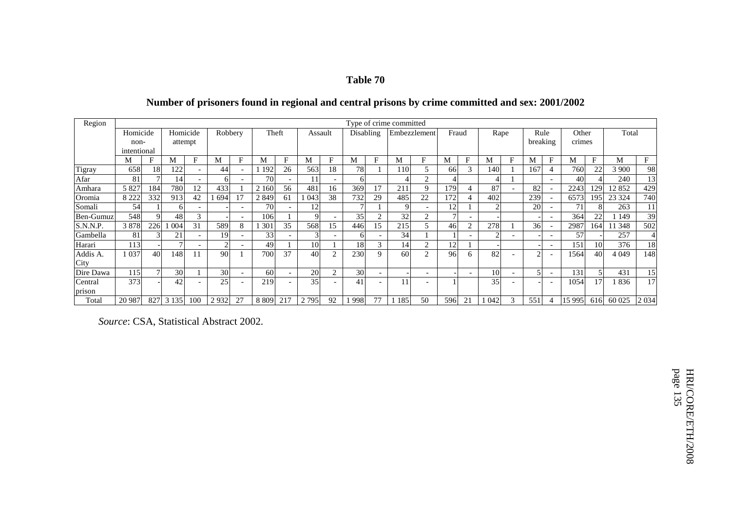| Region    |             |     |          |                          |                |                          |                 |     |         |                          |           |                          | Type of crime committed |                          |       |                          |                |                          |                |                          |        |      |         |      |
|-----------|-------------|-----|----------|--------------------------|----------------|--------------------------|-----------------|-----|---------|--------------------------|-----------|--------------------------|-------------------------|--------------------------|-------|--------------------------|----------------|--------------------------|----------------|--------------------------|--------|------|---------|------|
|           | Homicide    |     | Homicide |                          | Robbery        |                          | Theft           |     | Assault |                          | Disabling |                          |                         | Embezzlement             | Fraud |                          | Rape           |                          | Rule           |                          | Other  |      | Total   |      |
|           | non-        |     | attempt  |                          |                |                          |                 |     |         |                          |           |                          |                         |                          |       |                          |                |                          | breaking       |                          | crimes |      |         |      |
|           | intentional |     |          |                          |                |                          |                 |     |         |                          |           |                          |                         |                          |       |                          |                |                          |                |                          |        |      |         |      |
|           | Μ           | F   | M        | F                        | M              | F                        | M               | F   | M       | F                        | M         |                          | М                       | Е                        | M     | F                        | М              | F                        | M              | F                        | М      | F    | М       | F    |
| Tigray    | 658         | 18  | 122      | $\overline{\phantom{0}}$ | 44             |                          | 192             | 26  | 563     | 18                       | 78        |                          | 110                     | 5                        | 66    | $\sim$<br>f.             | 140            |                          | 167            |                          | 760    | 22   | 3 900   | 98   |
| Afar      | 81          |     | 14       | $\overline{\phantom{0}}$ | 6              |                          | 70              |     |         | $\overline{\phantom{a}}$ |           |                          |                         | C                        |       |                          |                |                          |                | $\overline{\phantom{a}}$ | 40     |      | 240     | 13   |
| Amhara    | 5 8 2 7     | 184 | 780      | 12                       | 433            |                          | 2 1 6 0         | 56  | 481     | 16                       | 369       | 17                       | 211                     | $\mathbf Q$              | 179   |                          | 87             | $\overline{\phantom{0}}$ | 82             | $\overline{\phantom{0}}$ | 2243   | '291 | 12852   | 429  |
| Oromia    | 8 2 2 2     | 332 | 913      | 42                       | 694            | 17                       | 2849            | 61  | 043     | 38                       | 732       | 29                       | 485                     | 22                       | 172   |                          | 402            |                          | 239            | $\overline{\phantom{0}}$ | 6573   | 1951 | 23 3 24 | 740  |
| Somali    | 54          |     | h        | $\overline{\phantom{0}}$ |                | $\overline{\phantom{a}}$ | 70              |     | 12      |                          |           |                          | 9                       | $\overline{\phantom{0}}$ | 12    |                          | $\overline{ }$ |                          | 20             |                          | 71     |      | 263     | 11   |
| Ben-Gumuz | 548         |     | 48       | 3                        |                | $\overline{\phantom{a}}$ | 106             |     |         | $\overline{\phantom{0}}$ | 35        | $\overline{2}$           | 32                      | $\overline{c}$           |       |                          |                |                          |                | $\overline{\phantom{0}}$ | 364    | 22   | 149     | 39   |
| S.N.N.P.  | 3878        | 226 | 004      | 31                       | 589            | 8                        | 30 <sup>°</sup> | 35  | 568     | 15                       | 446       | 15                       | 215                     | 5                        | 46    | $\overline{c}$           | 278            |                          | 36             | $\overline{\phantom{0}}$ | 2987   | 164  | 1 3 4 8 | 502  |
| Gambella  | 81          |     | 21       | $\overline{\phantom{0}}$ | 19             |                          | 33              |     |         | $\overline{\phantom{a}}$ |           | $\overline{\phantom{0}}$ | 34                      |                          |       |                          | $\overline{ }$ | $\overline{\phantom{0}}$ |                | $\overline{\phantom{a}}$ | 57     |      | 257     |      |
| Harari    | 113         |     |          | $\overline{\phantom{0}}$ | $\overline{2}$ |                          | 49              |     | 10      |                          | 18        | 3                        | 14                      | 2                        | 12    |                          |                |                          |                | $\overline{\phantom{0}}$ | 151    | 10   | 376     | 18   |
| Addis A.  | 1037        | 40  | 148      |                          | 90             |                          | 700             | 37  | 40      | $\overline{c}$           | 230       | 9                        | 60                      | $\mathcal{P}$            | 96    | <sub>0</sub>             | 82             |                          | $\overline{2}$ | $\overline{\phantom{0}}$ | 1564   | 40   | 4 0 4 9 | 148  |
| City      |             |     |          |                          |                |                          |                 |     |         |                          |           |                          |                         |                          |       |                          |                |                          |                |                          |        |      |         |      |
| Dire Dawa | 115         |     | 30       |                          | 30             |                          | 60              |     | 20      | 2                        | 30        | $\overline{\phantom{a}}$ |                         | $\overline{\phantom{a}}$ |       | $\overline{\phantom{0}}$ | 10             | $\overline{\phantom{0}}$ | 5              | $\overline{\phantom{a}}$ | 131    |      | 431     | 15   |
| Central   | 373         |     | 42       |                          | 25             |                          | 219             |     | 35      | $\overline{\phantom{0}}$ | 41        | $\overline{\phantom{0}}$ |                         | $\overline{\phantom{a}}$ |       |                          | 35             |                          |                | $\overline{\phantom{a}}$ | 1054   | 17   | 836     | 17   |
| prison    |             |     |          |                          |                |                          |                 |     |         |                          |           |                          |                         |                          |       |                          |                |                          |                |                          |        |      |         |      |
| Total     | 20 9 87     | 827 | 3<br>135 | 100                      | 2932           | 27                       | 8 8 0 9         | 217 | 2 7 9 5 | 92                       | 998       | 77                       | 185                     | 50                       | 596   | 21                       | 042            | 3                        | 551            |                          | 15 995 | 616  | 60 0 25 | 2034 |

# **Number of prisoners found in regional and central prisons by crime committed and sex: 2001/2002**

*Source*: CSA, Statistical Abstract 2002.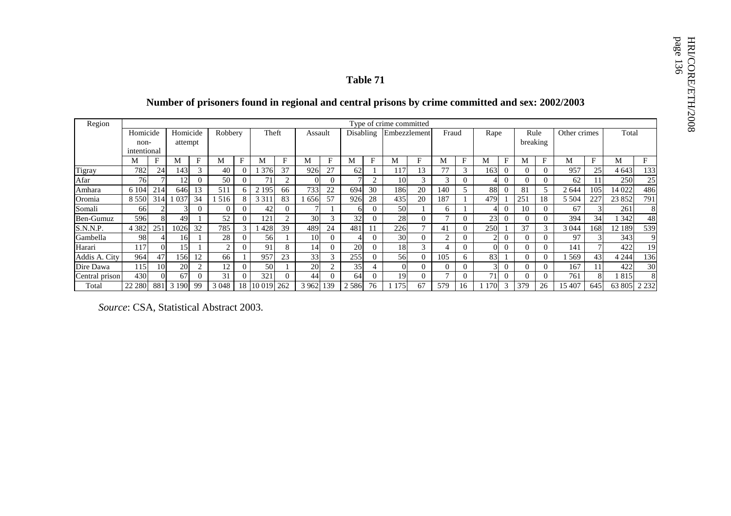| Region         |             |     |                 |                |          |    |            |          |         |          |           |          | Type of crime committed |    |       |          |                |          |          |             |              |     |         |         |
|----------------|-------------|-----|-----------------|----------------|----------|----|------------|----------|---------|----------|-----------|----------|-------------------------|----|-------|----------|----------------|----------|----------|-------------|--------------|-----|---------|---------|
|                | Homicide    |     | Homicide        |                | Robbery  |    | Theft      |          | Assault |          | Disabling |          | Embezzlement            |    | Fraud |          | Rape           |          |          | Rule        | Other crimes |     | Total   |         |
|                | non-        |     | attempt         |                |          |    |            |          |         |          |           |          |                         |    |       |          |                |          | breaking |             |              |     |         |         |
|                | intentional |     |                 |                |          |    |            |          |         |          |           |          |                         |    |       |          |                |          |          |             |              |     |         |         |
|                | M           |     | М               | F              | М        | F  | М          | Е        | М       |          | M         | F        | м                       | F  | М     | F        | М              | F        | М        | $\mathbf F$ | М            | F   | М       | F       |
| Tigray         | 782         | 24  | 143             | 3              | 40       |    | 376        | 37       | 926     | 27       | 62        |          |                         | 13 | 77    | 3        | 163            | $\Omega$ | $\Omega$ | $\Omega$    | 957          | 25  | 4 643   | 133     |
| Afar           | 76          |     | $\overline{2}$  |                | 50       |    |            |          |         | $\Omega$ |           | ↑        | 10                      |    |       | $\Omega$ |                | $\Omega$ | $\Omega$ | $\Omega$    | 62           |     | 250     | 25      |
| Amhara         | 6 1 0 4     | 214 | 646             | $\overline{3}$ | 511      |    | 195        | 66       | 733     | 22       | 694       | 30       | 186                     | 20 | 140   | 5        | 88             |          | 81       |             | 2 6 4 4      | 105 | 14 022  | 486     |
| Oromia         | 8 5 5 0     | 314 | 037             | 34             | 516      |    | 3 3 1 1    | 83       | 656     | 57       | 926       | 28       | 435                     | 20 | 187   |          | 479            |          | 251      | 18          | 5 5 0 4      | 227 | 23 852  | 791     |
| Somali         | 66          |     |                 |                | $\Omega$ |    | 42         | $\Omega$ |         |          | 6         | $\Omega$ | 50                      |    | 6.    |          | 41             | $\Omega$ | 10       | $\Omega$    | 67           |     | 261     | 8       |
| Ben-Gumuz      | 596         |     | 49              |                | 52       |    | 121        | 2        | 30      | $\sim$   | 32        | $\Omega$ | 28                      |    |       | $\Omega$ | 23             | $\Omega$ | $\Omega$ | $\Omega$    | 394          | 34  | 342     | 48      |
| S.N.N.P.       | 4 3 8 2     | 251 | 1026            | 32             | 785      |    | 428        | 39       | 489     | 24       | 481       |          | 226                     |    | 41    | $\Omega$ | 250            |          | 37       | 3           | 3 0 4 4      | 168 | 12 189  | 539     |
| Gambella       | 98          |     | 16              |                | 28       |    | 56         |          | 10      | $\Omega$ |           | $\Omega$ | 30                      |    |       | $\Omega$ | 2              | $\Omega$ | $\Omega$ | $\Omega$    | 97           |     | 343     | 9       |
| Harari         | 117         |     | 15 <sup>1</sup> |                | ◠        |    | 91         | 8        | 14      | $\Omega$ | 20        | $\Omega$ | 18                      |    |       | $\Omega$ | $\Omega$       | $\Omega$ | $\Omega$ | $\Omega$    | 141          |     | 422     | 19      |
| Addis A. City  | 964         | 47  | l 56 l          | $\overline{2}$ | 66       |    | 957        | 23       | 33      | 3        | 255       | $\Omega$ | 56                      |    | 105   | 6        | 83             |          | $\Omega$ | $\theta$    | 569          | 43  | 4 2 4 4 | 136     |
| Dire Dawa      | 115         | 10  | 20              | ◠              | 12       |    | 50         |          | 20      | 2        | 35        | 4        |                         |    |       | $\Omega$ | $\overline{3}$ | $\Omega$ | 0        | $\Omega$    | 167          |     | 422     | 30      |
| Central prison | 430         |     | 67              |                | 31       |    | 321        | $\Omega$ | 44      | $\Omega$ | 64        | $\Omega$ | 19                      |    |       | $\Omega$ | 71             | $\Omega$ | $\Omega$ | $\Omega$    | 761          |     | 1815    | 8       |
| Total          | 22 280      | 881 | 3 1 9 0         | 99             | 3 0 4 8  | 18 | 10 019 262 |          | 3 9 6 2 | 139      | 2586      | 76       | 175                     | 67 | 579   | 16       | 170            | 3        | 379      | 26          | 15 407       | 645 | 63 805  | 2 2 3 2 |

# Table 71<br>Number of prisoners found in regional and central prisons by crime committed and sex: 2002/2003

*Source*: CSA, Statistical Abstract 2003.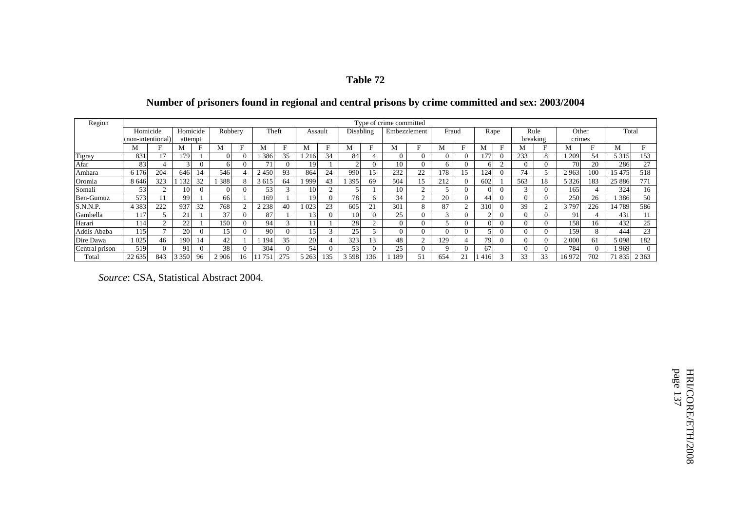| Region         |                   |          |          |          |          |    |         |     |         |                |           |          | Type of crime committed |              |          |          |      |   |     |                |         |     |         |          |
|----------------|-------------------|----------|----------|----------|----------|----|---------|-----|---------|----------------|-----------|----------|-------------------------|--------------|----------|----------|------|---|-----|----------------|---------|-----|---------|----------|
|                | Homicide          |          | Homicide |          | Robbery  |    | Theft   |     | Assault |                | Disabling |          |                         | Embezzlement | Fraud    |          | Rape |   |     | Rule           | Other   |     | Total   |          |
|                | (non-intentional) |          | attempt  |          |          |    |         |     |         |                |           |          |                         |              |          |          |      |   |     | breaking       | crimes  |     |         |          |
|                | М                 |          | M        |          | M        |    | M       |     | M       |                | M         |          | М                       | Ħ            | м        |          |      | Е | M   | F              | M       |     | М       |          |
| Tigray         | 831               | 17       | 179      |          | ΩI       |    | 386     | 35  | 216     | 34             | 84        | 4        | 0                       | 0            |          | $\Omega$ |      |   | 233 | 8              | 209     | 54  | 5 3 1 5 | 153      |
| Afar           | 83                |          |          | $\Omega$ | h        |    |         |     | 19      |                |           | 0        | 10                      | 0            | 6.       | $\Omega$ |      |   |     | $\Omega$       | 70      | 20  | 286     | 27       |
| Amhara         | 6 1 7 6           | 204      | 646      | 14       | 546      |    | 2450    | 93  | 864     | 24             | 990       | 15       | 232                     | 22           | 178      | 15       | .24  |   | 74  |                | 2963    | 100 | 15475   | 518      |
| Oromia         | 8646              | 323      | 132      | 32       | 388      | 8  | 3615    | 64  | -999    | 43             | 395       | 69       | 504                     | 15           | 212      | $\Omega$ | 602  |   | 563 | 18             | 5 3 2 6 | 183 | 25 886  | 771      |
| Somali         | 53                |          | 10       | $\Omega$ | $\Omega$ |    | 53      | 3   | 10      |                |           |          | 10                      |              |          | $\Omega$ |      |   | ⌒   | $\Omega$       | 165     |     | 324     | 16       |
| Ben-Gumuz      | 573               |          | 99       |          | 66       |    | 169     |     | 19      |                | 78        | 6        | 34                      | $\sim$       | 20       | $\Omega$ | 44   |   |     | $\Omega$       | 250     | 26  | 386     | 50       |
| S.N.N.P.       | 4 3 8 3           | 222      | 937      | 32       | 768      |    | 2 2 3 8 | 40  | 023     | 23             | 605       | 21       | 301                     | 8            | 87       | $\sim$   | 310  |   | 39  | $\overline{ }$ | 3797    | 226 | 14 789  | 586      |
| Gambella       | 117               |          | 21       |          | 37       |    | 87      |     |         |                | 10        |          | 25                      |              | $\sim$   |          |      |   |     | $\Omega$       | 91      |     | 431     | 11       |
| Harari         | 114               |          | 22       |          | 150      |    | 94      | 3   |         |                | 28        | ◠        | 0                       |              |          |          |      |   |     | $\left($       | 158     | 16  | 432     | 25       |
| Addis Ababa    | 115               |          | 20       | $\Omega$ | 15       |    | 90      |     |         | $\overline{ }$ | 25        |          | 0                       | $\Omega$     |          | $\Omega$ |      |   |     | $\Omega$       | 159     | 8   | 444     | 23       |
| Dire Dawa      | 025               | 46       | 190      | 14       | 42       |    | 194     | 35  | 20      |                | 323       | 13       | 48                      | $\sim$       | 129      |          | 79   |   |     | $\Omega$       | 2 0 0 0 | 61  | 5 0 9 8 | 182      |
| Central prison | 519               | $\Omega$ | 91       | 0        | 38       |    | 304     |     | 54      |                | 53        | $^{(1)}$ | 25                      | $^{\circ}$   | $\Omega$ | $\Omega$ | 67   |   |     | $\left($       | 784     | 0   | 969     | $\theta$ |
| Total          | 22 6 35           | 843      | 3 350    | 96       | 2 9 0 6  | 16 | 75.     | 275 | 5 2 6 3 | 135            | 3 5 9 8   | 136      | 189                     |              | 654      |          | 416  |   | 33  | 33             | 16972   | 702 | 71835   | 2 3 6 3  |

# **Number of prisoners found in regional and central prisons by crime committed and sex: 2003/2004**

*Source*: CSA, Statistical Abstract 2004.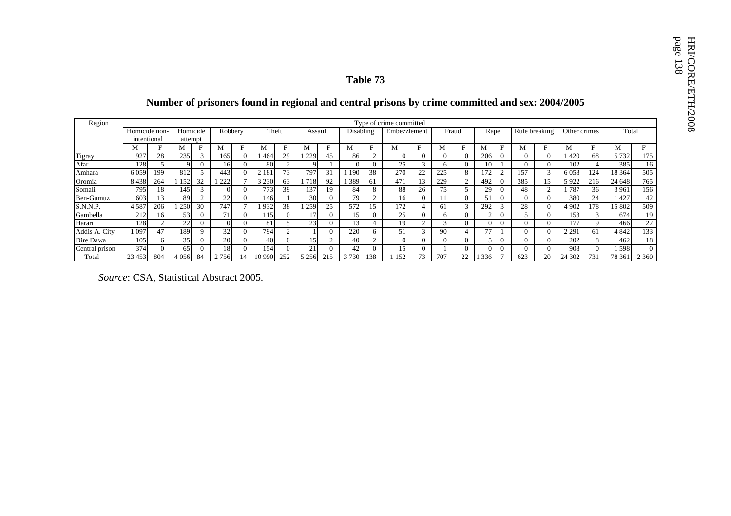| Region         |               |              |          |        |           |         |          |         |     |           |                | Type of crime committed |            |        |                |          |               |    |              |     |         |          |
|----------------|---------------|--------------|----------|--------|-----------|---------|----------|---------|-----|-----------|----------------|-------------------------|------------|--------|----------------|----------|---------------|----|--------------|-----|---------|----------|
|                | Homicide non- |              | Homicide |        | Robbery   | Theft   |          | Assault |     | Disabling |                | Embezzlement            |            | Fraud  |                | Rape     | Rule breaking |    | Other crimes |     | Total   |          |
|                | intentiona.   |              | attempt  |        |           |         |          |         |     |           |                |                         |            |        |                |          |               |    |              |     |         |          |
|                | М             |              | М        | T.     |           | IV      | F        |         |     | M         | $\blacksquare$ | М                       |            | IVI    | F              | м        | М             | н  | М            |     | м       | Е        |
| <b>Tigray</b>  | 927           | 28           | 235      | $\sim$ | 165       | 464     | 29       | 229     | 45  | 861       | ◠              |                         |            | 0      | $\Omega$       | 206      |               |    | 420          | 68  | 5 7 3 2 | 175      |
| Afar           | 128           |              |          |        | 16        | 80      |          |         |     | $\Omega$  | $\theta$       | 25                      | $\sqrt{2}$ | n.     | $\Omega$       | 10       |               |    | 102          |     | 385     | 16       |
| Amhara         | 6 0 5 9       | 199          | 812      |        | 443       | 2 1 8 1 | 73       | 797     | 31  | 190       | 38             | 270                     | 22         | 225    | 8              | 72       | 157           |    | 6058         | 124 | 18 3 64 | 505      |
| Oromia         | 8438          | 264          | 152      | 32     | 222       | 3 2 3 0 | 63       | 718     | 92  | 389       | 61             | 47 <sup>1</sup>         | 13         | 229    | $\overline{c}$ | 492      | 385           |    | 5922         | 216 | 24 648  | 765      |
| Somali         | 795           | 18           | 145      | $\sim$ |           | 773.    | 39       | 137     | 19  | 84        |                | 88                      | 26         | 75     | 5              | 29       | 48            |    | 787          | 36  | 3 9 6 1 | 156      |
| Ben-Gumuz      | 603           | 13           | 89       | ∠      | 22        | 1461    |          | 30      | O   | 79        | $\sim$<br>∠    | 16                      |            |        | $\Omega$       | 51       |               |    | 380          | 24  | 427     | 42       |
| S.N.N.P.       | 4 5 8 7       | 206          | 250      | 30     | 747       | 932     | 38       | 259     | 25  | 572       | 15             | 172                     |            | 61     | 3              | 292      | 28            |    | 4 9 0 2      | 178 | 15 802  | 509      |
| Gambella       | 212           | 16           | 53       |        | 71        | 15      | 0        |         |     | I 51      | $\theta$       | 25                      |            | 6      | $\Omega$       | ◠        |               |    | 153          |     | 674     | 19       |
| Harari         | 128           | $\sim$       | 22       |        |           | 81      |          | 23      |     | 13        |                | 19                      |            | $\sim$ | $\Omega$       | $\Omega$ |               |    | 177          | 9   | 466     | 22       |
| Addis A. City  | 1097          | 47           | 189      |        | 32        | 794     |          |         |     | 2201      | 6              | 51                      | ⌒          | 90     | 4              | 77       | 0             |    | 2 2 9 1      | -61 | 4842    | 133      |
| Dire Dawa      | 105           | <sub>6</sub> | 35       |        | <b>20</b> | 40      | $\Omega$ | 15      |     | 40        | $\bigcirc$     |                         |            | 0      | $\overline{0}$ |          |               |    | 202          | 8   | 462     | 18       |
| Central prison | 374           | $\Omega$     | 65       |        | 18        | 154     | 0        | 21      |     | 42        | $\theta$       | 15                      |            |        | $\Omega$       | $\Omega$ |               |    | 908          |     | 598     | $\Omega$ |
| Total          | 23 453        | 804          | 4056     | 84     | 756       | 10 990  | 252      | 5 2 5 6 | 215 | 730       | 138            | 152                     | 73         | 707    | 22             | 336      | 623           | 20 | 24 302       | 73  | 78 361  | 2 3 6 0  |

# Table 73<br> Number of prisoners found in regional and central prisons by crime committed and sex: 2004/2005

*Source*: CSA, Statistical Abstract 2005.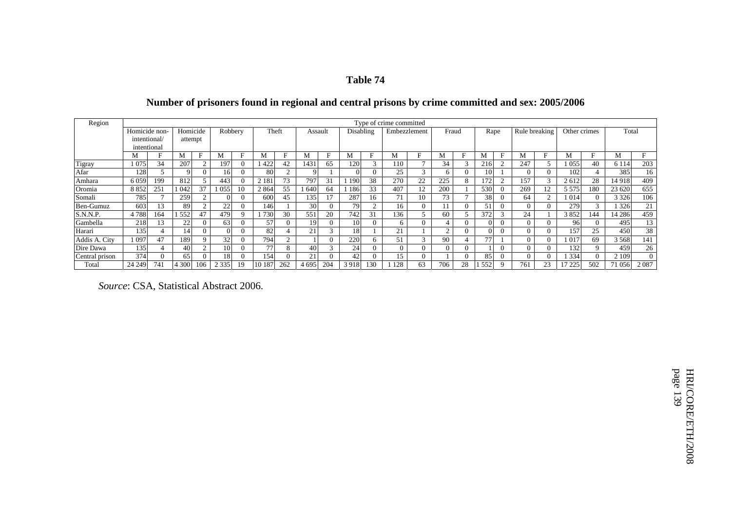| Region         |               |     |          |          |             |    |         |          |         |                |           |            | Type of crime committed |              |       |          |          |      |               |                     |              |               |          |          |
|----------------|---------------|-----|----------|----------|-------------|----|---------|----------|---------|----------------|-----------|------------|-------------------------|--------------|-------|----------|----------|------|---------------|---------------------|--------------|---------------|----------|----------|
|                | Homicide non- |     | Homicide |          | Robbery     |    | Theft   |          | Assault |                | Disabling |            |                         | Embezzlement | Fraud |          |          | Rape | Rule breaking |                     | Other crimes |               | Total    |          |
|                | intentional/  |     | attempt  |          |             |    |         |          |         |                |           |            |                         |              |       |          |          |      |               |                     |              |               |          |          |
|                | intentional   |     |          |          |             |    |         |          |         |                |           |            |                         |              |       |          |          |      |               |                     |              |               |          |          |
|                | M             |     | M        | Е        |             | Е  | M       | $\Gamma$ | M       |                | M         | E          | М                       | F            | м     |          |          | Е    | ΙVΙ           | Е                   | М            | E             | M        | F        |
| Tigray         | 075           | 34  | 207      |          | 197         |    | 422     | 42       | 1431    | 65             | 120       | $\sqrt{2}$ | 110                     |              | 34    |          | 216      |      | 247           |                     | 055          | 40            | 6 1 1 4  | 203      |
| Afar           | 128           |     |          | U        | 16          |    | 80      |          |         |                |           |            | 25                      | $\sim$       | h.    | $\Omega$ | 10       |      | $\Omega$      |                     | 102          |               | 385      | 16       |
| Amhara         | 6059          | 199 | 812      |          | 443         |    | 2 1 8 1 | 73       | 797     | 31             | 190       | 38         | 270                     | 22           | 225   | 8        |          |      | 157           |                     | 2612         | 28            | 14 918   | 409      |
| Oromia         | 8852          | 251 | .042     | 37       | 055         | 10 | 2864    | 55       | 640     | 64             | 186       | 33         | 407                     | 12           | 200   |          | 530      |      | 269           |                     | 5 5 7 5      | 180           | 23 620   | 655      |
| Somali         | 785           |     | 259      |          | $^{\prime}$ |    | 600     | 45       | 135     |                | 287       | 16         | 71                      | 10           | 73    |          | 38       |      | 64            |                     | 014          | $\Omega$      | 3 3 2 6  | 106      |
| Ben-Gumuz      | 603           | 13  | 89       | $\sim$   | 22          |    | 146     |          | 30      |                | 79        | ◠          | 16                      | $\Omega$     |       | $\Omega$ | 51       |      | $\Omega$      |                     | 279          | $\mathcal{R}$ | 326      | 21       |
| S.N.N.P.       | 4788          | 164 | 552      | 47       | 479         |    | 730     | 30       | 551     | 20             | 742       | 31         | 136                     |              | 60    |          | 372      |      | 24            |                     | 3852         | 144           | 14 2 8 6 | 459      |
| Gambella       | 218           | 13  | 22       | $\Omega$ | 63          |    | 57      | $\Omega$ | 19      | 0              | 10        | v          | h                       | 0            |       | $\Omega$ | $\Omega$ |      | $\Omega$      |                     | 96           | $\Omega$      | 495      | 13       |
| Harari         | 135           | 4   | 14       | $\Omega$ | $\Omega$    |    | 82      | 4        | 21      | $\overline{ }$ | 18        |            | 21                      |              |       | $\Omega$ | $\Omega$ |      | $\Omega$      |                     | 157          | 25            | 450      | 38       |
| Addis A. City  | .097          | 47  | 189      |          | 32          |    | 794     |          |         |                | 220       | n.         | 51                      | $\sim$       | 90    |          | 771      |      | $\Omega$      |                     | 1017         | 69            | 3568     | 141      |
| Dire Dawa      | 135           |     | 40       | $\sim$   | 10          |    | 77      | 8        | 40      | ⌒              | 24        |            | 0                       | 0            | 0     | $\Omega$ |          |      | 0             |                     | 132          | $\Omega$      | 459      | 26       |
| Central prison | 374           | 0   | 65       |          | 18          |    | 154     |          | 21      |                | 42        |            | 15                      |              |       | $\Omega$ | 85       |      | 0             |                     | 334          | $\Omega$      | 2 1 0 9  | $\Omega$ |
| Total          | 24 24 9       | 741 | 4 3 0 0  | 106      | 2 3 3 5     | 19 | 10 187  | 262      | 4 6 9 5 | 204            | 3918      | 130        | 128                     | 63           | 706   | 28       | 552      |      | 761           | $\mathcal{L}$<br>23 | 17 225       | 502           | 71 056   | 2087     |

# **Number of prisoners found in regional and central prisons by crime committed and sex: 2005/2006**

*Source*: CSA, Statistical Abstract 2006.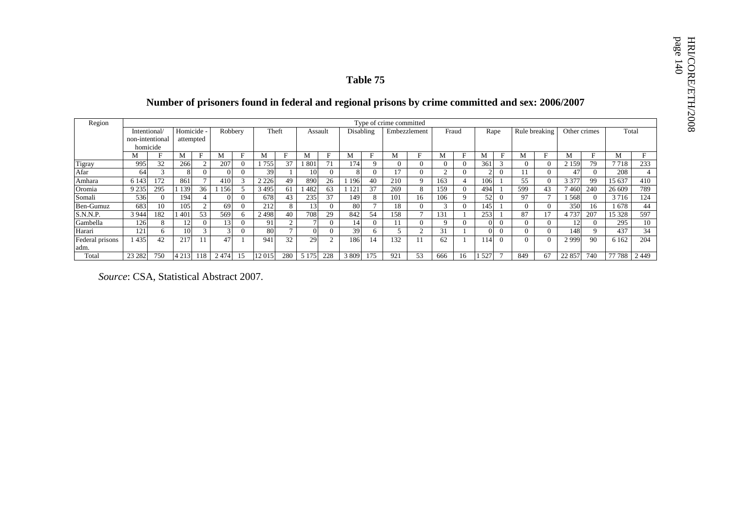| Region          |                             |              |            |     |          |         |     |         |        |            |              | Type of crime committed |          |       |          |      |                |               |    |              |          |         |      |
|-----------------|-----------------------------|--------------|------------|-----|----------|---------|-----|---------|--------|------------|--------------|-------------------------|----------|-------|----------|------|----------------|---------------|----|--------------|----------|---------|------|
|                 | Intentional/                |              | Homicide - |     | Robbery  | Theft   |     | Assault |        | Disabling  |              | Embezzlement            |          | Fraud |          | Rape |                | Rule breaking |    | Other crimes |          | Total   |      |
|                 | non-intentional<br>homicide |              | attempted  |     |          |         |     |         |        |            |              |                         |          |       |          |      |                |               |    |              |          |         |      |
|                 | м                           |              | м          | F   | M        | M       |     | M       |        | м          | F            | ΙVΙ                     | Е        | м     |          | M    |                | М             |    | М            |          | м       |      |
| Tigray          | 995                         | 32           | 266        |     | 207      | 755     | 37  | 801     | ⇁      | 74         | 9            | $\Omega$                | 0        |       | 0        | 361  | $\overline{ }$ | $\Box$        |    | 2 1 5 9      | 79       | 7718    | 233  |
| Afar            | 64                          | $\sim$       | 8          | 0   | $\Omega$ | 39      |     | 10      |        |            | $\Omega$     | 17                      | 0        |       | 0        |      |                |               |    | 47           |          | 208     | 4    |
| Amhara          | 6 1 4 3                     | 72           | 861        |     | 410      | 2 2 2 6 | 49  | 890     | 26     | 196        | 40           | 210                     | Q        | 163   |          | 106  |                | 55            |    | 3 3 7 7      | 99       | 15 637  | 410  |
| Oromia          | 9 2 3 5                     | 295          | 139        | 36  | 156      | 3495    | 61  | 482     | 63     | <b>121</b> | 37           | 269                     | 8        | 159   | 0        | 494  |                | 599           | 43 | 7460         | 240      | 26 609  | 789  |
| Somali          | 536                         | $\Omega$     | 194        |     | $\Omega$ | 678     | 43  | 235     | 37     | 149        | 8            | 101                     | 16       | 106   | Q        | 52   | $\mathbf{U}$   | 97            |    | 568          | $\Omega$ | 3 7 1 6 | 124  |
| Ben-Gumuz       | 683                         | 10           | 105        |     | 69       | 212     | 8   |         |        | 80         |              | 18                      | 0        |       | 0        | 45ء  |                | 0             |    | 350          | 16       | 678     | 44   |
| S.N.N.P.        | 3 9 4 4                     | 182          | 401        | 53  | 569      | 2498    | 40  | 708     | 29     | 842        | 54           | 158                     |          | 131   |          | 253  |                | 87            |    | 4 7 3 7      | 207      | 15 3 28 | 597  |
| Gambella        | 126                         | 8            | 12         | 0   | 13       | 91      |     |         | 0      | 14         | $\theta$     |                         | $^{(1)}$ |       | $\Omega$ |      |                | $\Omega$      |    | 12           |          | 295     | 10   |
| Harari          | 121                         | <sub>0</sub> | 10         |     |          | 80      |     |         |        | 391        | <sub>6</sub> |                         | $\sim$   | 31    |          |      | $\mathbf{U}$   | 0.            |    | 148          |          | 437     | 34   |
| Federal prisons | 435                         | 42           | 217        |     | 47       | 941     | 32  | 29      | $\sim$ | 186        | 14           | 132                     | $\perp$  | 62    |          | l 14 |                | 0.            |    | 2999         | 90       | 6 1 6 2 | 204  |
| adm.            |                             |              |            |     |          |         |     |         |        |            |              |                         |          |       |          |      |                |               |    |              |          |         |      |
| Total           | 23 28 2                     | 750          | 4 2 1 3    | 118 | 2474     | 12015   | 280 | 5 1 7 5 | 228    | 3 8 0 9    | 175          | 921                     | 53       | 666   | 16       | 1527 | -              | 849           | 67 | 22 857       | 740      | 77 788  | 2449 |

# Table 75<br>Number of prisoners found in federal and regional prisons by crime committed and sex: 2006/2007<br>

*Source*: CSA, Statistical Abstract 2007.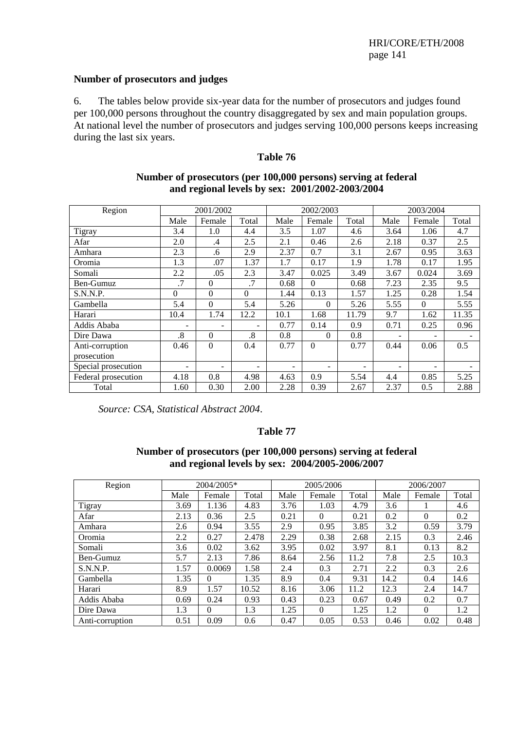## **Number of prosecutors and judges**

6. The tables below provide six-year data for the number of prosecutors and judges found per 100,000 persons throughout the country disaggregated by sex and main population groups. At national level the number of prosecutors and judges serving 100,000 persons keeps increasing during the last six years.

## **Table 76**

| Region              |          | 2001/2002 |          |      | 2002/2003 |       |      | 2003/2004      |       |
|---------------------|----------|-----------|----------|------|-----------|-------|------|----------------|-------|
|                     | Male     | Female    | Total    | Male | Female    | Total | Male | Female         | Total |
| <b>Tigray</b>       | 3.4      | 1.0       | 4.4      | 3.5  | 1.07      | 4.6   | 3.64 | 1.06           | 4.7   |
| Afar                | 2.0      | .4        | 2.5      | 2.1  | 0.46      | 2.6   | 2.18 | 0.37           | 2.5   |
| Amhara              | 2.3      | .6        | 2.9      | 2.37 | 0.7       | 3.1   | 2.67 | 0.95           | 3.63  |
| Oromia              | 1.3      | .07       | 1.37     | 1.7  | 0.17      | 1.9   | 1.78 | 0.17           | 1.95  |
| Somali              | 2.2      | .05       | 2.3      | 3.47 | 0.025     | 3.49  | 3.67 | 0.024          | 3.69  |
| Ben-Gumuz           | .7       | $\Omega$  | .7       | 0.68 | $\Omega$  | 0.68  | 7.23 | 2.35           | 9.5   |
| S.N.N.P.            | $\Omega$ | $\theta$  | $\Omega$ | 1.44 | 0.13      | 1.57  | 1.25 | 0.28           | 1.54  |
| Gambella            | 5.4      | $\Omega$  | 5.4      | 5.26 | $\Omega$  | 5.26  | 5.55 | $\overline{0}$ | 5.55  |
| Harari              | 10.4     | 1.74      | 12.2     | 10.1 | 1.68      | 11.79 | 9.7  | 1.62           | 11.35 |
| Addis Ababa         |          |           | ۰        | 0.77 | 0.14      | 0.9   | 0.71 | 0.25           | 0.96  |
| Dire Dawa           | .8       | $\Omega$  | .8       | 0.8  | $\Omega$  | 0.8   |      |                |       |
| Anti-corruption     | 0.46     | $\Omega$  | 0.4      | 0.77 | $\Omega$  | 0.77  | 0.44 | 0.06           | 0.5   |
| prosecution         |          |           |          |      |           |       |      |                |       |
| Special prosecution | ۰        |           | -        | ۰    | -         |       |      | ۰              |       |
| Federal prosecution | 4.18     | 0.8       | 4.98     | 4.63 | 0.9       | 5.54  | 4.4  | 0.85           | 5.25  |
| Total               | 1.60     | 0.30      | 2.00     | 2.28 | 0.39      | 2.67  | 2.37 | 0.5            | 2.88  |

## **Number of prosecutors (per 100,000 persons) serving at federal and regional levels by sex: 2001/2002-2003/2004**

 *Source: CSA, Statistical Abstract 2004*.

## **Table 77**

## **Number of prosecutors (per 100,000 persons) serving at federal and regional levels by sex: 2004/2005-2006/2007**

| Region          |      | 2004/2005* |       |      | 2005/2006 |       |      | 2006/2007 |       |
|-----------------|------|------------|-------|------|-----------|-------|------|-----------|-------|
|                 | Male | Female     | Total | Male | Female    | Total | Male | Female    | Total |
| Tigray          | 3.69 | 1.136      | 4.83  | 3.76 | 1.03      | 4.79  | 3.6  |           | 4.6   |
| Afar            | 2.13 | 0.36       | 2.5   | 0.21 | $\Omega$  | 0.21  | 0.2  | $\Omega$  | 0.2   |
| Amhara          | 2.6  | 0.94       | 3.55  | 2.9  | 0.95      | 3.85  | 3.2  | 0.59      | 3.79  |
| Oromia          | 2.2  | 0.27       | 2.478 | 2.29 | 0.38      | 2.68  | 2.15 | 0.3       | 2.46  |
| Somali          | 3.6  | 0.02       | 3.62  | 3.95 | 0.02      | 3.97  | 8.1  | 0.13      | 8.2   |
| Ben-Gumuz       | 5.7  | 2.13       | 7.86  | 8.64 | 2.56      | 11.2  | 7.8  | 2.5       | 10.3  |
| S.N.N.P.        | 1.57 | 0.0069     | 1.58  | 2.4  | 0.3       | 2.71  | 2.2  | 0.3       | 2.6   |
| Gambella        | 1.35 | $\Omega$   | 1.35  | 8.9  | 0.4       | 9.31  | 14.2 | 0.4       | 14.6  |
| Harari          | 8.9  | 1.57       | 10.52 | 8.16 | 3.06      | 11.2  | 12.3 | 2.4       | 14.7  |
| Addis Ababa     | 0.69 | 0.24       | 0.93  | 0.43 | 0.23      | 0.67  | 0.49 | 0.2       | 0.7   |
| Dire Dawa       | 1.3  | $\Omega$   | 1.3   | 1.25 | $\Omega$  | 1.25  | 1.2  | $\Omega$  | 1.2   |
| Anti-corruption | 0.51 | 0.09       | 0.6   | 0.47 | 0.05      | 0.53  | 0.46 | 0.02      | 0.48  |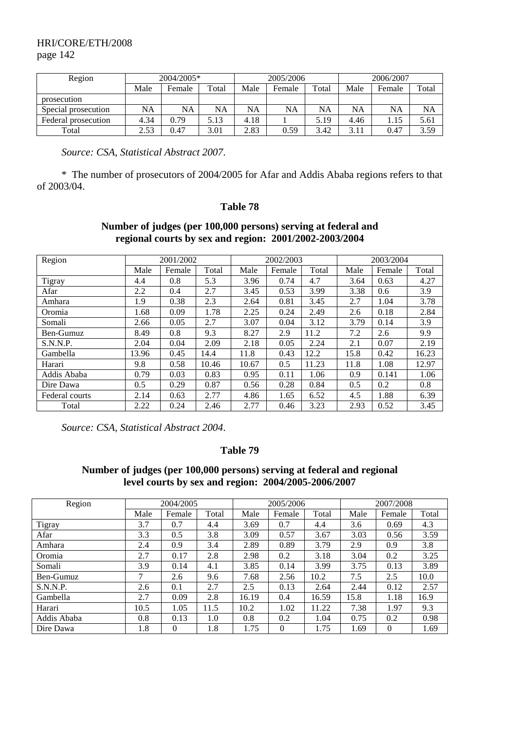## HRI/CORE/ETH/2008 page 142

| Region              | 2004/2005* |        |       |           | 2005/2006 |       | 2006/2007 |        |       |
|---------------------|------------|--------|-------|-----------|-----------|-------|-----------|--------|-------|
|                     | Male       | Female | Total | Male      | Female    | Total | Male      | Female | Total |
| prosecution         |            |        |       |           |           |       |           |        |       |
| Special prosecution | NA         | NA     | NA    | <b>NA</b> | <b>NA</b> | NA    | NA        | NA     | NA    |
| Federal prosecution | 4.34       | 0.79   | 5.13  | 4.18      |           | 5.19  | 4.46      | 1.15   | 5.61  |
| Total               | 2.53       | 0.47   | 3.01  | 2.83      | 0.59      | 3.42  | 3.11      | 0.47   | 3.59  |

*Source: CSA, Statistical Abstract 2007*.

 \* The number of prosecutors of 2004/2005 for Afar and Addis Ababa regions refers to that of 2003/04.

## **Table 78**

## **Number of judges (per 100,000 persons) serving at federal and regional courts by sex and region: 2001/2002-2003/2004**

| Region         |       | 2001/2002 |       |       | 2002/2003 |       |      | 2003/2004 |       |
|----------------|-------|-----------|-------|-------|-----------|-------|------|-----------|-------|
|                | Male  | Female    | Total | Male  | Female    | Total | Male | Female    | Total |
| Tigray         | 4.4   | 0.8       | 5.3   | 3.96  | 0.74      | 4.7   | 3.64 | 0.63      | 4.27  |
| Afar           | 2.2   | 0.4       | 2.7   | 3.45  | 0.53      | 3.99  | 3.38 | 0.6       | 3.9   |
| Amhara         | 1.9   | 0.38      | 2.3   | 2.64  | 0.81      | 3.45  | 2.7  | 1.04      | 3.78  |
| Oromia         | 1.68  | 0.09      | 1.78  | 2.25  | 0.24      | 2.49  | 2.6  | 0.18      | 2.84  |
| Somali         | 2.66  | 0.05      | 2.7   | 3.07  | 0.04      | 3.12  | 3.79 | 0.14      | 3.9   |
| Ben-Gumuz      | 8.49  | 0.8       | 9.3   | 8.27  | 2.9       | 11.2  | 7.2  | 2.6       | 9.9   |
| S.N.N.P.       | 2.04  | 0.04      | 2.09  | 2.18  | 0.05      | 2.24  | 2.1  | 0.07      | 2.19  |
| Gambella       | 13.96 | 0.45      | 14.4  | 11.8  | 0.43      | 12.2  | 15.8 | 0.42      | 16.23 |
| Harari         | 9.8   | 0.58      | 10.46 | 10.67 | 0.5       | 11.23 | 11.8 | 1.08      | 12.97 |
| Addis Ababa    | 0.79  | 0.03      | 0.83  | 0.95  | 0.11      | 1.06  | 0.9  | 0.141     | 1.06  |
| Dire Dawa      | 0.5   | 0.29      | 0.87  | 0.56  | 0.28      | 0.84  | 0.5  | 0.2       | 0.8   |
| Federal courts | 2.14  | 0.63      | 2.77  | 4.86  | 1.65      | 6.52  | 4.5  | 1.88      | 6.39  |
| Total          | 2.22  | 0.24      | 2.46  | 2.77  | 0.46      | 3.23  | 2.93 | 0.52      | 3.45  |

 *Source: CSA, Statistical Abstract 2004*.

## **Table 79**

## **Number of judges (per 100,000 persons) serving at federal and regional level courts by sex and region: 2004/2005-2006/2007**

| Region      | 2004/2005 |          |       |       | 2005/2006 |       |      | 2007/2008 |       |
|-------------|-----------|----------|-------|-------|-----------|-------|------|-----------|-------|
|             | Male      | Female   | Total | Male  | Female    | Total | Male | Female    | Total |
| Tigray      | 3.7       | 0.7      | 4.4   | 3.69  | 0.7       | 4.4   | 3.6  | 0.69      | 4.3   |
| Afar        | 3.3       | 0.5      | 3.8   | 3.09  | 0.57      | 3.67  | 3.03 | 0.56      | 3.59  |
| Amhara      | 2.4       | 0.9      | 3.4   | 2.89  | 0.89      | 3.79  | 2.9  | 0.9       | 3.8   |
| Oromia      | 2.7       | 0.17     | 2.8   | 2.98  | 0.2       | 3.18  | 3.04 | 0.2       | 3.25  |
| Somali      | 3.9       | 0.14     | 4.1   | 3.85  | 0.14      | 3.99  | 3.75 | 0.13      | 3.89  |
| Ben-Gumuz   | 7         | 2.6      | 9.6   | 7.68  | 2.56      | 10.2  | 7.5  | 2.5       | 10.0  |
| S.N.N.P.    | 2.6       | 0.1      | 2.7   | 2.5   | 0.13      | 2.64  | 2.44 | 0.12      | 2.57  |
| Gambella    | 2.7       | 0.09     | 2.8   | 16.19 | 0.4       | 16.59 | 15.8 | 1.18      | 16.9  |
| Harari      | 10.5      | 1.05     | 11.5  | 10.2  | 1.02      | 11.22 | 7.38 | 1.97      | 9.3   |
| Addis Ababa | 0.8       | 0.13     | 1.0   | 0.8   | 0.2       | 1.04  | 0.75 | 0.2       | 0.98  |
| Dire Dawa   | 1.8       | $\Omega$ | 1.8   | 1.75  | $\Omega$  | 1.75  | 1.69 | $\Omega$  | 1.69  |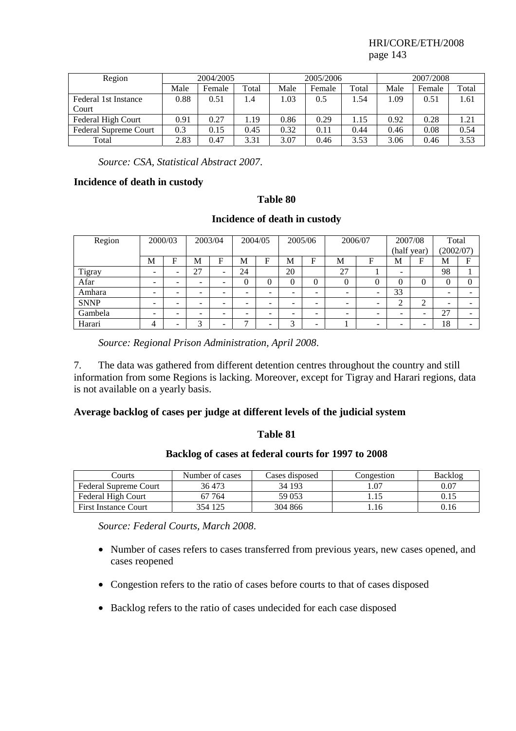## HRI/CORE/ETH/2008 page 143

| Region                       | 2004/2005 |        |       |      | 2005/2006 |       | 2007/2008 |        |       |  |
|------------------------------|-----------|--------|-------|------|-----------|-------|-----------|--------|-------|--|
|                              | Male      | Female | Total | Male | Female    | Total | Male      | Female | Total |  |
| Federal 1st Instance         | 0.88      | 0.51   | 1.4   | .03  | 0.5       | 1.54  | 1.09      | 0.51   | l.61  |  |
| Court                        |           |        |       |      |           |       |           |        |       |  |
| Federal High Court           | 0.91      | 0.27   | 1.19  | 0.86 | 0.29      | 1.15  | 0.92      | 0.28   | 1.21  |  |
| <b>Federal Supreme Court</b> | 0.3       | 0.15   | 0.45  | 0.32 | 0.11      | 0.44  | 0.46      | 0.08   | 0.54  |  |
| Total                        | 2.83      | 0.47   | 3.31  | 3.07 | 0.46      | 3.53  | 3.06      | 0.46   | 3.53  |  |

 *Source: CSA, Statistical Abstract 2007*.

## **Incidence of death in custody**

### **Table 80**

## **Incidence of death in custody**

| Region      | 2000/03 |   | 2003/04    |   |    | 2004/05 |                          | 2005/06 | 2006/07 |   | 2007/08 |             | Total     |   |
|-------------|---------|---|------------|---|----|---------|--------------------------|---------|---------|---|---------|-------------|-----------|---|
|             |         |   |            |   |    |         |                          |         |         |   |         | (half year) | (2002/07) |   |
|             | М       | F | M          | E | M  | F       | M                        | F       | М       | F | M       | F<br>л.     | М         | F |
| Tigray      | -       | - | 27<br>ا کے | - | 24 |         | 20                       |         | 27      |   | -       |             | 98        |   |
| Afar        | -       | - | -          | - |    | 0       | 0                        | 0       | 0       | v | 0       | $\theta$    |           |   |
| Amhara      | -       | - | -          | - | -  | -       | ۰                        | -       | -       | - | 33      |             | -         |   |
| <b>SNNP</b> |         |   | -          |   |    | -       | $\overline{\phantom{0}}$ | -       | -       | - | ⌒<br>∠  | ി<br>∠      |           |   |
| Gambela     |         |   | -          |   | -  | -       | -                        |         | -       | - | -       | -           | 27        |   |
| Harari      | 4       |   | ◠          | - |    | -       | 3                        | -       |         | - | -       | -           | 18        |   |

 *Source: Regional Prison Administration, April 2008*.

7. The data was gathered from different detention centres throughout the country and still information from some Regions is lacking. Moreover, except for Tigray and Harari regions, data is not available on a yearly basis.

## **Average backlog of cases per judge at different levels of the judicial system**

## **Table 81**

## **Backlog of cases at federal courts for 1997 to 2008**

| .`ourts                      | Number of cases | Cases disposed | Congestion | Backlog |
|------------------------------|-----------------|----------------|------------|---------|
| <b>Federal Supreme Court</b> | 36 473          | 34 193         |            | 0.07    |
| Federal High Court           | 67 764          | 59 053         |            | 0.15    |
| <b>First Instance Court</b>  | 354 125         | 304 866        | 1.16       | 0.16    |

 *Source: Federal Courts, March 2008*.

- Number of cases refers to cases transferred from previous years, new cases opened, and cases reopened
- Congestion refers to the ratio of cases before courts to that of cases disposed
- Backlog refers to the ratio of cases undecided for each case disposed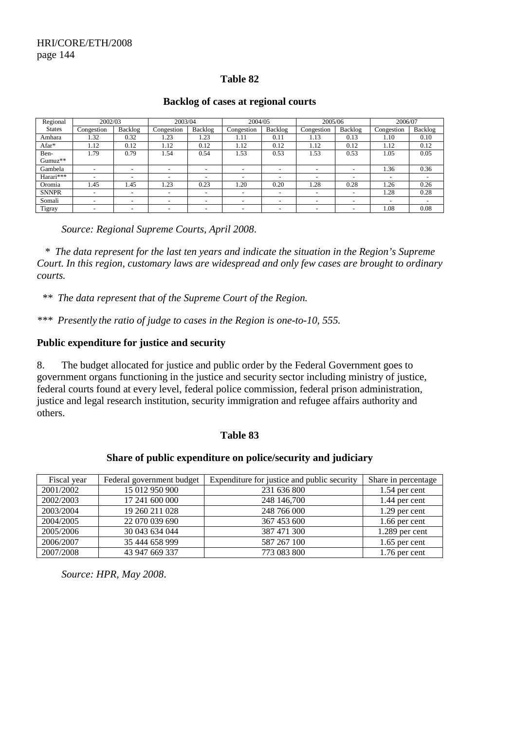## **Backlog of cases at regional courts**

| Regional      | 2002/03                  |          | 2003/04                  |                          | 2004/05                  |                          | 2005/06                  |                          | 2006/07                  |                          |
|---------------|--------------------------|----------|--------------------------|--------------------------|--------------------------|--------------------------|--------------------------|--------------------------|--------------------------|--------------------------|
| <b>States</b> | Congestion               | Backlog  | Congestion               | Backlog                  | Congestion               | Backlog                  | Congestion               | Backlog                  | Congestion               | Backlog                  |
| Amhara        | 1.32                     | 0.32     | 1.23                     | 1.23                     | 1.11                     | 0.11                     | 1.13                     | 0.13                     | 1.10                     | 0.10                     |
| Afar*         | 1.12                     | 0.12     | 1.12                     | 0.12                     | 1.12                     | 0.12                     | 1.12                     | 0.12                     | 1.12                     | 0.12                     |
| Ben-          | 1.79                     | 0.79     | 1.54                     | 0.54                     | 1.53                     | 0.53                     | 1.53                     | 0.53                     | 1.05                     | 0.05                     |
| Gumuz**       |                          |          |                          |                          |                          |                          |                          |                          |                          |                          |
| Gambela       | ۰                        | <b>-</b> | $\overline{\phantom{a}}$ | ٠                        | -                        | $\overline{\phantom{a}}$ | $\overline{\phantom{a}}$ | $\overline{\phantom{a}}$ | 1.36                     | 0.36                     |
| Harari***     |                          |          | $\overline{\phantom{0}}$ |                          |                          |                          | $\overline{\phantom{0}}$ | -                        |                          | $\overline{\phantom{a}}$ |
| Oromia        | 1.45                     | 1.45     | 1.23                     | 0.23                     | 1.20                     | 0.20                     | 1.28                     | 0.28                     | 1.26                     | 0.26                     |
| <b>SNNPR</b>  | $\overline{\phantom{a}}$ |          | $\overline{\phantom{0}}$ |                          |                          |                          | $\overline{\phantom{a}}$ | $\overline{\phantom{a}}$ | 1.28                     | 0.28                     |
| Somali        | ۰                        | <b>-</b> | $\overline{\phantom{a}}$ | $\overline{\phantom{a}}$ | $\overline{\phantom{0}}$ | $\overline{\phantom{a}}$ | $\overline{\phantom{a}}$ | $\overline{\phantom{a}}$ | $\overline{\phantom{a}}$ | $\overline{\phantom{a}}$ |
| Tigray        | ۰                        | <b>-</b> | $\overline{\phantom{a}}$ | $\overline{\phantom{a}}$ | -                        | $\overline{\phantom{a}}$ | $\overline{\phantom{a}}$ | $\overline{\phantom{a}}$ | 1.08                     | 0.08                     |

*Source: Regional Supreme Courts, April 2008*.

 *\* The data represent for the last ten years and indicate the situation in the Region's Supreme Court. In this region, customary laws are widespread and only few cases are brought to ordinary courts.* 

 *\*\* The data represent that of the Supreme Court of the Region.* 

*\*\*\* Presently the ratio of judge to cases in the Region is one-to-10, 555.* 

## **Public expenditure for justice and security**

8. The budget allocated for justice and public order by the Federal Government goes to government organs functioning in the justice and security sector including ministry of justice, federal courts found at every level, federal police commission, federal prison administration, justice and legal research institution, security immigration and refugee affairs authority and others.

## **Table 83**

## **Share of public expenditure on police/security and judiciary**

| Fiscal year | Federal government budget | Expenditure for justice and public security | Share in percentage |
|-------------|---------------------------|---------------------------------------------|---------------------|
| 2001/2002   | 15 012 950 900            | 231 636 800                                 | $1.54$ per cent     |
| 2002/2003   | 17 241 600 000            | 248 146,700                                 | 1.44 per cent       |
| 2003/2004   | 19 260 211 028            | 248 766 000                                 | $1.29$ per cent     |
| 2004/2005   | 22 070 039 690            | 367 453 600                                 | $1.66$ per cent     |
| 2005/2006   | 30 043 634 044            | 387 471 300                                 | $1.289$ per cent    |
| 2006/2007   | 35 444 658 999            | 587 267 100                                 | $1.65$ per cent     |
| 2007/2008   | 43 947 669 337            | 773 083 800                                 | $1.76$ per cent     |

 *Source: HPR, May 2008*.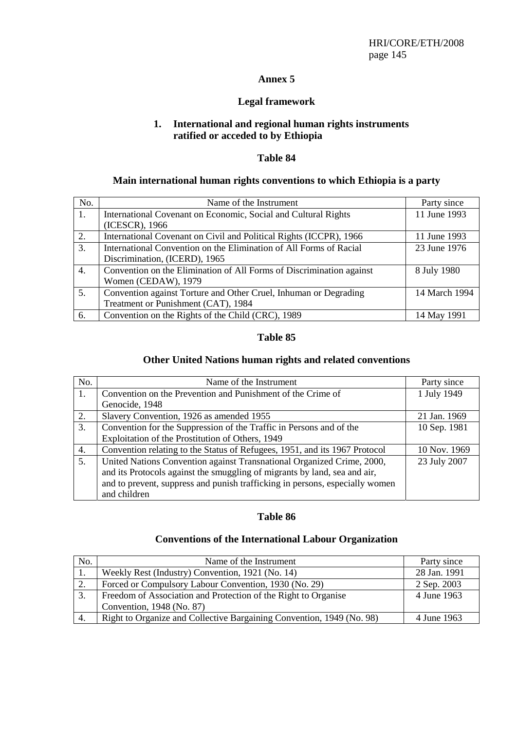#### **Annex 5**

# **Legal framework**

#### **1. International and regional human rights instruments ratified or acceded to by Ethiopia**

# **Table 84**

#### **Main international human rights conventions to which Ethiopia is a party**

| No.              | Name of the Instrument                                               | Party since   |
|------------------|----------------------------------------------------------------------|---------------|
| 1.               | International Covenant on Economic, Social and Cultural Rights       | 11 June 1993  |
|                  | (ICESCR), 1966                                                       |               |
| 2.               | International Covenant on Civil and Political Rights (ICCPR), 1966   | 11 June 1993  |
| 3.               | International Convention on the Elimination of All Forms of Racial   | 23 June 1976  |
|                  | Discrimination, (ICERD), 1965                                        |               |
| $\overline{4}$ . | Convention on the Elimination of All Forms of Discrimination against | 8 July 1980   |
|                  | Women (CEDAW), 1979                                                  |               |
| 5.               | Convention against Torture and Other Cruel, Inhuman or Degrading     | 14 March 1994 |
|                  | Treatment or Punishment (CAT), 1984                                  |               |
| 6.               | Convention on the Rights of the Child (CRC), 1989                    | 14 May 1991   |

### **Table 85**

# **Other United Nations human rights and related conventions**

| No. | Name of the Instrument                                                       | Party since  |
|-----|------------------------------------------------------------------------------|--------------|
| 1.  | Convention on the Prevention and Punishment of the Crime of                  | 1 July 1949  |
|     | Genocide, 1948                                                               |              |
| 2.  | Slavery Convention, 1926 as amended 1955                                     | 21 Jan. 1969 |
| 3.  | Convention for the Suppression of the Traffic in Persons and of the          | 10 Sep. 1981 |
|     | Exploitation of the Prostitution of Others, 1949                             |              |
| 4.  | Convention relating to the Status of Refugees, 1951, and its 1967 Protocol   | 10 Nov. 1969 |
| 5.  | United Nations Convention against Transnational Organized Crime, 2000,       | 23 July 2007 |
|     | and its Protocols against the smuggling of migrants by land, sea and air,    |              |
|     | and to prevent, suppress and punish trafficking in persons, especially women |              |
|     | and children                                                                 |              |

#### **Table 86**

# **Conventions of the International Labour Organization**

| No. | Name of the Instrument                                                | Party since  |
|-----|-----------------------------------------------------------------------|--------------|
|     | Weekly Rest (Industry) Convention, 1921 (No. 14)                      | 28 Jan. 1991 |
| 2.  | Forced or Compulsory Labour Convention, 1930 (No. 29)                 | 2 Sep. 2003  |
| 3.  | Freedom of Association and Protection of the Right to Organise        | 4 June 1963  |
|     | Convention, 1948 (No. 87)                                             |              |
| 4.  | Right to Organize and Collective Bargaining Convention, 1949 (No. 98) | 4 June 1963  |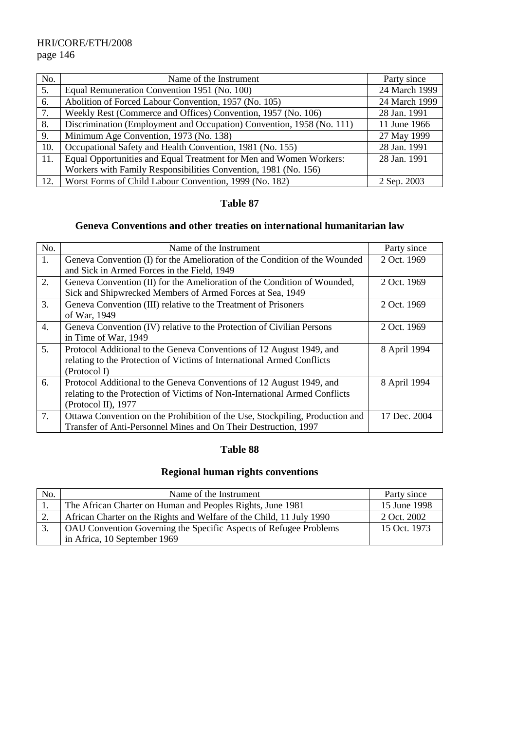# HRI/CORE/ETH/2008

# page 146

| No. | Name of the Instrument                                                | Party since   |
|-----|-----------------------------------------------------------------------|---------------|
| 5.  | Equal Remuneration Convention 1951 (No. 100)                          | 24 March 1999 |
| 6.  | Abolition of Forced Labour Convention, 1957 (No. 105)                 | 24 March 1999 |
| 7.  | Weekly Rest (Commerce and Offices) Convention, 1957 (No. 106)         | 28 Jan. 1991  |
| 8.  | Discrimination (Employment and Occupation) Convention, 1958 (No. 111) | 11 June 1966  |
| 9.  | Minimum Age Convention, 1973 (No. 138)                                | 27 May 1999   |
| 10. | Occupational Safety and Health Convention, 1981 (No. 155)             | 28 Jan. 1991  |
| 11. | Equal Opportunities and Equal Treatment for Men and Women Workers:    | 28 Jan. 1991  |
|     | Workers with Family Responsibilities Convention, 1981 (No. 156)       |               |
| 12. | Worst Forms of Child Labour Convention, 1999 (No. 182)                | 2 Sep. 2003   |

# **Table 87**

# **Geneva Conventions and other treaties on international humanitarian law**

| No.              | Name of the Instrument                                                       | Party since  |
|------------------|------------------------------------------------------------------------------|--------------|
| 1.               | Geneva Convention (I) for the Amelioration of the Condition of the Wounded   | 2 Oct. 1969  |
|                  | and Sick in Armed Forces in the Field, 1949                                  |              |
| 2.               | Geneva Convention (II) for the Amelioration of the Condition of Wounded,     | 2 Oct. 1969  |
|                  | Sick and Shipwrecked Members of Armed Forces at Sea, 1949                    |              |
| 3.               | Geneva Convention (III) relative to the Treatment of Prisoners               | 2 Oct. 1969  |
|                  | of War, 1949                                                                 |              |
| $\overline{4}$ . | Geneva Convention (IV) relative to the Protection of Civilian Persons        | 2 Oct. 1969  |
|                  | in Time of War, 1949                                                         |              |
| 5 <sub>1</sub>   | Protocol Additional to the Geneva Conventions of 12 August 1949, and         | 8 April 1994 |
|                  | relating to the Protection of Victims of International Armed Conflicts       |              |
|                  | (Protocol I)                                                                 |              |
| 6.               | Protocol Additional to the Geneva Conventions of 12 August 1949, and         | 8 April 1994 |
|                  | relating to the Protection of Victims of Non-International Armed Conflicts   |              |
|                  | (Protocol II), 1977                                                          |              |
| 7.               | Ottawa Convention on the Prohibition of the Use, Stockpiling, Production and | 17 Dec. 2004 |
|                  | Transfer of Anti-Personnel Mines and On Their Destruction, 1997              |              |

#### **Table 88**

# **Regional human rights conventions**

| No. | Name of the Instrument                                               | Party since  |
|-----|----------------------------------------------------------------------|--------------|
|     | The African Charter on Human and Peoples Rights, June 1981           | 15 June 1998 |
| 2.  | African Charter on the Rights and Welfare of the Child, 11 July 1990 | 2 Oct. 2002  |
| 3.  | OAU Convention Governing the Specific Aspects of Refugee Problems    | 15 Oct. 1973 |
|     | in Africa, 10 September 1969                                         |              |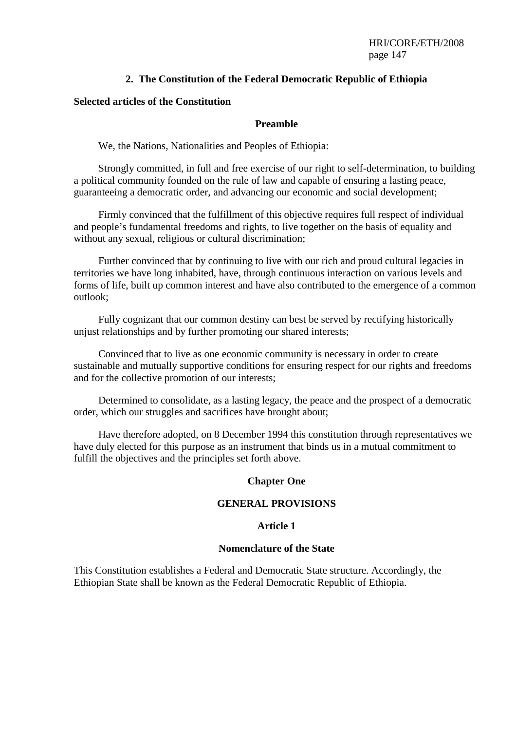# **2. The Constitution of the Federal Democratic Republic of Ethiopia**

#### **Selected articles of the Constitution**

#### **Preamble**

We, the Nations, Nationalities and Peoples of Ethiopia:

 Strongly committed, in full and free exercise of our right to self-determination, to building a political community founded on the rule of law and capable of ensuring a lasting peace, guaranteeing a democratic order, and advancing our economic and social development;

 Firmly convinced that the fulfillment of this objective requires full respect of individual and people's fundamental freedoms and rights, to live together on the basis of equality and without any sexual, religious or cultural discrimination;

 Further convinced that by continuing to live with our rich and proud cultural legacies in territories we have long inhabited, have, through continuous interaction on various levels and forms of life, built up common interest and have also contributed to the emergence of a common outlook;

 Fully cognizant that our common destiny can best be served by rectifying historically unjust relationships and by further promoting our shared interests;

 Convinced that to live as one economic community is necessary in order to create sustainable and mutually supportive conditions for ensuring respect for our rights and freedoms and for the collective promotion of our interests;

 Determined to consolidate, as a lasting legacy, the peace and the prospect of a democratic order, which our struggles and sacrifices have brought about;

 Have therefore adopted, on 8 December 1994 this constitution through representatives we have duly elected for this purpose as an instrument that binds us in a mutual commitment to fulfill the objectives and the principles set forth above.

# **Chapter One**

#### **GENERAL PROVISIONS**

#### **Article 1**

#### **Nomenclature of the State**

This Constitution establishes a Federal and Democratic State structure. Accordingly, the Ethiopian State shall be known as the Federal Democratic Republic of Ethiopia.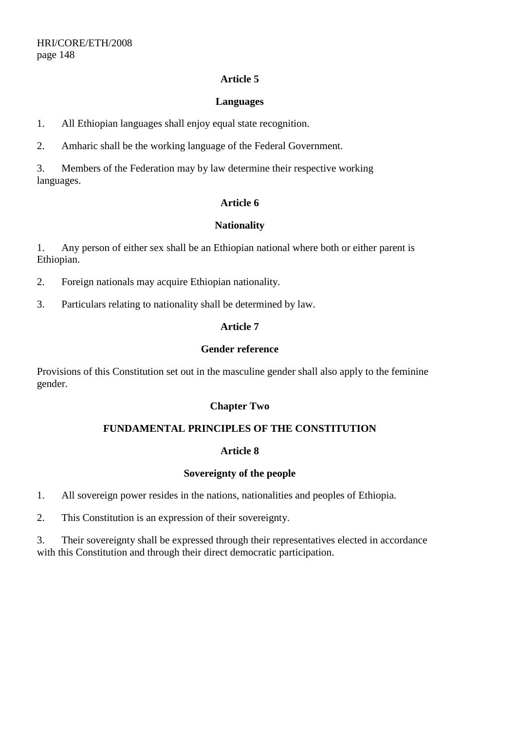#### **Languages**

1. All Ethiopian languages shall enjoy equal state recognition.

2. Amharic shall be the working language of the Federal Government.

3. Members of the Federation may by law determine their respective working languages.

#### **Article 6**

#### **Nationality**

1. Any person of either sex shall be an Ethiopian national where both or either parent is Ethiopian.

- 2. Foreign nationals may acquire Ethiopian nationality.
- 3. Particulars relating to nationality shall be determined by law.

#### **Article 7**

#### **Gender reference**

Provisions of this Constitution set out in the masculine gender shall also apply to the feminine gender.

# **Chapter Two**

# **FUNDAMENTAL PRINCIPLES OF THE CONSTITUTION**

#### **Article 8**

# **Sovereignty of the people**

1. All sovereign power resides in the nations, nationalities and peoples of Ethiopia.

2. This Constitution is an expression of their sovereignty.

3. Their sovereignty shall be expressed through their representatives elected in accordance with this Constitution and through their direct democratic participation.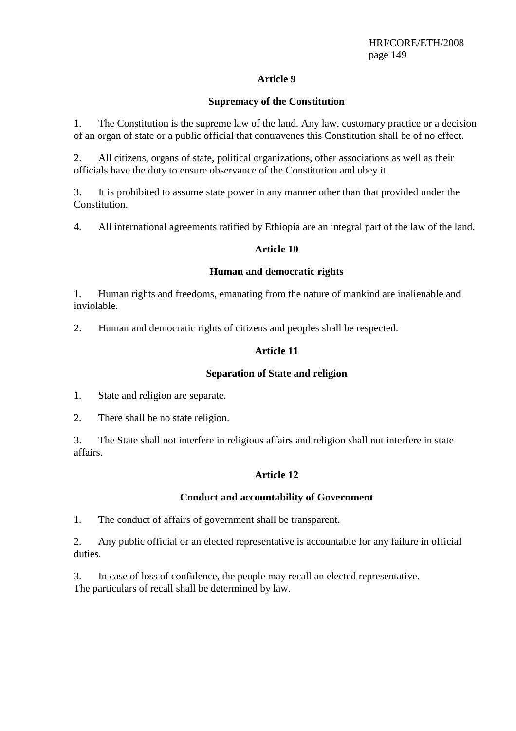#### **Supremacy of the Constitution**

1. The Constitution is the supreme law of the land. Any law, customary practice or a decision of an organ of state or a public official that contravenes this Constitution shall be of no effect.

2. All citizens, organs of state, political organizations, other associations as well as their officials have the duty to ensure observance of the Constitution and obey it.

3. It is prohibited to assume state power in any manner other than that provided under the Constitution.

4. All international agreements ratified by Ethiopia are an integral part of the law of the land.

#### **Article 10**

#### **Human and democratic rights**

1. Human rights and freedoms, emanating from the nature of mankind are inalienable and inviolable.

2. Human and democratic rights of citizens and peoples shall be respected.

# **Article 11**

#### **Separation of State and religion**

1. State and religion are separate.

2. There shall be no state religion.

3. The State shall not interfere in religious affairs and religion shall not interfere in state affairs.

# **Article 12**

# **Conduct and accountability of Government**

1. The conduct of affairs of government shall be transparent.

2. Any public official or an elected representative is accountable for any failure in official duties.

3. In case of loss of confidence, the people may recall an elected representative. The particulars of recall shall be determined by law.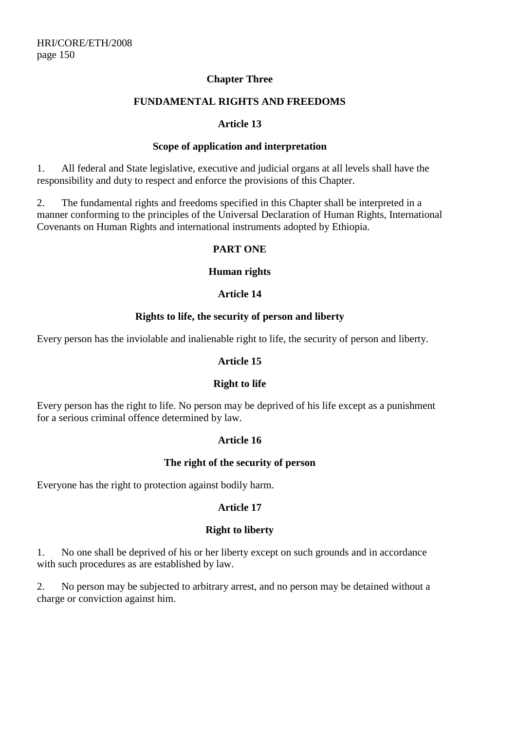#### **Chapter Three**

# **FUNDAMENTAL RIGHTS AND FREEDOMS**

#### **Article 13**

#### **Scope of application and interpretation**

1. All federal and State legislative, executive and judicial organs at all levels shall have the responsibility and duty to respect and enforce the provisions of this Chapter.

2. The fundamental rights and freedoms specified in this Chapter shall be interpreted in a manner conforming to the principles of the Universal Declaration of Human Rights, International Covenants on Human Rights and international instruments adopted by Ethiopia.

#### **PART ONE**

#### **Human rights**

#### **Article 14**

#### **Rights to life, the security of person and liberty**

Every person has the inviolable and inalienable right to life, the security of person and liberty.

#### **Article 15**

#### **Right to life**

Every person has the right to life. No person may be deprived of his life except as a punishment for a serious criminal offence determined by law.

#### **Article 16**

#### **The right of the security of person**

Everyone has the right to protection against bodily harm.

# **Article 17**

#### **Right to liberty**

1. No one shall be deprived of his or her liberty except on such grounds and in accordance with such procedures as are established by law.

2. No person may be subjected to arbitrary arrest, and no person may be detained without a charge or conviction against him.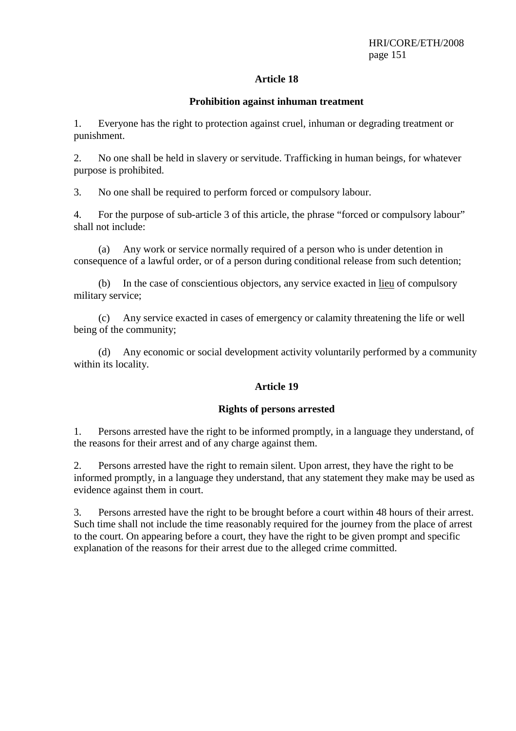#### **Prohibition against inhuman treatment**

1. Everyone has the right to protection against cruel, inhuman or degrading treatment or punishment.

2. No one shall be held in slavery or servitude. Trafficking in human beings, for whatever purpose is prohibited.

3. No one shall be required to perform forced or compulsory labour.

4. For the purpose of sub-article 3 of this article, the phrase "forced or compulsory labour" shall not include:

 (a) Any work or service normally required of a person who is under detention in consequence of a lawful order, or of a person during conditional release from such detention;

 (b) In the case of conscientious objectors, any service exacted in lieu of compulsory military service;

 (c) Any service exacted in cases of emergency or calamity threatening the life or well being of the community;

 (d) Any economic or social development activity voluntarily performed by a community within its locality.

# **Article 19**

# **Rights of persons arrested**

1. Persons arrested have the right to be informed promptly, in a language they understand, of the reasons for their arrest and of any charge against them.

2. Persons arrested have the right to remain silent. Upon arrest, they have the right to be informed promptly, in a language they understand, that any statement they make may be used as evidence against them in court.

3. Persons arrested have the right to be brought before a court within 48 hours of their arrest. Such time shall not include the time reasonably required for the journey from the place of arrest to the court. On appearing before a court, they have the right to be given prompt and specific explanation of the reasons for their arrest due to the alleged crime committed.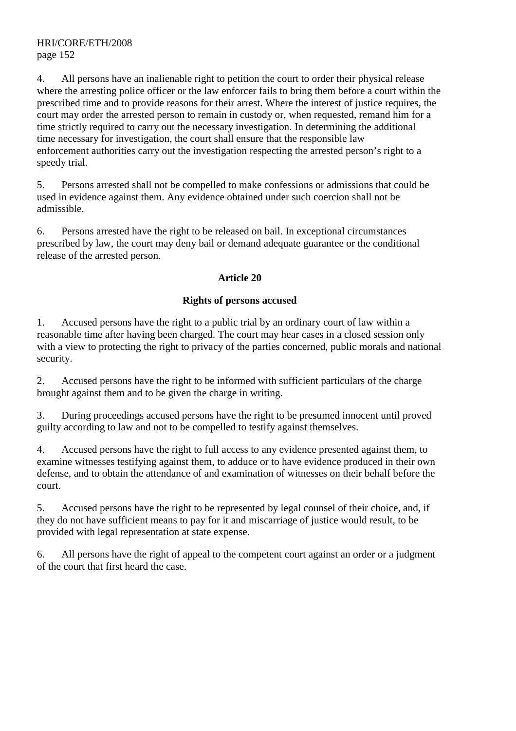4. All persons have an inalienable right to petition the court to order their physical release where the arresting police officer or the law enforcer fails to bring them before a court within the prescribed time and to provide reasons for their arrest. Where the interest of justice requires, the court may order the arrested person to remain in custody or, when requested, remand him for a time strictly required to carry out the necessary investigation. In determining the additional time necessary for investigation, the court shall ensure that the responsible law enforcement authorities carry out the investigation respecting the arrested person's right to a speedy trial.

5. Persons arrested shall not be compelled to make confessions or admissions that could be used in evidence against them. Any evidence obtained under such coercion shall not be admissible.

6. Persons arrested have the right to be released on bail. In exceptional circumstances prescribed by law, the court may deny bail or demand adequate guarantee or the conditional release of the arrested person.

# **Article 20**

# **Rights of persons accused**

1. Accused persons have the right to a public trial by an ordinary court of law within a reasonable time after having been charged. The court may hear cases in a closed session only with a view to protecting the right to privacy of the parties concerned, public morals and national security.

2. Accused persons have the right to be informed with sufficient particulars of the charge brought against them and to be given the charge in writing.

3. During proceedings accused persons have the right to be presumed innocent until proved guilty according to law and not to be compelled to testify against themselves.

4. Accused persons have the right to full access to any evidence presented against them, to examine witnesses testifying against them, to adduce or to have evidence produced in their own defense, and to obtain the attendance of and examination of witnesses on their behalf before the court.

5. Accused persons have the right to be represented by legal counsel of their choice, and, if they do not have sufficient means to pay for it and miscarriage of justice would result, to be provided with legal representation at state expense.

6. All persons have the right of appeal to the competent court against an order or a judgment of the court that first heard the case.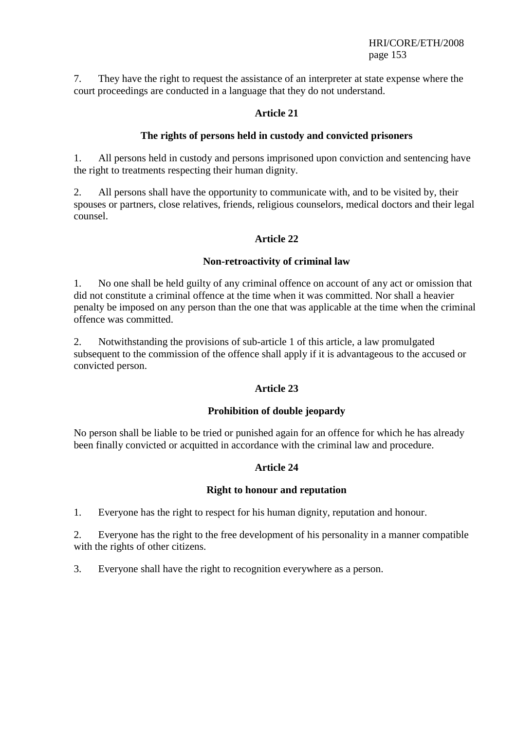7. They have the right to request the assistance of an interpreter at state expense where the court proceedings are conducted in a language that they do not understand.

#### **Article 21**

#### **The rights of persons held in custody and convicted prisoners**

1. All persons held in custody and persons imprisoned upon conviction and sentencing have the right to treatments respecting their human dignity.

2. All persons shall have the opportunity to communicate with, and to be visited by, their spouses or partners, close relatives, friends, religious counselors, medical doctors and their legal counsel.

#### **Article 22**

#### **Non-retroactivity of criminal law**

1. No one shall be held guilty of any criminal offence on account of any act or omission that did not constitute a criminal offence at the time when it was committed. Nor shall a heavier penalty be imposed on any person than the one that was applicable at the time when the criminal offence was committed.

2. Notwithstanding the provisions of sub-article 1 of this article, a law promulgated subsequent to the commission of the offence shall apply if it is advantageous to the accused or convicted person.

# **Article 23**

#### **Prohibition of double jeopardy**

No person shall be liable to be tried or punished again for an offence for which he has already been finally convicted or acquitted in accordance with the criminal law and procedure.

# **Article 24**

#### **Right to honour and reputation**

1. Everyone has the right to respect for his human dignity, reputation and honour.

2. Everyone has the right to the free development of his personality in a manner compatible with the rights of other citizens.

3. Everyone shall have the right to recognition everywhere as a person.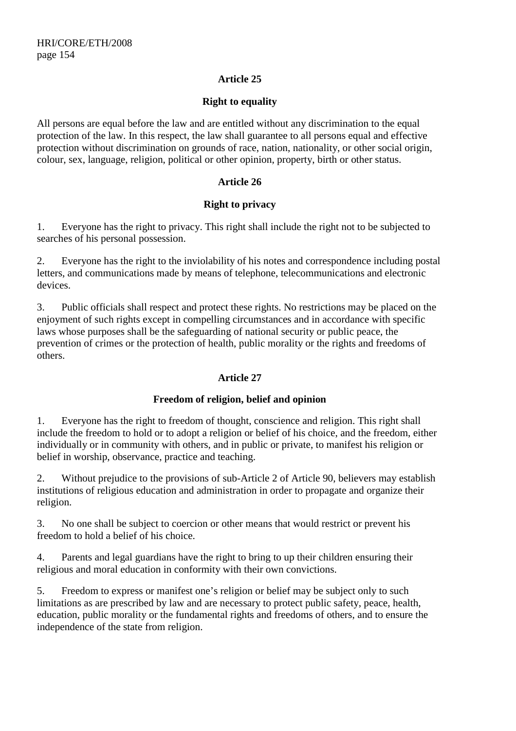# **Right to equality**

All persons are equal before the law and are entitled without any discrimination to the equal protection of the law. In this respect, the law shall guarantee to all persons equal and effective protection without discrimination on grounds of race, nation, nationality, or other social origin, colour, sex, language, religion, political or other opinion, property, birth or other status.

#### **Article 26**

# **Right to privacy**

1. Everyone has the right to privacy. This right shall include the right not to be subjected to searches of his personal possession.

2. Everyone has the right to the inviolability of his notes and correspondence including postal letters, and communications made by means of telephone, telecommunications and electronic devices.

3. Public officials shall respect and protect these rights. No restrictions may be placed on the enjoyment of such rights except in compelling circumstances and in accordance with specific laws whose purposes shall be the safeguarding of national security or public peace, the prevention of crimes or the protection of health, public morality or the rights and freedoms of others.

# **Article 27**

# **Freedom of religion, belief and opinion**

1. Everyone has the right to freedom of thought, conscience and religion. This right shall include the freedom to hold or to adopt a religion or belief of his choice, and the freedom, either individually or in community with others, and in public or private, to manifest his religion or belief in worship, observance, practice and teaching.

2. Without prejudice to the provisions of sub-Article 2 of Article 90, believers may establish institutions of religious education and administration in order to propagate and organize their religion.

3. No one shall be subject to coercion or other means that would restrict or prevent his freedom to hold a belief of his choice.

4. Parents and legal guardians have the right to bring to up their children ensuring their religious and moral education in conformity with their own convictions.

5. Freedom to express or manifest one's religion or belief may be subject only to such limitations as are prescribed by law and are necessary to protect public safety, peace, health, education, public morality or the fundamental rights and freedoms of others, and to ensure the independence of the state from religion.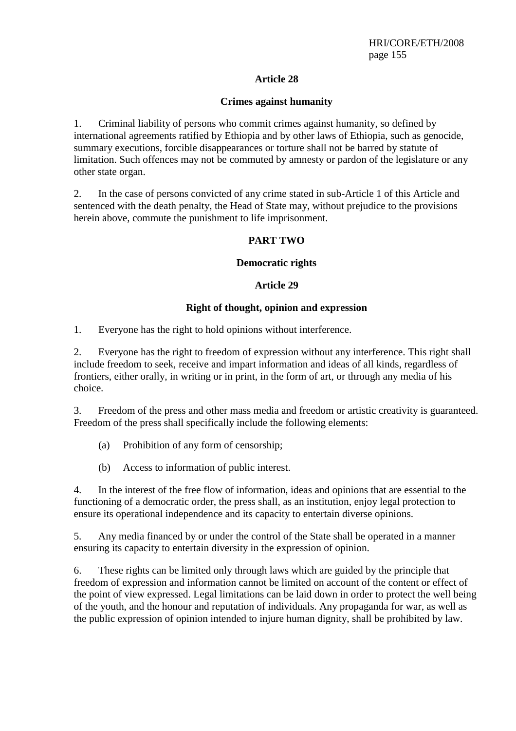#### **Crimes against humanity**

1. Criminal liability of persons who commit crimes against humanity, so defined by international agreements ratified by Ethiopia and by other laws of Ethiopia, such as genocide, summary executions, forcible disappearances or torture shall not be barred by statute of limitation. Such offences may not be commuted by amnesty or pardon of the legislature or any other state organ.

2. In the case of persons convicted of any crime stated in sub-Article 1 of this Article and sentenced with the death penalty, the Head of State may, without prejudice to the provisions herein above, commute the punishment to life imprisonment.

# **PART TWO**

#### **Democratic rights**

#### **Article 29**

# **Right of thought, opinion and expression**

1. Everyone has the right to hold opinions without interference.

2. Everyone has the right to freedom of expression without any interference. This right shall include freedom to seek, receive and impart information and ideas of all kinds, regardless of frontiers, either orally, in writing or in print, in the form of art, or through any media of his choice.

3. Freedom of the press and other mass media and freedom or artistic creativity is guaranteed. Freedom of the press shall specifically include the following elements:

- (a) Prohibition of any form of censorship;
- (b) Access to information of public interest.

4. In the interest of the free flow of information, ideas and opinions that are essential to the functioning of a democratic order, the press shall, as an institution, enjoy legal protection to ensure its operational independence and its capacity to entertain diverse opinions.

5. Any media financed by or under the control of the State shall be operated in a manner ensuring its capacity to entertain diversity in the expression of opinion.

6. These rights can be limited only through laws which are guided by the principle that freedom of expression and information cannot be limited on account of the content or effect of the point of view expressed. Legal limitations can be laid down in order to protect the well being of the youth, and the honour and reputation of individuals. Any propaganda for war, as well as the public expression of opinion intended to injure human dignity, shall be prohibited by law.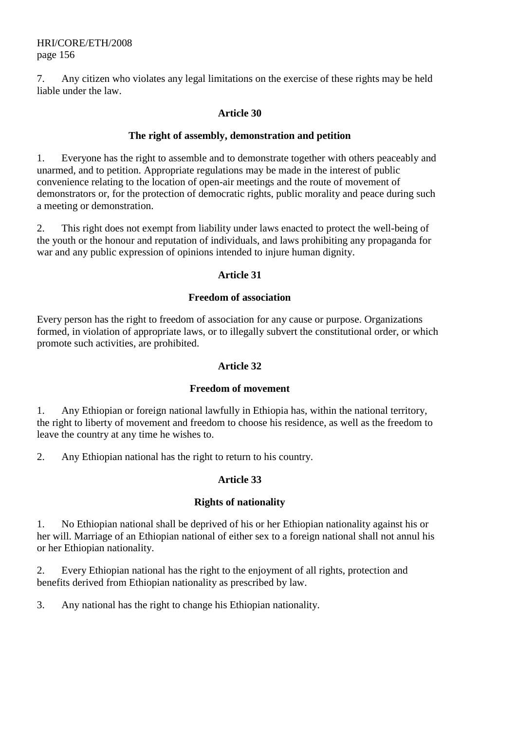7. Any citizen who violates any legal limitations on the exercise of these rights may be held liable under the law.

#### **Article 30**

#### **The right of assembly, demonstration and petition**

1. Everyone has the right to assemble and to demonstrate together with others peaceably and unarmed, and to petition. Appropriate regulations may be made in the interest of public convenience relating to the location of open-air meetings and the route of movement of demonstrators or, for the protection of democratic rights, public morality and peace during such a meeting or demonstration.

2. This right does not exempt from liability under laws enacted to protect the well-being of the youth or the honour and reputation of individuals, and laws prohibiting any propaganda for war and any public expression of opinions intended to injure human dignity.

# **Article 31**

#### **Freedom of association**

Every person has the right to freedom of association for any cause or purpose. Organizations formed, in violation of appropriate laws, or to illegally subvert the constitutional order, or which promote such activities, are prohibited.

#### **Article 32**

# **Freedom of movement**

1. Any Ethiopian or foreign national lawfully in Ethiopia has, within the national territory, the right to liberty of movement and freedom to choose his residence, as well as the freedom to leave the country at any time he wishes to.

2. Any Ethiopian national has the right to return to his country.

# **Article 33**

# **Rights of nationality**

1. No Ethiopian national shall be deprived of his or her Ethiopian nationality against his or her will. Marriage of an Ethiopian national of either sex to a foreign national shall not annul his or her Ethiopian nationality.

2. Every Ethiopian national has the right to the enjoyment of all rights, protection and benefits derived from Ethiopian nationality as prescribed by law.

3. Any national has the right to change his Ethiopian nationality.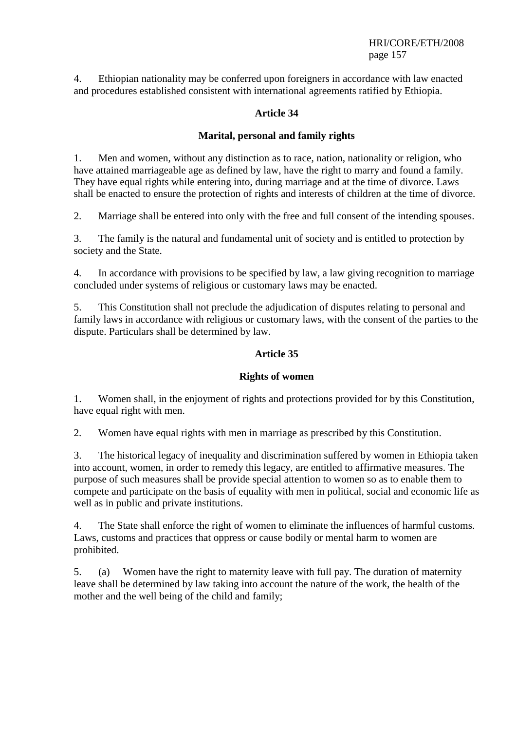4. Ethiopian nationality may be conferred upon foreigners in accordance with law enacted and procedures established consistent with international agreements ratified by Ethiopia.

# **Article 34**

#### **Marital, personal and family rights**

1. Men and women, without any distinction as to race, nation, nationality or religion, who have attained marriageable age as defined by law, have the right to marry and found a family. They have equal rights while entering into, during marriage and at the time of divorce. Laws shall be enacted to ensure the protection of rights and interests of children at the time of divorce.

2. Marriage shall be entered into only with the free and full consent of the intending spouses.

3. The family is the natural and fundamental unit of society and is entitled to protection by society and the State.

4. In accordance with provisions to be specified by law, a law giving recognition to marriage concluded under systems of religious or customary laws may be enacted.

5. This Constitution shall not preclude the adjudication of disputes relating to personal and family laws in accordance with religious or customary laws, with the consent of the parties to the dispute. Particulars shall be determined by law.

#### **Article 35**

#### **Rights of women**

1. Women shall, in the enjoyment of rights and protections provided for by this Constitution, have equal right with men.

2. Women have equal rights with men in marriage as prescribed by this Constitution.

3. The historical legacy of inequality and discrimination suffered by women in Ethiopia taken into account, women, in order to remedy this legacy, are entitled to affirmative measures. The purpose of such measures shall be provide special attention to women so as to enable them to compete and participate on the basis of equality with men in political, social and economic life as well as in public and private institutions.

4. The State shall enforce the right of women to eliminate the influences of harmful customs. Laws, customs and practices that oppress or cause bodily or mental harm to women are prohibited.

5. (a) Women have the right to maternity leave with full pay. The duration of maternity leave shall be determined by law taking into account the nature of the work, the health of the mother and the well being of the child and family;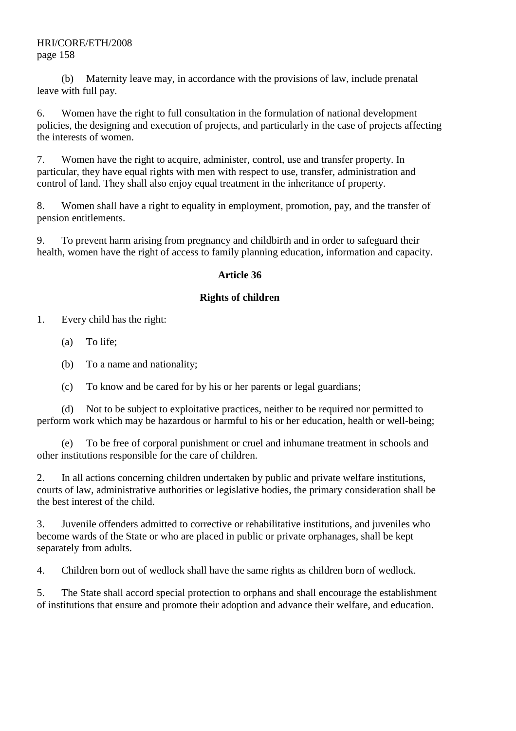(b) Maternity leave may, in accordance with the provisions of law, include prenatal leave with full pay.

6. Women have the right to full consultation in the formulation of national development policies, the designing and execution of projects, and particularly in the case of projects affecting the interests of women.

7. Women have the right to acquire, administer, control, use and transfer property. In particular, they have equal rights with men with respect to use, transfer, administration and control of land. They shall also enjoy equal treatment in the inheritance of property.

8. Women shall have a right to equality in employment, promotion, pay, and the transfer of pension entitlements.

9. To prevent harm arising from pregnancy and childbirth and in order to safeguard their health, women have the right of access to family planning education, information and capacity.

# **Article 36**

# **Rights of children**

1. Every child has the right:

(a) To life;

(b) To a name and nationality;

(c) To know and be cared for by his or her parents or legal guardians;

 (d) Not to be subject to exploitative practices, neither to be required nor permitted to perform work which may be hazardous or harmful to his or her education, health or well-being;

 (e) To be free of corporal punishment or cruel and inhumane treatment in schools and other institutions responsible for the care of children.

2. In all actions concerning children undertaken by public and private welfare institutions, courts of law, administrative authorities or legislative bodies, the primary consideration shall be the best interest of the child.

3. Juvenile offenders admitted to corrective or rehabilitative institutions, and juveniles who become wards of the State or who are placed in public or private orphanages, shall be kept separately from adults.

4. Children born out of wedlock shall have the same rights as children born of wedlock.

5. The State shall accord special protection to orphans and shall encourage the establishment of institutions that ensure and promote their adoption and advance their welfare, and education.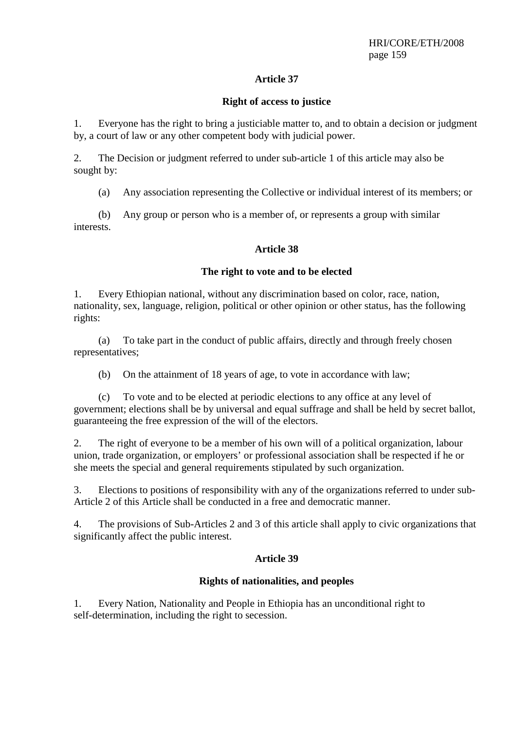#### **Right of access to justice**

1. Everyone has the right to bring a justiciable matter to, and to obtain a decision or judgment by, a court of law or any other competent body with judicial power.

2. The Decision or judgment referred to under sub-article 1 of this article may also be sought by:

(a) Any association representing the Collective or individual interest of its members; or

 (b) Any group or person who is a member of, or represents a group with similar interests.

#### **Article 38**

#### **The right to vote and to be elected**

1. Every Ethiopian national, without any discrimination based on color, race, nation, nationality, sex, language, religion, political or other opinion or other status, has the following rights:

 (a) To take part in the conduct of public affairs, directly and through freely chosen representatives;

(b) On the attainment of 18 years of age, to vote in accordance with law;

 (c) To vote and to be elected at periodic elections to any office at any level of government; elections shall be by universal and equal suffrage and shall be held by secret ballot, guaranteeing the free expression of the will of the electors.

2. The right of everyone to be a member of his own will of a political organization, labour union, trade organization, or employers' or professional association shall be respected if he or she meets the special and general requirements stipulated by such organization.

3. Elections to positions of responsibility with any of the organizations referred to under sub-Article 2 of this Article shall be conducted in a free and democratic manner.

4. The provisions of Sub-Articles 2 and 3 of this article shall apply to civic organizations that significantly affect the public interest.

#### **Article 39**

#### **Rights of nationalities, and peoples**

1. Every Nation, Nationality and People in Ethiopia has an unconditional right to self-determination, including the right to secession.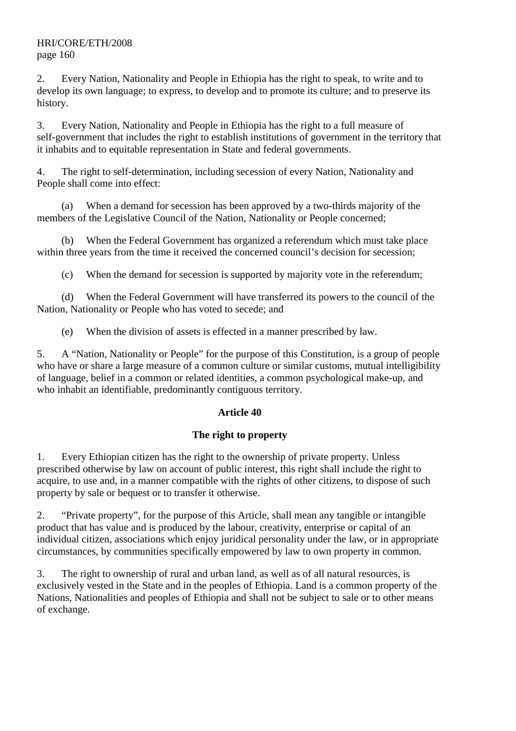2. Every Nation, Nationality and People in Ethiopia has the right to speak, to write and to develop its own language; to express, to develop and to promote its culture; and to preserve its history.

3. Every Nation, Nationality and People in Ethiopia has the right to a full measure of self-government that includes the right to establish institutions of government in the territory that it inhabits and to equitable representation in State and federal governments.

4. The right to self-determination, including secession of every Nation, Nationality and People shall come into effect:

 (a) When a demand for secession has been approved by a two-thirds majority of the members of the Legislative Council of the Nation, Nationality or People concerned;

 (b) When the Federal Government has organized a referendum which must take place within three years from the time it received the concerned council's decision for secession;

(c) When the demand for secession is supported by majority vote in the referendum;

 (d) When the Federal Government will have transferred its powers to the council of the Nation, Nationality or People who has voted to secede; and

(e) When the division of assets is effected in a manner prescribed by law.

5. A "Nation, Nationality or People" for the purpose of this Constitution, is a group of people who have or share a large measure of a common culture or similar customs, mutual intelligibility of language, belief in a common or related identities, a common psychological make-up, and who inhabit an identifiable, predominantly contiguous territory.

# **Article 40**

# **The right to property**

1. Every Ethiopian citizen has the right to the ownership of private property. Unless prescribed otherwise by law on account of public interest, this right shall include the right to acquire, to use and, in a manner compatible with the rights of other citizens, to dispose of such property by sale or bequest or to transfer it otherwise.

2. "Private property", for the purpose of this Article, shall mean any tangible or intangible product that has value and is produced by the labour, creativity, enterprise or capital of an individual citizen, associations which enjoy juridical personality under the law, or in appropriate circumstances, by communities specifically empowered by law to own property in common.

3. The right to ownership of rural and urban land, as well as of all natural resources, is exclusively vested in the State and in the peoples of Ethiopia. Land is a common property of the Nations, Nationalities and peoples of Ethiopia and shall not be subject to sale or to other means of exchange.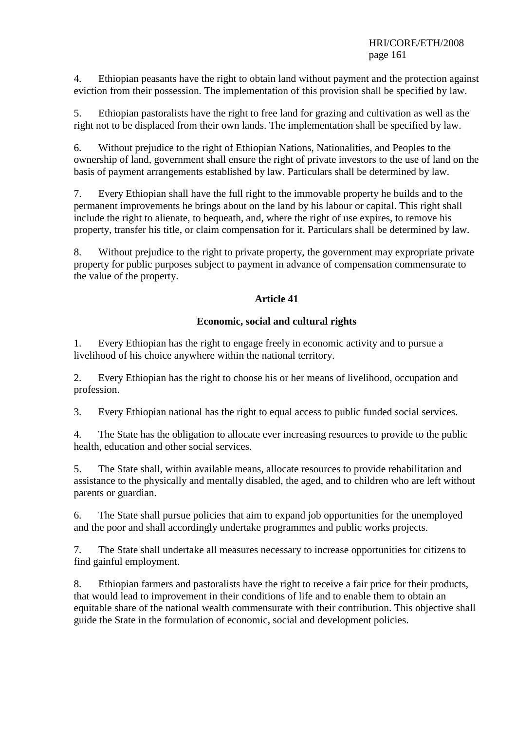4. Ethiopian peasants have the right to obtain land without payment and the protection against eviction from their possession. The implementation of this provision shall be specified by law.

5. Ethiopian pastoralists have the right to free land for grazing and cultivation as well as the right not to be displaced from their own lands. The implementation shall be specified by law.

6. Without prejudice to the right of Ethiopian Nations, Nationalities, and Peoples to the ownership of land, government shall ensure the right of private investors to the use of land on the basis of payment arrangements established by law. Particulars shall be determined by law.

7. Every Ethiopian shall have the full right to the immovable property he builds and to the permanent improvements he brings about on the land by his labour or capital. This right shall include the right to alienate, to bequeath, and, where the right of use expires, to remove his property, transfer his title, or claim compensation for it. Particulars shall be determined by law.

8. Without prejudice to the right to private property, the government may expropriate private property for public purposes subject to payment in advance of compensation commensurate to the value of the property.

# **Article 41**

# **Economic, social and cultural rights**

1. Every Ethiopian has the right to engage freely in economic activity and to pursue a livelihood of his choice anywhere within the national territory.

2. Every Ethiopian has the right to choose his or her means of livelihood, occupation and profession.

3. Every Ethiopian national has the right to equal access to public funded social services.

4. The State has the obligation to allocate ever increasing resources to provide to the public health, education and other social services.

5. The State shall, within available means, allocate resources to provide rehabilitation and assistance to the physically and mentally disabled, the aged, and to children who are left without parents or guardian.

6. The State shall pursue policies that aim to expand job opportunities for the unemployed and the poor and shall accordingly undertake programmes and public works projects.

7. The State shall undertake all measures necessary to increase opportunities for citizens to find gainful employment.

8. Ethiopian farmers and pastoralists have the right to receive a fair price for their products, that would lead to improvement in their conditions of life and to enable them to obtain an equitable share of the national wealth commensurate with their contribution. This objective shall guide the State in the formulation of economic, social and development policies.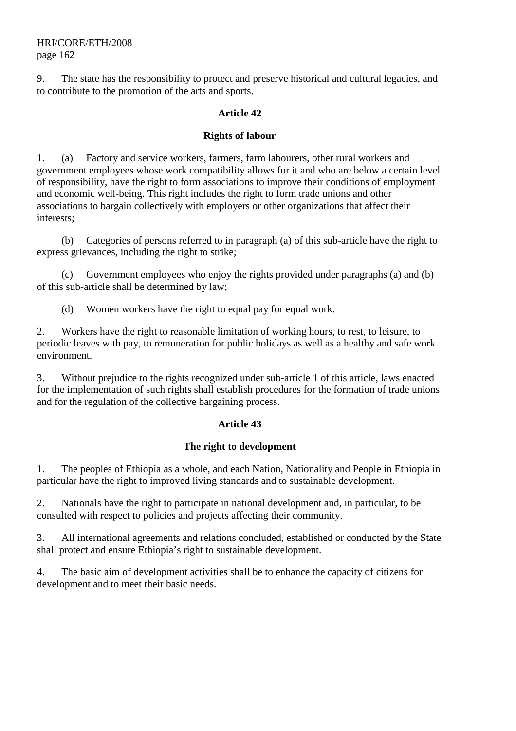9. The state has the responsibility to protect and preserve historical and cultural legacies, and to contribute to the promotion of the arts and sports.

#### **Article 42**

#### **Rights of labour**

1. (a) Factory and service workers, farmers, farm labourers, other rural workers and government employees whose work compatibility allows for it and who are below a certain level of responsibility, have the right to form associations to improve their conditions of employment and economic well-being. This right includes the right to form trade unions and other associations to bargain collectively with employers or other organizations that affect their interests;

 (b) Categories of persons referred to in paragraph (a) of this sub-article have the right to express grievances, including the right to strike;

 (c) Government employees who enjoy the rights provided under paragraphs (a) and (b) of this sub-article shall be determined by law;

(d) Women workers have the right to equal pay for equal work.

2. Workers have the right to reasonable limitation of working hours, to rest, to leisure, to periodic leaves with pay, to remuneration for public holidays as well as a healthy and safe work environment.

3. Without prejudice to the rights recognized under sub-article 1 of this article, laws enacted for the implementation of such rights shall establish procedures for the formation of trade unions and for the regulation of the collective bargaining process.

# **Article 43**

# **The right to development**

1. The peoples of Ethiopia as a whole, and each Nation, Nationality and People in Ethiopia in particular have the right to improved living standards and to sustainable development.

2. Nationals have the right to participate in national development and, in particular, to be consulted with respect to policies and projects affecting their community.

3. All international agreements and relations concluded, established or conducted by the State shall protect and ensure Ethiopia's right to sustainable development.

4. The basic aim of development activities shall be to enhance the capacity of citizens for development and to meet their basic needs.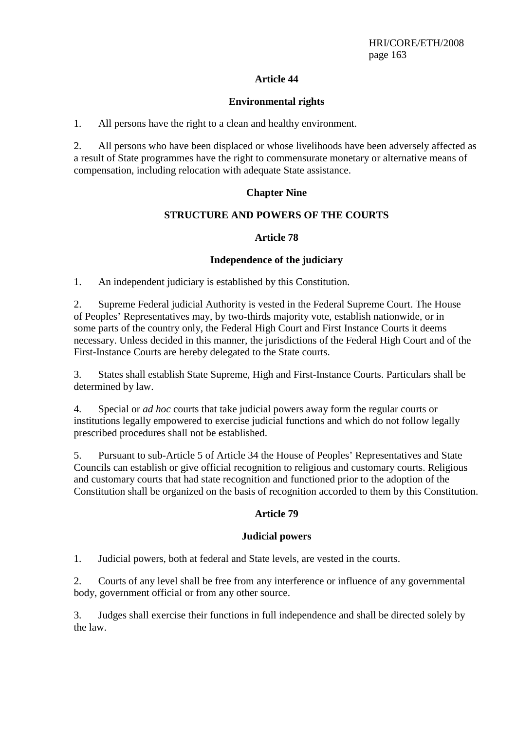#### **Environmental rights**

1. All persons have the right to a clean and healthy environment.

2. All persons who have been displaced or whose livelihoods have been adversely affected as a result of State programmes have the right to commensurate monetary or alternative means of compensation, including relocation with adequate State assistance.

# **Chapter Nine**

# **STRUCTURE AND POWERS OF THE COURTS**

# **Article 78**

#### **Independence of the judiciary**

1. An independent judiciary is established by this Constitution.

2. Supreme Federal judicial Authority is vested in the Federal Supreme Court. The House of Peoples' Representatives may, by two-thirds majority vote, establish nationwide, or in some parts of the country only, the Federal High Court and First Instance Courts it deems necessary. Unless decided in this manner, the jurisdictions of the Federal High Court and of the First-Instance Courts are hereby delegated to the State courts.

3. States shall establish State Supreme, High and First-Instance Courts. Particulars shall be determined by law.

4. Special or *ad hoc* courts that take judicial powers away form the regular courts or institutions legally empowered to exercise judicial functions and which do not follow legally prescribed procedures shall not be established.

5. Pursuant to sub-Article 5 of Article 34 the House of Peoples' Representatives and State Councils can establish or give official recognition to religious and customary courts. Religious and customary courts that had state recognition and functioned prior to the adoption of the Constitution shall be organized on the basis of recognition accorded to them by this Constitution.

# **Article 79**

# **Judicial powers**

1. Judicial powers, both at federal and State levels, are vested in the courts.

2. Courts of any level shall be free from any interference or influence of any governmental body, government official or from any other source.

3. Judges shall exercise their functions in full independence and shall be directed solely by the law.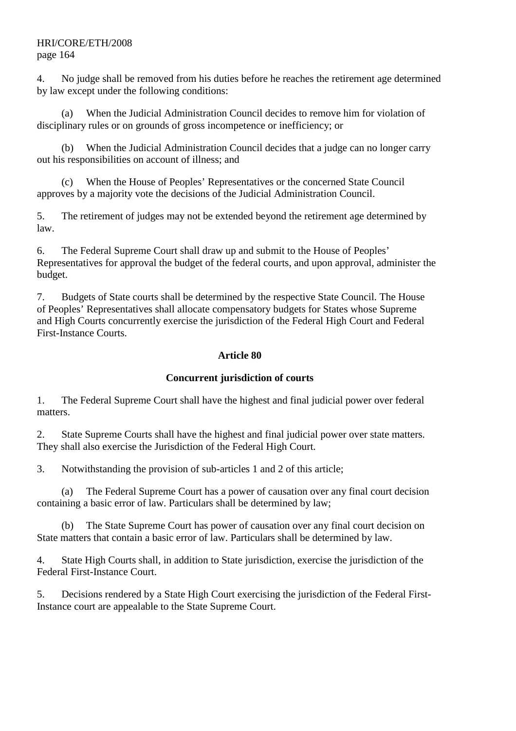4. No judge shall be removed from his duties before he reaches the retirement age determined by law except under the following conditions:

 (a) When the Judicial Administration Council decides to remove him for violation of disciplinary rules or on grounds of gross incompetence or inefficiency; or

 (b) When the Judicial Administration Council decides that a judge can no longer carry out his responsibilities on account of illness; and

 (c) When the House of Peoples' Representatives or the concerned State Council approves by a majority vote the decisions of the Judicial Administration Council.

5. The retirement of judges may not be extended beyond the retirement age determined by law.

6. The Federal Supreme Court shall draw up and submit to the House of Peoples' Representatives for approval the budget of the federal courts, and upon approval, administer the budget.

7. Budgets of State courts shall be determined by the respective State Council. The House of Peoples' Representatives shall allocate compensatory budgets for States whose Supreme and High Courts concurrently exercise the jurisdiction of the Federal High Court and Federal First-Instance Courts.

# **Article 80**

# **Concurrent jurisdiction of courts**

1. The Federal Supreme Court shall have the highest and final judicial power over federal matters.

2. State Supreme Courts shall have the highest and final judicial power over state matters. They shall also exercise the Jurisdiction of the Federal High Court.

3. Notwithstanding the provision of sub-articles 1 and 2 of this article;

 (a) The Federal Supreme Court has a power of causation over any final court decision containing a basic error of law. Particulars shall be determined by law;

 (b) The State Supreme Court has power of causation over any final court decision on State matters that contain a basic error of law. Particulars shall be determined by law.

4. State High Courts shall, in addition to State jurisdiction, exercise the jurisdiction of the Federal First-Instance Court.

5. Decisions rendered by a State High Court exercising the jurisdiction of the Federal First-Instance court are appealable to the State Supreme Court.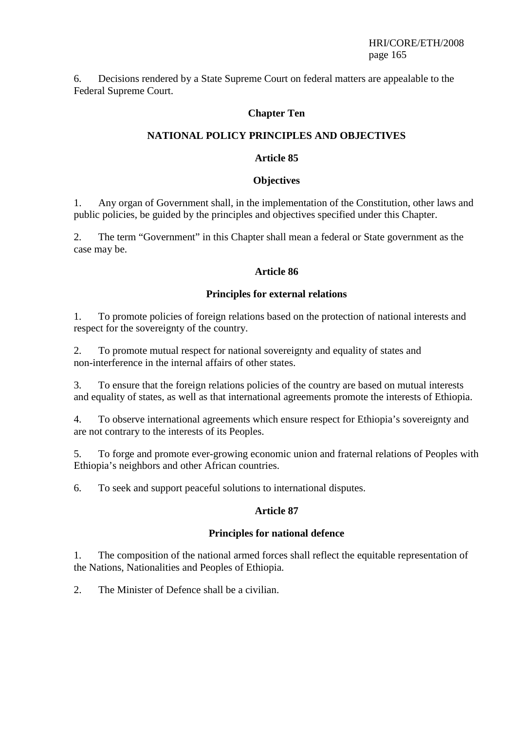6. Decisions rendered by a State Supreme Court on federal matters are appealable to the Federal Supreme Court.

#### **Chapter Ten**

#### **NATIONAL POLICY PRINCIPLES AND OBJECTIVES**

#### **Article 85**

#### **Objectives**

1. Any organ of Government shall, in the implementation of the Constitution, other laws and public policies, be guided by the principles and objectives specified under this Chapter.

2. The term "Government" in this Chapter shall mean a federal or State government as the case may be.

#### **Article 86**

#### **Principles for external relations**

1. To promote policies of foreign relations based on the protection of national interests and respect for the sovereignty of the country.

2. To promote mutual respect for national sovereignty and equality of states and non-interference in the internal affairs of other states.

3. To ensure that the foreign relations policies of the country are based on mutual interests and equality of states, as well as that international agreements promote the interests of Ethiopia.

4. To observe international agreements which ensure respect for Ethiopia's sovereignty and are not contrary to the interests of its Peoples.

5. To forge and promote ever-growing economic union and fraternal relations of Peoples with Ethiopia's neighbors and other African countries.

6. To seek and support peaceful solutions to international disputes.

#### **Article 87**

#### **Principles for national defence**

1. The composition of the national armed forces shall reflect the equitable representation of the Nations, Nationalities and Peoples of Ethiopia.

2. The Minister of Defence shall be a civilian.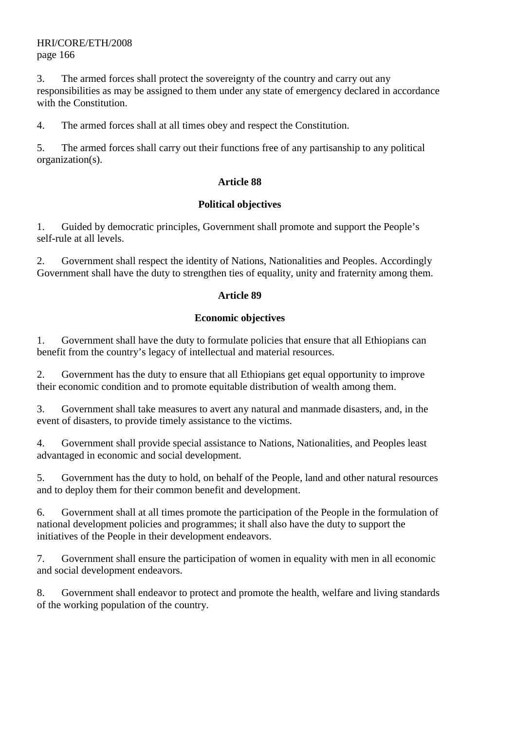3. The armed forces shall protect the sovereignty of the country and carry out any responsibilities as may be assigned to them under any state of emergency declared in accordance with the Constitution

4. The armed forces shall at all times obey and respect the Constitution.

5. The armed forces shall carry out their functions free of any partisanship to any political organization(s).

# **Article 88**

# **Political objectives**

1. Guided by democratic principles, Government shall promote and support the People's self-rule at all levels.

2. Government shall respect the identity of Nations, Nationalities and Peoples. Accordingly Government shall have the duty to strengthen ties of equality, unity and fraternity among them.

# **Article 89**

# **Economic objectives**

1. Government shall have the duty to formulate policies that ensure that all Ethiopians can benefit from the country's legacy of intellectual and material resources.

2. Government has the duty to ensure that all Ethiopians get equal opportunity to improve their economic condition and to promote equitable distribution of wealth among them.

3. Government shall take measures to avert any natural and manmade disasters, and, in the event of disasters, to provide timely assistance to the victims.

4. Government shall provide special assistance to Nations, Nationalities, and Peoples least advantaged in economic and social development.

5. Government has the duty to hold, on behalf of the People, land and other natural resources and to deploy them for their common benefit and development.

6. Government shall at all times promote the participation of the People in the formulation of national development policies and programmes; it shall also have the duty to support the initiatives of the People in their development endeavors.

7. Government shall ensure the participation of women in equality with men in all economic and social development endeavors.

8. Government shall endeavor to protect and promote the health, welfare and living standards of the working population of the country.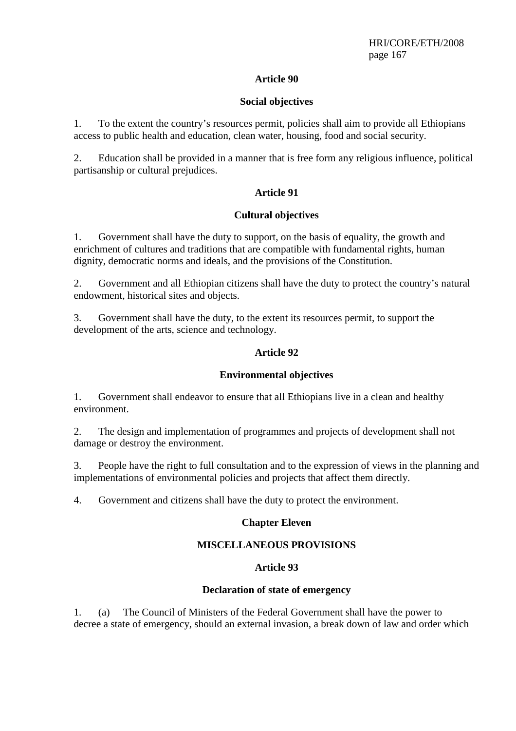#### **Social objectives**

1. To the extent the country's resources permit, policies shall aim to provide all Ethiopians access to public health and education, clean water, housing, food and social security.

2. Education shall be provided in a manner that is free form any religious influence, political partisanship or cultural prejudices.

# **Article 91**

#### **Cultural objectives**

1. Government shall have the duty to support, on the basis of equality, the growth and enrichment of cultures and traditions that are compatible with fundamental rights, human dignity, democratic norms and ideals, and the provisions of the Constitution.

2. Government and all Ethiopian citizens shall have the duty to protect the country's natural endowment, historical sites and objects.

3. Government shall have the duty, to the extent its resources permit, to support the development of the arts, science and technology.

#### **Article 92**

#### **Environmental objectives**

1. Government shall endeavor to ensure that all Ethiopians live in a clean and healthy environment.

2. The design and implementation of programmes and projects of development shall not damage or destroy the environment.

3. People have the right to full consultation and to the expression of views in the planning and implementations of environmental policies and projects that affect them directly.

4. Government and citizens shall have the duty to protect the environment.

# **Chapter Eleven**

# **MISCELLANEOUS PROVISIONS**

#### **Article 93**

#### **Declaration of state of emergency**

1. (a) The Council of Ministers of the Federal Government shall have the power to decree a state of emergency, should an external invasion, a break down of law and order which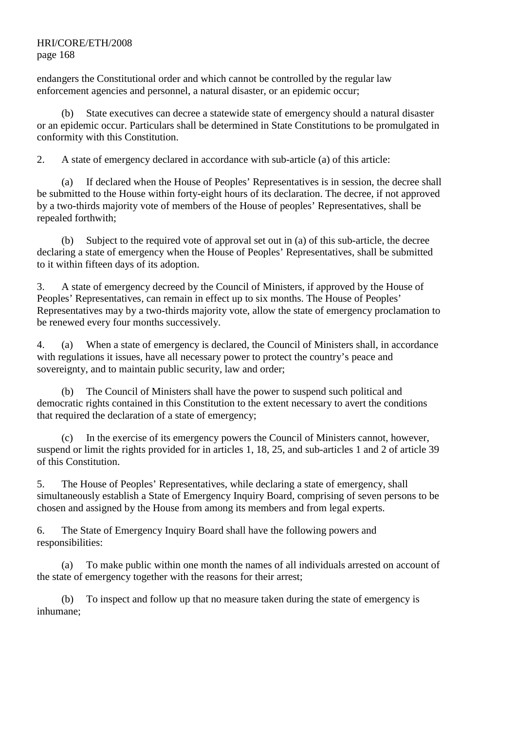endangers the Constitutional order and which cannot be controlled by the regular law enforcement agencies and personnel, a natural disaster, or an epidemic occur;

 (b) State executives can decree a statewide state of emergency should a natural disaster or an epidemic occur. Particulars shall be determined in State Constitutions to be promulgated in conformity with this Constitution.

2. A state of emergency declared in accordance with sub-article (a) of this article:

 (a) If declared when the House of Peoples' Representatives is in session, the decree shall be submitted to the House within forty-eight hours of its declaration. The decree, if not approved by a two-thirds majority vote of members of the House of peoples' Representatives, shall be repealed forthwith;

 (b) Subject to the required vote of approval set out in (a) of this sub-article, the decree declaring a state of emergency when the House of Peoples' Representatives, shall be submitted to it within fifteen days of its adoption.

3. A state of emergency decreed by the Council of Ministers, if approved by the House of Peoples' Representatives, can remain in effect up to six months. The House of Peoples' Representatives may by a two-thirds majority vote, allow the state of emergency proclamation to be renewed every four months successively.

4. (a) When a state of emergency is declared, the Council of Ministers shall, in accordance with regulations it issues, have all necessary power to protect the country's peace and sovereignty, and to maintain public security, law and order;

 (b) The Council of Ministers shall have the power to suspend such political and democratic rights contained in this Constitution to the extent necessary to avert the conditions that required the declaration of a state of emergency;

 (c) In the exercise of its emergency powers the Council of Ministers cannot, however, suspend or limit the rights provided for in articles 1, 18, 25, and sub-articles 1 and 2 of article 39 of this Constitution.

5. The House of Peoples' Representatives, while declaring a state of emergency, shall simultaneously establish a State of Emergency Inquiry Board, comprising of seven persons to be chosen and assigned by the House from among its members and from legal experts.

6. The State of Emergency Inquiry Board shall have the following powers and responsibilities:

 (a) To make public within one month the names of all individuals arrested on account of the state of emergency together with the reasons for their arrest;

 (b) To inspect and follow up that no measure taken during the state of emergency is inhumane;